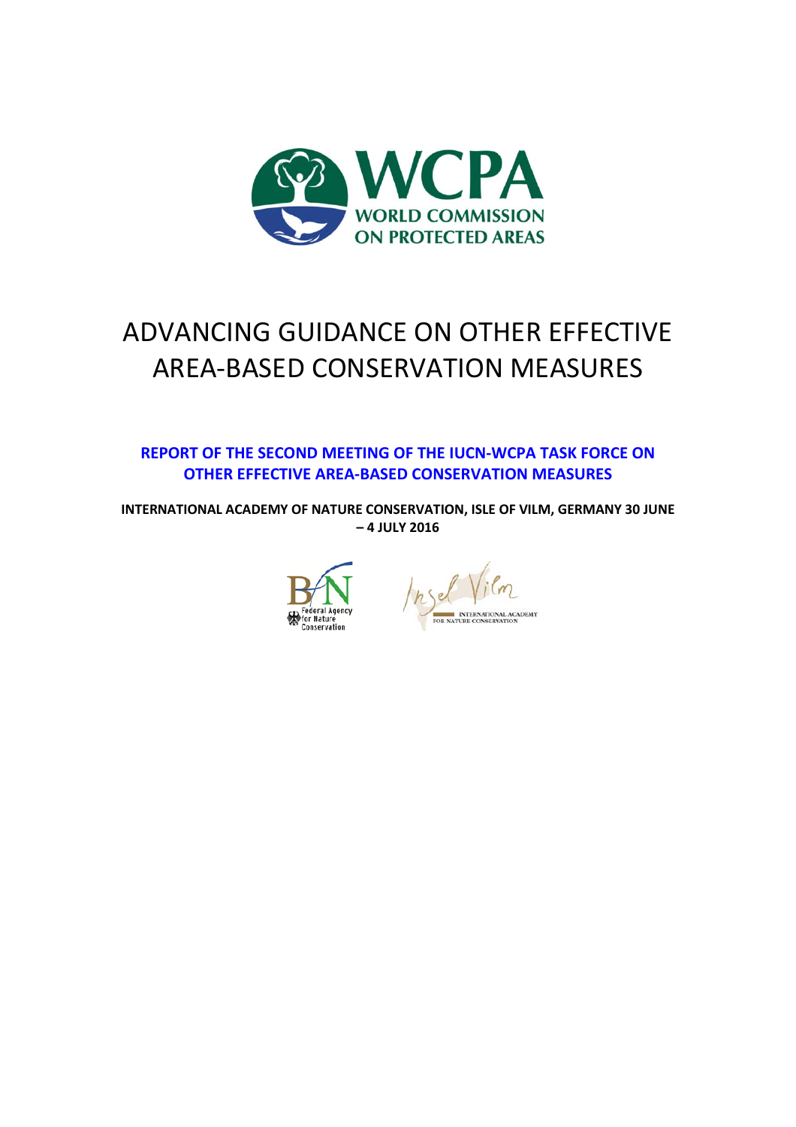

# ADVANCING GUIDANCE ON OTHER EFFECTIVE AREA-BASED CONSERVATION MEASURES

**REPORT OF THE SECOND MEETING OF THE IUCN-WCPA TASK FORCE ON OTHER EFFECTIVE AREA-BASED CONSERVATION MEASURES** 

**INTERNATIONAL ACADEMY OF NATURE CONSERVATION, ISLE OF VILM, GERMANY 30 JUNE – 4 JULY 2016**



NAL ACADEMY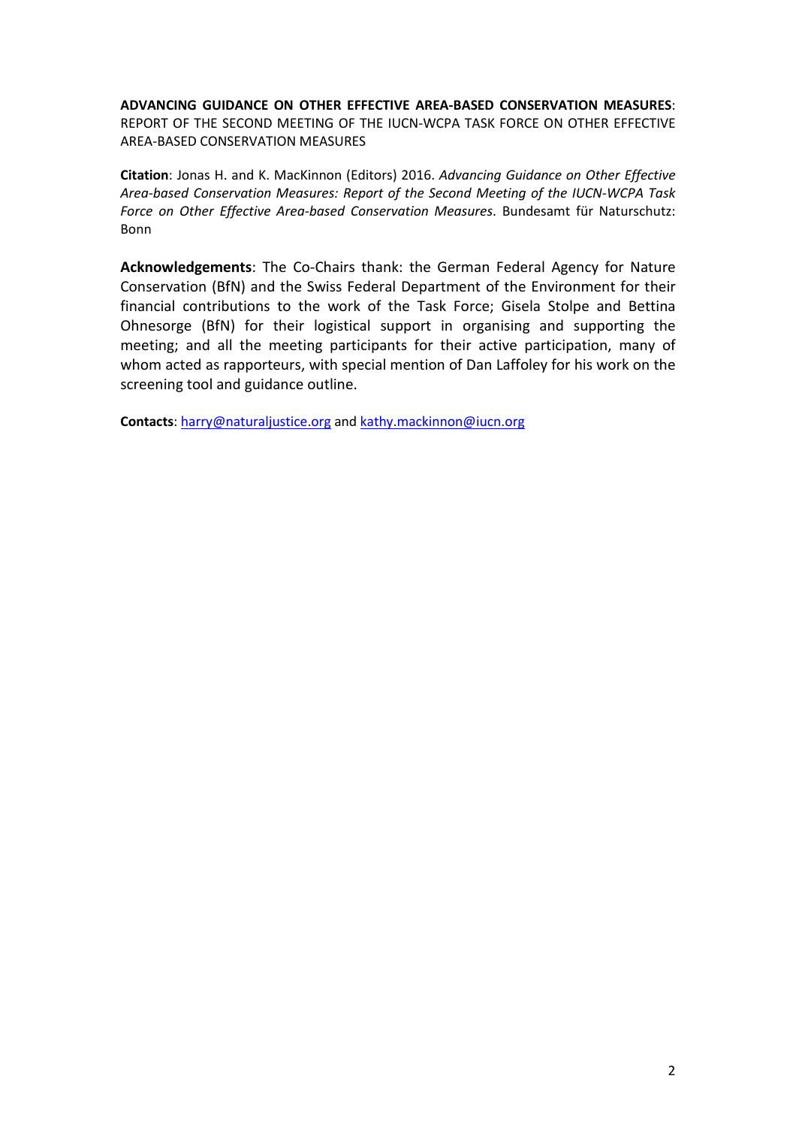**ADVANCING GUIDANCE ON OTHER EFFECTIVE AREA-BASED CONSERVATION MEASURES**: REPORT OF THE SECOND MEETING OF THE IUCN-WCPA TASK FORCE ON OTHER EFFECTIVE AREA-BASED CONSERVATION MEASURES

**Citation**: Jonas H. and K. MacKinnon (Editors) 2016. *Advancing Guidance on Other Effective Area-based Conservation Measures: Report of the Second Meeting of the IUCN-WCPA Task Force on Other Effective Area-based Conservation Measures*. Bundesamt für Naturschutz: Bonn

**Acknowledgements**: The Co-Chairs thank: the German Federal Agency for Nature Conservation (BfN) and the Swiss Federal Department of the Environment for their financial contributions to the work of the Task Force; Gisela Stolpe and Bettina Ohnesorge (BfN) for their logistical support in organising and supporting the meeting; and all the meeting participants for their active participation, many of whom acted as rapporteurs, with special mention of Dan Laffoley for his work on the screening tool and guidance outline.

**Contacts**: [harry@naturaljustice.org](mailto:harry@naturaljustice.org) and [kathy.mackinnon@iucn.org](mailto:kathy.mackinnon@iucn.org)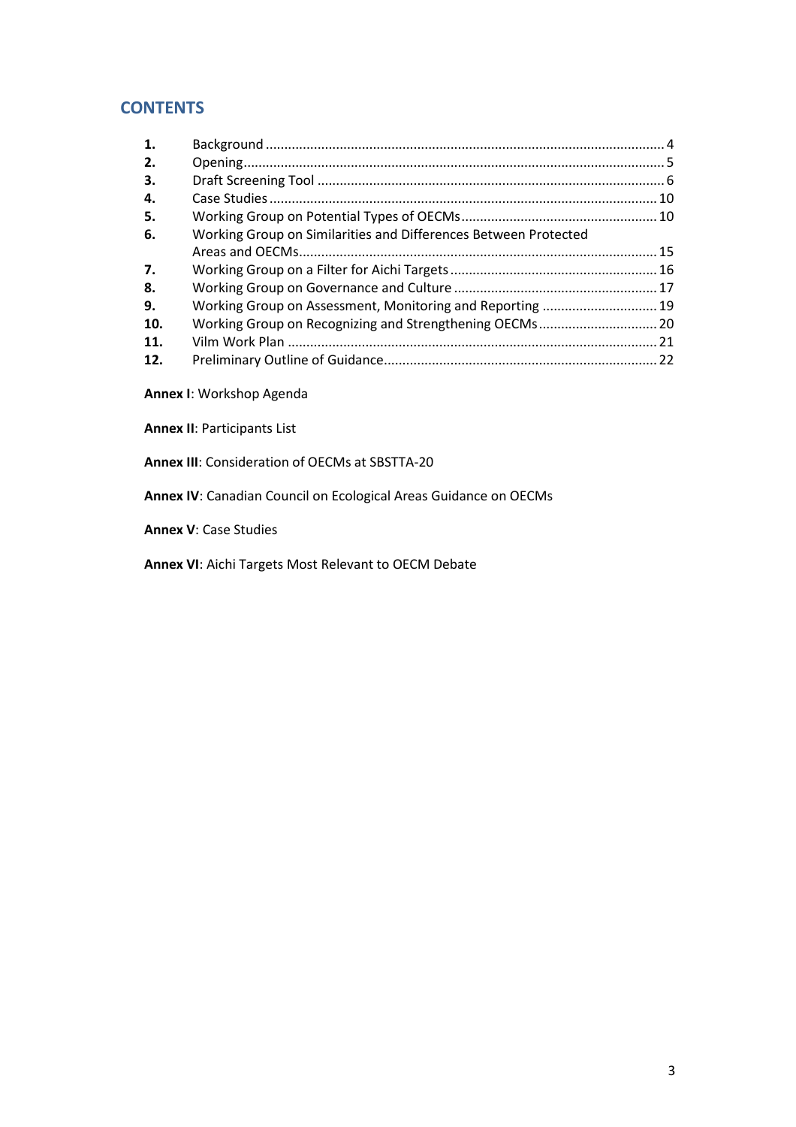## **CONTENTS**

| 1.  |                                                                 |  |
|-----|-----------------------------------------------------------------|--|
| 2.  |                                                                 |  |
| З.  |                                                                 |  |
| 4.  |                                                                 |  |
| 5.  |                                                                 |  |
| 6.  | Working Group on Similarities and Differences Between Protected |  |
|     |                                                                 |  |
| 7.  |                                                                 |  |
| 8.  |                                                                 |  |
| 9.  | Working Group on Assessment, Monitoring and Reporting  19       |  |
| 10. |                                                                 |  |
| 11. |                                                                 |  |
| 12. |                                                                 |  |

**Annex I**: Workshop Agenda

**Annex II**: Participants List

**Annex III**: Consideration of OECMs at SBSTTA-20

**Annex IV**: Canadian Council on Ecological Areas Guidance on OECMs

**Annex V**: Case Studies

**Annex VI**: Aichi Targets Most Relevant to OECM Debate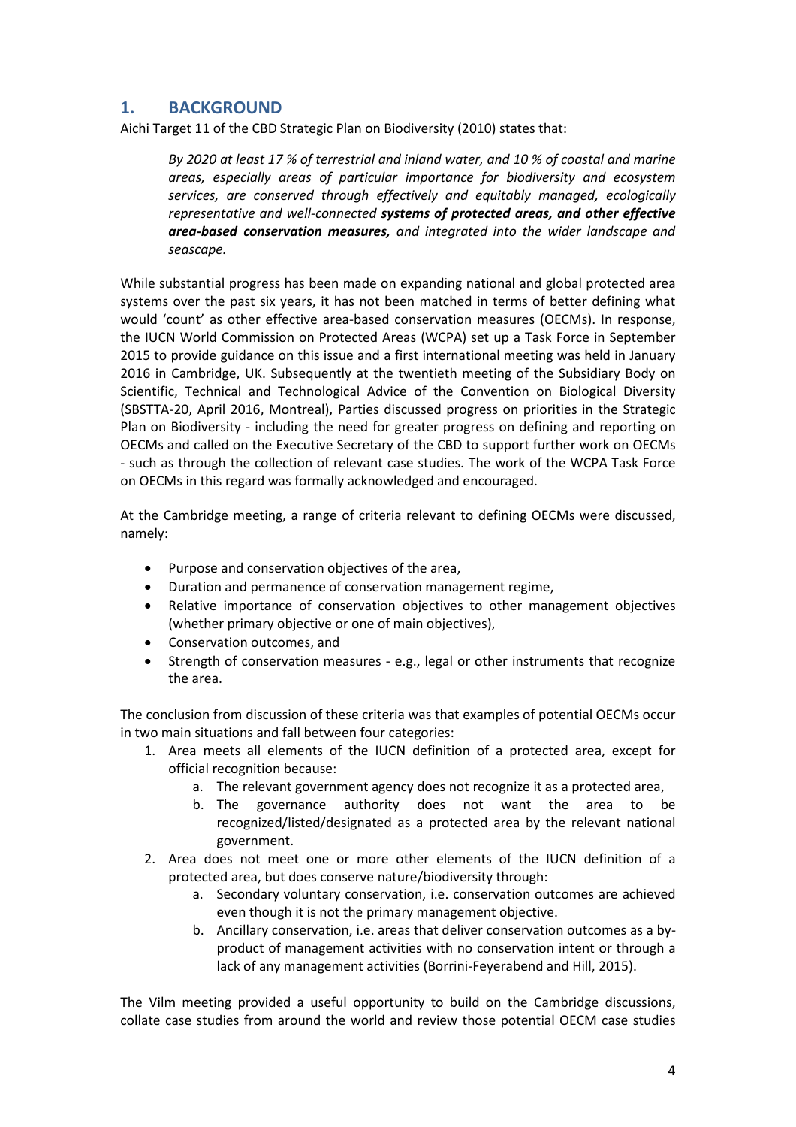## **1. BACKGROUND**

Aichi Target 11 of the CBD Strategic Plan on Biodiversity (2010) states that:

*By 2020 at least 17 % of terrestrial and inland water, and 10 % of coastal and marine areas, especially areas of particular importance for biodiversity and ecosystem services, are conserved through effectively and equitably managed, ecologically representative and well-connected systems of protected areas, and other effective area-based conservation measures, and integrated into the wider landscape and seascape.*

While substantial progress has been made on expanding national and global protected area systems over the past six years, it has not been matched in terms of better defining what would 'count' as other effective area-based conservation measures (OECMs). In response, the IUCN World Commission on Protected Areas (WCPA) set up a Task Force in September 2015 to provide guidance on this issue and a first international meeting was held in January 2016 in Cambridge, UK. Subsequently at the twentieth meeting of the Subsidiary Body on Scientific, Technical and Technological Advice of the Convention on Biological Diversity (SBSTTA-20, April 2016, Montreal), Parties discussed progress on priorities in the Strategic Plan on Biodiversity - including the need for greater progress on defining and reporting on OECMs and called on the Executive Secretary of the CBD to support further work on OECMs - such as through the collection of relevant case studies. The work of the WCPA Task Force on OECMs in this regard was formally acknowledged and encouraged.

At the Cambridge meeting, a range of criteria relevant to defining OECMs were discussed, namely:

- Purpose and conservation objectives of the area,
- Duration and permanence of conservation management regime,
- Relative importance of conservation objectives to other management objectives (whether primary objective or one of main objectives),
- Conservation outcomes, and
- Strength of conservation measures e.g., legal or other instruments that recognize the area.

The conclusion from discussion of these criteria was that examples of potential OECMs occur in two main situations and fall between four categories:

- 1. Area meets all elements of the IUCN definition of a protected area, except for official recognition because:
	- a. The relevant government agency does not recognize it as a protected area,
	- b. The governance authority does not want the area to be recognized/listed/designated as a protected area by the relevant national government.
- 2. Area does not meet one or more other elements of the IUCN definition of a protected area, but does conserve nature/biodiversity through:
	- a. Secondary voluntary conservation, i.e. conservation outcomes are achieved even though it is not the primary management objective.
	- b. Ancillary conservation, i.e. areas that deliver conservation outcomes as a byproduct of management activities with no conservation intent or through a lack of any management activities (Borrini-Feyerabend and Hill, 2015).

The Vilm meeting provided a useful opportunity to build on the Cambridge discussions, collate case studies from around the world and review those potential OECM case studies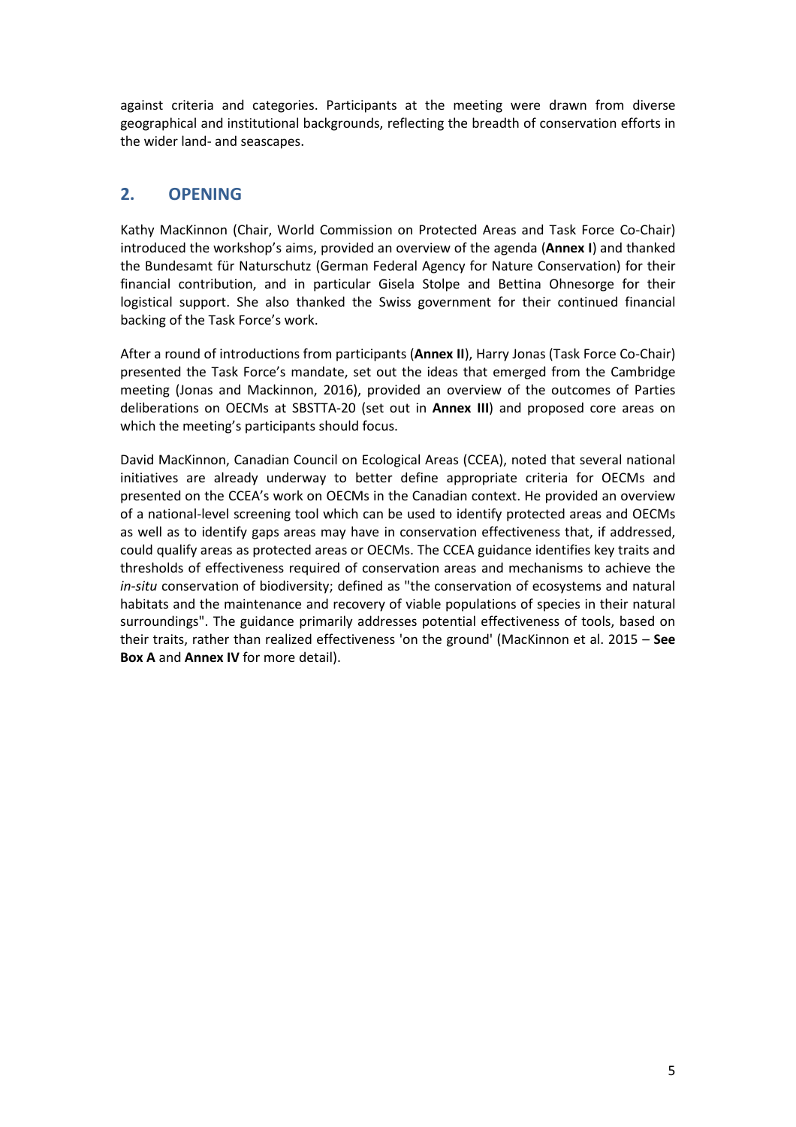against criteria and categories. Participants at the meeting were drawn from diverse geographical and institutional backgrounds, reflecting the breadth of conservation efforts in the wider land- and seascapes.

## **2. OPENING**

Kathy MacKinnon (Chair, World Commission on Protected Areas and Task Force Co-Chair) introduced the workshop's aims, provided an overview of the agenda (**Annex I**) and thanked the Bundesamt für Naturschutz (German Federal Agency for Nature Conservation) for their financial contribution, and in particular Gisela Stolpe and Bettina Ohnesorge for their logistical support. She also thanked the Swiss government for their continued financial backing of the Task Force's work.

After a round of introductions from participants (**Annex II**), Harry Jonas (Task Force Co-Chair) presented the Task Force's mandate, set out the ideas that emerged from the Cambridge meeting (Jonas and Mackinnon, 2016), provided an overview of the outcomes of Parties deliberations on OECMs at SBSTTA-20 (set out in **Annex III**) and proposed core areas on which the meeting's participants should focus.

David MacKinnon, Canadian Council on Ecological Areas (CCEA), noted that several national initiatives are already underway to better define appropriate criteria for OECMs and presented on the CCEA's work on OECMs in the Canadian context. He provided an overview of a national-level screening tool which can be used to identify protected areas and OECMs as well as to identify gaps areas may have in conservation effectiveness that, if addressed, could qualify areas as protected areas or OECMs. The CCEA guidance identifies key traits and thresholds of effectiveness required of conservation areas and mechanisms to achieve the *in-situ* conservation of biodiversity; defined as "the conservation of ecosystems and natural habitats and the maintenance and recovery of viable populations of species in their natural surroundings". The guidance primarily addresses potential effectiveness of tools, based on their traits, rather than realized effectiveness 'on the ground' (MacKinnon et al. 2015 – **See Box A** and **Annex IV** for more detail).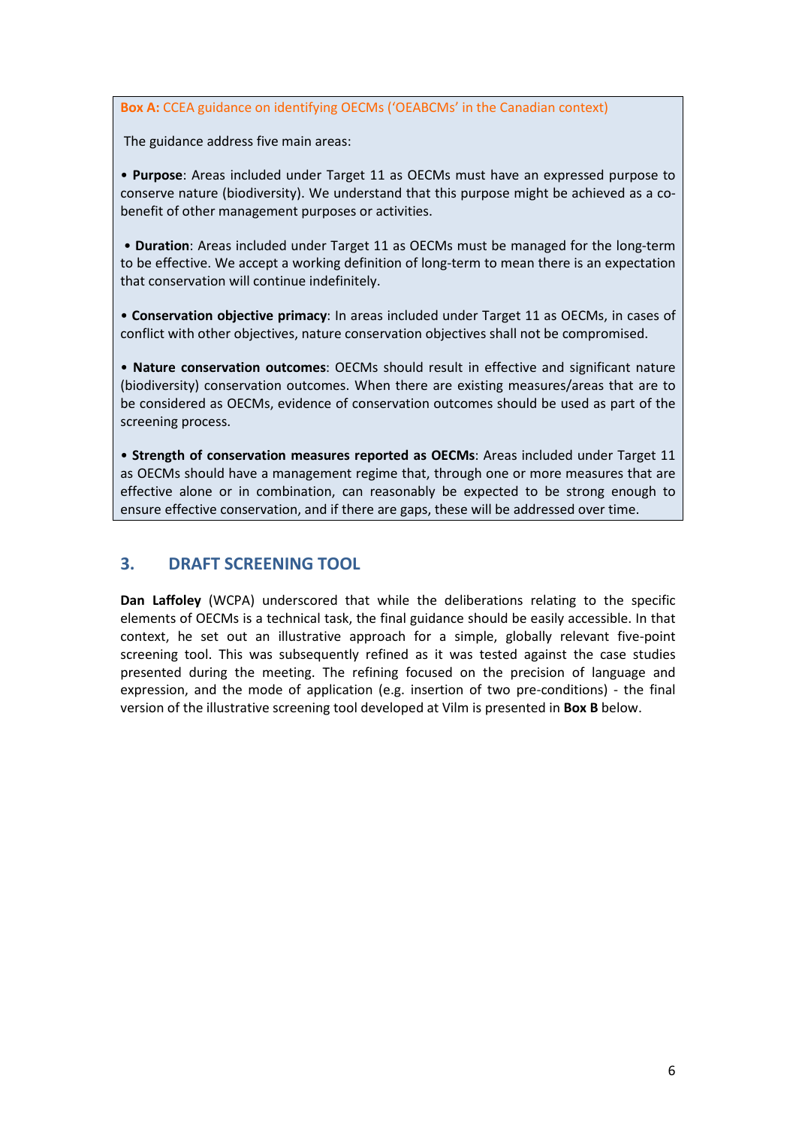**Box A:** CCEA guidance on identifying OECMs ('OEABCMs' in the Canadian context)

The guidance address five main areas:

• **Purpose**: Areas included under Target 11 as OECMs must have an expressed purpose to conserve nature (biodiversity). We understand that this purpose might be achieved as a cobenefit of other management purposes or activities.

• **Duration**: Areas included under Target 11 as OECMs must be managed for the long-term to be effective. We accept a working definition of long-term to mean there is an expectation that conservation will continue indefinitely.

• **Conservation objective primacy**: In areas included under Target 11 as OECMs, in cases of conflict with other objectives, nature conservation objectives shall not be compromised.

• **Nature conservation outcomes**: OECMs should result in effective and significant nature (biodiversity) conservation outcomes. When there are existing measures/areas that are to be considered as OECMs, evidence of conservation outcomes should be used as part of the screening process.

• **Strength of conservation measures reported as OECMs**: Areas included under Target 11 as OECMs should have a management regime that, through one or more measures that are effective alone or in combination, can reasonably be expected to be strong enough to ensure effective conservation, and if there are gaps, these will be addressed over time.

## **3. DRAFT SCREENING TOOL**

**Dan Laffoley** (WCPA) underscored that while the deliberations relating to the specific elements of OECMs is a technical task, the final guidance should be easily accessible. In that context, he set out an illustrative approach for a simple, globally relevant five-point screening tool. This was subsequently refined as it was tested against the case studies presented during the meeting. The refining focused on the precision of language and expression, and the mode of application (e.g. insertion of two pre-conditions) - the final version of the illustrative screening tool developed at Vilm is presented in **Box B** below.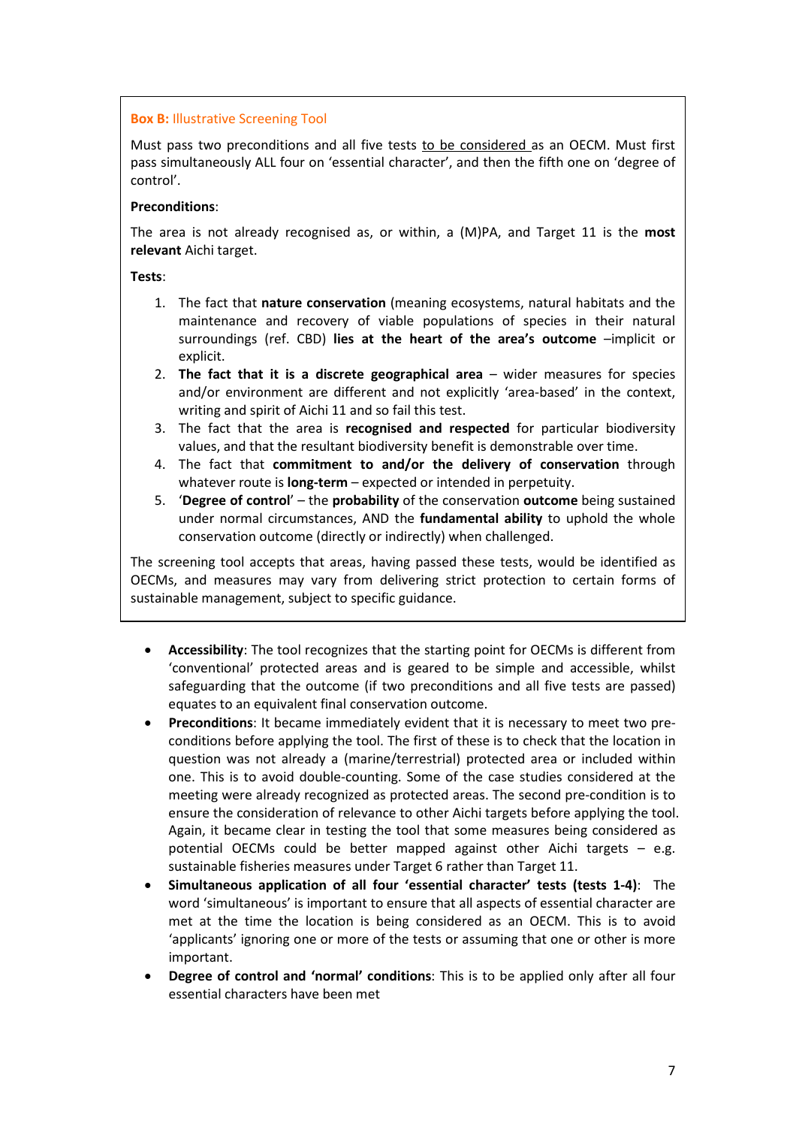#### **Box B:** Illustrative Screening Tool

Must pass two preconditions and all five tests to be considered as an OECM. Must first pass simultaneously ALL four on 'essential character', and then the fifth one on 'degree of control'.

#### **Preconditions**:

The area is not already recognised as, or within, a (M)PA, and Target 11 is the **most relevant** Aichi target.

**Tests**:

- 1. The fact that **nature conservation** (meaning ecosystems, natural habitats and the maintenance and recovery of viable populations of species in their natural surroundings (ref. CBD) **lies at the heart of the area's outcome** –implicit or explicit.
- 2. **The fact that it is a discrete geographical area** wider measures for species and/or environment are different and not explicitly 'area-based' in the context, writing and spirit of Aichi 11 and so fail this test.
- 3. The fact that the area is **recognised and respected** for particular biodiversity values, and that the resultant biodiversity benefit is demonstrable over time.
- 4. The fact that **commitment to and/or the delivery of conservation** through whatever route is **long-term** – expected or intended in perpetuity.
- 5. '**Degree of control**' the **probability** of the conservation **outcome** being sustained under normal circumstances, AND the **fundamental ability** to uphold the whole conservation outcome (directly or indirectly) when challenged.

The screening tool accepts that areas, having passed these tests, would be identified as OECMs, and measures may vary from delivering strict protection to certain forms of sustainable management, subject to specific guidance.

- **Accessibility**: The tool recognizes that the starting point for OECMs is different from 'conventional' protected areas and is geared to be simple and accessible, whilst safeguarding that the outcome (if two preconditions and all five tests are passed) equates to an equivalent final conservation outcome.
- **Preconditions**: It became immediately evident that it is necessary to meet two preconditions before applying the tool. The first of these is to check that the location in question was not already a (marine/terrestrial) protected area or included within one. This is to avoid double-counting. Some of the case studies considered at the meeting were already recognized as protected areas. The second pre-condition is to ensure the consideration of relevance to other Aichi targets before applying the tool. Again, it became clear in testing the tool that some measures being considered as potential OECMs could be better mapped against other Aichi targets – e.g. sustainable fisheries measures under Target 6 rather than Target 11.
- **Simultaneous application of all four 'essential character' tests (tests 1-4)**: The word 'simultaneous' is important to ensure that all aspects of essential character are met at the time the location is being considered as an OECM. This is to avoid 'applicants' ignoring one or more of the tests or assuming that one or other is more important.
- **Degree of control and 'normal' conditions**: This is to be applied only after all four essential characters have been met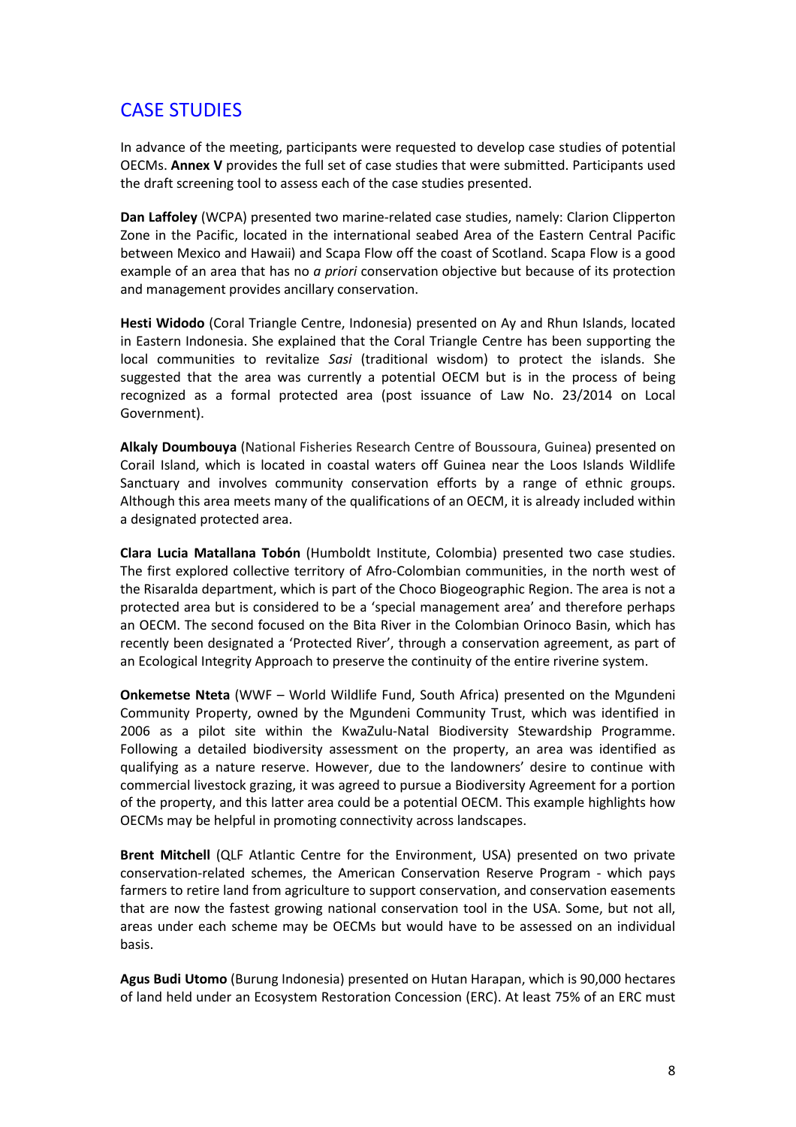## CASE STUDIES

In advance of the meeting, participants were requested to develop case studies of potential OECMs. **Annex V** provides the full set of case studies that were submitted. Participants used the draft screening tool to assess each of the case studies presented.

**Dan Laffoley** (WCPA) presented two marine-related case studies, namely: Clarion Clipperton Zone in the Pacific, located in the international seabed Area of the Eastern Central Pacific between Mexico and Hawaii) and Scapa Flow off the coast of Scotland. Scapa Flow is a good example of an area that has no *a priori* conservation objective but because of its protection and management provides ancillary conservation.

**Hesti Widodo** (Coral Triangle Centre, Indonesia) presented on Ay and Rhun Islands, located in Eastern Indonesia. She explained that the Coral Triangle Centre has been supporting the local communities to revitalize *Sasi* (traditional wisdom) to protect the islands. She suggested that the area was currently a potential OECM but is in the process of being recognized as a formal protected area (post issuance of Law No. 23/2014 on Local Government).

**Alkaly Doumbouya** (National Fisheries Research Centre of Boussoura, Guinea) presented on Corail Island, which is located in coastal waters off Guinea near the Loos Islands Wildlife Sanctuary and involves community conservation efforts by a range of ethnic groups. Although this area meets many of the qualifications of an OECM, it is already included within a designated protected area.

**Clara Lucia Matallana Tobón** (Humboldt Institute, Colombia) presented two case studies. The first explored collective territory of Afro-Colombian communities, in the north west of the Risaralda department, which is part of the Choco Biogeographic Region. The area is not a protected area but is considered to be a 'special management area' and therefore perhaps an OECM. The second focused on the Bita River in the Colombian Orinoco Basin, which has recently been designated a 'Protected River', through a conservation agreement, as part of an Ecological Integrity Approach to preserve the continuity of the entire riverine system.

**Onkemetse Nteta** (WWF – World Wildlife Fund, South Africa) presented on the Mgundeni Community Property, owned by the Mgundeni Community Trust, which was identified in 2006 as a pilot site within the KwaZulu-Natal Biodiversity Stewardship Programme. Following a detailed biodiversity assessment on the property, an area was identified as qualifying as a nature reserve. However, due to the landowners' desire to continue with commercial livestock grazing, it was agreed to pursue a Biodiversity Agreement for a portion of the property, and this latter area could be a potential OECM. This example highlights how OECMs may be helpful in promoting connectivity across landscapes.

**Brent Mitchell** (QLF Atlantic Centre for the Environment, USA) presented on two private conservation-related schemes, the American Conservation Reserve Program - which pays farmers to retire land from agriculture to support conservation, and conservation easements that are now the fastest growing national conservation tool in the USA. Some, but not all, areas under each scheme may be OECMs but would have to be assessed on an individual basis.

**Agus Budi Utomo** (Burung Indonesia) presented on Hutan Harapan, which is 90,000 hectares of land held under an Ecosystem Restoration Concession (ERC). At least 75% of an ERC must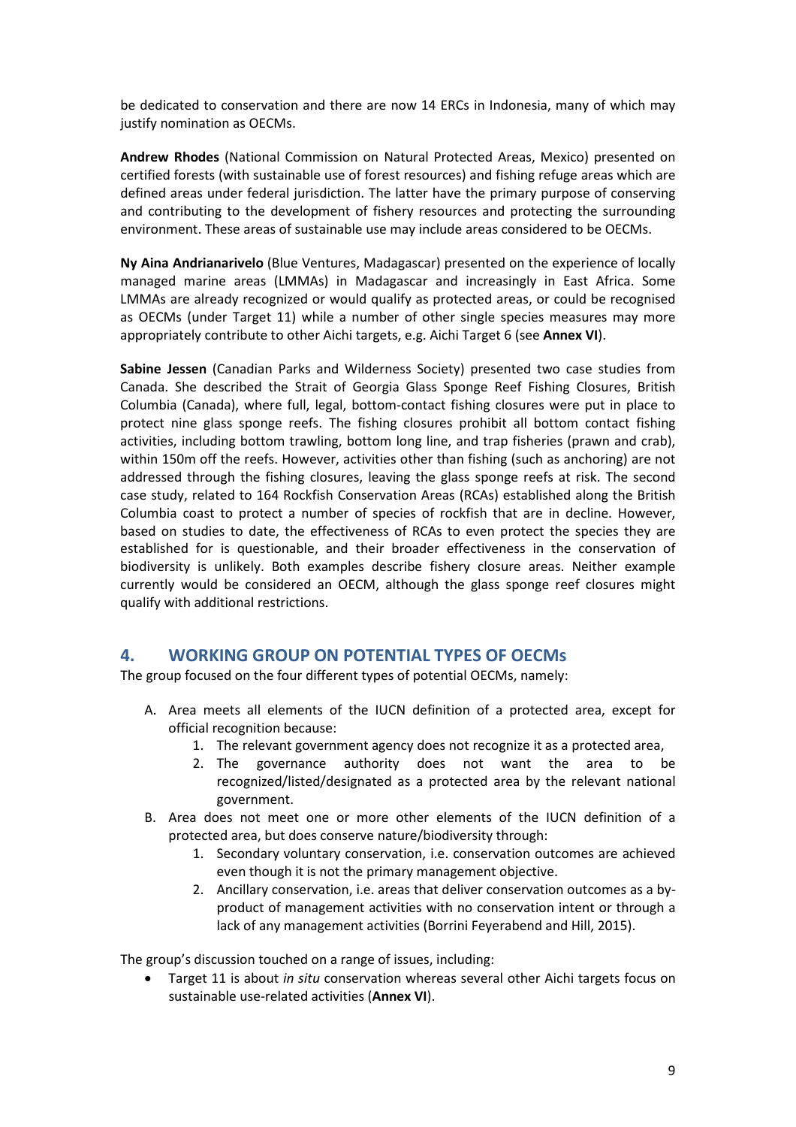be dedicated to conservation and there are now 14 ERCs in Indonesia, many of which may justify nomination as OECMs.

**Andrew Rhodes** (National Commission on Natural Protected Areas, Mexico) presented on certified forests (with sustainable use of forest resources) and fishing refuge areas which are defined areas under federal jurisdiction. The latter have the primary purpose of conserving and contributing to the development of fishery resources and protecting the surrounding environment. These areas of sustainable use may include areas considered to be OECMs.

**Ny Aina Andrianarivelo** (Blue Ventures, Madagascar) presented on the experience of locally managed marine areas (LMMAs) in Madagascar and increasingly in East Africa. Some LMMAs are already recognized or would qualify as protected areas, or could be recognised as OECMs (under Target 11) while a number of other single species measures may more appropriately contribute to other Aichi targets, e.g. Aichi Target 6 (see **Annex VI**).

**Sabine Jessen** (Canadian Parks and Wilderness Society) presented two case studies from Canada. She described the Strait of Georgia Glass Sponge Reef Fishing Closures, British Columbia (Canada), where full, legal, bottom-contact fishing closures were put in place to protect nine glass sponge reefs. The fishing closures prohibit all bottom contact fishing activities, including bottom trawling, bottom long line, and trap fisheries (prawn and crab), within 150m off the reefs. However, activities other than fishing (such as anchoring) are not addressed through the fishing closures, leaving the glass sponge reefs at risk. The second case study, related to 164 Rockfish Conservation Areas (RCAs) established along the British Columbia coast to protect a number of species of rockfish that are in decline. However, based on studies to date, the effectiveness of RCAs to even protect the species they are established for is questionable, and their broader effectiveness in the conservation of biodiversity is unlikely. Both examples describe fishery closure areas. Neither example currently would be considered an OECM, although the glass sponge reef closures might qualify with additional restrictions.

## **4. WORKING GROUP ON POTENTIAL TYPES OF OECMs**

The group focused on the four different types of potential OECMs, namely:

- A. Area meets all elements of the IUCN definition of a protected area, except for official recognition because:
	- 1. The relevant government agency does not recognize it as a protected area,
	- 2. The governance authority does not want the area to be recognized/listed/designated as a protected area by the relevant national government.
- B. Area does not meet one or more other elements of the IUCN definition of a protected area, but does conserve nature/biodiversity through:
	- 1. Secondary voluntary conservation, i.e. conservation outcomes are achieved even though it is not the primary management objective.
	- 2. Ancillary conservation, i.e. areas that deliver conservation outcomes as a byproduct of management activities with no conservation intent or through a lack of any management activities (Borrini Feyerabend and Hill, 2015).

The group's discussion touched on a range of issues, including:

• Target 11 is about *in situ* conservation whereas several other Aichi targets focus on sustainable use-related activities (**Annex VI**).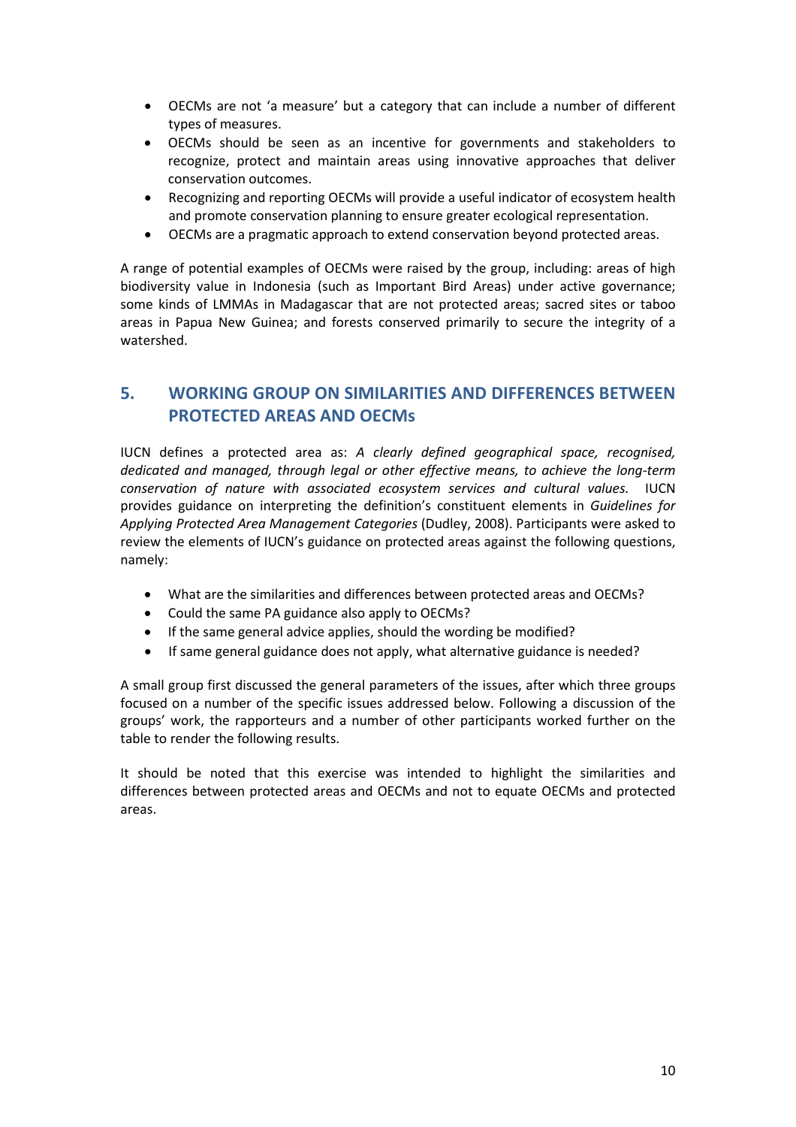- OECMs are not 'a measure' but a category that can include a number of different types of measures.
- OECMs should be seen as an incentive for governments and stakeholders to recognize, protect and maintain areas using innovative approaches that deliver conservation outcomes.
- Recognizing and reporting OECMs will provide a useful indicator of ecosystem health and promote conservation planning to ensure greater ecological representation.
- OECMs are a pragmatic approach to extend conservation beyond protected areas.

A range of potential examples of OECMs were raised by the group, including: areas of high biodiversity value in Indonesia (such as Important Bird Areas) under active governance; some kinds of LMMAs in Madagascar that are not protected areas; sacred sites or taboo areas in Papua New Guinea; and forests conserved primarily to secure the integrity of a watershed.

## **5. WORKING GROUP ON SIMILARITIES AND DIFFERENCES BETWEEN PROTECTED AREAS AND OECMs**

IUCN defines a protected area as: *A clearly defined geographical space, recognised, dedicated and managed, through legal or other effective means, to achieve the long-term conservation of nature with associated ecosystem services and cultural values.* IUCN provides guidance on interpreting the definition's constituent elements in *Guidelines for Applying Protected Area Management Categories* (Dudley, 2008). Participants were asked to review the elements of IUCN's guidance on protected areas against the following questions, namely:

- What are the similarities and differences between protected areas and OECMs?
- Could the same PA guidance also apply to OECMs?
- If the same general advice applies, should the wording be modified?
- If same general guidance does not apply, what alternative guidance is needed?

A small group first discussed the general parameters of the issues, after which three groups focused on a number of the specific issues addressed below. Following a discussion of the groups' work, the rapporteurs and a number of other participants worked further on the table to render the following results.

It should be noted that this exercise was intended to highlight the similarities and differences between protected areas and OECMs and not to equate OECMs and protected areas.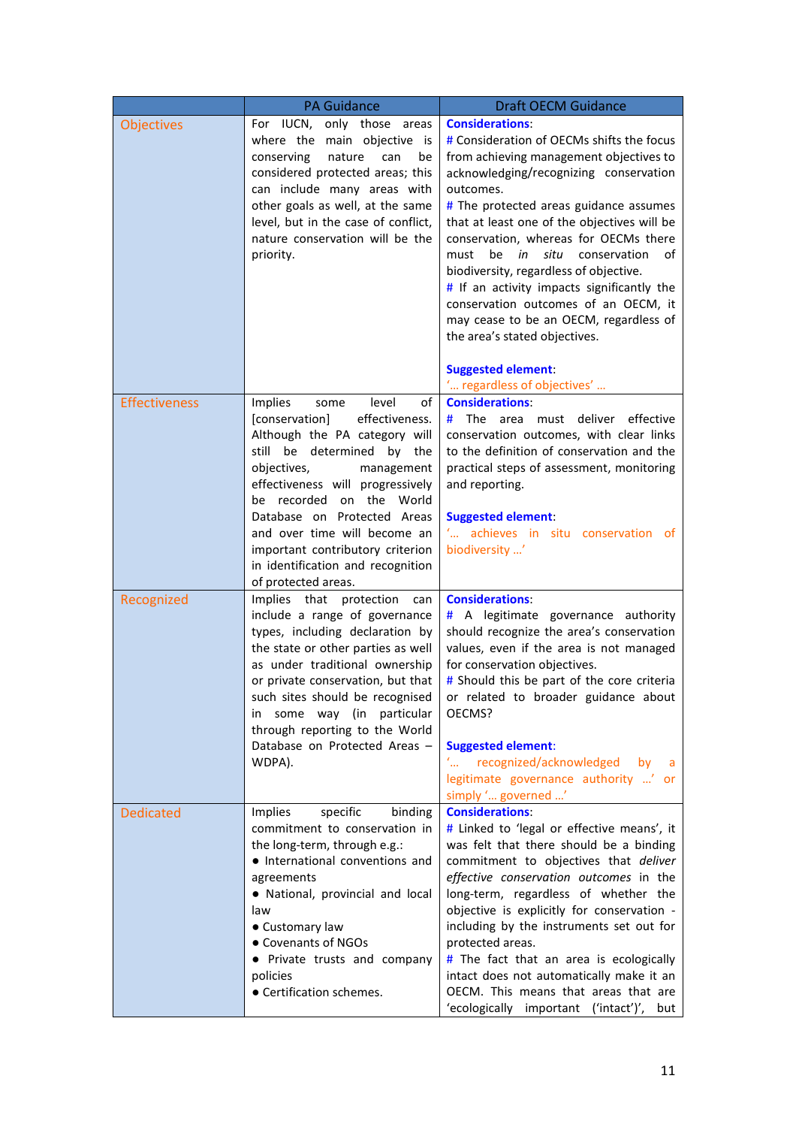|                      | <b>PA Guidance</b>                                                                                                                                                                                                                                                                                                                                                                            | <b>Draft OECM Guidance</b>                                                                                                                                                                                                                                                                                                                                                                                                                                                                                                                                                                        |
|----------------------|-----------------------------------------------------------------------------------------------------------------------------------------------------------------------------------------------------------------------------------------------------------------------------------------------------------------------------------------------------------------------------------------------|---------------------------------------------------------------------------------------------------------------------------------------------------------------------------------------------------------------------------------------------------------------------------------------------------------------------------------------------------------------------------------------------------------------------------------------------------------------------------------------------------------------------------------------------------------------------------------------------------|
| <b>Objectives</b>    | For IUCN, only those areas<br>where the main objective is<br>conserving<br>nature<br>can<br>be<br>considered protected areas; this<br>can include many areas with<br>other goals as well, at the same<br>level, but in the case of conflict,<br>nature conservation will be the<br>priority.                                                                                                  | <b>Considerations:</b><br># Consideration of OECMs shifts the focus<br>from achieving management objectives to<br>acknowledging/recognizing conservation<br>outcomes.<br># The protected areas guidance assumes<br>that at least one of the objectives will be<br>conservation, whereas for OECMs there<br>in<br>situ<br>be<br>conservation<br>must<br>οf<br>biodiversity, regardless of objective.<br># If an activity impacts significantly the<br>conservation outcomes of an OECM, it<br>may cease to be an OECM, regardless of<br>the area's stated objectives.<br><b>Suggested element:</b> |
|                      |                                                                                                                                                                                                                                                                                                                                                                                               | " regardless of objectives'                                                                                                                                                                                                                                                                                                                                                                                                                                                                                                                                                                       |
| <b>Effectiveness</b> | Implies<br>level<br>of<br>some<br>effectiveness.<br>[conservation]<br>Although the PA category will<br>still be determined by the<br>objectives,<br>management<br>effectiveness will progressively<br>be recorded on the World<br>Database on Protected Areas<br>and over time will become an<br>important contributory criterion<br>in identification and recognition<br>of protected areas. | <b>Considerations:</b><br>must deliver<br>effective<br># The<br>area<br>conservation outcomes, with clear links<br>to the definition of conservation and the<br>practical steps of assessment, monitoring<br>and reporting.<br><b>Suggested element:</b><br>$\mathcal{L}_{\text{max}}$<br>achieves in situ conservation of<br>biodiversity '                                                                                                                                                                                                                                                      |
| Recognized           | Implies that protection<br>can<br>include a range of governance<br>types, including declaration by<br>the state or other parties as well<br>as under traditional ownership<br>or private conservation, but that<br>such sites should be recognised<br>some way (in<br>particular<br>in.<br>through reporting to the World<br>Database on Protected Areas -<br>WDPA).                          | <b>Considerations:</b><br># A legitimate governance authority<br>should recognize the area's conservation<br>values, even if the area is not managed<br>for conservation objectives.<br># Should this be part of the core criteria<br>or related to broader guidance about<br>OECMS?<br><b>Suggested element:</b><br>recognized/acknowledged<br>by<br>a<br>legitimate governance authority ' or<br>simply ' governed '                                                                                                                                                                            |
| <b>Dedicated</b>     | specific<br>Implies<br>binding<br>commitment to conservation in<br>the long-term, through e.g.:<br>• International conventions and<br>agreements<br>• National, provincial and local<br>law<br>• Customary law<br>• Covenants of NGOs<br>• Private trusts and company<br>policies<br>• Certification schemes.                                                                                 | <b>Considerations:</b><br># Linked to 'legal or effective means', it<br>was felt that there should be a binding<br>commitment to objectives that deliver<br>effective conservation outcomes in the<br>long-term, regardless of whether the<br>objective is explicitly for conservation -<br>including by the instruments set out for<br>protected areas.<br># The fact that an area is ecologically<br>intact does not automatically make it an<br>OECM. This means that areas that are<br>'ecologically important ('intact')',<br>but                                                            |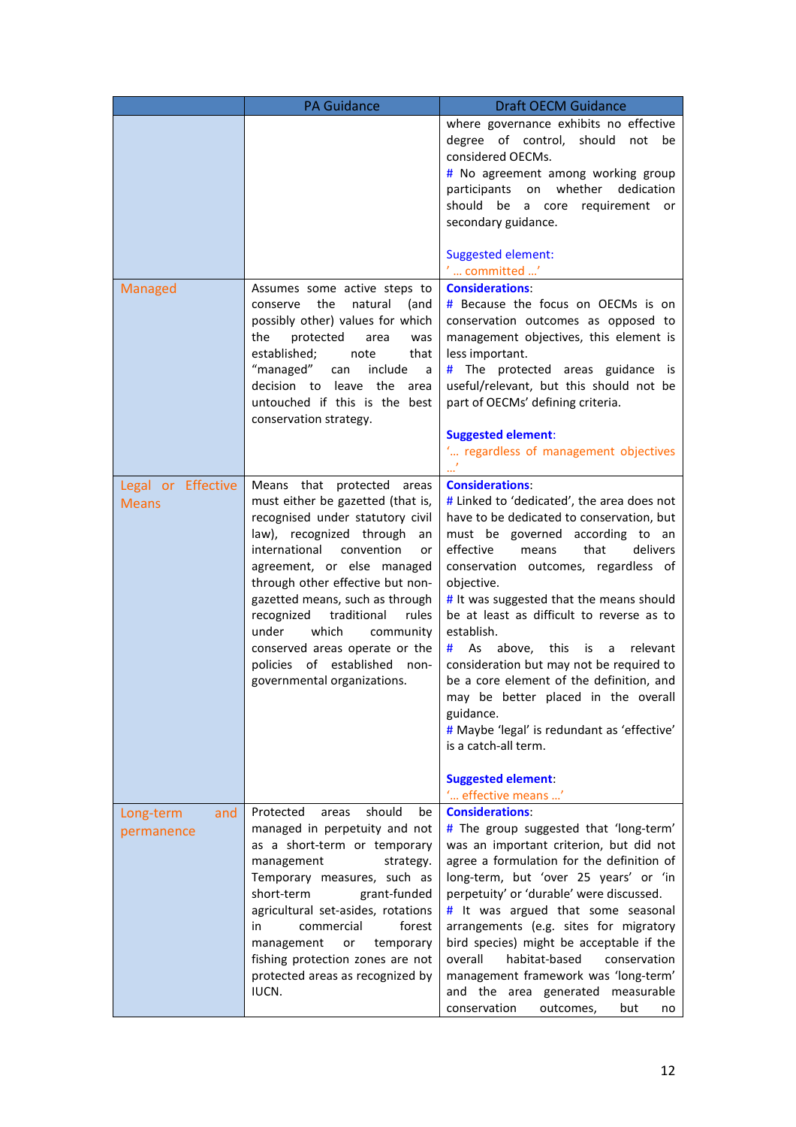|                                    | <b>PA Guidance</b>                                                                                                                                                                                                                                                                                                                                                                                                                                 | <b>Draft OECM Guidance</b>                                                                                                                                                                                                                                                                                                                                                                                                                                                                                                                                                                                                                                                  |
|------------------------------------|----------------------------------------------------------------------------------------------------------------------------------------------------------------------------------------------------------------------------------------------------------------------------------------------------------------------------------------------------------------------------------------------------------------------------------------------------|-----------------------------------------------------------------------------------------------------------------------------------------------------------------------------------------------------------------------------------------------------------------------------------------------------------------------------------------------------------------------------------------------------------------------------------------------------------------------------------------------------------------------------------------------------------------------------------------------------------------------------------------------------------------------------|
|                                    |                                                                                                                                                                                                                                                                                                                                                                                                                                                    | where governance exhibits no effective<br>degree of control, should<br>not be<br>considered OECMs.<br># No agreement among working group<br>participants on whether dedication<br>should be a core requirement or<br>secondary guidance.<br><b>Suggested element:</b>                                                                                                                                                                                                                                                                                                                                                                                                       |
| Managed                            | Assumes some active steps to<br>the<br>natural<br>(and<br>conserve<br>possibly other) values for which<br>protected<br>the<br>area<br>was<br>established;<br>note<br>that<br>"managed" can<br>include<br>a<br>decision to leave the<br>area<br>untouched if this is the best<br>conservation strategy.                                                                                                                                             | $^{\prime}$ committed $^{\prime}$<br><b>Considerations:</b><br># Because the focus on OECMs is on<br>conservation outcomes as opposed to<br>management objectives, this element is<br>less important.<br>$#$ The protected areas guidance is<br>useful/relevant, but this should not be<br>part of OECMs' defining criteria.<br><b>Suggested element:</b><br>" regardless of management objectives                                                                                                                                                                                                                                                                          |
| Legal or Effective<br><b>Means</b> | Means that protected areas<br>must either be gazetted (that is,<br>recognised under statutory civil<br>law), recognized through<br>an<br>international convention<br>or<br>agreement, or else managed<br>through other effective but non-<br>gazetted means, such as through<br>traditional<br>recognized<br>rules<br>which<br>under<br>community<br>conserved areas operate or the<br>policies of established non-<br>governmental organizations. | <b>Considerations:</b><br># Linked to 'dedicated', the area does not<br>have to be dedicated to conservation, but<br>must be governed according to an<br>effective<br>delivers<br>that<br>means<br>conservation outcomes, regardless of<br>objective.<br># It was suggested that the means should<br>be at least as difficult to reverse as to<br>establish.<br># As above, this is<br>relevant<br>a<br>consideration but may not be required to<br>be a core element of the definition, and<br>may be better placed in the overall<br>guidance.<br># Maybe 'legal' is redundant as 'effective'<br>is a catch-all term.<br><b>Suggested element:</b><br>" effective means " |
| Long-term<br>and<br>permanence     | Protected<br>should<br>areas<br>be<br>managed in perpetuity and not<br>as a short-term or temporary<br>management<br>strategy.<br>Temporary measures, such as<br>short-term<br>grant-funded<br>agricultural set-asides, rotations<br>commercial<br>forest<br>in<br>management<br>or<br>temporary<br>fishing protection zones are not<br>protected areas as recognized by<br>IUCN.                                                                  | <b>Considerations:</b><br># The group suggested that 'long-term'<br>was an important criterion, but did not<br>agree a formulation for the definition of<br>long-term, but 'over 25 years' or 'in<br>perpetuity' or 'durable' were discussed.<br># It was argued that some seasonal<br>arrangements (e.g. sites for migratory<br>bird species) might be acceptable if the<br>habitat-based<br>overall<br>conservation<br>management framework was 'long-term'<br>and the area generated measurable<br>conservation<br>outcomes,<br>but<br>no                                                                                                                                |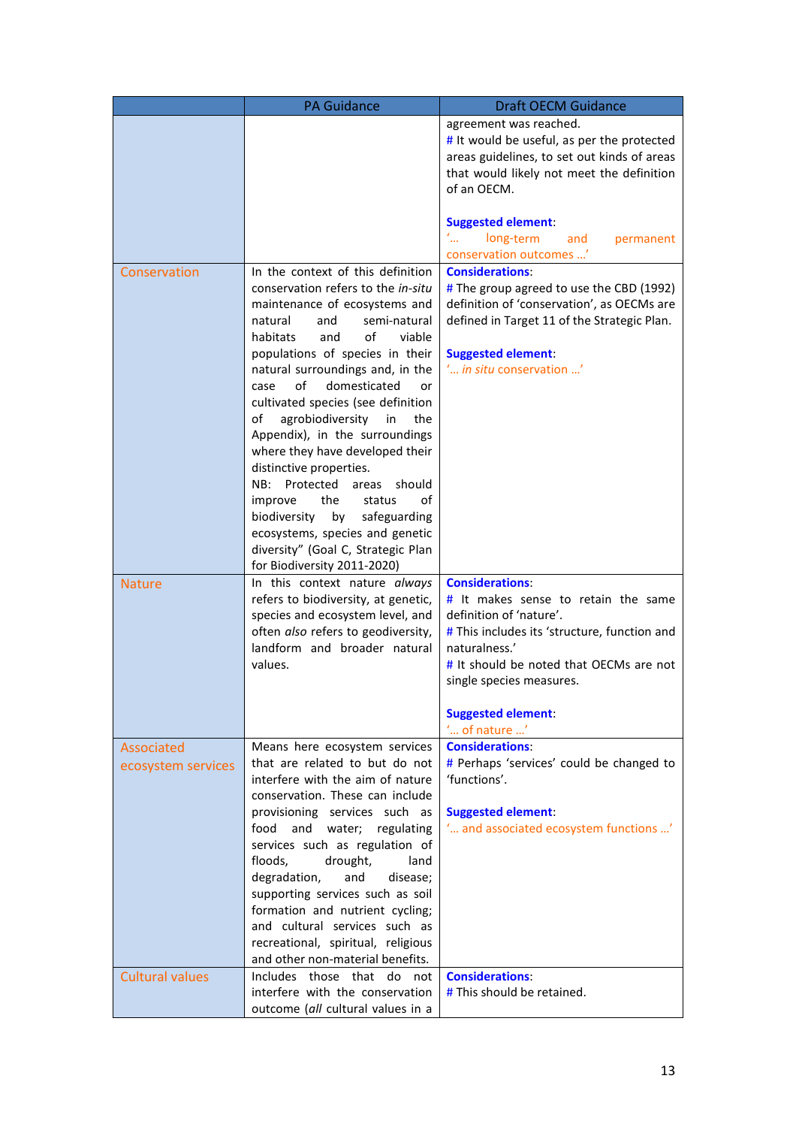|                                  | <b>PA Guidance</b>                                                                                                                                                                                                                                                                                                                                                                                                                                                                                                                                                                                                                                                                           | <b>Draft OECM Guidance</b>                                                                                                                                                                                                                                                                      |
|----------------------------------|----------------------------------------------------------------------------------------------------------------------------------------------------------------------------------------------------------------------------------------------------------------------------------------------------------------------------------------------------------------------------------------------------------------------------------------------------------------------------------------------------------------------------------------------------------------------------------------------------------------------------------------------------------------------------------------------|-------------------------------------------------------------------------------------------------------------------------------------------------------------------------------------------------------------------------------------------------------------------------------------------------|
|                                  |                                                                                                                                                                                                                                                                                                                                                                                                                                                                                                                                                                                                                                                                                              | agreement was reached.<br># It would be useful, as per the protected<br>areas guidelines, to set out kinds of areas<br>that would likely not meet the definition<br>of an OECM.                                                                                                                 |
|                                  |                                                                                                                                                                                                                                                                                                                                                                                                                                                                                                                                                                                                                                                                                              | <b>Suggested element:</b><br>$\mathcal{L}_{\text{max}}$<br>long-term<br>permanent<br>and<br>conservation outcomes '                                                                                                                                                                             |
| Conservation                     | In the context of this definition<br>conservation refers to the in-situ<br>maintenance of ecosystems and<br>natural<br>semi-natural<br>and<br>οf<br>habitats<br>viable<br>and<br>populations of species in their<br>natural surroundings and, in the<br>οf<br>domesticated<br>case<br>or<br>cultivated species (see definition<br>agrobiodiversity<br>the<br>of<br>in<br>Appendix), in the surroundings<br>where they have developed their<br>distinctive properties.<br>Protected<br>NB:<br>areas<br>should<br>the<br>status<br>οf<br>improve<br>biodiversity<br>by<br>safeguarding<br>ecosystems, species and genetic<br>diversity" (Goal C, Strategic Plan<br>for Biodiversity 2011-2020) | <b>Considerations:</b><br># The group agreed to use the CBD (1992)<br>definition of 'conservation', as OECMs are<br>defined in Target 11 of the Strategic Plan.<br><b>Suggested element:</b><br>' <i>in situ</i> conservation '                                                                 |
| <b>Nature</b>                    | In this context nature always<br>refers to biodiversity, at genetic,<br>species and ecosystem level, and<br>often also refers to geodiversity,<br>landform and broader natural<br>values.                                                                                                                                                                                                                                                                                                                                                                                                                                                                                                    | <b>Considerations:</b><br>$#$ It makes sense to retain the same<br>definition of 'nature'.<br># This includes its 'structure, function and<br>naturalness.'<br># It should be noted that OECMs are not<br>single species measures.<br><b>Suggested element:</b><br>$\ldots$ of nature $\ldots'$ |
| Associated<br>ecosystem services | Means here ecosystem services<br>that are related to but do not<br>interfere with the aim of nature<br>conservation. These can include<br>provisioning services such as<br>food<br>and water;<br>regulating<br>services such as regulation of<br>drought,<br>floods,<br>land<br>degradation,<br>and<br>disease;<br>supporting services such as soil<br>formation and nutrient cycling;<br>and cultural services such as<br>recreational, spiritual, religious<br>and other non-material benefits.                                                                                                                                                                                            | <b>Considerations:</b><br># Perhaps 'services' could be changed to<br>'functions'.<br><b>Suggested element:</b><br>' and associated ecosystem functions '                                                                                                                                       |
| <b>Cultural values</b>           | Includes those that do not<br>interfere with the conservation<br>outcome (all cultural values in a                                                                                                                                                                                                                                                                                                                                                                                                                                                                                                                                                                                           | <b>Considerations:</b><br>$#$ This should be retained.                                                                                                                                                                                                                                          |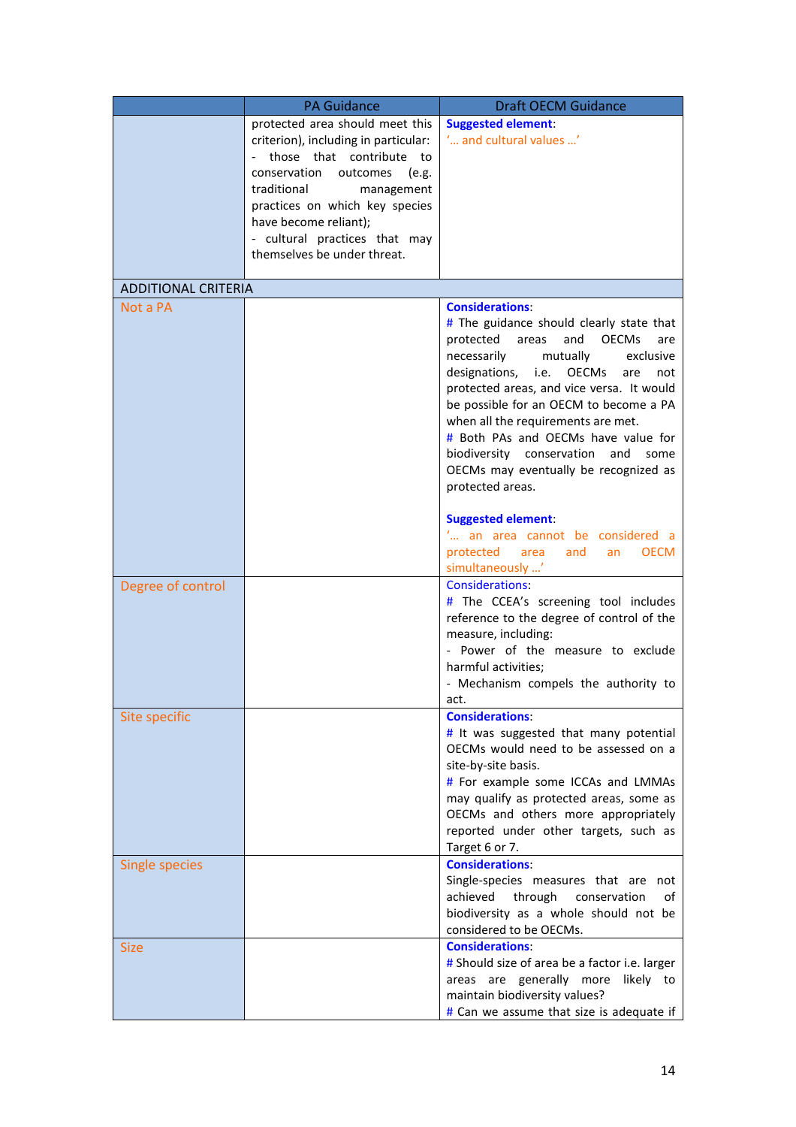|                            | <b>PA Guidance</b>                                                                                                                                                                                                                                                                               | <b>Draft OECM Guidance</b>                                                                                                                                                                                                                                                                                                                                                                                                                                                         |
|----------------------------|--------------------------------------------------------------------------------------------------------------------------------------------------------------------------------------------------------------------------------------------------------------------------------------------------|------------------------------------------------------------------------------------------------------------------------------------------------------------------------------------------------------------------------------------------------------------------------------------------------------------------------------------------------------------------------------------------------------------------------------------------------------------------------------------|
|                            | protected area should meet this<br>criterion), including in particular:<br>those that contribute to<br>conservation<br>outcomes<br>e.g.)<br>traditional<br>management<br>practices on which key species<br>have become reliant);<br>- cultural practices that may<br>themselves be under threat. | <b>Suggested element:</b><br>' and cultural values '                                                                                                                                                                                                                                                                                                                                                                                                                               |
| <b>ADDITIONAL CRITERIA</b> |                                                                                                                                                                                                                                                                                                  |                                                                                                                                                                                                                                                                                                                                                                                                                                                                                    |
| Not a PA                   |                                                                                                                                                                                                                                                                                                  | <b>Considerations:</b><br># The guidance should clearly state that<br>protected<br>areas<br>and<br><b>OECMs</b><br>are<br>necessarily<br>mutually<br>exclusive<br>designations, i.e. OECMs<br>are<br>not<br>protected areas, and vice versa. It would<br>be possible for an OECM to become a PA<br>when all the requirements are met.<br># Both PAs and OECMs have value for<br>biodiversity conservation and<br>some<br>OECMs may eventually be recognized as<br>protected areas. |
|                            |                                                                                                                                                                                                                                                                                                  | <b>Suggested element:</b><br>" an area cannot be considered a<br>protected<br><b>OECM</b><br>area<br>and<br>an<br>simultaneously '                                                                                                                                                                                                                                                                                                                                                 |
| Degree of control          |                                                                                                                                                                                                                                                                                                  | <b>Considerations:</b><br># The CCEA's screening tool includes<br>reference to the degree of control of the<br>measure, including:<br>- Power of the measure to exclude<br>harmful activities;<br>- Mechanism compels the authority to<br>act.                                                                                                                                                                                                                                     |
| Site specific              |                                                                                                                                                                                                                                                                                                  | <b>Considerations:</b><br>$#$ It was suggested that many potential<br>OECMs would need to be assessed on a<br>site-by-site basis.<br># For example some ICCAs and LMMAs<br>may qualify as protected areas, some as<br>OECMs and others more appropriately<br>reported under other targets, such as<br>Target 6 or 7.                                                                                                                                                               |
| <b>Single species</b>      |                                                                                                                                                                                                                                                                                                  | <b>Considerations:</b><br>Single-species measures that are not<br>achieved through<br>conservation<br>οf<br>biodiversity as a whole should not be<br>considered to be OECMs.                                                                                                                                                                                                                                                                                                       |
| <b>Size</b>                |                                                                                                                                                                                                                                                                                                  | <b>Considerations:</b><br># Should size of area be a factor i.e. larger<br>areas are generally more likely to<br>maintain biodiversity values?<br># Can we assume that size is adequate if                                                                                                                                                                                                                                                                                         |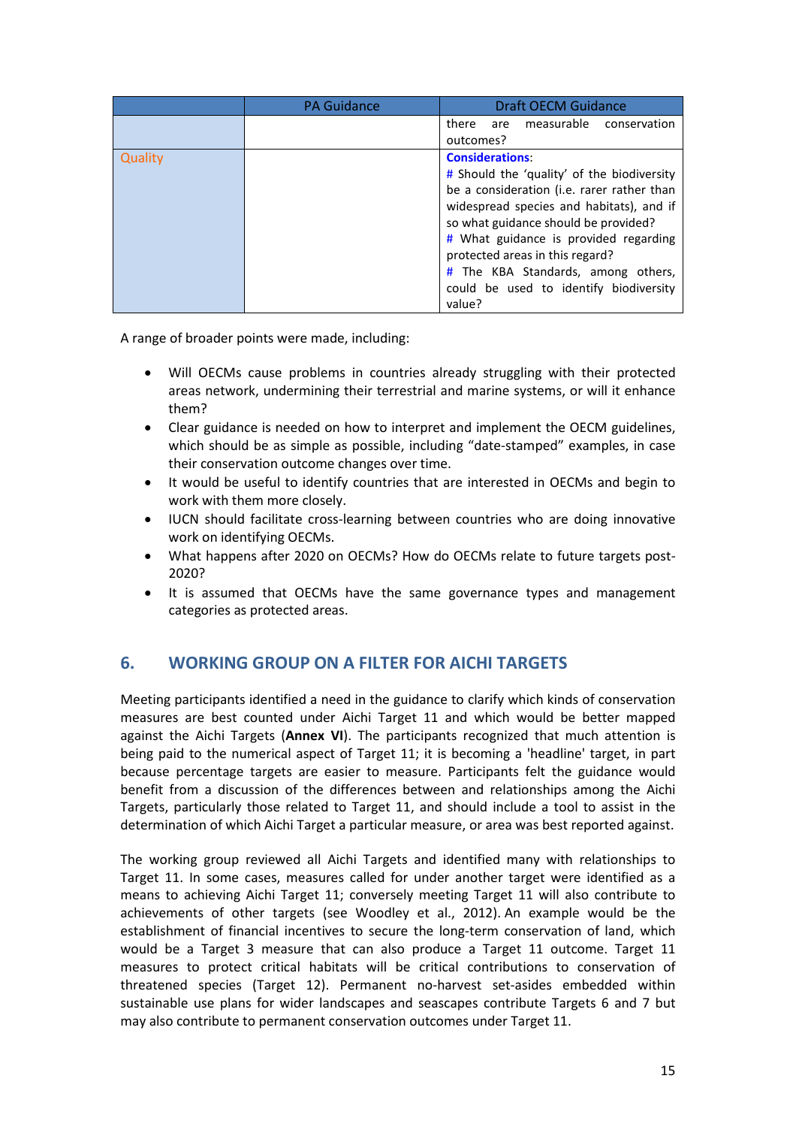|         | <b>PA Guidance</b> | <b>Draft OECM Guidance</b>                                                                                                                                                                                                                                                                                                                                                   |
|---------|--------------------|------------------------------------------------------------------------------------------------------------------------------------------------------------------------------------------------------------------------------------------------------------------------------------------------------------------------------------------------------------------------------|
|         |                    | there<br>measurable<br>conservation<br>are<br>outcomes?                                                                                                                                                                                                                                                                                                                      |
| Quality |                    | <b>Considerations:</b><br># Should the 'quality' of the biodiversity<br>be a consideration (i.e. rarer rather than<br>widespread species and habitats), and if<br>so what guidance should be provided?<br># What guidance is provided regarding<br>protected areas in this regard?<br># The KBA Standards, among others,<br>could be used to identify biodiversity<br>value? |

A range of broader points were made, including:

- Will OECMs cause problems in countries already struggling with their protected areas network, undermining their terrestrial and marine systems, or will it enhance them?
- Clear guidance is needed on how to interpret and implement the OECM guidelines, which should be as simple as possible, including "date-stamped" examples, in case their conservation outcome changes over time.
- It would be useful to identify countries that are interested in OECMs and begin to work with them more closely.
- IUCN should facilitate cross-learning between countries who are doing innovative work on identifying OECMs.
- What happens after 2020 on OECMs? How do OECMs relate to future targets post-2020?
- It is assumed that OECMs have the same governance types and management categories as protected areas.

## **6. WORKING GROUP ON A FILTER FOR AICHI TARGETS**

Meeting participants identified a need in the guidance to clarify which kinds of conservation measures are best counted under Aichi Target 11 and which would be better mapped against the Aichi Targets (**Annex VI**). The participants recognized that much attention is being paid to the numerical aspect of Target 11; it is becoming a 'headline' target, in part because percentage targets are easier to measure. Participants felt the guidance would benefit from a discussion of the differences between and relationships among the Aichi Targets, particularly those related to Target 11, and should include a tool to assist in the determination of which Aichi Target a particular measure, or area was best reported against.

The working group reviewed all Aichi Targets and identified many with relationships to Target 11. In some cases, measures called for under another target were identified as a means to achieving Aichi Target 11; conversely meeting Target 11 will also contribute to achievements of other targets (see Woodley et al., 2012). An example would be the establishment of financial incentives to secure the long-term conservation of land, which would be a Target 3 measure that can also produce a Target 11 outcome. Target 11 measures to protect critical habitats will be critical contributions to conservation of threatened species (Target 12). Permanent no-harvest set-asides embedded within sustainable use plans for wider landscapes and seascapes contribute Targets 6 and 7 but may also contribute to permanent conservation outcomes under Target 11.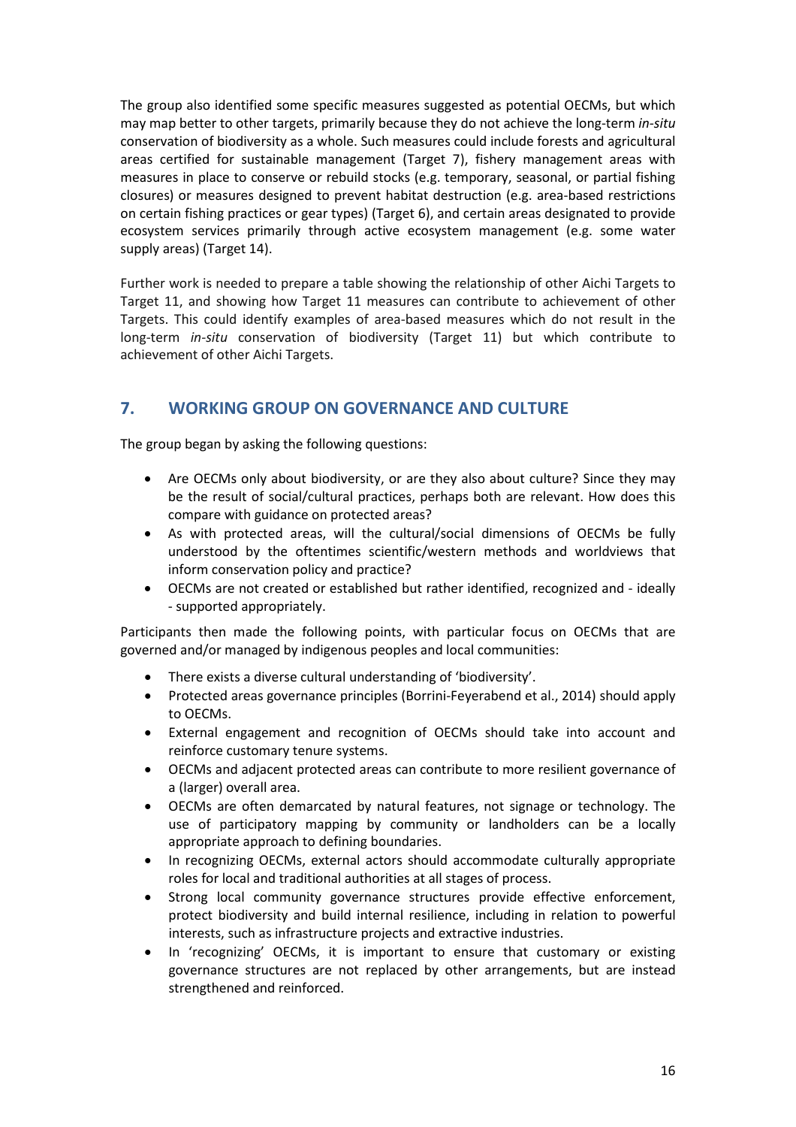The group also identified some specific measures suggested as potential OECMs, but which may map better to other targets, primarily because they do not achieve the long-term *in-situ*  conservation of biodiversity as a whole. Such measures could include forests and agricultural areas certified for sustainable management (Target 7), fishery management areas with measures in place to conserve or rebuild stocks (e.g. temporary, seasonal, or partial fishing closures) or measures designed to prevent habitat destruction (e.g. area-based restrictions on certain fishing practices or gear types) (Target 6), and certain areas designated to provide ecosystem services primarily through active ecosystem management (e.g. some water supply areas) (Target 14).

Further work is needed to prepare a table showing the relationship of other Aichi Targets to Target 11, and showing how Target 11 measures can contribute to achievement of other Targets. This could identify examples of area-based measures which do not result in the long-term *in-situ* conservation of biodiversity (Target 11) but which contribute to achievement of other Aichi Targets.

## **7. WORKING GROUP ON GOVERNANCE AND CULTURE**

The group began by asking the following questions:

- Are OECMs only about biodiversity, or are they also about culture? Since they may be the result of social/cultural practices, perhaps both are relevant. How does this compare with guidance on protected areas?
- As with protected areas, will the cultural/social dimensions of OECMs be fully understood by the oftentimes scientific/western methods and worldviews that inform conservation policy and practice?
- OECMs are not created or established but rather identified, recognized and ideally - supported appropriately.

Participants then made the following points, with particular focus on OECMs that are governed and/or managed by indigenous peoples and local communities:

- There exists a diverse cultural understanding of 'biodiversity'.
- Protected areas governance principles (Borrini-Feyerabend et al., 2014) should apply to OECMs.
- External engagement and recognition of OECMs should take into account and reinforce customary tenure systems.
- OECMs and adjacent protected areas can contribute to more resilient governance of a (larger) overall area.
- OECMs are often demarcated by natural features, not signage or technology. The use of participatory mapping by community or landholders can be a locally appropriate approach to defining boundaries.
- In recognizing OECMs, external actors should accommodate culturally appropriate roles for local and traditional authorities at all stages of process.
- Strong local community governance structures provide effective enforcement, protect biodiversity and build internal resilience, including in relation to powerful interests, such as infrastructure projects and extractive industries.
- In 'recognizing' OECMs, it is important to ensure that customary or existing governance structures are not replaced by other arrangements, but are instead strengthened and reinforced.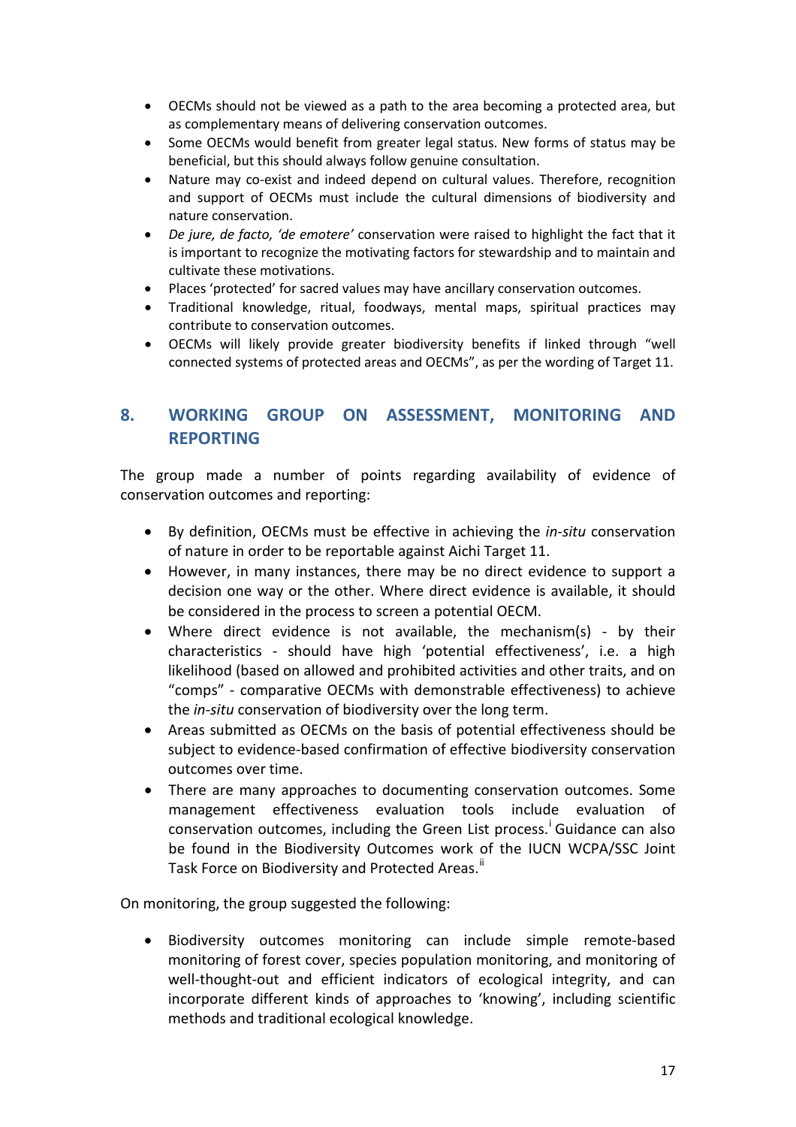- OECMs should not be viewed as a path to the area becoming a protected area, but as complementary means of delivering conservation outcomes.
- Some OECMs would benefit from greater legal status. New forms of status may be beneficial, but this should always follow genuine consultation.
- Nature may co-exist and indeed depend on cultural values. Therefore, recognition and support of OECMs must include the cultural dimensions of biodiversity and nature conservation.
- *De jure, de facto, 'de emotere'* conservation were raised to highlight the fact that it is important to recognize the motivating factors for stewardship and to maintain and cultivate these motivations.
- Places 'protected' for sacred values may have ancillary conservation outcomes.
- Traditional knowledge, ritual, foodways, mental maps, spiritual practices may contribute to conservation outcomes.
- OECMs will likely provide greater biodiversity benefits if linked through "well connected systems of protected areas and OECMs", as per the wording of Target 11.

## **8. WORKING GROUP ON ASSESSMENT, MONITORING AND REPORTING**

The group made a number of points regarding availability of evidence of conservation outcomes and reporting:

- By definition, OECMs must be effective in achieving the *in-situ* conservation of nature in order to be reportable against Aichi Target 11.
- However, in many instances, there may be no direct evidence to support a decision one way or the other. Where direct evidence is available, it should be considered in the process to screen a potential OECM.
- Where direct evidence is not available, the mechanism(s) by their characteristics - should have high 'potential effectiveness', i.e. a high likelihood (based on allowed and prohibited activities and other traits, and on "comps" - comparative OECMs with demonstrable effectiveness) to achieve the *in-situ* conservation of biodiversity over the long term.
- Areas submitted as OECMs on the basis of potential effectiveness should be subject to evidence-based confirmation of effective biodiversity conservation outcomes over time.
- There are many approaches to documenting conservation outcomes. Some management effectiveness evaluation tools include evaluation of conservat[i](#page-93-0)on outcomes, including the Green List process.<sup>i</sup> Guidance can also be found in the Biodiversity Outcomes work of the IUCN WCPA/SSC Joint Task Force on Biodiversity and Protected Areas."

On monitoring, the group suggested the following:

• Biodiversity outcomes monitoring can include simple remote-based monitoring of forest cover, species population monitoring, and monitoring of well-thought-out and efficient indicators of ecological integrity, and can incorporate different kinds of approaches to 'knowing', including scientific methods and traditional ecological knowledge.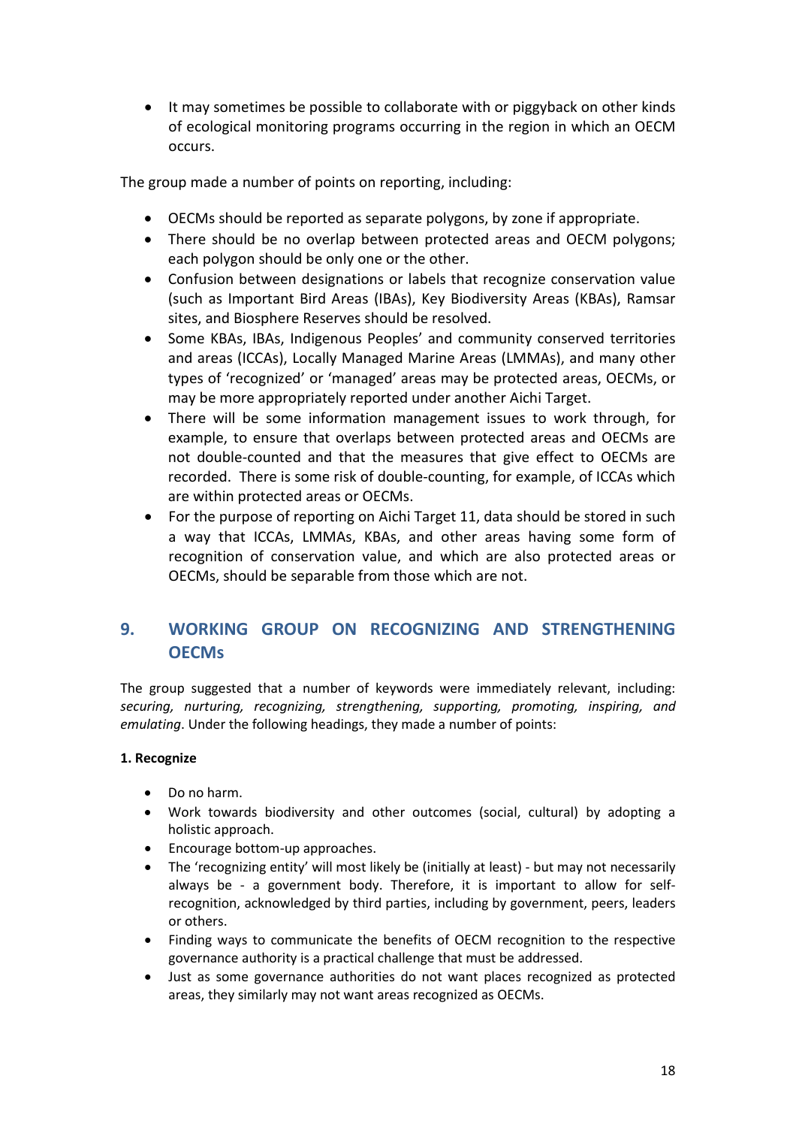• It may sometimes be possible to collaborate with or piggyback on other kinds of ecological monitoring programs occurring in the region in which an OECM occurs.

The group made a number of points on reporting, including:

- OECMs should be reported as separate polygons, by zone if appropriate.
- There should be no overlap between protected areas and OECM polygons; each polygon should be only one or the other.
- Confusion between designations or labels that recognize conservation value (such as Important Bird Areas (IBAs), Key Biodiversity Areas (KBAs), Ramsar sites, and Biosphere Reserves should be resolved.
- Some KBAs, IBAs, Indigenous Peoples' and community conserved territories and areas (ICCAs), Locally Managed Marine Areas (LMMAs), and many other types of 'recognized' or 'managed' areas may be protected areas, OECMs, or may be more appropriately reported under another Aichi Target.
- There will be some information management issues to work through, for example, to ensure that overlaps between protected areas and OECMs are not double-counted and that the measures that give effect to OECMs are recorded. There is some risk of double-counting, for example, of ICCAs which are within protected areas or OECMs.
- For the purpose of reporting on Aichi Target 11, data should be stored in such a way that ICCAs, LMMAs, KBAs, and other areas having some form of recognition of conservation value, and which are also protected areas or OECMs, should be separable from those which are not.

## **9. WORKING GROUP ON RECOGNIZING AND STRENGTHENING OECMs**

The group suggested that a number of keywords were immediately relevant, including: *securing, nurturing, recognizing, strengthening, supporting, promoting, inspiring, and emulating*. Under the following headings, they made a number of points:

### **1. Recognize**

- Do no harm.
- Work towards biodiversity and other outcomes (social, cultural) by adopting a holistic approach.
- Encourage bottom-up approaches.
- The 'recognizing entity' will most likely be (initially at least) but may not necessarily always be - a government body. Therefore, it is important to allow for selfrecognition, acknowledged by third parties, including by government, peers, leaders or others.
- Finding ways to communicate the benefits of OECM recognition to the respective governance authority is a practical challenge that must be addressed.
- Just as some governance authorities do not want places recognized as protected areas, they similarly may not want areas recognized as OECMs.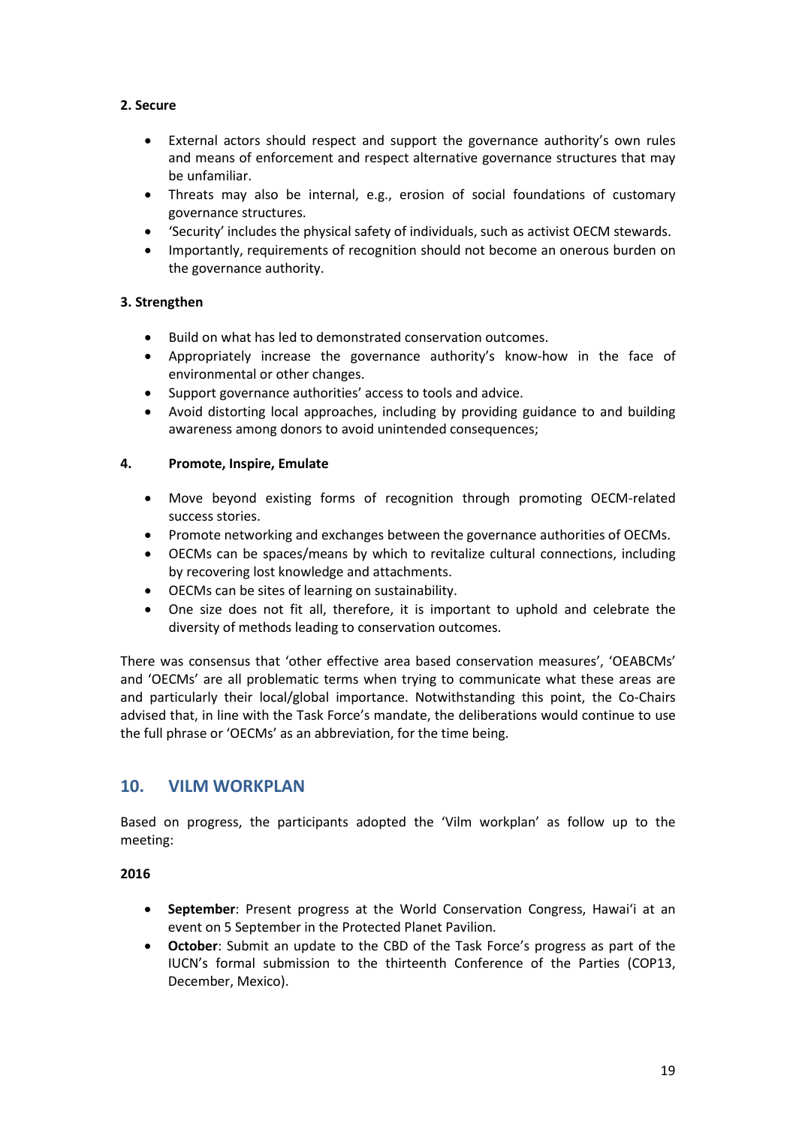### **2. Secure**

- External actors should respect and support the governance authority's own rules and means of enforcement and respect alternative governance structures that may be unfamiliar.
- Threats may also be internal, e.g., erosion of social foundations of customary governance structures.
- 'Security' includes the physical safety of individuals, such as activist OECM stewards.
- Importantly, requirements of recognition should not become an onerous burden on the governance authority.

## **3. Strengthen**

- Build on what has led to demonstrated conservation outcomes.
- Appropriately increase the governance authority's know-how in the face of environmental or other changes.
- Support governance authorities' access to tools and advice.
- Avoid distorting local approaches, including by providing guidance to and building awareness among donors to avoid unintended consequences;

#### **4. Promote, Inspire, Emulate**

- Move beyond existing forms of recognition through promoting OECM-related success stories.
- Promote networking and exchanges between the governance authorities of OECMs.
- OECMs can be spaces/means by which to revitalize cultural connections, including by recovering lost knowledge and attachments.
- OECMs can be sites of learning on sustainability.
- One size does not fit all, therefore, it is important to uphold and celebrate the diversity of methods leading to conservation outcomes.

There was consensus that 'other effective area based conservation measures', 'OEABCMs' and 'OECMs' are all problematic terms when trying to communicate what these areas are and particularly their local/global importance. Notwithstanding this point, the Co-Chairs advised that, in line with the Task Force's mandate, the deliberations would continue to use the full phrase or 'OECMs' as an abbreviation, for the time being.

## **10. VILM WORKPLAN**

Based on progress, the participants adopted the 'Vilm workplan' as follow up to the meeting:

#### **2016**

- **September**: Present progress at the World Conservation Congress, Hawaiʻi at an event on 5 September in the Protected Planet Pavilion.
- **October**: Submit an update to the CBD of the Task Force's progress as part of the IUCN's formal submission to the thirteenth Conference of the Parties (COP13, December, Mexico).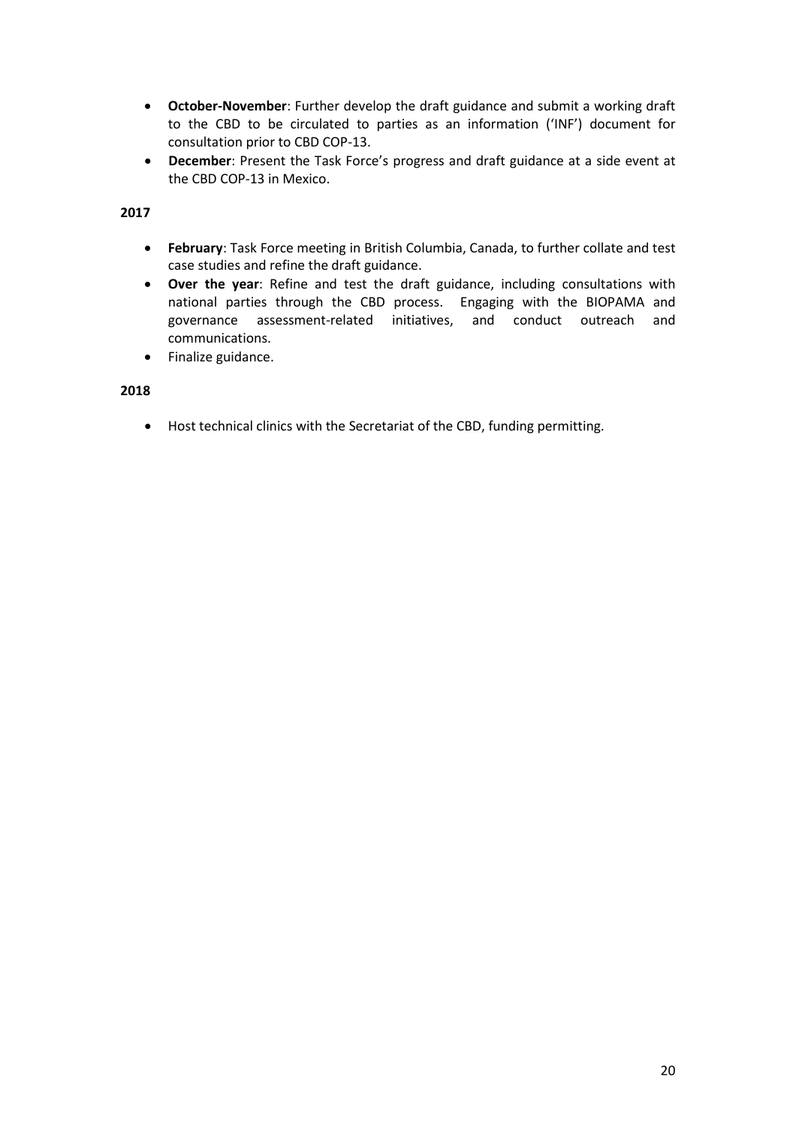- **October-November**: Further develop the draft guidance and submit a working draft to the CBD to be circulated to parties as an information ('INF') document for consultation prior to CBD COP-13.
- **December**: Present the Task Force's progress and draft guidance at a side event at the CBD COP-13 in Mexico.

**2017**

- **February**: Task Force meeting in British Columbia, Canada, to further collate and test case studies and refine the draft guidance.
- **Over the year**: Refine and test the draft guidance, including consultations with national parties through the CBD process. Engaging with the BIOPAMA and governance assessment-related initiatives, and conduct outreach and communications.
- Finalize guidance.

#### **2018**

• Host technical clinics with the Secretariat of the CBD, funding permitting.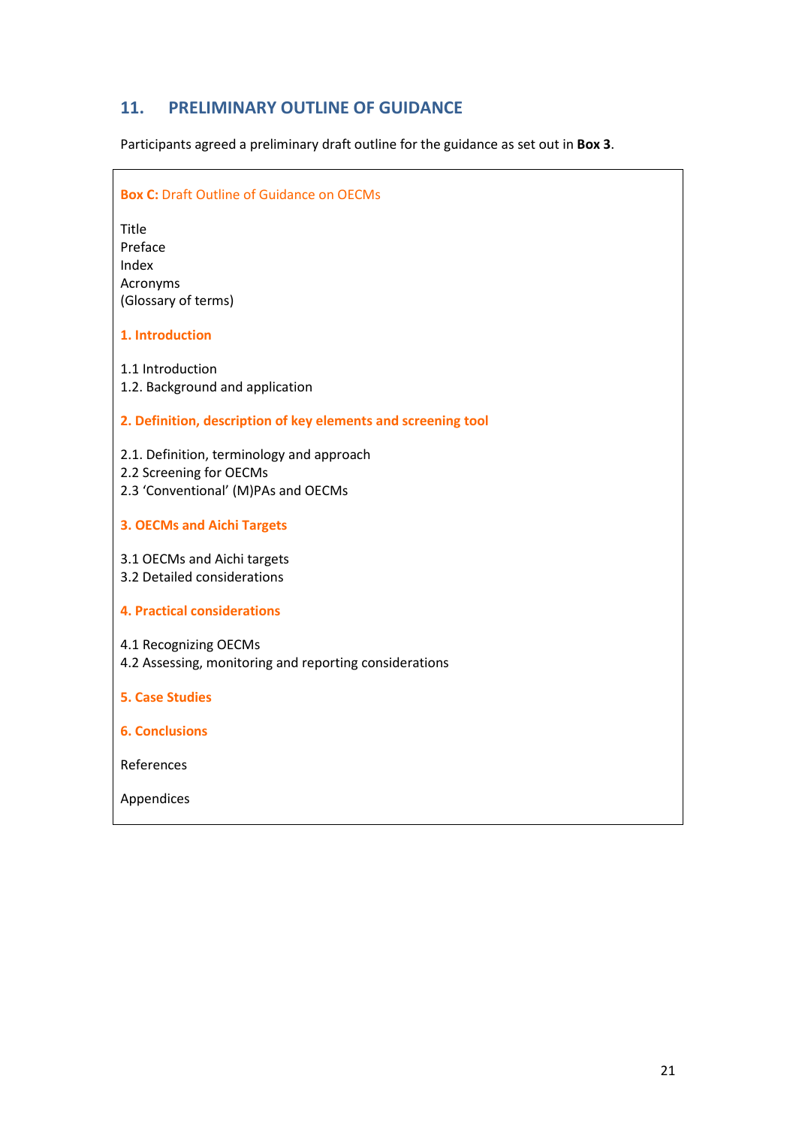## **11. PRELIMINARY OUTLINE OF GUIDANCE**

Participants agreed a preliminary draft outline for the guidance as set out in **Box 3**.

## **Box C: Draft Outline of Guidance on OECMs**

Title Preface Index Acronyms (Glossary of terms)

#### **1. Introduction**

1.1 Introduction 1.2. Background and application

#### **2. Definition, description of key elements and screening tool**

2.1. Definition, terminology and approach

- 2.2 Screening for OECMs
- 2.3 'Conventional' (M)PAs and OECMs
- **3. OECMs and Aichi Targets**

3.1 OECMs and Aichi targets

3.2 Detailed considerations

#### **4. Practical considerations**

4.1 Recognizing OECMs

4.2 Assessing, monitoring and reporting considerations

#### **5. Case Studies**

**6. Conclusions**

References

Appendices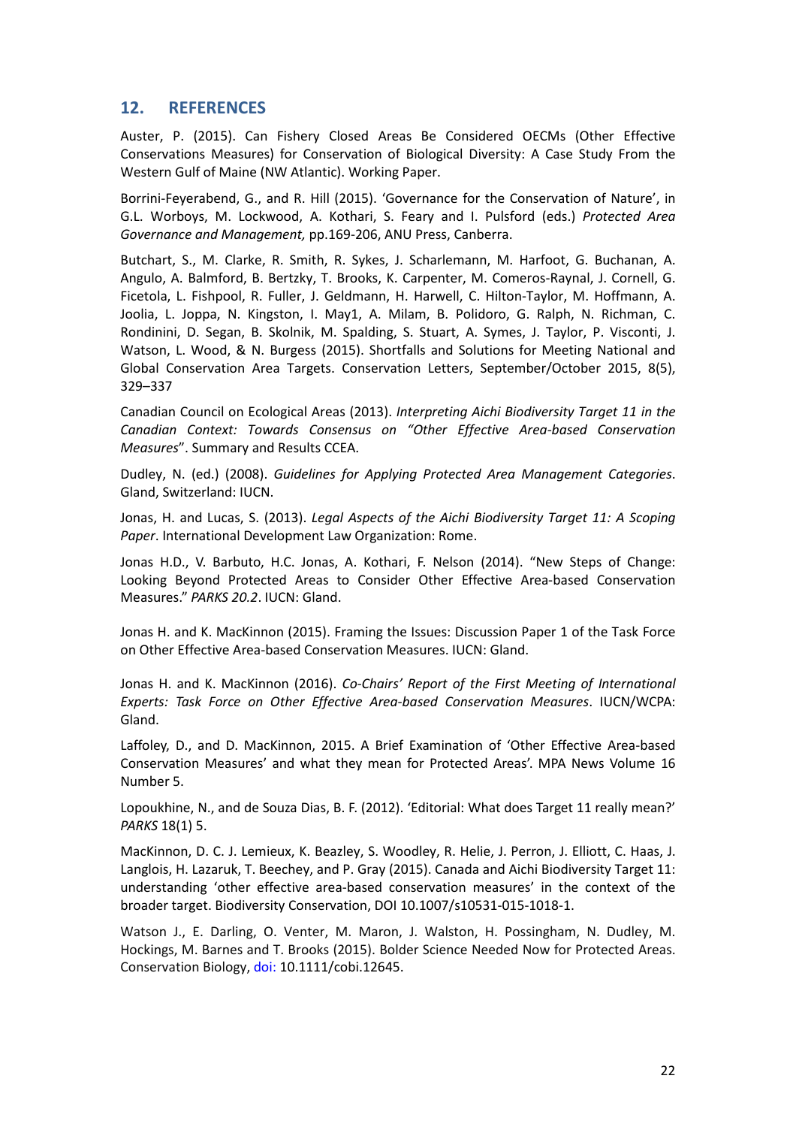## **12. REFERENCES**

Auster, P. (2015). Can Fishery Closed Areas Be Considered OECMs (Other Effective Conservations Measures) for Conservation of Biological Diversity: A Case Study From the Western Gulf of Maine (NW Atlantic). Working Paper.

Borrini-Feyerabend, G., and R. Hill (2015). 'Governance for the Conservation of Nature', in G.L. Worboys, M. Lockwood, A. Kothari, S. Feary and I. Pulsford (eds.) *Protected Area Governance and Management,* pp.169-206, ANU Press, Canberra.

Butchart, S., M. Clarke, R. Smith, R. Sykes, J. Scharlemann, M. Harfoot, G. Buchanan, A. Angulo, A. Balmford, B. Bertzky, T. Brooks, K. Carpenter, M. Comeros-Raynal, J. Cornell, G. Ficetola, L. Fishpool, R. Fuller, J. Geldmann, H. Harwell, C. Hilton-Taylor, M. Hoffmann, A. Joolia, L. Joppa, N. Kingston, I. May1, A. Milam, B. Polidoro, G. Ralph, N. Richman, C. Rondinini, D. Segan, B. Skolnik, M. Spalding, S. Stuart, A. Symes, J. Taylor, P. Visconti, J. Watson, L. Wood, & N. Burgess (2015). Shortfalls and Solutions for Meeting National and Global Conservation Area Targets. Conservation Letters, September/October 2015, 8(5), 329–337

Canadian Council on Ecological Areas (2013). *Interpreting Aichi Biodiversity Target 11 in the Canadian Context: Towards Consensus on "Other Effective Area-based Conservation Measures*". Summary and Results CCEA.

Dudley, N. (ed.) (2008). *Guidelines for Applying Protected Area Management Categories*. Gland, Switzerland: IUCN.

Jonas, H. and Lucas, S. (2013). *Legal Aspects of the Aichi Biodiversity Target 11: A Scoping Paper*. International Development Law Organization: Rome.

Jonas H.D., V. Barbuto, H.C. Jonas, A. Kothari, F. Nelson (2014). "New Steps of Change: Looking Beyond Protected Areas to Consider Other Effective Area-based Conservation Measures." *PARKS 20.2*. IUCN: Gland.

Jonas H. and K. MacKinnon (2015). Framing the Issues: Discussion Paper 1 of the Task Force on Other Effective Area-based Conservation Measures. IUCN: Gland.

Jonas H. and K. MacKinnon (2016). *Co-Chairs' Report of the First Meeting of International Experts: Task Force on Other Effective Area-based Conservation Measures*. IUCN/WCPA: Gland.

Laffoley, D., and D. MacKinnon, 2015. A Brief Examination of 'Other Effective Area-based Conservation Measures' and what they mean for Protected Areas'. MPA News Volume 16 Number 5.

Lopoukhine, N., and de Souza Dias, B. F. (2012). ʻEditorial: What does Target 11 really mean?' *PARKS* 18(1) 5.

MacKinnon, D. C. J. Lemieux, K. Beazley, S. Woodley, R. Helie, J. Perron, J. Elliott, C. Haas, J. Langlois, H. Lazaruk, T. Beechey, and P. Gray (2015). Canada and Aichi Biodiversity Target 11: understanding 'other effective area-based conservation measures' in the context of the broader target. Biodiversity Conservation, DOI 10.1007/s10531-015-1018-1.

Watson J., E. Darling, O. Venter, M. Maron, J. Walston, H. Possingham, N. Dudley, M. Hockings, M. Barnes and T. Brooks (2015). Bolder Science Needed Now for Protected Areas. Conservation Biology, doi: 10.1111/cobi.12645.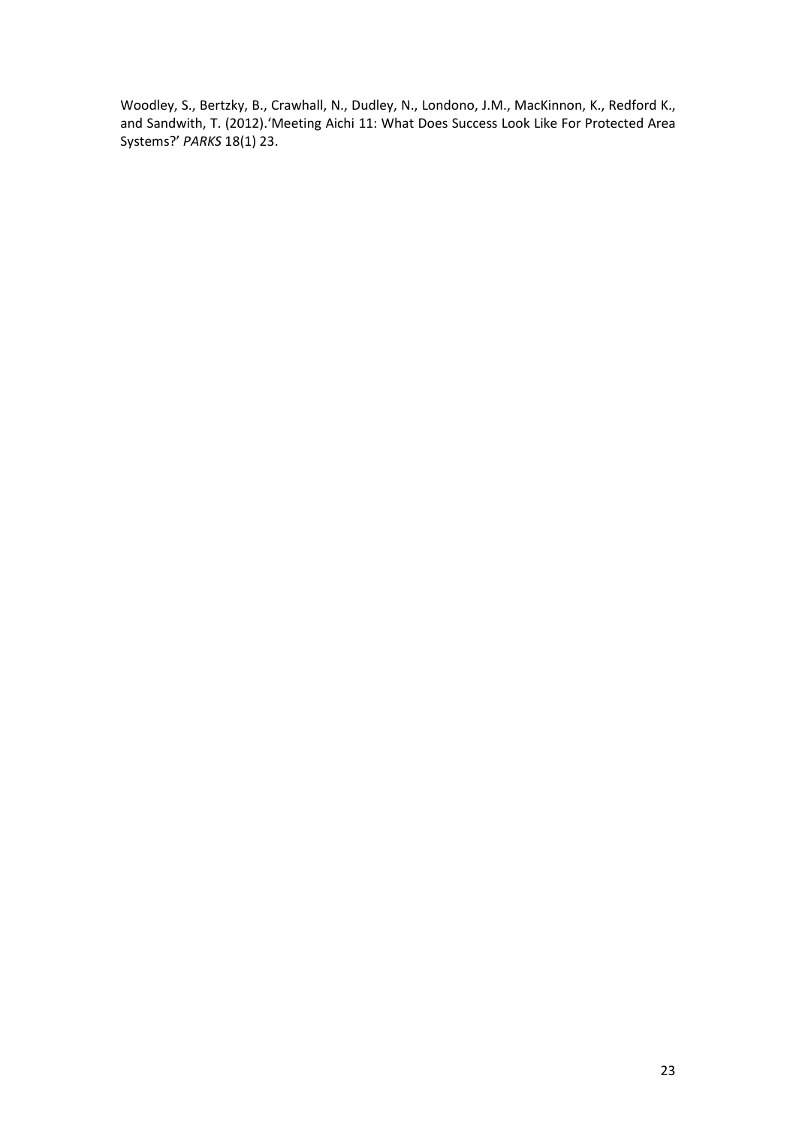Woodley, S., Bertzky, B., Crawhall, N., Dudley, N., Londono, J.M., MacKinnon, K., Redford K., and Sandwith, T. (2012).'Meeting Aichi 11: What Does Success Look Like For Protected Area Systems?' *PARKS* 18(1) 23.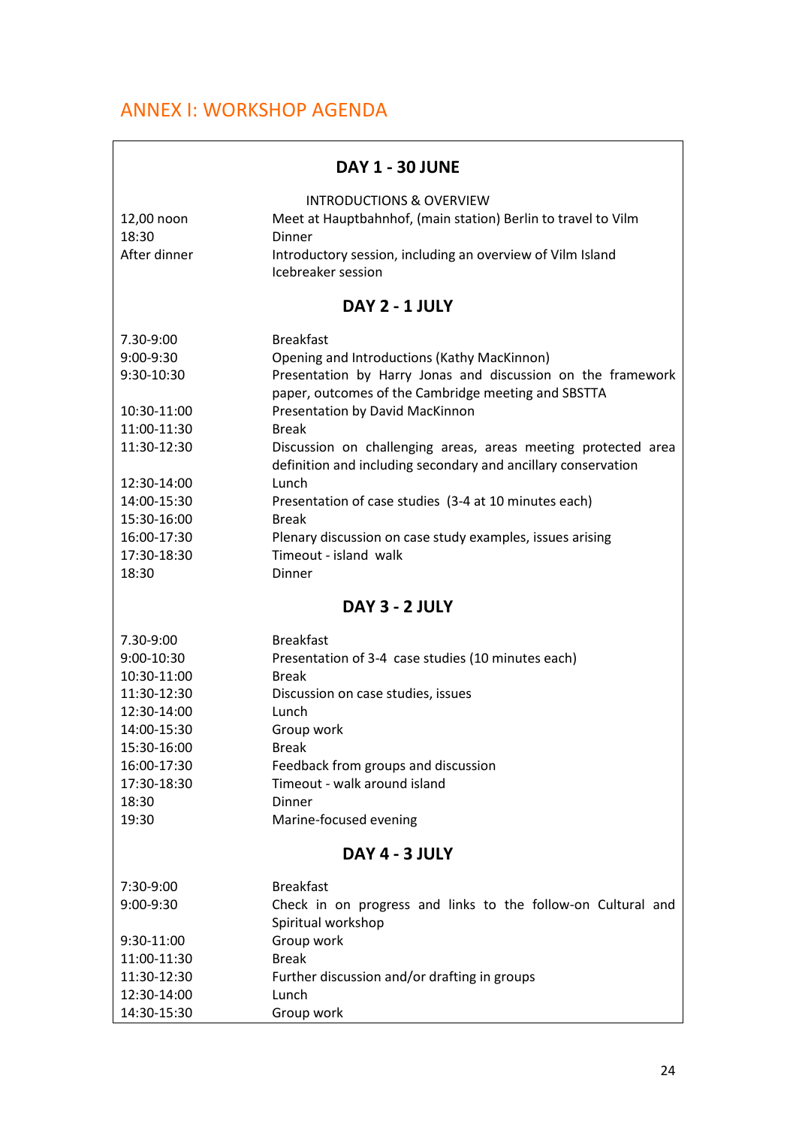## ANNEX I: WORKSHOP AGENDA

| <b>DAY 1 - 30 JUNE</b> |  |  |  |  |
|------------------------|--|--|--|--|
|------------------------|--|--|--|--|

| 12,00 noon<br>18:30<br>After dinner  | <b>INTRODUCTIONS &amp; OVERVIEW</b><br>Meet at Hauptbahnhof, (main station) Berlin to travel to Vilm<br><b>Dinner</b><br>Introductory session, including an overview of Vilm Island<br>Icebreaker session |  |  |
|--------------------------------------|-----------------------------------------------------------------------------------------------------------------------------------------------------------------------------------------------------------|--|--|
|                                      | DAY 2 - 1 JULY                                                                                                                                                                                            |  |  |
| 7.30-9:00<br>9:00-9:30<br>9:30-10:30 | <b>Breakfast</b><br>Opening and Introductions (Kathy MacKinnon)<br>Presentation by Harry Jonas and discussion on the framework<br>paper, outcomes of the Cambridge meeting and SBSTTA                     |  |  |
| 10:30-11:00<br>11:00-11:30           | Presentation by David MacKinnon<br><b>Break</b>                                                                                                                                                           |  |  |
| 11:30-12:30                          | Discussion on challenging areas, areas meeting protected area<br>definition and including secondary and ancillary conservation                                                                            |  |  |
| 12:30-14:00                          | Lunch                                                                                                                                                                                                     |  |  |
| 14:00-15:30<br>15:30-16:00           | Presentation of case studies (3-4 at 10 minutes each)<br><b>Break</b>                                                                                                                                     |  |  |
| 16:00-17:30                          | Plenary discussion on case study examples, issues arising                                                                                                                                                 |  |  |
| 17:30-18:30                          | Timeout - island walk                                                                                                                                                                                     |  |  |
| 18:30                                | <b>Dinner</b>                                                                                                                                                                                             |  |  |
| DAY 3 - 2 JULY                       |                                                                                                                                                                                                           |  |  |
| 7.30-9:00                            | <b>Breakfast</b>                                                                                                                                                                                          |  |  |
| 9:00-10:30                           | Presentation of 3-4 case studies (10 minutes each)                                                                                                                                                        |  |  |
| 10:30-11:00                          | <b>Break</b>                                                                                                                                                                                              |  |  |
| 11:30-12:30                          | Discussion on case studies, issues                                                                                                                                                                        |  |  |
| 12:30-14:00                          | Lunch                                                                                                                                                                                                     |  |  |
| 14:00-15:30<br>15:30-16:00           | Group work<br><b>Break</b>                                                                                                                                                                                |  |  |
| 16:00-17:30                          | Feedback from groups and discussion                                                                                                                                                                       |  |  |
| 17:30-18:30                          | Timeout - walk around island                                                                                                                                                                              |  |  |
| 18:30                                | Dinner                                                                                                                                                                                                    |  |  |
| 19:30                                | Marine-focused evening                                                                                                                                                                                    |  |  |
| DAY 4 - 3 JULY                       |                                                                                                                                                                                                           |  |  |
| 7:30-9:00                            | <b>Breakfast</b>                                                                                                                                                                                          |  |  |
| 9:00-9:30                            | Check in on progress and links to the follow-on Cultural and<br>Spiritual workshop                                                                                                                        |  |  |
| 9:30-11:00                           | Group work                                                                                                                                                                                                |  |  |
| 11:00-11:30                          | <b>Break</b>                                                                                                                                                                                              |  |  |
| 11:30-12:30                          | Further discussion and/or drafting in groups                                                                                                                                                              |  |  |
| 12:30-14:00                          | Lunch                                                                                                                                                                                                     |  |  |
| 14:30-15:30                          | Group work                                                                                                                                                                                                |  |  |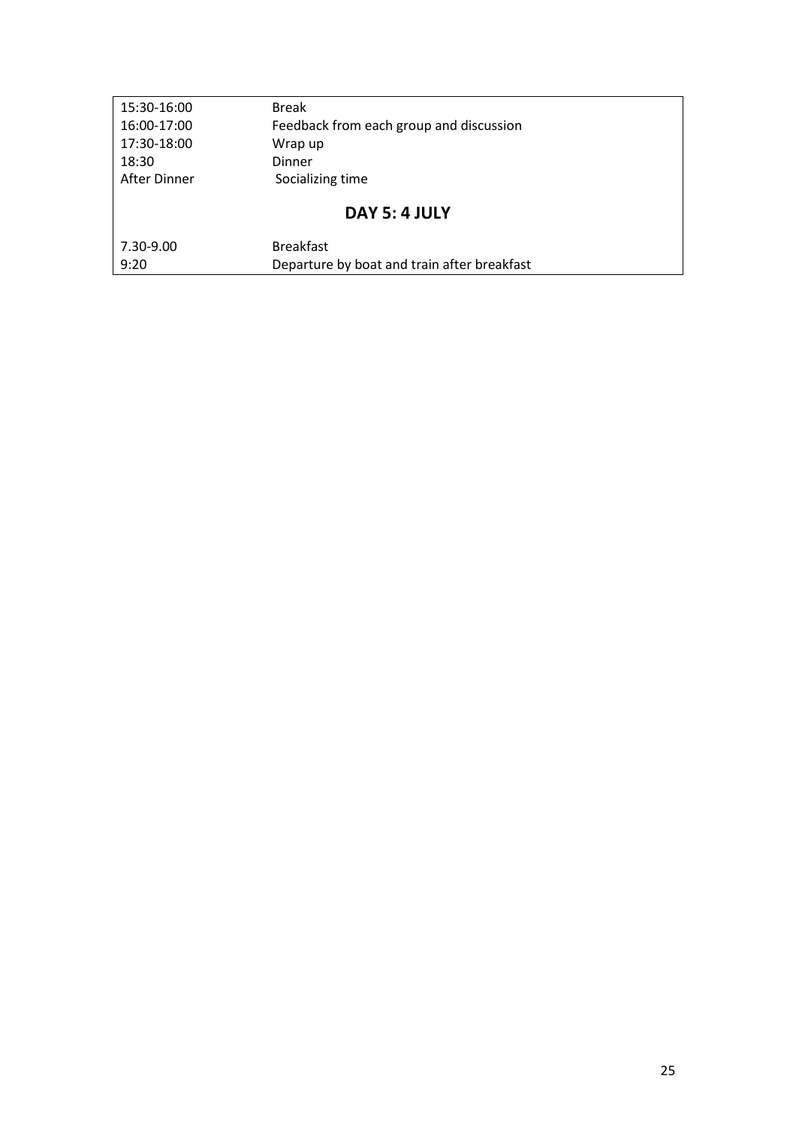| 15:30-16:00  | <b>Break</b>                                |
|--------------|---------------------------------------------|
| 16:00-17:00  | Feedback from each group and discussion     |
| 17:30-18:00  | Wrap up                                     |
| 18:30        | Dinner                                      |
| After Dinner | Socializing time                            |
|              | DAY 5: 4 JULY                               |
| 7.30-9.00    | <b>Breakfast</b>                            |
| 9:20         | Departure by boat and train after breakfast |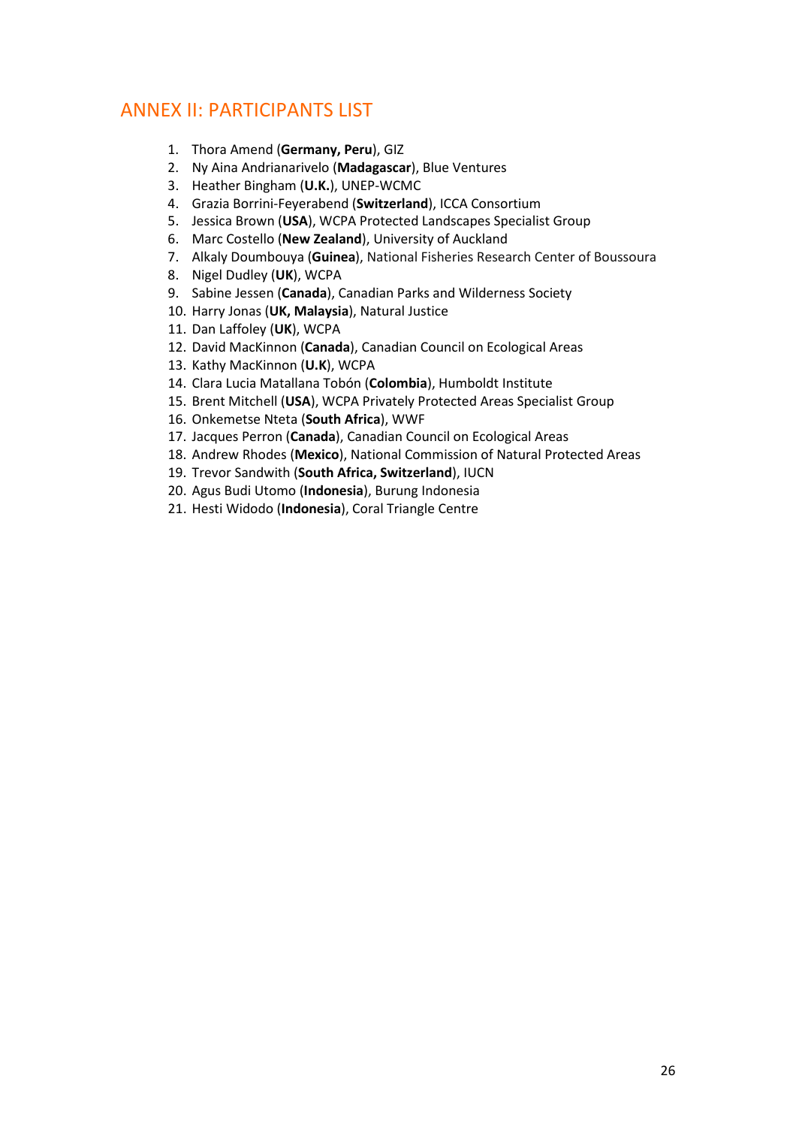## ANNEX II: PARTICIPANTS LIST

- 1. Thora Amend (**Germany, Peru**), GIZ
- 2. Ny Aina Andrianarivelo (**Madagascar**), Blue Ventures
- 3. Heather Bingham (**U.K.**), UNEP-WCMC
- 4. Grazia Borrini-Feyerabend (**Switzerland**), ICCA Consortium
- 5. Jessica Brown (**USA**), WCPA Protected Landscapes Specialist Group
- 6. Marc Costello (**New Zealand**), University of Auckland
- 7. Alkaly Doumbouya (**Guinea**), National Fisheries Research Center of Boussoura
- 8. Nigel Dudley (**UK**), WCPA
- 9. Sabine Jessen (**Canada**), Canadian Parks and Wilderness Society
- 10. Harry Jonas (**UK, Malaysia**), Natural Justice
- 11. Dan Laffoley (**UK**), WCPA
- 12. David MacKinnon (**Canada**), Canadian Council on Ecological Areas
- 13. Kathy MacKinnon (**U.K**), WCPA
- 14. Clara Lucia Matallana Tobón (**Colombia**), Humboldt Institute
- 15. Brent Mitchell (**USA**), WCPA Privately Protected Areas Specialist Group
- 16. Onkemetse Nteta (**South Africa**), WWF
- 17. Jacques Perron (**Canada**), Canadian Council on Ecological Areas
- 18. Andrew Rhodes (**Mexico**), National Commission of Natural Protected Areas
- 19. Trevor Sandwith (**South Africa, Switzerland**), IUCN
- 20. Agus Budi Utomo (**Indonesia**), Burung Indonesia
- 21. Hesti Widodo (**Indonesia**), Coral Triangle Centre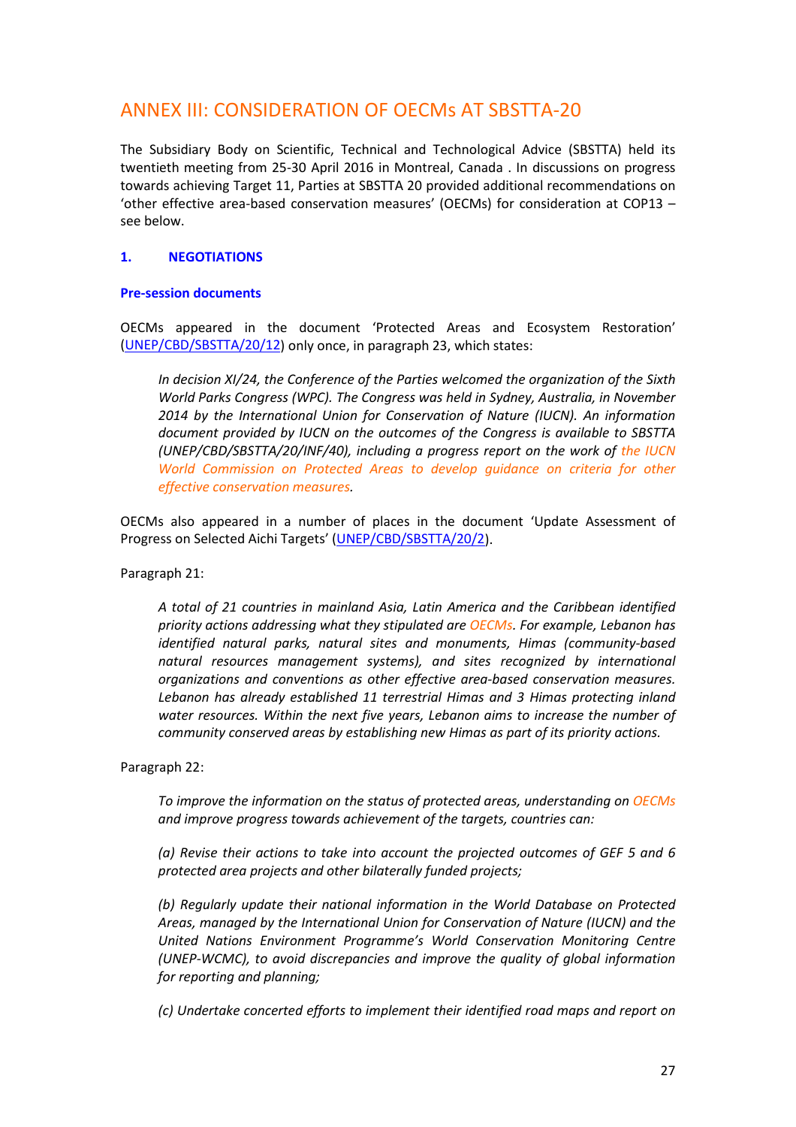## ANNEX III: CONSIDERATION OF OECMs AT SBSTTA-20

The Subsidiary Body on Scientific, Technical and Technological Advice (SBSTTA) held its twentieth meeting from 25-30 April 2016 in Montreal, Canada . In discussions on progress towards achieving Target 11, Parties at SBSTTA 20 provided additional recommendations on 'other effective area-based conservation measures' (OECMs) for consideration at COP13 – see below.

## **1. NEGOTIATIONS**

#### **Pre-session documents**

OECMs appeared in the document 'Protected Areas and Ecosystem Restoration' [\(UNEP/CBD/SBSTTA/20/12\)](https://www.cbd.int/doc/meetings/sbstta/sbstta-20/official/sbstta-20-12-en.pdf) only once, in paragraph 23, which states:

*In decision XI/24, the Conference of the Parties welcomed the organization of the Sixth World Parks Congress (WPC). The Congress was held in Sydney, Australia, in November 2014 by the International Union for Conservation of Nature (IUCN). An information document provided by IUCN on the outcomes of the Congress is available to SBSTTA (UNEP/CBD/SBSTTA/20/INF/40), including a progress report on the work of the IUCN World Commission on Protected Areas to develop guidance on criteria for other effective conservation measures.* 

OECMs also appeared in a number of places in the document 'Update Assessment of Progress on Selected Aichi Targets' [\(UNEP/CBD/SBSTTA/20/2\)](https://www.cbd.int/doc/meetings/sbstta/sbstta-20/official/sbstta-20-02-en.pdf).

Paragraph 21:

*A total of 21 countries in mainland Asia, Latin America and the Caribbean identified priority actions addressing what they stipulated are OECMs. For example, Lebanon has identified natural parks, natural sites and monuments, Himas (community-based natural resources management systems), and sites recognized by international organizations and conventions as other effective area-based conservation measures. Lebanon has already established 11 terrestrial Himas and 3 Himas protecting inland water resources. Within the next five years, Lebanon aims to increase the number of community conserved areas by establishing new Himas as part of its priority actions.* 

Paragraph 22:

*To improve the information on the status of protected areas, understanding on OECMs and improve progress towards achievement of the targets, countries can:* 

*(a) Revise their actions to take into account the projected outcomes of GEF 5 and 6 protected area projects and other bilaterally funded projects;* 

*(b) Regularly update their national information in the World Database on Protected Areas, managed by the International Union for Conservation of Nature (IUCN) and the United Nations Environment Programme's World Conservation Monitoring Centre (UNEP-WCMC), to avoid discrepancies and improve the quality of global information for reporting and planning;* 

*(c) Undertake concerted efforts to implement their identified road maps and report on*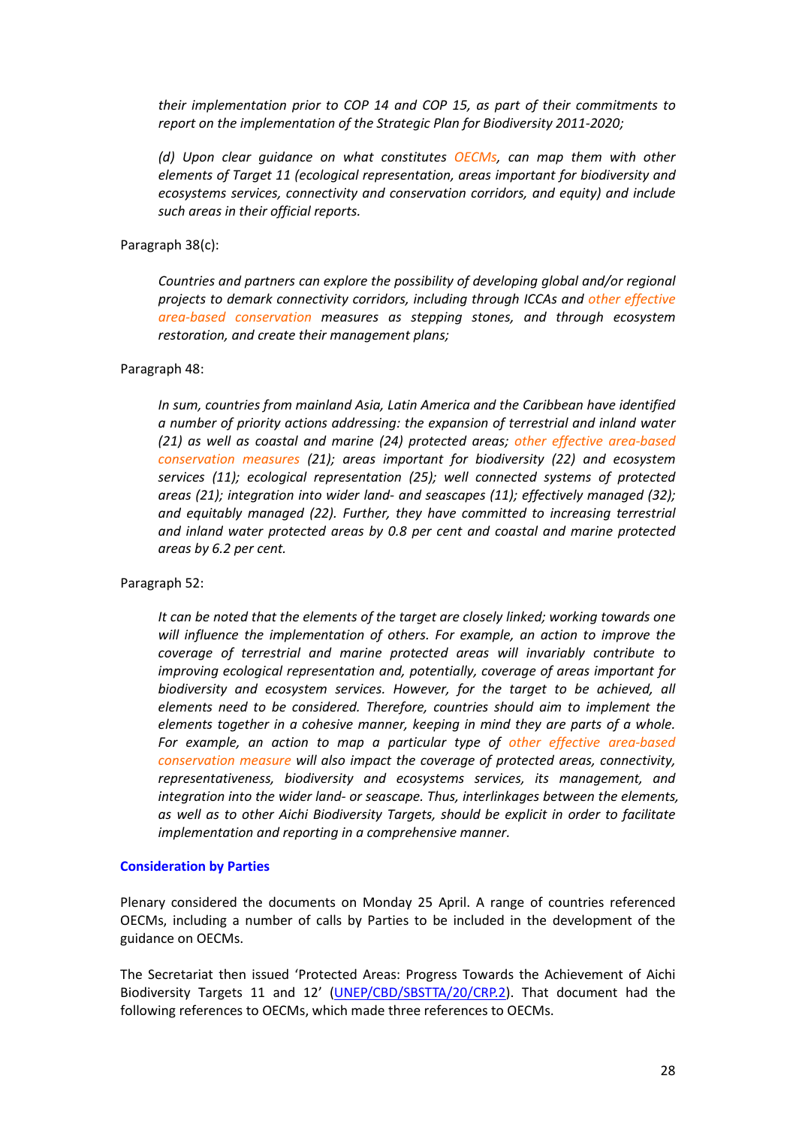*their implementation prior to COP 14 and COP 15, as part of their commitments to report on the implementation of the Strategic Plan for Biodiversity 2011-2020;* 

*(d) Upon clear guidance on what constitutes OECMs, can map them with other elements of Target 11 (ecological representation, areas important for biodiversity and ecosystems services, connectivity and conservation corridors, and equity) and include such areas in their official reports.* 

Paragraph 38(c):

*Countries and partners can explore the possibility of developing global and/or regional projects to demark connectivity corridors, including through ICCAs and other effective area-based conservation measures as stepping stones, and through ecosystem restoration, and create their management plans;* 

#### Paragraph 48:

*In sum, countries from mainland Asia, Latin America and the Caribbean have identified a number of priority actions addressing: the expansion of terrestrial and inland water (21) as well as coastal and marine (24) protected areas; other effective area-based conservation measures (21); areas important for biodiversity (22) and ecosystem services (11); ecological representation (25); well connected systems of protected areas (21); integration into wider land- and seascapes (11); effectively managed (32); and equitably managed (22). Further, they have committed to increasing terrestrial and inland water protected areas by 0.8 per cent and coastal and marine protected areas by 6.2 per cent.* 

Paragraph 52:

*It can be noted that the elements of the target are closely linked; working towards one will influence the implementation of others. For example, an action to improve the coverage of terrestrial and marine protected areas will invariably contribute to improving ecological representation and, potentially, coverage of areas important for biodiversity and ecosystem services. However, for the target to be achieved, all elements need to be considered. Therefore, countries should aim to implement the elements together in a cohesive manner, keeping in mind they are parts of a whole. For example, an action to map a particular type of other effective area-based conservation measure will also impact the coverage of protected areas, connectivity, representativeness, biodiversity and ecosystems services, its management, and integration into the wider land- or seascape. Thus, interlinkages between the elements, as well as to other Aichi Biodiversity Targets, should be explicit in order to facilitate implementation and reporting in a comprehensive manner.* 

#### **Consideration by Parties**

Plenary considered the documents on Monday 25 April. A range of countries referenced OECMs, including a number of calls by Parties to be included in the development of the guidance on OECMs.

The Secretariat then issued 'Protected Areas: Progress Towards the Achievement of Aichi Biodiversity Targets 11 and 12' [\(UNEP/CBD/SBSTTA/20/CRP.2\)](https://www.cbd.int/doc/meetings/sbstta/sbstta-20/insession/sbstta-20-crp-02-en.pdf). That document had the following references to OECMs, which made three references to OECMs.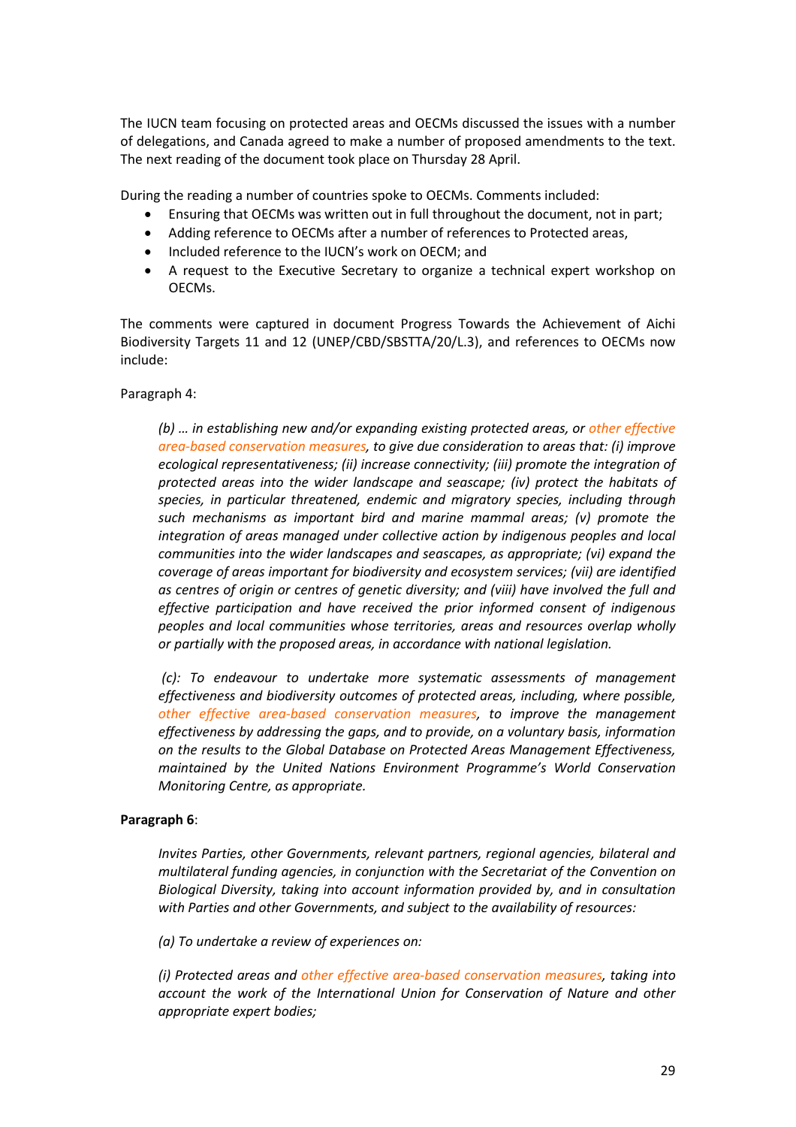The IUCN team focusing on protected areas and OECMs discussed the issues with a number of delegations, and Canada agreed to make a number of proposed amendments to the text. The next reading of the document took place on Thursday 28 April.

During the reading a number of countries spoke to OECMs. Comments included:

- Ensuring that OECMs was written out in full throughout the document, not in part;
- Adding reference to OECMs after a number of references to Protected areas,
- Included reference to the IUCN's work on OECM; and
- A request to the Executive Secretary to organize a technical expert workshop on OECMs.

The comments were captured in document Progress Towards the Achievement of Aichi Biodiversity Targets 11 and 12 (UNEP/CBD/SBSTTA/20/L.3), and references to OECMs now include:

Paragraph 4:

*(b) … in establishing new and/or expanding existing protected areas, or other effective area-based conservation measures, to give due consideration to areas that: (i) improve ecological representativeness; (ii) increase connectivity; (iii) promote the integration of protected areas into the wider landscape and seascape; (iv) protect the habitats of species, in particular threatened, endemic and migratory species, including through such mechanisms as important bird and marine mammal areas; (v) promote the integration of areas managed under collective action by indigenous peoples and local communities into the wider landscapes and seascapes, as appropriate; (vi) expand the coverage of areas important for biodiversity and ecosystem services; (vii) are identified as centres of origin or centres of genetic diversity; and (viii) have involved the full and effective participation and have received the prior informed consent of indigenous peoples and local communities whose territories, areas and resources overlap wholly or partially with the proposed areas, in accordance with national legislation.* 

*(c): To endeavour to undertake more systematic assessments of management effectiveness and biodiversity outcomes of protected areas, including, where possible, other effective area-based conservation measures, to improve the management effectiveness by addressing the gaps, and to provide, on a voluntary basis, information on the results to the Global Database on Protected Areas Management Effectiveness, maintained by the United Nations Environment Programme's World Conservation Monitoring Centre, as appropriate.* 

#### **Paragraph 6**:

*Invites Parties, other Governments, relevant partners, regional agencies, bilateral and multilateral funding agencies, in conjunction with the Secretariat of the Convention on Biological Diversity, taking into account information provided by, and in consultation with Parties and other Governments, and subject to the availability of resources:* 

*(a) To undertake a review of experiences on:* 

*(i) Protected areas and other effective area-based conservation measures, taking into account the work of the International Union for Conservation of Nature and other appropriate expert bodies;*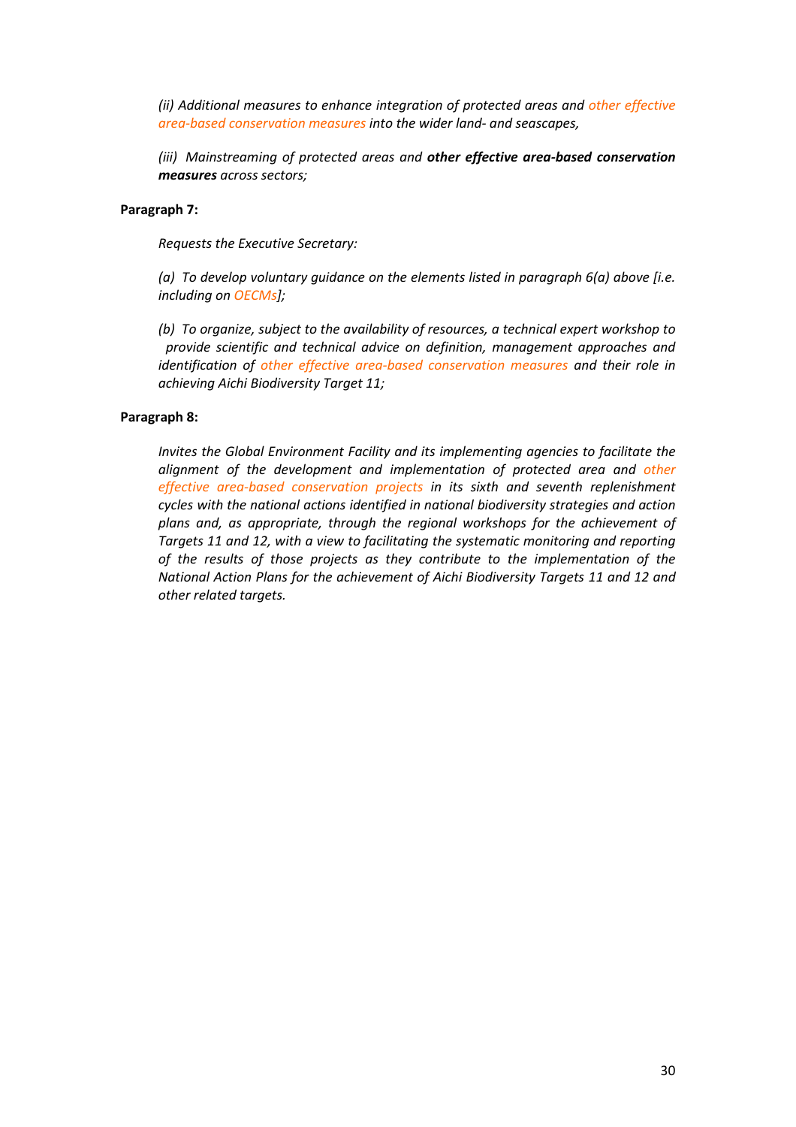*(ii) Additional measures to enhance integration of protected areas and other effective area-based conservation measures into the wider land- and seascapes,* 

*(iii) Mainstreaming of protected areas and other effective area-based conservation measures across sectors;* 

#### **Paragraph 7:**

*Requests the Executive Secretary:* 

*(a) To develop voluntary guidance on the elements listed in paragraph 6(a) above [i.e. including on OECMs];* 

*(b) To organize, subject to the availability of resources, a technical expert workshop to provide scientific and technical advice on definition, management approaches and identification of other effective area-based conservation measures and their role in achieving Aichi Biodiversity Target 11;* 

#### **Paragraph 8:**

*Invites the Global Environment Facility and its implementing agencies to facilitate the alignment of the development and implementation of protected area and other effective area-based conservation projects in its sixth and seventh replenishment cycles with the national actions identified in national biodiversity strategies and action plans and, as appropriate, through the regional workshops for the achievement of Targets 11 and 12, with a view to facilitating the systematic monitoring and reporting of the results of those projects as they contribute to the implementation of the National Action Plans for the achievement of Aichi Biodiversity Targets 11 and 12 and other related targets.*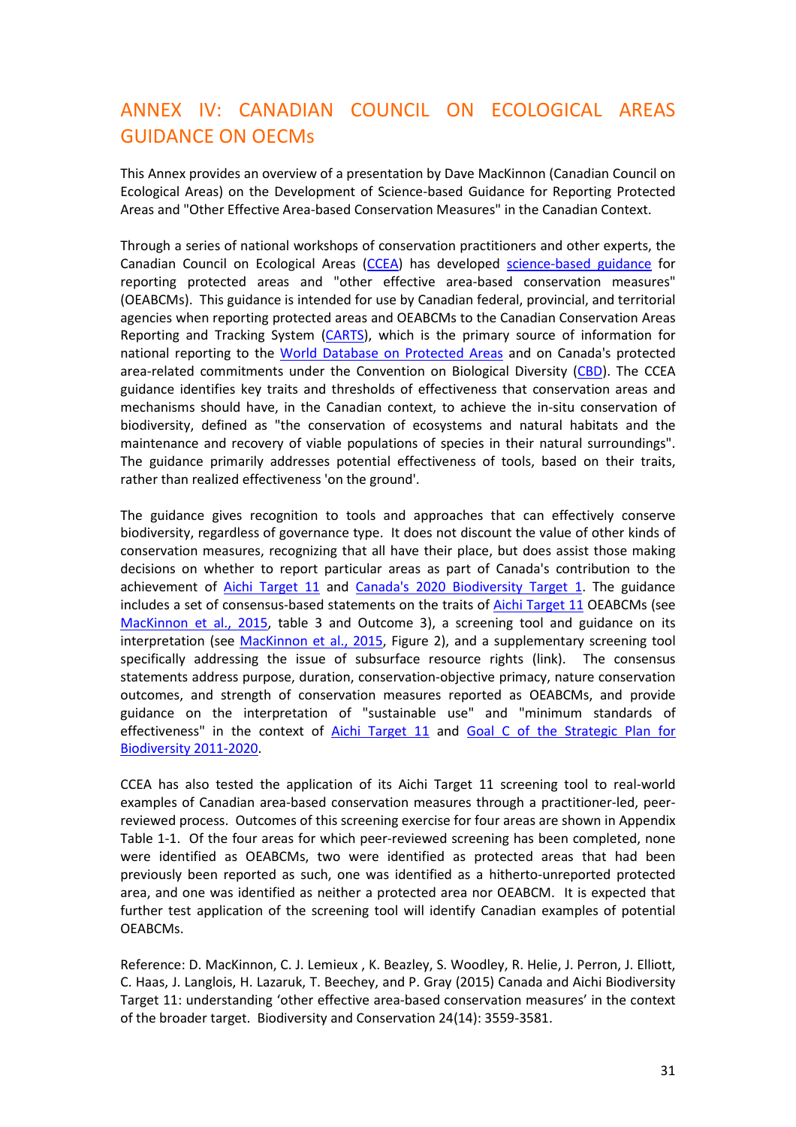## ANNEX IV: CANADIAN COUNCIL ON ECOLOGICAL AREAS GUIDANCE ON OECMs

This Annex provides an overview of a presentation by Dave MacKinnon (Canadian Council on Ecological Areas) on the Development of Science-based Guidance for Reporting Protected Areas and "Other Effective Area-based Conservation Measures" in the Canadian Context.

Through a series of national workshops of conservation practitioners and other experts, the Canadian Council on Ecological Areas [\(CCEA\)](http://www.ccea.org/) has developed [science-based guidance](http://link.springer.com/article/10.1007/s10531-015-1018-1/fulltext.html) for reporting protected areas and "other effective area-based conservation measures" (OEABCMs). This guidance is intended for use by Canadian federal, provincial, and territorial agencies when reporting protected areas and OEABCMs to the Canadian Conservation Areas Reporting and Tracking System [\(CARTS\)](http://www.ccea.org/carts/), which is the primary source of information for national reporting to the [World Database on Protected Areas](http://www.protectedplanet.net/) and on Canada's protected area-related commitments under the Convention on Biological Diversity [\(CBD\)](https://www.cbd.int/convention/text/default.shtml). The CCEA guidance identifies key traits and thresholds of effectiveness that conservation areas and mechanisms should have, in the Canadian context, to achieve the in-situ conservation of biodiversity, defined as "the conservation of ecosystems and natural habitats and the maintenance and recovery of viable populations of species in their natural surroundings". The guidance primarily addresses potential effectiveness of tools, based on their traits, rather than realized effectiveness 'on the ground'.

The guidance gives recognition to tools and approaches that can effectively conserve biodiversity, regardless of governance type. It does not discount the value of other kinds of conservation measures, recognizing that all have their place, but does assist those making decisions on whether to report particular areas as part of Canada's contribution to the achievement of [Aichi Target 11](https://www.cbd.int/sp/targets/rationale/target-11/) and [Canada's 2020 Biodiversity Target 1.](http://www.biodivcanada.ca/default.asp?lang=En&n=9B5793F6-1&offset=1%23target_1) The guidance includes a set of consensus-based statements on the traits o[f Aichi Target 11](https://www.cbd.int/sp/targets/rationale/target-11/) OEABCMs (see [MacKinnon et al., 2015,](http://link.springer.com/article/10.1007/s10531-015-1018-1/fulltext.html) table 3 and Outcome 3), a screening tool and guidance on its interpretation (see [MacKinnon et al., 2015,](http://link.springer.com/article/10.1007/s10531-015-1018-1/fulltext.html) Figure 2), and a supplementary screening tool specifically addressing the issue of subsurface resource rights (link). The consensus statements address purpose, duration, conservation-objective primacy, nature conservation outcomes, and strength of conservation measures reported as OEABCMs, and provide guidance on the interpretation of "sustainable use" and "minimum standards of effectiveness" in the context of [Aichi Target 11](https://www.cbd.int/sp/targets/rationale/target-11/) and Goal C of the Strategic Plan for [Biodiversity 2011-2020.](https://www.cbd.int/doc/strategic-plan/2011-2020/Aichi-Targets-EN.pdf)

CCEA has also tested the application of its Aichi Target 11 screening tool to real-world examples of Canadian area-based conservation measures through a practitioner-led, peerreviewed process. Outcomes of this screening exercise for four areas are shown in Appendix Table 1-1. Of the four areas for which peer-reviewed screening has been completed, none were identified as OEABCMs, two were identified as protected areas that had been previously been reported as such, one was identified as a hitherto-unreported protected area, and one was identified as neither a protected area nor OEABCM. It is expected that further test application of the screening tool will identify Canadian examples of potential OEABCMs.

Reference: D. MacKinnon, C. J. Lemieux , K. Beazley, S. Woodley, R. Helie, J. Perron, J. Elliott, C. Haas, J. Langlois, H. Lazaruk, T. Beechey, and P. Gray (2015) Canada and Aichi Biodiversity Target 11: understanding 'other effective area-based conservation measures' in the context of the broader target. Biodiversity and Conservation 24(14): 3559-3581.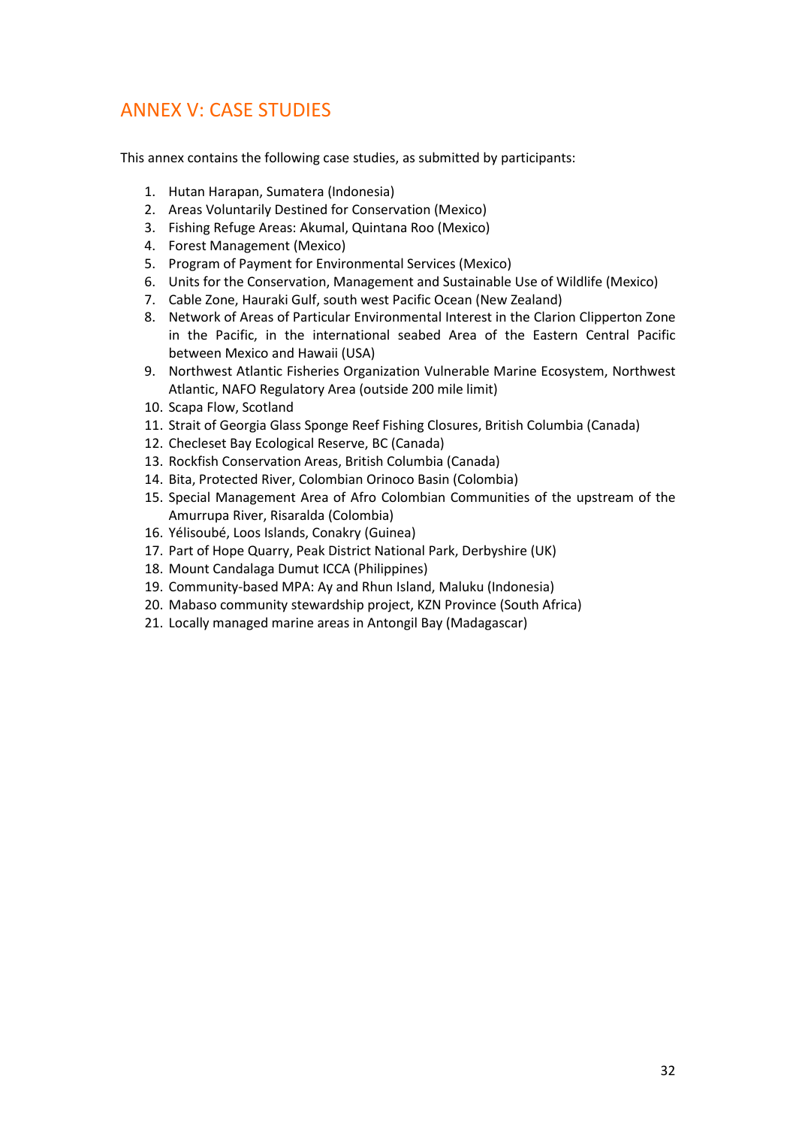## ANNEX V: CASE STUDIES

This annex contains the following case studies, as submitted by participants:

- 1. Hutan Harapan, Sumatera (Indonesia)
- 2. Areas Voluntarily Destined for Conservation (Mexico)
- 3. Fishing Refuge Areas: Akumal, Quintana Roo (Mexico)
- 4. Forest Management (Mexico)
- 5. Program of Payment for Environmental Services (Mexico)
- 6. Units for the Conservation, Management and Sustainable Use of Wildlife (Mexico)
- 7. Cable Zone, Hauraki Gulf, south west Pacific Ocean (New Zealand)
- 8. Network of Areas of Particular Environmental Interest in the Clarion Clipperton Zone in the Pacific, in the international seabed Area of the Eastern Central Pacific between Mexico and Hawaii (USA)
- 9. Northwest Atlantic Fisheries Organization Vulnerable Marine Ecosystem, Northwest Atlantic, NAFO Regulatory Area (outside 200 mile limit)
- 10. Scapa Flow, Scotland
- 11. Strait of Georgia Glass Sponge Reef Fishing Closures, British Columbia (Canada)
- 12. Checleset Bay Ecological Reserve, BC (Canada)
- 13. Rockfish Conservation Areas, British Columbia (Canada)
- 14. Bita, Protected River, Colombian Orinoco Basin (Colombia)
- 15. Special Management Area of Afro Colombian Communities of the upstream of the Amurrupa River, Risaralda (Colombia)
- 16. Yélisoubé, Loos Islands, Conakry (Guinea)
- 17. Part of Hope Quarry, Peak District National Park, Derbyshire (UK)
- 18. Mount Candalaga Dumut ICCA (Philippines)
- 19. Community-based MPA: Ay and Rhun Island, Maluku (Indonesia)
- 20. Mabaso community stewardship project, KZN Province (South Africa)
- 21. Locally managed marine areas in Antongil Bay (Madagascar)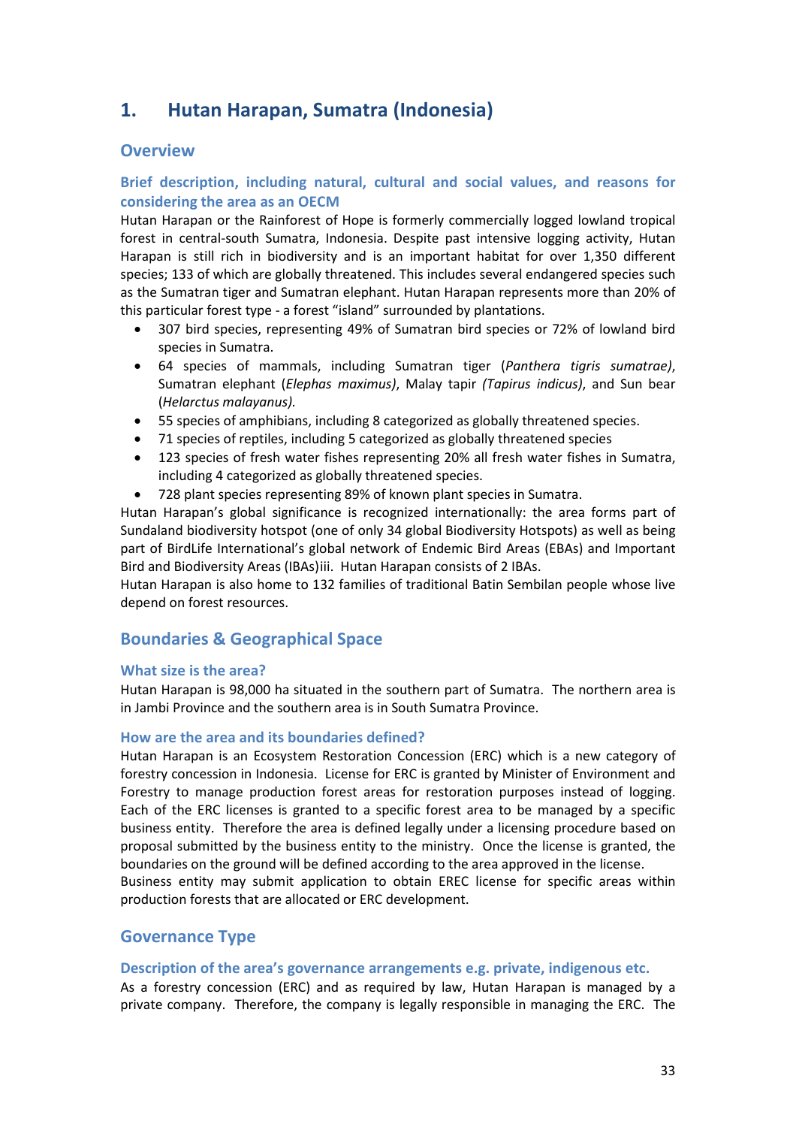## **1. Hutan Harapan, Sumatra (Indonesia)**

## **Overview**

## **Brief description, including natural, cultural and social values, and reasons for considering the area as an OECM**

Hutan Harapan or the Rainforest of Hope is formerly commercially logged lowland tropical forest in central-south Sumatra, Indonesia. Despite past intensive logging activity, Hutan Harapan is still rich in biodiversity and is an important habitat for over 1,350 different species; 133 of which are globally threatened. This includes several endangered species such as the Sumatran tiger and Sumatran elephant. Hutan Harapan represents more than 20% of this particular forest type - a forest "island" surrounded by plantations.

- 307 bird species, representing 49% of Sumatran bird species or 72% of lowland bird species in Sumatra.
- 64 species of mammals, including Sumatran tiger (*Panthera tigris sumatrae)*, Sumatran elephant (*Elephas maximus)*, Malay tapir *(Tapirus indicus)*, and Sun bear (*Helarctus malayanus).*
- 55 species of amphibians, including 8 categorized as globally threatened species.
- 71 species of reptiles, including 5 categorized as globally threatened species
- 123 species of fresh water fishes representing 20% all fresh water fishes in Sumatra, including 4 categorized as globally threatened species.
- 728 plant species representing 89% of known plant species in Sumatra.

Hutan Harapan's global significance is recognized internationally: the area forms part of Sundaland biodiversity hotspot (one of only 34 global Biodiversity Hotspots) as well as being part of BirdLife International's global network of Endemic Bird Areas (EBAs) and Important Bird and Biodiversity Areas (IBAs)[iii.](#page-93-2) Hutan Harapan consists of 2 IBAs.

Hutan Harapan is also home to 132 families of traditional Batin Sembilan people whose live depend on forest resources.

## **Boundaries & Geographical Space**

#### **What size is the area?**

Hutan Harapan is 98,000 ha situated in the southern part of Sumatra. The northern area is in Jambi Province and the southern area is in South Sumatra Province.

#### **How are the area and its boundaries defined?**

Hutan Harapan is an Ecosystem Restoration Concession (ERC) which is a new category of forestry concession in Indonesia. License for ERC is granted by Minister of Environment and Forestry to manage production forest areas for restoration purposes instead of logging. Each of the ERC licenses is granted to a specific forest area to be managed by a specific business entity. Therefore the area is defined legally under a licensing procedure based on proposal submitted by the business entity to the ministry. Once the license is granted, the boundaries on the ground will be defined according to the area approved in the license.

Business entity may submit application to obtain EREC license for specific areas within production forests that are allocated or ERC development.

### **Governance Type**

#### **Description of the area's governance arrangements e.g. private, indigenous etc.**

As a forestry concession (ERC) and as required by law, Hutan Harapan is managed by a private company. Therefore, the company is legally responsible in managing the ERC. The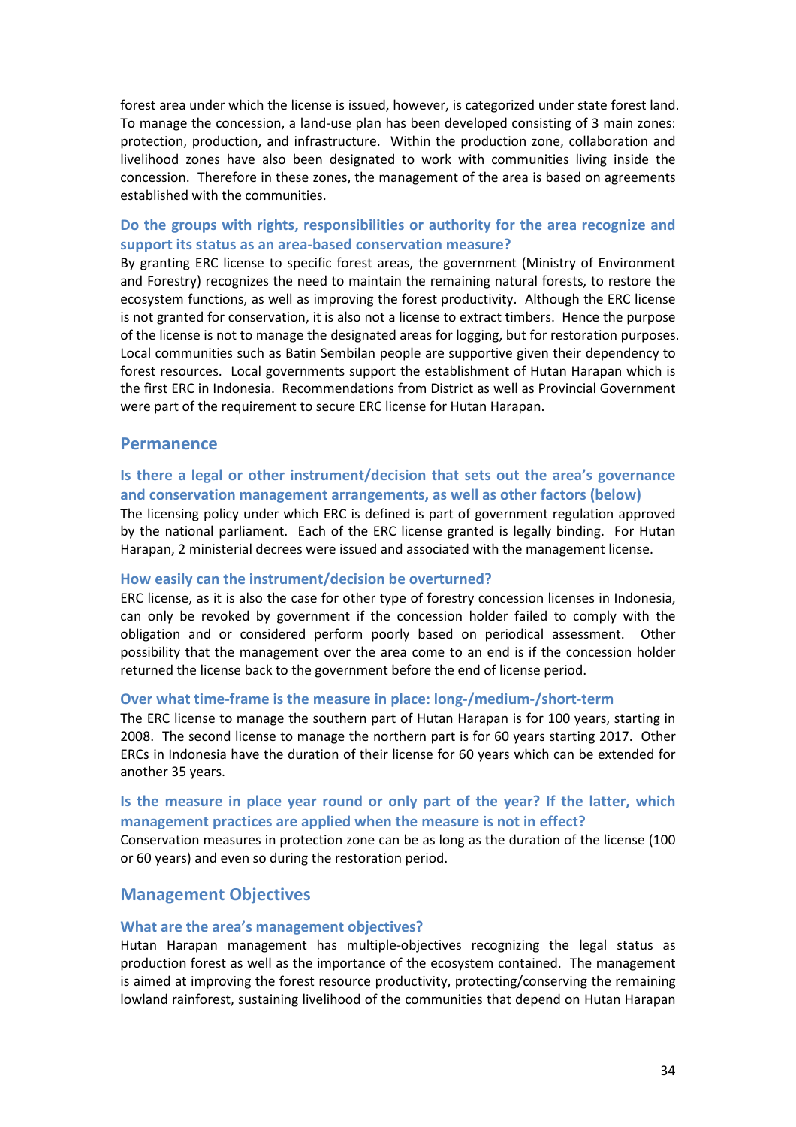forest area under which the license is issued, however, is categorized under state forest land. To manage the concession, a land-use plan has been developed consisting of 3 main zones: protection, production, and infrastructure. Within the production zone, collaboration and livelihood zones have also been designated to work with communities living inside the concession. Therefore in these zones, the management of the area is based on agreements established with the communities.

## **Do the groups with rights, responsibilities or authority for the area recognize and support its status as an area-based conservation measure?**

By granting ERC license to specific forest areas, the government (Ministry of Environment and Forestry) recognizes the need to maintain the remaining natural forests, to restore the ecosystem functions, as well as improving the forest productivity. Although the ERC license is not granted for conservation, it is also not a license to extract timbers. Hence the purpose of the license is not to manage the designated areas for logging, but for restoration purposes. Local communities such as Batin Sembilan people are supportive given their dependency to forest resources. Local governments support the establishment of Hutan Harapan which is the first ERC in Indonesia. Recommendations from District as well as Provincial Government were part of the requirement to secure ERC license for Hutan Harapan.

#### **Permanence**

### **Is there a legal or other instrument/decision that sets out the area's governance and conservation management arrangements, as well as other factors (below)**

The licensing policy under which ERC is defined is part of government regulation approved by the national parliament. Each of the ERC license granted is legally binding. For Hutan Harapan, 2 ministerial decrees were issued and associated with the management license.

#### **How easily can the instrument/decision be overturned?**

ERC license, as it is also the case for other type of forestry concession licenses in Indonesia, can only be revoked by government if the concession holder failed to comply with the obligation and or considered perform poorly based on periodical assessment. Other possibility that the management over the area come to an end is if the concession holder returned the license back to the government before the end of license period.

#### **Over what time-frame is the measure in place: long-/medium-/short-term**

The ERC license to manage the southern part of Hutan Harapan is for 100 years, starting in 2008. The second license to manage the northern part is for 60 years starting 2017. Other ERCs in Indonesia have the duration of their license for 60 years which can be extended for another 35 years.

### **Is the measure in place year round or only part of the year? If the latter, which management practices are applied when the measure is not in effect?**

Conservation measures in protection zone can be as long as the duration of the license (100 or 60 years) and even so during the restoration period.

### **Management Objectives**

#### **What are the area's management objectives?**

Hutan Harapan management has multiple-objectives recognizing the legal status as production forest as well as the importance of the ecosystem contained. The management is aimed at improving the forest resource productivity, protecting/conserving the remaining lowland rainforest, sustaining livelihood of the communities that depend on Hutan Harapan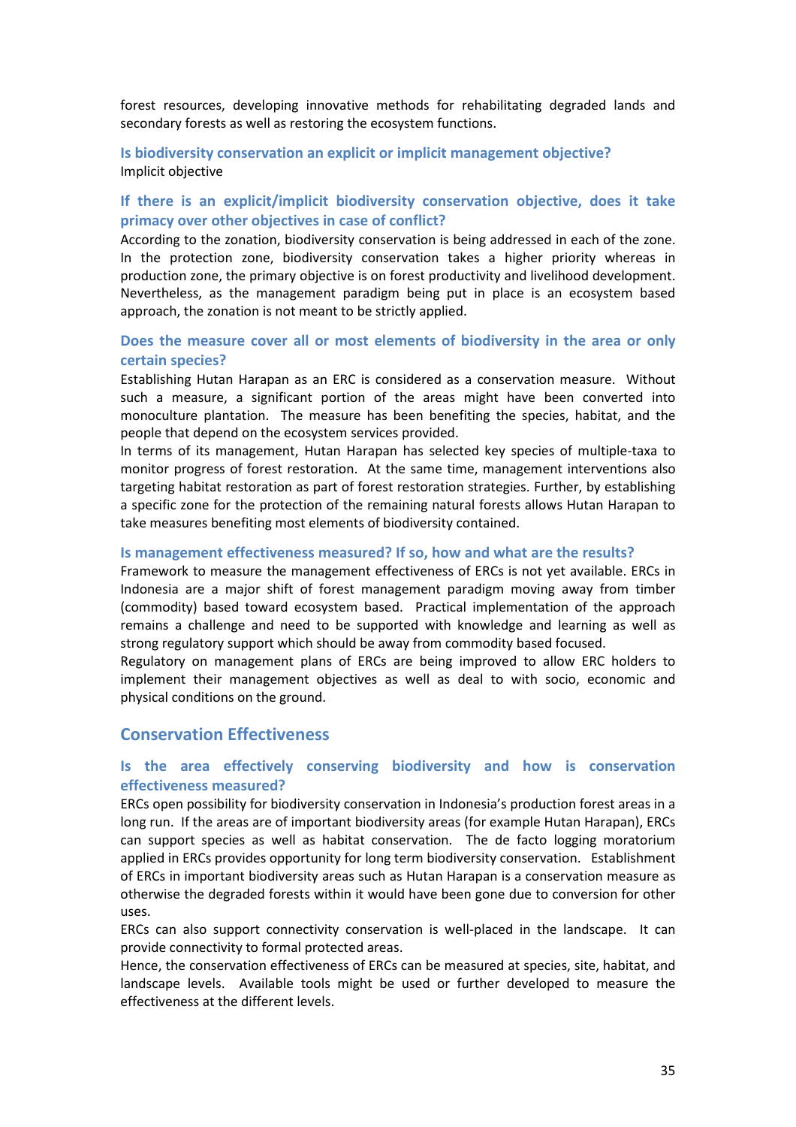forest resources, developing innovative methods for rehabilitating degraded lands and secondary forests as well as restoring the ecosystem functions.

**Is biodiversity conservation an explicit or implicit management objective?**  Implicit objective

### **If there is an explicit/implicit biodiversity conservation objective, does it take primacy over other objectives in case of conflict?**

According to the zonation, biodiversity conservation is being addressed in each of the zone. In the protection zone, biodiversity conservation takes a higher priority whereas in production zone, the primary objective is on forest productivity and livelihood development. Nevertheless, as the management paradigm being put in place is an ecosystem based approach, the zonation is not meant to be strictly applied.

### **Does the measure cover all or most elements of biodiversity in the area or only certain species?**

Establishing Hutan Harapan as an ERC is considered as a conservation measure. Without such a measure, a significant portion of the areas might have been converted into monoculture plantation. The measure has been benefiting the species, habitat, and the people that depend on the ecosystem services provided.

In terms of its management, Hutan Harapan has selected key species of multiple-taxa to monitor progress of forest restoration. At the same time, management interventions also targeting habitat restoration as part of forest restoration strategies. Further, by establishing a specific zone for the protection of the remaining natural forests allows Hutan Harapan to take measures benefiting most elements of biodiversity contained.

#### **Is management effectiveness measured? If so, how and what are the results?**

Framework to measure the management effectiveness of ERCs is not yet available. ERCs in Indonesia are a major shift of forest management paradigm moving away from timber (commodity) based toward ecosystem based. Practical implementation of the approach remains a challenge and need to be supported with knowledge and learning as well as strong regulatory support which should be away from commodity based focused.

Regulatory on management plans of ERCs are being improved to allow ERC holders to implement their management objectives as well as deal to with socio, economic and physical conditions on the ground.

#### **Conservation Effectiveness**

#### **Is the area effectively conserving biodiversity and how is conservation effectiveness measured?**

ERCs open possibility for biodiversity conservation in Indonesia's production forest areas in a long run. If the areas are of important biodiversity areas (for example Hutan Harapan), ERCs can support species as well as habitat conservation. The de facto logging moratorium applied in ERCs provides opportunity for long term biodiversity conservation. Establishment of ERCs in important biodiversity areas such as Hutan Harapan is a conservation measure as otherwise the degraded forests within it would have been gone due to conversion for other uses.

ERCs can also support connectivity conservation is well-placed in the landscape. It can provide connectivity to formal protected areas.

Hence, the conservation effectiveness of ERCs can be measured at species, site, habitat, and landscape levels. Available tools might be used or further developed to measure the effectiveness at the different levels.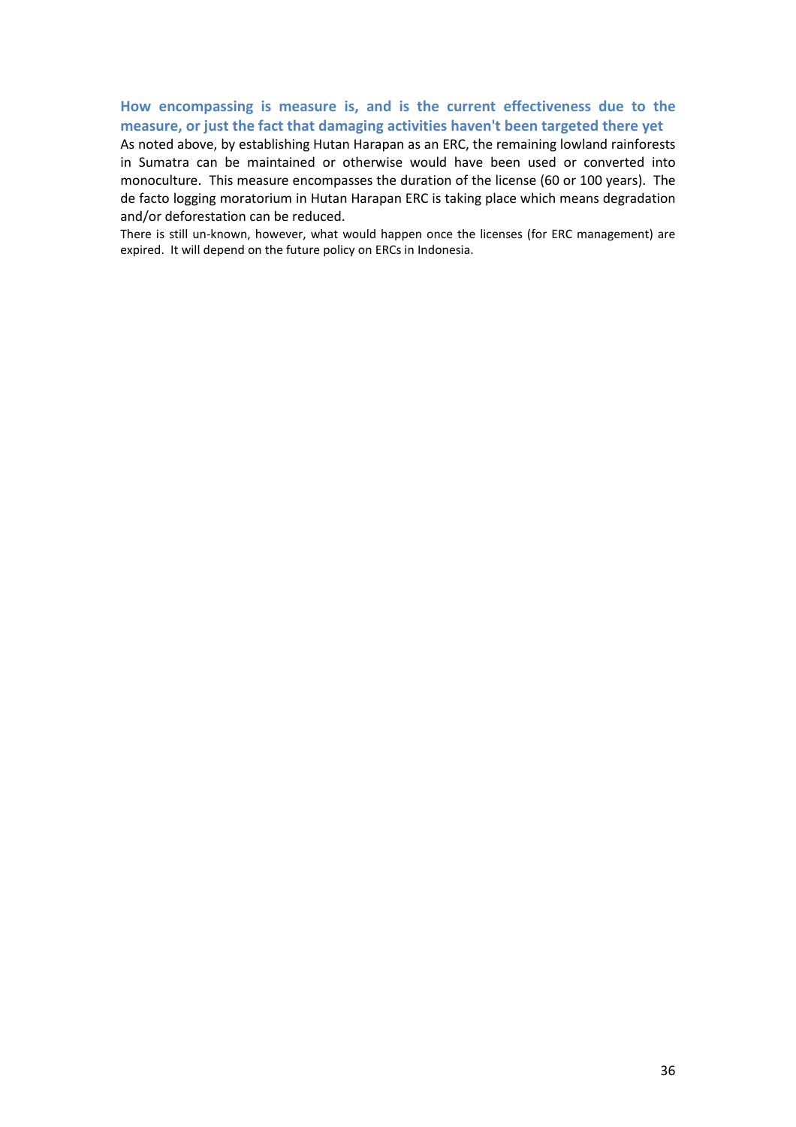## **How encompassing is measure is, and is the current effectiveness due to the measure, or just the fact that damaging activities haven't been targeted there yet**

As noted above, by establishing Hutan Harapan as an ERC, the remaining lowland rainforests in Sumatra can be maintained or otherwise would have been used or converted into monoculture. This measure encompasses the duration of the license (60 or 100 years). The de facto logging moratorium in Hutan Harapan ERC is taking place which means degradation and/or deforestation can be reduced.

There is still un-known, however, what would happen once the licenses (for ERC management) are expired. It will depend on the future policy on ERCs in Indonesia.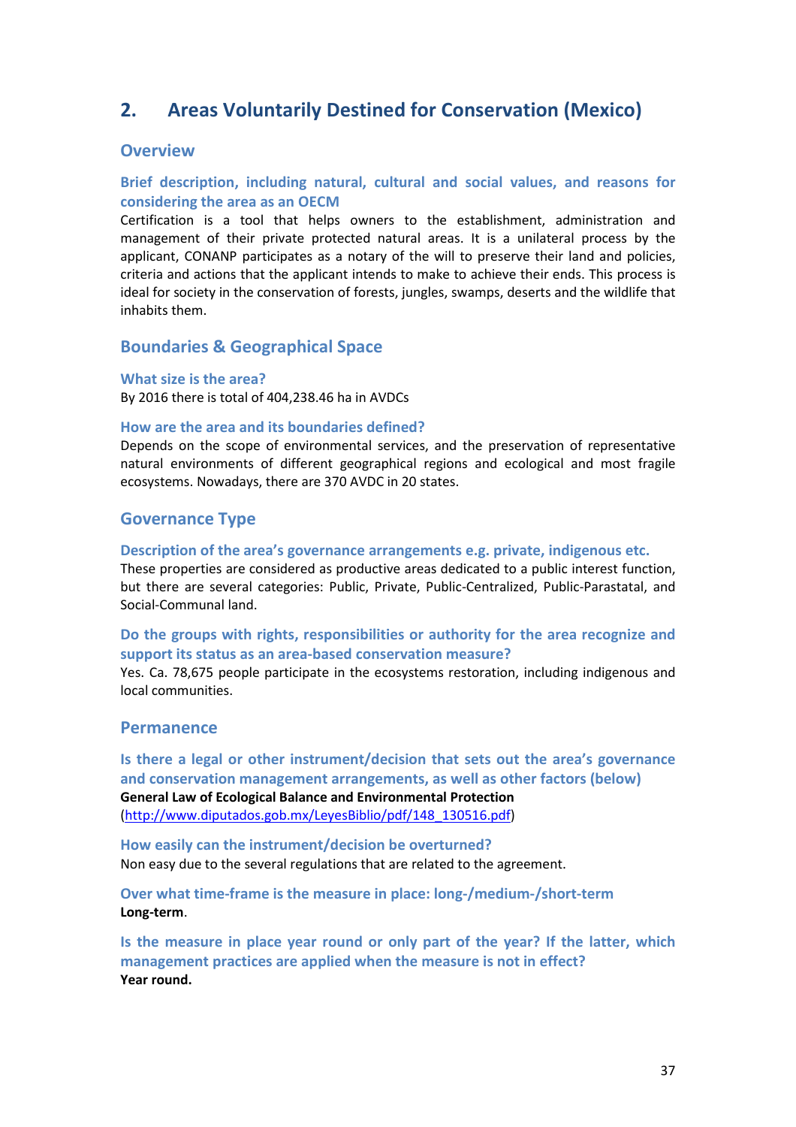# **2. Areas Voluntarily Destined for Conservation (Mexico)**

# **Overview**

# **Brief description, including natural, cultural and social values, and reasons for considering the area as an OECM**

Certification is a tool that helps owners to the establishment, administration and management of their private protected natural areas. It is a unilateral process by the applicant, CONANP participates as a notary of the will to preserve their land and policies, criteria and actions that the applicant intends to make to achieve their ends. This process is ideal for society in the conservation of forests, jungles, swamps, deserts and the wildlife that inhabits them.

# **Boundaries & Geographical Space**

#### **What size is the area?**

By 2016 there is total of 404,238.46 ha in AVDCs

### **How are the area and its boundaries defined?**

Depends on the scope of environmental services, and the preservation of representative natural environments of different geographical regions and ecological and most fragile ecosystems. Nowadays, there are 370 AVDC in 20 states.

# **Governance Type**

#### **Description of the area's governance arrangements e.g. private, indigenous etc.**

These properties are considered as productive areas dedicated to a public interest function, but there are several categories: Public, Private, Public-Centralized, Public-Parastatal, and Social-Communal land.

**Do the groups with rights, responsibilities or authority for the area recognize and support its status as an area-based conservation measure?** 

Yes. Ca. 78,675 people participate in the ecosystems restoration, including indigenous and local communities.

# **Permanence**

**Is there a legal or other instrument/decision that sets out the area's governance and conservation management arrangements, as well as other factors (below) General Law of Ecological Balance and Environmental Protection** [\(http://www.diputados.gob.mx/LeyesBiblio/pdf/148\\_130516.pdf\)](http://www.diputados.gob.mx/LeyesBiblio/pdf/148_130516.pdf)

**How easily can the instrument/decision be overturned?**  Non easy due to the several regulations that are related to the agreement.

**Over what time-frame is the measure in place: long-/medium-/short-term Long-term**.

**Is the measure in place year round or only part of the year? If the latter, which management practices are applied when the measure is not in effect? Year round.**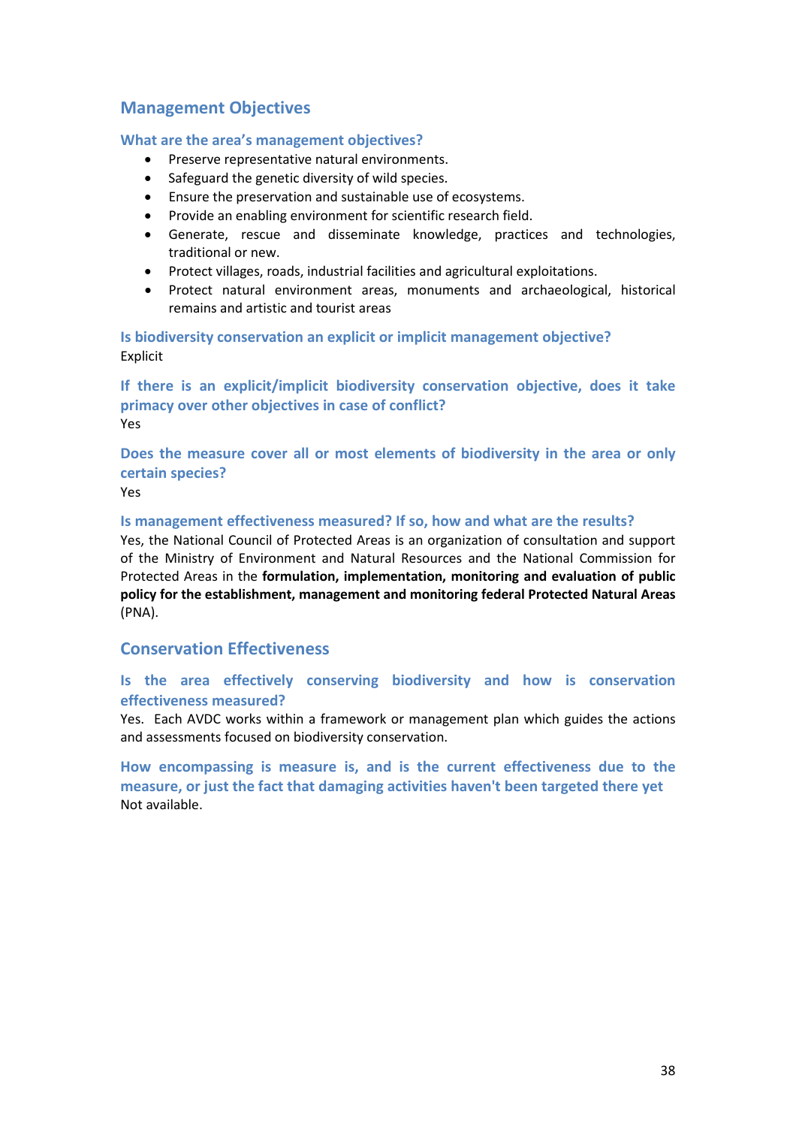# **Management Objectives**

### **What are the area's management objectives?**

- Preserve representative natural environments.
- Safeguard the genetic diversity of wild species.
- Ensure the preservation and sustainable use of ecosystems.
- Provide an enabling environment for scientific research field.
- Generate, rescue and disseminate knowledge, practices and technologies, traditional or new.
- Protect villages, roads, industrial facilities and agricultural exploitations.
- Protect natural environment areas, monuments and archaeological, historical remains and artistic and tourist areas

**Is biodiversity conservation an explicit or implicit management objective?**  Explicit

**If there is an explicit/implicit biodiversity conservation objective, does it take primacy over other objectives in case of conflict?**  Yes

**Does the measure cover all or most elements of biodiversity in the area or only certain species?**

Yes

#### **Is management effectiveness measured? If so, how and what are the results?**

Yes, the National Council of Protected Areas is an organization of consultation and support of the Ministry of Environment and Natural Resources and the National Commission for Protected Areas in the **formulation, implementation, monitoring and evaluation of public policy for the establishment, management and monitoring federal Protected Natural Areas** (PNA).

# **Conservation Effectiveness**

# **Is the area effectively conserving biodiversity and how is conservation effectiveness measured?**

Yes. Each AVDC works within a framework or management plan which guides the actions and assessments focused on biodiversity conservation.

**How encompassing is measure is, and is the current effectiveness due to the measure, or just the fact that damaging activities haven't been targeted there yet**  Not available.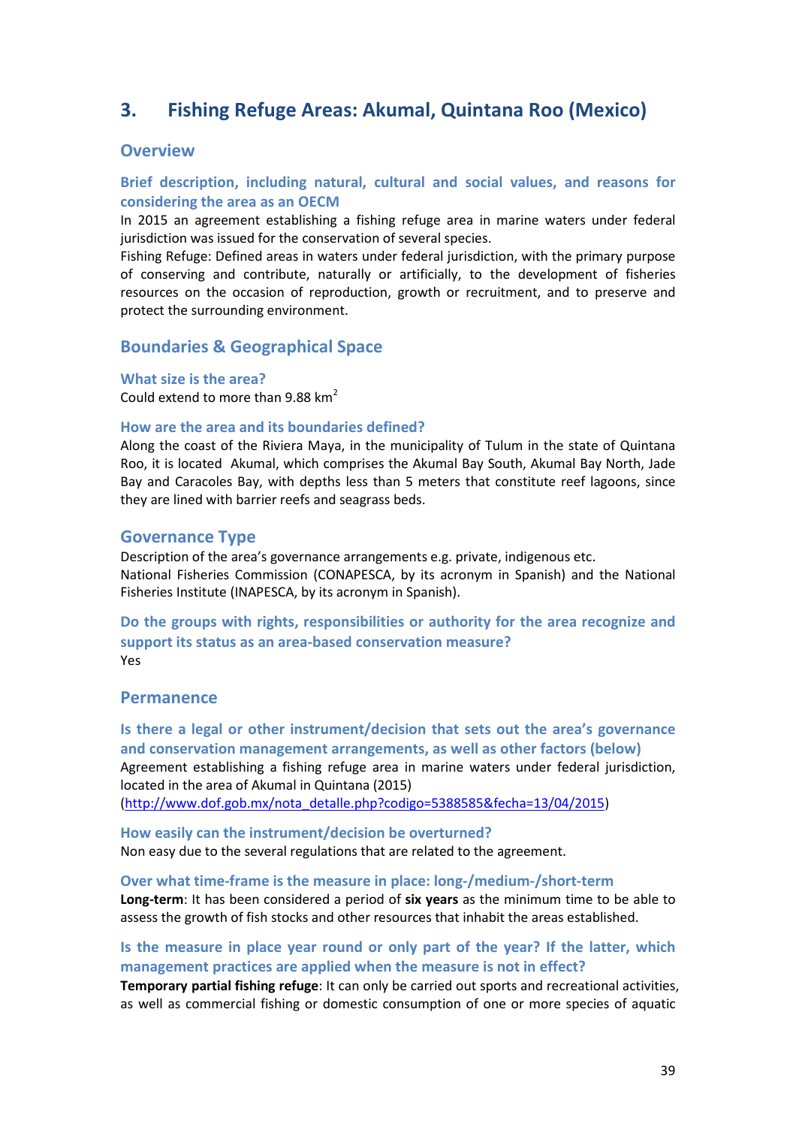# **3. Fishing Refuge Areas: Akumal, Quintana Roo (Mexico)**

# **Overview**

# **Brief description, including natural, cultural and social values, and reasons for considering the area as an OECM**

In 2015 an agreement establishing a fishing refuge area in marine waters under federal jurisdiction was issued for the conservation of several species.

Fishing Refuge: Defined areas in waters under federal jurisdiction, with the primary purpose of conserving and contribute, naturally or artificially, to the development of fisheries resources on the occasion of reproduction, growth or recruitment, and to preserve and protect the surrounding environment.

# **Boundaries & Geographical Space**

### **What size is the area?**

Could extend to more than 9.88  $km^2$ 

### **How are the area and its boundaries defined?**

Along the coast of the Riviera Maya, in the municipality of Tulum in the state of Quintana Roo, it is located Akumal, which comprises the Akumal Bay South, Akumal Bay North, Jade Bay and Caracoles Bay, with depths less than 5 meters that constitute reef lagoons, since they are lined with barrier reefs and seagrass beds.

### **Governance Type**

Description of the area's governance arrangements e.g. private, indigenous etc. National Fisheries Commission (CONAPESCA, by its acronym in Spanish) and the National Fisheries Institute (INAPESCA, by its acronym in Spanish).

**Do the groups with rights, responsibilities or authority for the area recognize and support its status as an area-based conservation measure?**  Yes

### **Permanence**

**Is there a legal or other instrument/decision that sets out the area's governance and conservation management arrangements, as well as other factors (below)** Agreement establishing a fishing refuge area in marine waters under federal jurisdiction, located in the area of Akumal in Quintana (2015) [\(http://www.dof.gob.mx/nota\\_detalle.php?codigo=5388585&fecha=13/04/2015\)](http://www.dof.gob.mx/nota_detalle.php?codigo=5388585&fecha=13/04/2015)

**How easily can the instrument/decision be overturned?**  Non easy due to the several regulations that are related to the agreement.

#### **Over what time-frame is the measure in place: long-/medium-/short-term**

**Long-term**: It has been considered a period of **six years** as the minimum time to be able to assess the growth of fish stocks and other resources that inhabit the areas established.

# **Is the measure in place year round or only part of the year? If the latter, which management practices are applied when the measure is not in effect?**

**Temporary partial fishing refuge**: It can only be carried out sports and recreational activities, as well as commercial fishing or domestic consumption of one or more species of aquatic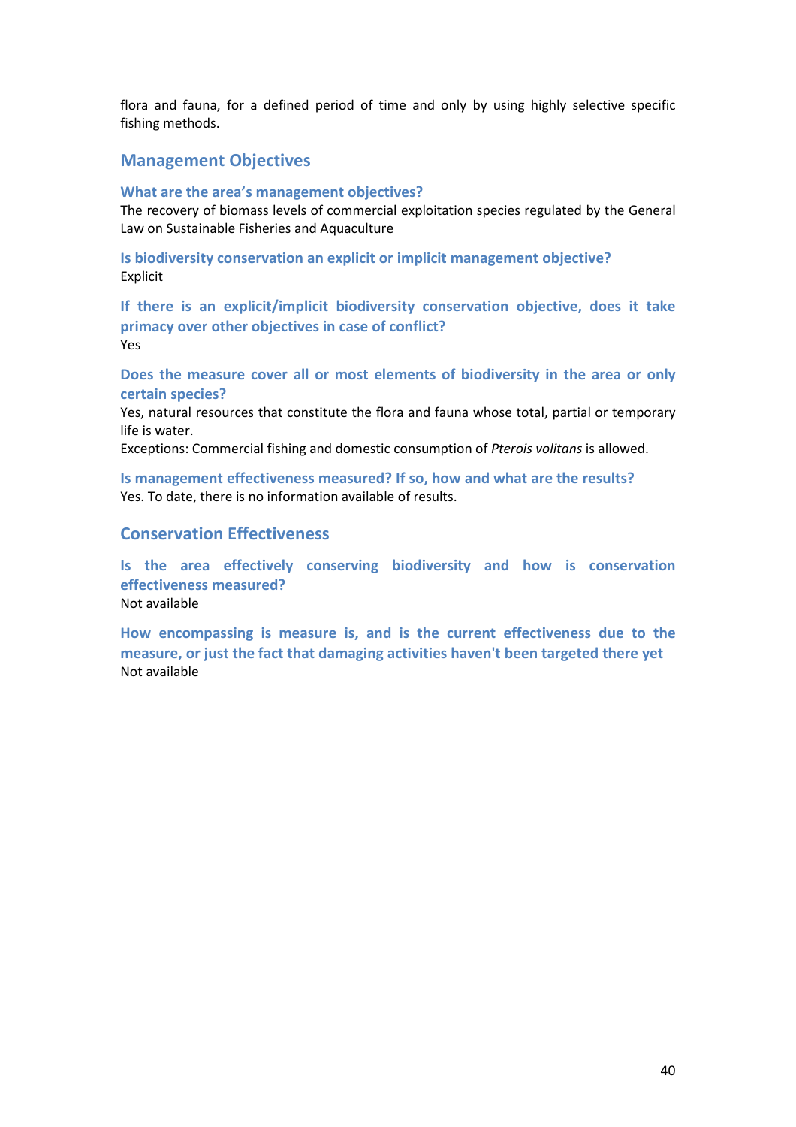flora and fauna, for a defined period of time and only by using highly selective specific fishing methods.

# **Management Objectives**

#### **What are the area's management objectives?**

The recovery of biomass levels of commercial exploitation species regulated by the General Law on Sustainable Fisheries and Aquaculture

**Is biodiversity conservation an explicit or implicit management objective?**  Explicit

**If there is an explicit/implicit biodiversity conservation objective, does it take primacy over other objectives in case of conflict?**  Yes

**Does the measure cover all or most elements of biodiversity in the area or only certain species?**

Yes, natural resources that constitute the flora and fauna whose total, partial or temporary life is water.

Exceptions: Commercial fishing and domestic consumption of *Pterois volitans* is allowed.

**Is management effectiveness measured? If so, how and what are the results?**  Yes. To date, there is no information available of results.

# **Conservation Effectiveness**

Not available

**Is the area effectively conserving biodiversity and how is conservation effectiveness measured?** Not available

**How encompassing is measure is, and is the current effectiveness due to the measure, or just the fact that damaging activities haven't been targeted there yet**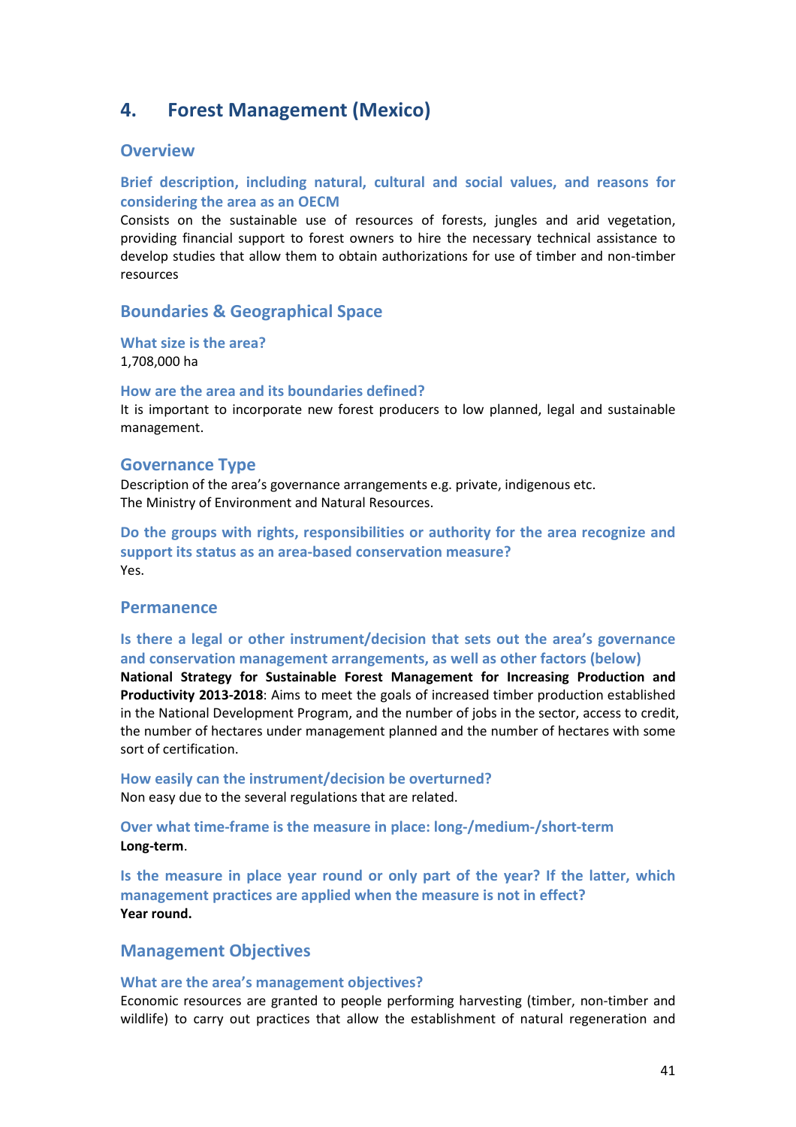# **4. Forest Management (Mexico)**

### **Overview**

## **Brief description, including natural, cultural and social values, and reasons for considering the area as an OECM**

Consists on the sustainable use of resources of forests, jungles and arid vegetation, providing financial support to forest owners to hire the necessary technical assistance to develop studies that allow them to obtain authorizations for use of timber and non-timber resources

# **Boundaries & Geographical Space**

# **What size is the area?**

1,708,000 ha

#### **How are the area and its boundaries defined?**

It is important to incorporate new forest producers to low planned, legal and sustainable management.

#### **Governance Type**

Description of the area's governance arrangements e.g. private, indigenous etc. The Ministry of Environment and Natural Resources.

**Do the groups with rights, responsibilities or authority for the area recognize and support its status as an area-based conservation measure?**  Yes.

# **Permanence**

**Is there a legal or other instrument/decision that sets out the area's governance and conservation management arrangements, as well as other factors (below)**

**National Strategy for Sustainable Forest Management for Increasing Production and Productivity 2013-2018**: Aims to meet the goals of increased timber production established in the National Development Program, and the number of jobs in the sector, access to credit, the number of hectares under management planned and the number of hectares with some sort of certification.

**How easily can the instrument/decision be overturned?**  Non easy due to the several regulations that are related.

**Over what time-frame is the measure in place: long-/medium-/short-term Long-term**.

**Is the measure in place year round or only part of the year? If the latter, which management practices are applied when the measure is not in effect? Year round.** 

# **Management Objectives**

#### **What are the area's management objectives?**

Economic resources are granted to people performing harvesting (timber, non-timber and wildlife) to carry out practices that allow the establishment of natural regeneration and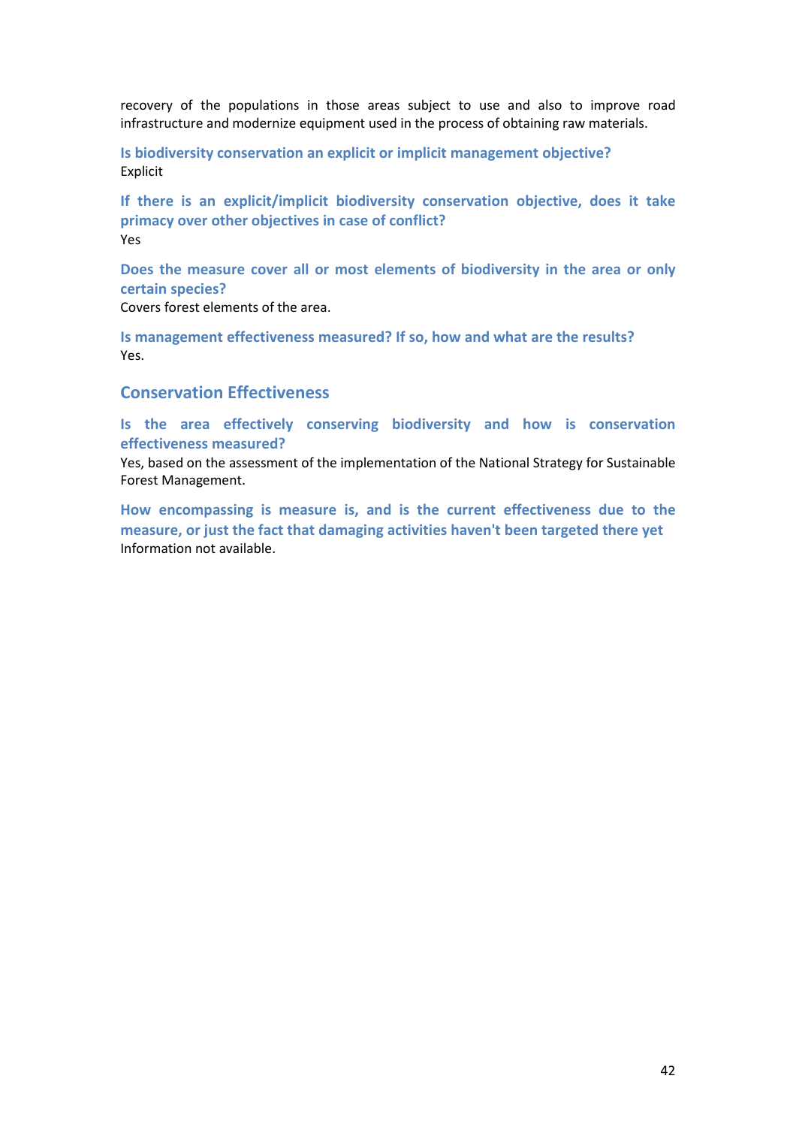recovery of the populations in those areas subject to use and also to improve road infrastructure and modernize equipment used in the process of obtaining raw materials.

**Is biodiversity conservation an explicit or implicit management objective?**  Explicit

**If there is an explicit/implicit biodiversity conservation objective, does it take primacy over other objectives in case of conflict?**  Yes

**Does the measure cover all or most elements of biodiversity in the area or only certain species?**

Covers forest elements of the area.

**Is management effectiveness measured? If so, how and what are the results?**  Yes.

# **Conservation Effectiveness**

**Is the area effectively conserving biodiversity and how is conservation effectiveness measured?**

Yes, based on the assessment of the implementation of the National Strategy for Sustainable Forest Management.

**How encompassing is measure is, and is the current effectiveness due to the measure, or just the fact that damaging activities haven't been targeted there yet**  Information not available.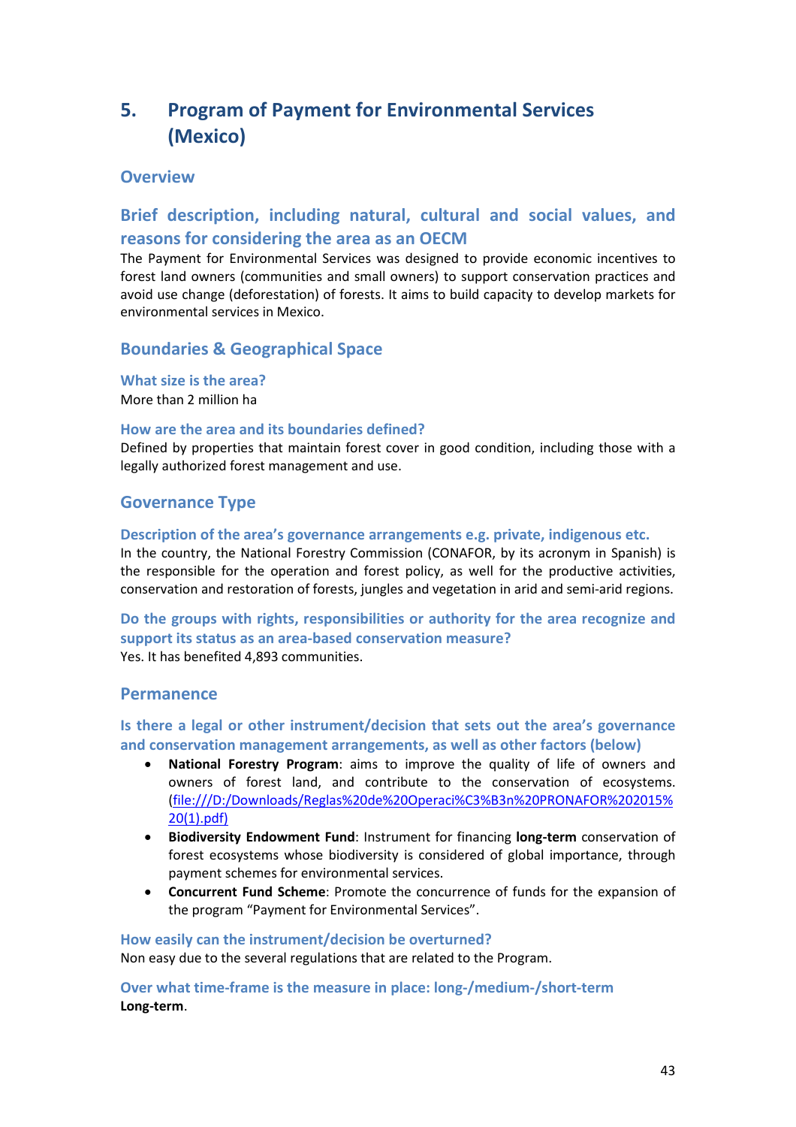# **5. Program of Payment for Environmental Services (Mexico)**

# **Overview**

# **Brief description, including natural, cultural and social values, and reasons for considering the area as an OECM**

The Payment for Environmental Services was designed to provide economic incentives to forest land owners (communities and small owners) to support conservation practices and avoid use change (deforestation) of forests. It aims to build capacity to develop markets for environmental services in Mexico.

# **Boundaries & Geographical Space**

**What size is the area?** More than 2 million ha

### **How are the area and its boundaries defined?**

Defined by properties that maintain forest cover in good condition, including those with a legally authorized forest management and use.

# **Governance Type**

### **Description of the area's governance arrangements e.g. private, indigenous etc.**

In the country, the National Forestry Commission (CONAFOR, by its acronym in Spanish) is the responsible for the operation and forest policy, as well for the productive activities, conservation and restoration of forests, jungles and vegetation in arid and semi-arid regions.

**Do the groups with rights, responsibilities or authority for the area recognize and support its status as an area-based conservation measure?**  Yes. It has benefited 4,893 communities.

# **Permanence**

**Is there a legal or other instrument/decision that sets out the area's governance and conservation management arrangements, as well as other factors (below)**

- **National Forestry Program**: aims to improve the quality of life of owners and owners of forest land, and contribute to the conservation of ecosystems. (file:///D:/Downloads/Reglas%20de%20Operaci%C3%B3n%20PRONAFOR%202015% 20(1).pdf)
- **Biodiversity Endowment Fund**: Instrument for financing **long-term** conservation of forest ecosystems whose biodiversity is considered of global importance, through payment schemes for environmental services.
- **Concurrent Fund Scheme**: Promote the concurrence of funds for the expansion of the program "Payment for Environmental Services".

### **How easily can the instrument/decision be overturned?**

Non easy due to the several regulations that are related to the Program.

**Over what time-frame is the measure in place: long-/medium-/short-term Long-term**.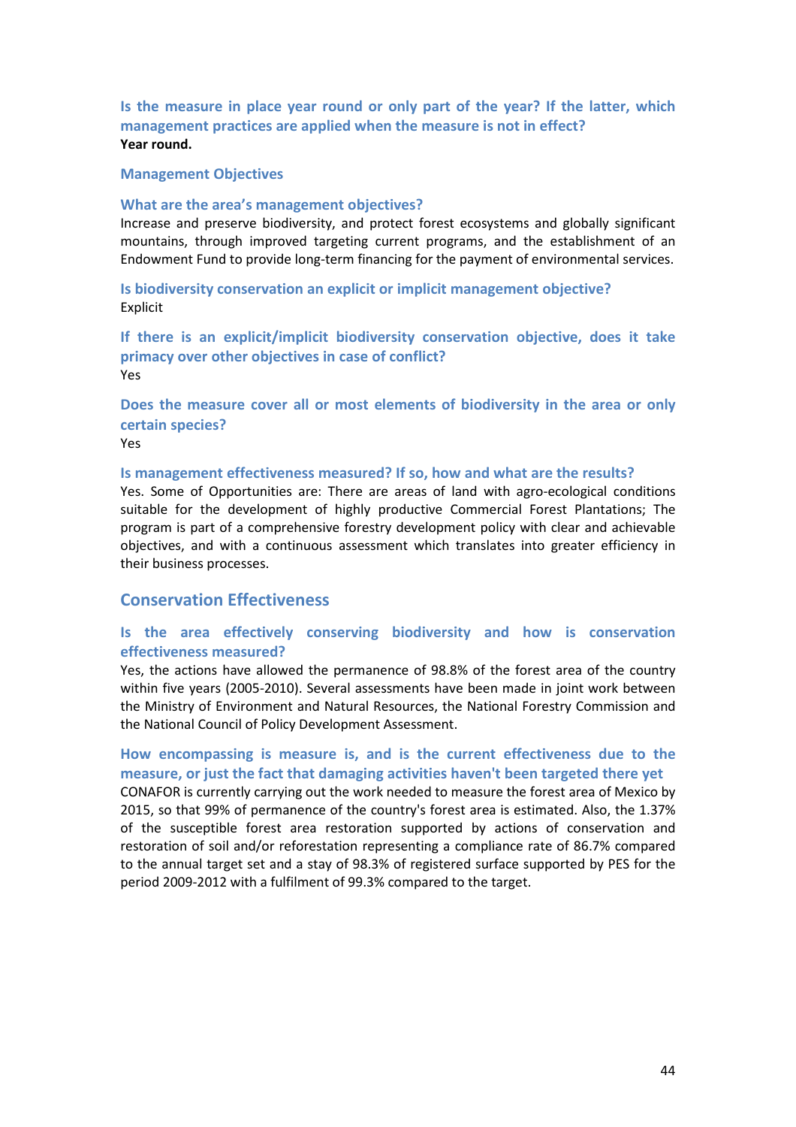**Is the measure in place year round or only part of the year? If the latter, which management practices are applied when the measure is not in effect? Year round.** 

#### **Management Objectives**

#### **What are the area's management objectives?**

Increase and preserve biodiversity, and protect forest ecosystems and globally significant mountains, through improved targeting current programs, and the establishment of an Endowment Fund to provide long-term financing for the payment of environmental services.

**Is biodiversity conservation an explicit or implicit management objective?**  Explicit

**If there is an explicit/implicit biodiversity conservation objective, does it take primacy over other objectives in case of conflict?**  Yes

**Does the measure cover all or most elements of biodiversity in the area or only certain species?**

Yes

#### **Is management effectiveness measured? If so, how and what are the results?**

Yes. Some of Opportunities are: There are areas of land with agro-ecological conditions suitable for the development of highly productive Commercial Forest Plantations; The program is part of a comprehensive forestry development policy with clear and achievable objectives, and with a continuous assessment which translates into greater efficiency in their business processes.

### **Conservation Effectiveness**

## **Is the area effectively conserving biodiversity and how is conservation effectiveness measured?**

Yes, the actions have allowed the permanence of 98.8% of the forest area of the country within five years (2005-2010). Several assessments have been made in joint work between the Ministry of Environment and Natural Resources, the National Forestry Commission and the National Council of Policy Development Assessment.

# **How encompassing is measure is, and is the current effectiveness due to the measure, or just the fact that damaging activities haven't been targeted there yet**

CONAFOR is currently carrying out the work needed to measure the forest area of Mexico by 2015, so that 99% of permanence of the country's forest area is estimated. Also, the 1.37% of the susceptible forest area restoration supported by actions of conservation and restoration of soil and/or reforestation representing a compliance rate of 86.7% compared to the annual target set and a stay of 98.3% of registered surface supported by PES for the period 2009-2012 with a fulfilment of 99.3% compared to the target.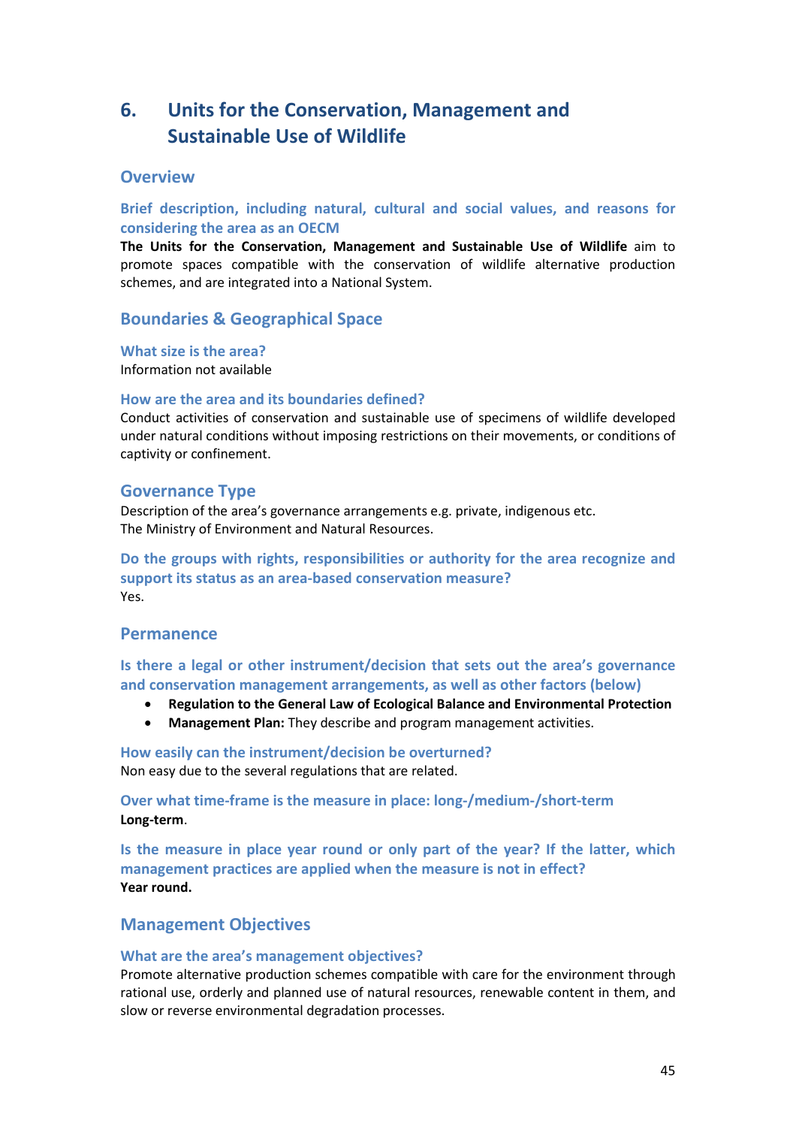# **6. Units for the Conservation, Management and Sustainable Use of Wildlife**

# **Overview**

**Brief description, including natural, cultural and social values, and reasons for considering the area as an OECM** 

**The Units for the Conservation, Management and Sustainable Use of Wildlife** aim to promote spaces compatible with the conservation of wildlife alternative production schemes, and are integrated into a National System.

# **Boundaries & Geographical Space**

**What size is the area?**

Information not available

### **How are the area and its boundaries defined?**

Conduct activities of conservation and sustainable use of specimens of wildlife developed under natural conditions without imposing restrictions on their movements, or conditions of captivity or confinement.

# **Governance Type**

Description of the area's governance arrangements e.g. private, indigenous etc. The Ministry of Environment and Natural Resources.

**Do the groups with rights, responsibilities or authority for the area recognize and support its status as an area-based conservation measure?**  Yes.

# **Permanence**

**Is there a legal or other instrument/decision that sets out the area's governance and conservation management arrangements, as well as other factors (below)**

- **Regulation to the General Law of Ecological Balance and Environmental Protection**
- **Management Plan:** They describe and program management activities.

**How easily can the instrument/decision be overturned?**  Non easy due to the several regulations that are related.

**Over what time-frame is the measure in place: long-/medium-/short-term Long-term**.

**Is the measure in place year round or only part of the year? If the latter, which management practices are applied when the measure is not in effect? Year round.** 

# **Management Objectives**

### **What are the area's management objectives?**

Promote alternative production schemes compatible with care for the environment through rational use, orderly and planned use of natural resources, renewable content in them, and slow or reverse environmental degradation processes.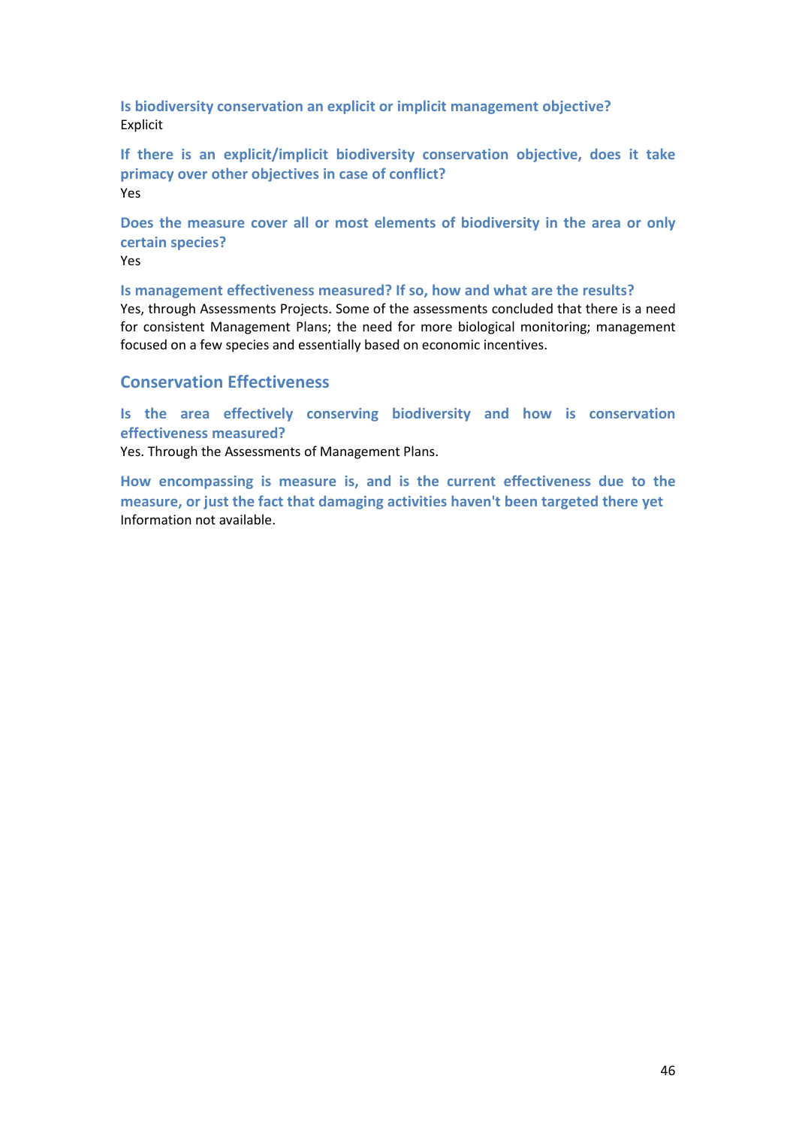**Is biodiversity conservation an explicit or implicit management objective?**  Explicit

**If there is an explicit/implicit biodiversity conservation objective, does it take primacy over other objectives in case of conflict?**  Yes

**Does the measure cover all or most elements of biodiversity in the area or only certain species?**

Yes

**Is management effectiveness measured? If so, how and what are the results?** 

Yes, through Assessments Projects. Some of the assessments concluded that there is a need for consistent Management Plans; the need for more biological monitoring; management focused on a few species and essentially based on economic incentives.

# **Conservation Effectiveness**

**Is the area effectively conserving biodiversity and how is conservation effectiveness measured?**

Yes. Through the Assessments of Management Plans.

**How encompassing is measure is, and is the current effectiveness due to the measure, or just the fact that damaging activities haven't been targeted there yet**  Information not available.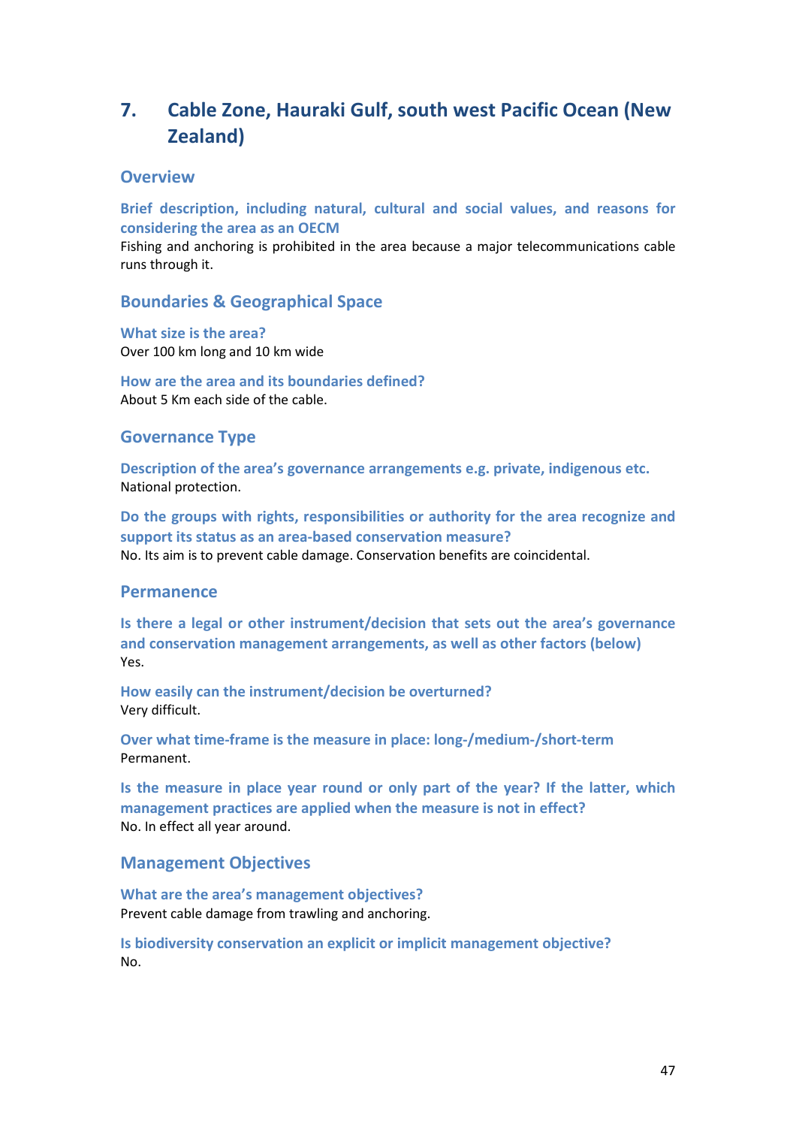# **7. Cable Zone, Hauraki Gulf, south west Pacific Ocean (New Zealand)**

# **Overview**

**Brief description, including natural, cultural and social values, and reasons for considering the area as an OECM** 

Fishing and anchoring is prohibited in the area because a major telecommunications cable runs through it.

### **Boundaries & Geographical Space**

**What size is the area?** Over 100 km long and 10 km wide

**How are the area and its boundaries defined?**  About 5 Km each side of the cable.

### **Governance Type**

**Description of the area's governance arrangements e.g. private, indigenous etc.** National protection.

**Do the groups with rights, responsibilities or authority for the area recognize and support its status as an area-based conservation measure?**  No. Its aim is to prevent cable damage. Conservation benefits are coincidental.

### **Permanence**

**Is there a legal or other instrument/decision that sets out the area's governance and conservation management arrangements, as well as other factors (below)** Yes.

**How easily can the instrument/decision be overturned?**  Very difficult.

**Over what time-frame is the measure in place: long-/medium-/short-term** Permanent.

**Is the measure in place year round or only part of the year? If the latter, which management practices are applied when the measure is not in effect?** No. In effect all year around.

### **Management Objectives**

**What are the area's management objectives?**  Prevent cable damage from trawling and anchoring.

**Is biodiversity conservation an explicit or implicit management objective?**  No.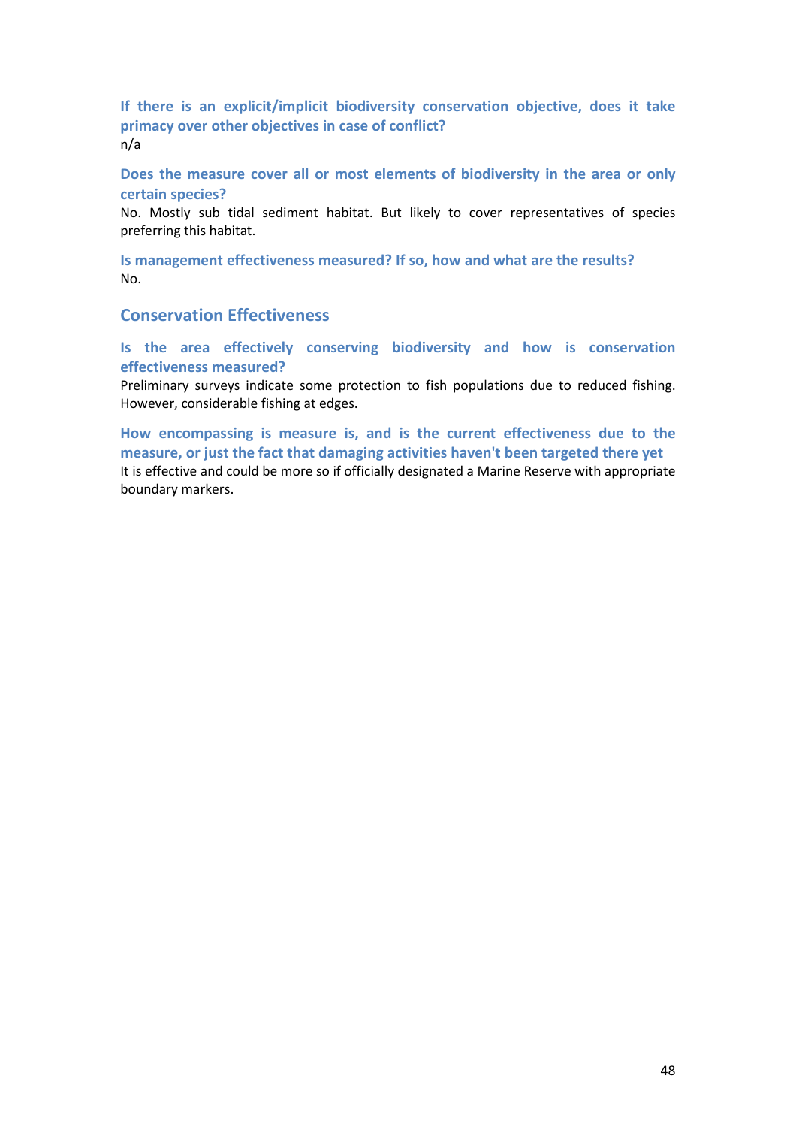**If there is an explicit/implicit biodiversity conservation objective, does it take primacy over other objectives in case of conflict?**  n/a

**Does the measure cover all or most elements of biodiversity in the area or only certain species?**

No. Mostly sub tidal sediment habitat. But likely to cover representatives of species preferring this habitat.

**Is management effectiveness measured? If so, how and what are the results?**  No.

# **Conservation Effectiveness**

**Is the area effectively conserving biodiversity and how is conservation effectiveness measured?**

Preliminary surveys indicate some protection to fish populations due to reduced fishing. However, considerable fishing at edges.

**How encompassing is measure is, and is the current effectiveness due to the measure, or just the fact that damaging activities haven't been targeted there yet**  It is effective and could be more so if officially designated a Marine Reserve with appropriate boundary markers.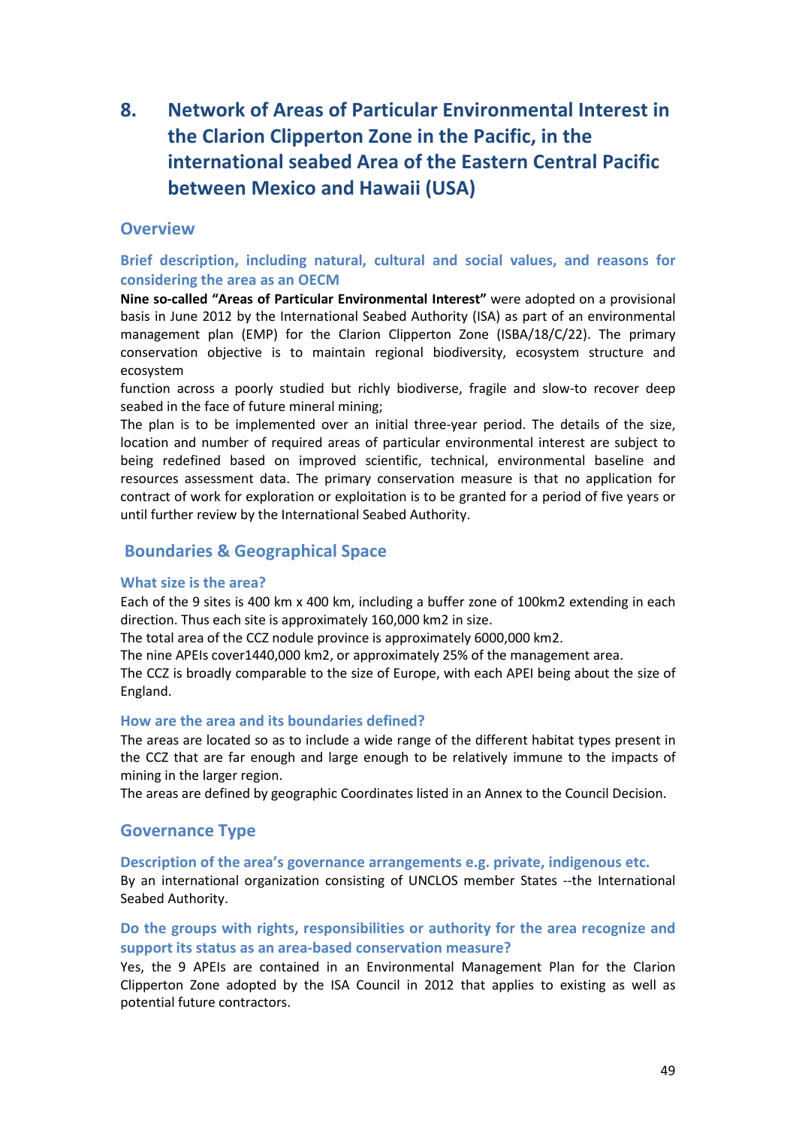# **8. Network of Areas of Particular Environmental Interest in the Clarion Clipperton Zone in the Pacific, in the international seabed Area of the Eastern Central Pacific between Mexico and Hawaii (USA)**

# **Overview**

**Brief description, including natural, cultural and social values, and reasons for considering the area as an OECM** 

**Nine so-called "Areas of Particular Environmental Interest"** were adopted on a provisional basis in June 2012 by the International Seabed Authority (ISA) as part of an environmental management plan (EMP) for the Clarion Clipperton Zone (ISBA/18/C/22). The primary conservation objective is to maintain regional biodiversity, ecosystem structure and ecosystem

function across a poorly studied but richly biodiverse, fragile and slow-to recover deep seabed in the face of future mineral mining;

The plan is to be implemented over an initial three-year period. The details of the size, location and number of required areas of particular environmental interest are subject to being redefined based on improved scientific, technical, environmental baseline and resources assessment data. The primary conservation measure is that no application for contract of work for exploration or exploitation is to be granted for a period of five years or until further review by the International Seabed Authority.

# **Boundaries & Geographical Space**

### **What size is the area?**

Each of the 9 sites is 400 km x 400 km, including a buffer zone of 100km2 extending in each direction. Thus each site is approximately 160,000 km2 in size.

The total area of the CCZ nodule province is approximately 6000,000 km2.

The nine APEIs cover1440,000 km2, or approximately 25% of the management area.

The CCZ is broadly comparable to the size of Europe, with each APEI being about the size of England.

#### **How are the area and its boundaries defined?**

The areas are located so as to include a wide range of the different habitat types present in the CCZ that are far enough and large enough to be relatively immune to the impacts of mining in the larger region.

The areas are defined by geographic Coordinates listed in an Annex to the Council Decision.

# **Governance Type**

**Description of the area's governance arrangements e.g. private, indigenous etc.**

By an international organization consisting of UNCLOS member States --the International Seabed Authority.

# **Do the groups with rights, responsibilities or authority for the area recognize and support its status as an area-based conservation measure?**

Yes, the 9 APEIs are contained in an Environmental Management Plan for the Clarion Clipperton Zone adopted by the ISA Council in 2012 that applies to existing as well as potential future contractors.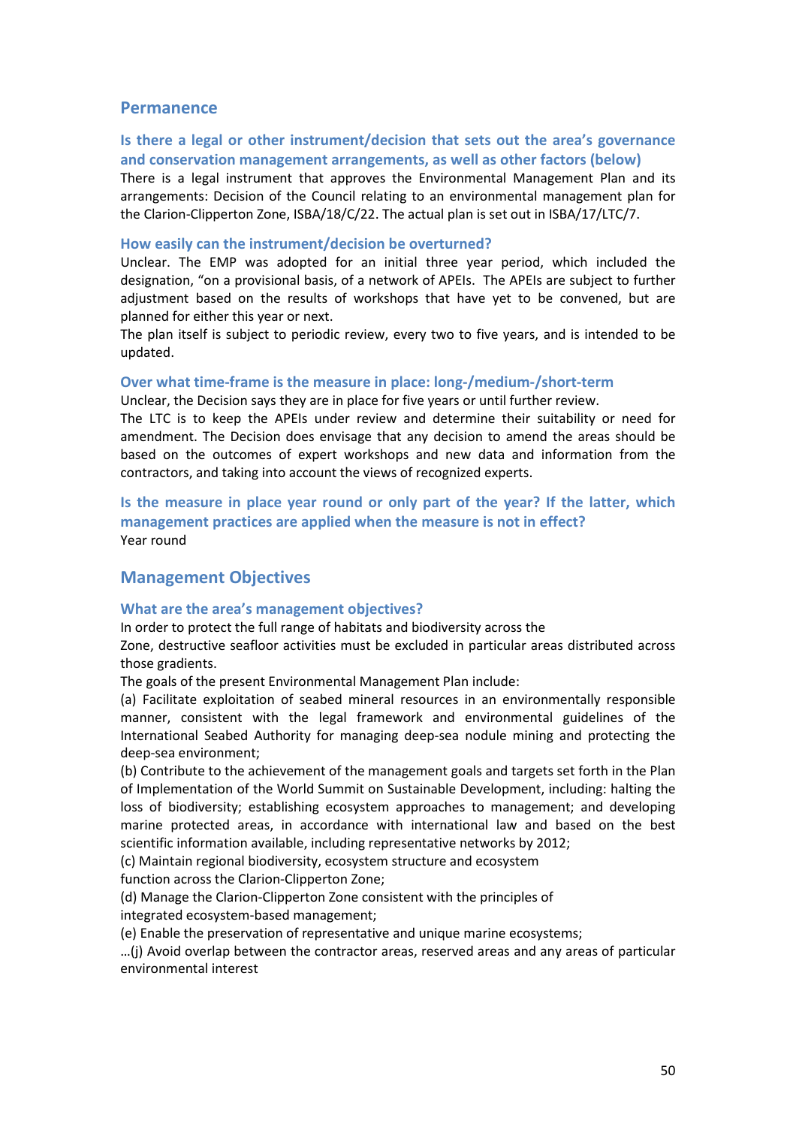### **Permanence**

### **Is there a legal or other instrument/decision that sets out the area's governance and conservation management arrangements, as well as other factors (below)**

There is a legal instrument that approves the Environmental Management Plan and its arrangements: Decision of the Council relating to an environmental management plan for the Clarion-Clipperton Zone, ISBA/18/C/22. The actual plan is set out in ISBA/17/LTC/7.

#### **How easily can the instrument/decision be overturned?**

Unclear. The EMP was adopted for an initial three year period, which included the designation, "on a provisional basis, of a network of APEIs. The APEIs are subject to further adjustment based on the results of workshops that have yet to be convened, but are planned for either this year or next.

The plan itself is subject to periodic review, every two to five years, and is intended to be updated.

#### **Over what time-frame is the measure in place: long-/medium-/short-term**

Unclear, the Decision says they are in place for five years or until further review.

The LTC is to keep the APEIs under review and determine their suitability or need for amendment. The Decision does envisage that any decision to amend the areas should be based on the outcomes of expert workshops and new data and information from the contractors, and taking into account the views of recognized experts.

**Is the measure in place year round or only part of the year? If the latter, which management practices are applied when the measure is not in effect?** Year round

# **Management Objectives**

#### **What are the area's management objectives?**

In order to protect the full range of habitats and biodiversity across the

Zone, destructive seafloor activities must be excluded in particular areas distributed across those gradients.

The goals of the present Environmental Management Plan include:

(a) Facilitate exploitation of seabed mineral resources in an environmentally responsible manner, consistent with the legal framework and environmental guidelines of the International Seabed Authority for managing deep-sea nodule mining and protecting the deep-sea environment;

(b) Contribute to the achievement of the management goals and targets set forth in the Plan of Implementation of the World Summit on Sustainable Development, including: halting the loss of biodiversity; establishing ecosystem approaches to management; and developing marine protected areas, in accordance with international law and based on the best scientific information available, including representative networks by 2012;

(c) Maintain regional biodiversity, ecosystem structure and ecosystem

function across the Clarion-Clipperton Zone;

(d) Manage the Clarion-Clipperton Zone consistent with the principles of integrated ecosystem-based management;

(e) Enable the preservation of representative and unique marine ecosystems;

…(j) Avoid overlap between the contractor areas, reserved areas and any areas of particular environmental interest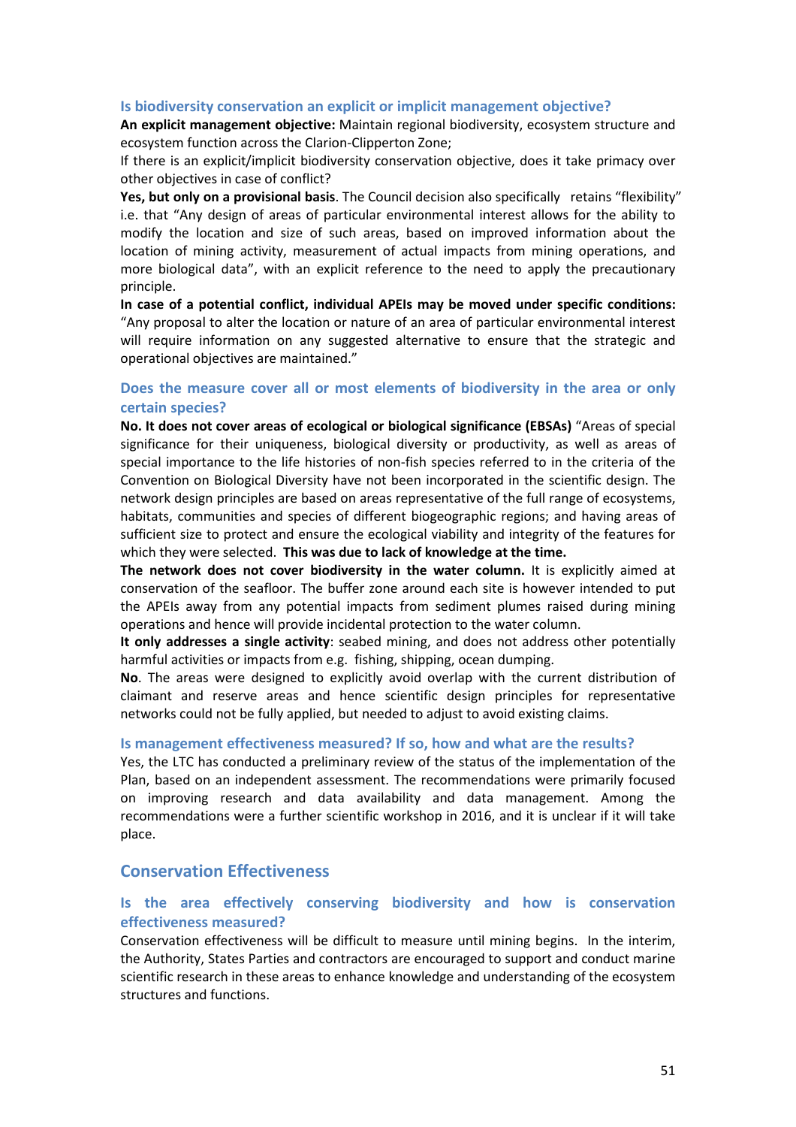#### **Is biodiversity conservation an explicit or implicit management objective?**

**An explicit management objective:** Maintain regional biodiversity, ecosystem structure and ecosystem function across the Clarion-Clipperton Zone;

If there is an explicit/implicit biodiversity conservation objective, does it take primacy over other objectives in case of conflict?

**Yes, but only on a provisional basis**. The Council decision also specifically retains "flexibility" i.e. that "Any design of areas of particular environmental interest allows for the ability to modify the location and size of such areas, based on improved information about the location of mining activity, measurement of actual impacts from mining operations, and more biological data", with an explicit reference to the need to apply the precautionary principle.

**In case of a potential conflict, individual APEIs may be moved under specific conditions:** "Any proposal to alter the location or nature of an area of particular environmental interest will require information on any suggested alternative to ensure that the strategic and operational objectives are maintained."

# **Does the measure cover all or most elements of biodiversity in the area or only certain species?**

**No. It does not cover areas of ecological or biological significance (EBSAs)** "Areas of special significance for their uniqueness, biological diversity or productivity, as well as areas of special importance to the life histories of non-fish species referred to in the criteria of the Convention on Biological Diversity have not been incorporated in the scientific design. The network design principles are based on areas representative of the full range of ecosystems, habitats, communities and species of different biogeographic regions; and having areas of sufficient size to protect and ensure the ecological viability and integrity of the features for which they were selected. **This was due to lack of knowledge at the time.**

**The network does not cover biodiversity in the water column.** It is explicitly aimed at conservation of the seafloor. The buffer zone around each site is however intended to put the APEIs away from any potential impacts from sediment plumes raised during mining operations and hence will provide incidental protection to the water column.

**It only addresses a single activity**: seabed mining, and does not address other potentially harmful activities or impacts from e.g. fishing, shipping, ocean dumping.

**No**. The areas were designed to explicitly avoid overlap with the current distribution of claimant and reserve areas and hence scientific design principles for representative networks could not be fully applied, but needed to adjust to avoid existing claims.

#### **Is management effectiveness measured? If so, how and what are the results?**

Yes, the LTC has conducted a preliminary review of the status of the implementation of the Plan, based on an independent assessment. The recommendations were primarily focused on improving research and data availability and data management. Among the recommendations were a further scientific workshop in 2016, and it is unclear if it will take place.

# **Conservation Effectiveness**

## **Is the area effectively conserving biodiversity and how is conservation effectiveness measured?**

Conservation effectiveness will be difficult to measure until mining begins. In the interim, the Authority, States Parties and contractors are encouraged to support and conduct marine scientific research in these areas to enhance knowledge and understanding of the ecosystem structures and functions.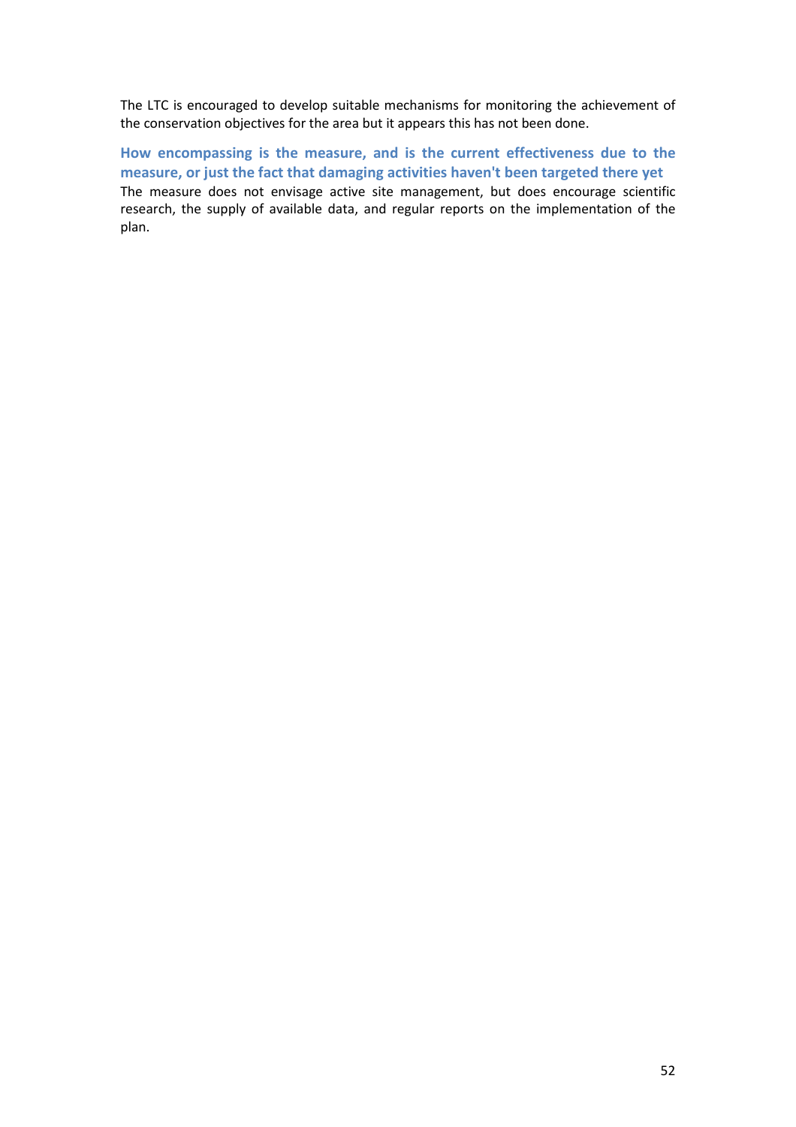The LTC is encouraged to develop suitable mechanisms for monitoring the achievement of the conservation objectives for the area but it appears this has not been done.

**How encompassing is the measure, and is the current effectiveness due to the measure, or just the fact that damaging activities haven't been targeted there yet**  The measure does not envisage active site management, but does encourage scientific research, the supply of available data, and regular reports on the implementation of the plan.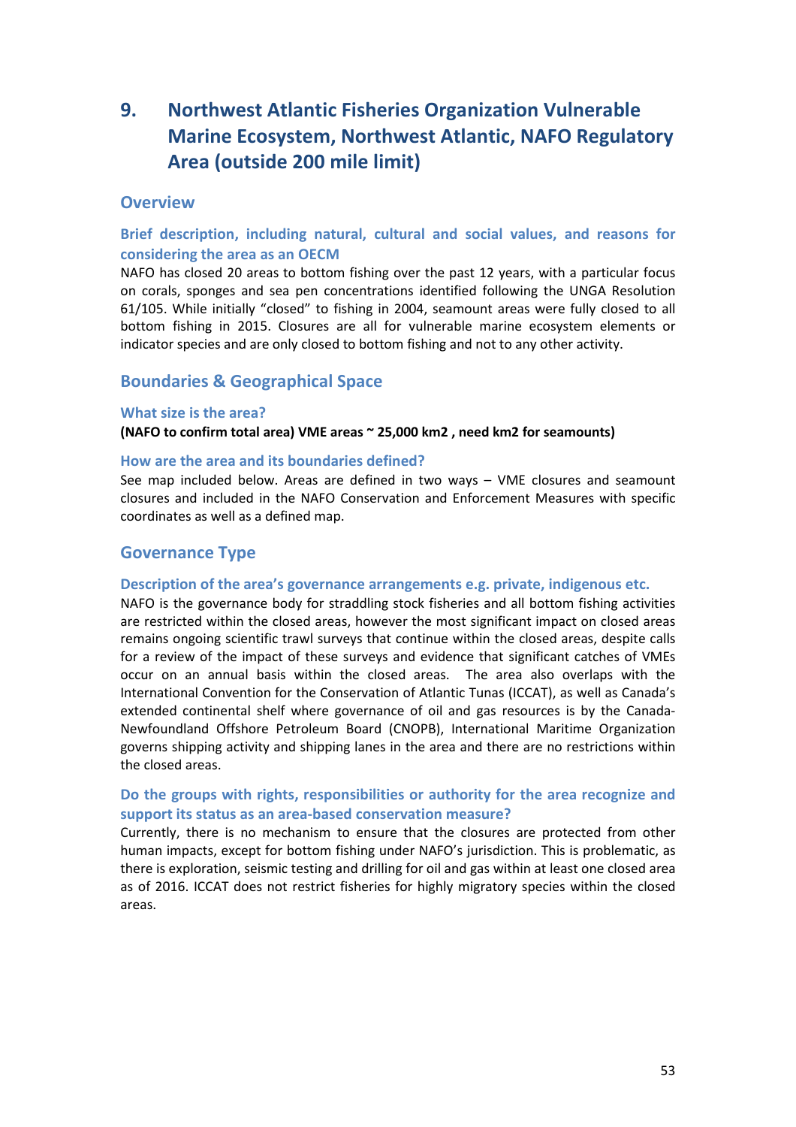# **9. Northwest Atlantic Fisheries Organization Vulnerable Marine Ecosystem, Northwest Atlantic, NAFO Regulatory Area (outside 200 mile limit)**

# **Overview**

# **Brief description, including natural, cultural and social values, and reasons for considering the area as an OECM**

NAFO has closed 20 areas to bottom fishing over the past 12 years, with a particular focus on corals, sponges and sea pen concentrations identified following the UNGA Resolution 61/105. While initially "closed" to fishing in 2004, seamount areas were fully closed to all bottom fishing in 2015. Closures are all for vulnerable marine ecosystem elements or indicator species and are only closed to bottom fishing and not to any other activity.

# **Boundaries & Geographical Space**

#### **What size is the area?**

**(NAFO to confirm total area) VME areas ~ 25,000 km2 , need km2 for seamounts)**

#### **How are the area and its boundaries defined?**

See map included below. Areas are defined in two ways – VME closures and seamount closures and included in the NAFO Conservation and Enforcement Measures with specific coordinates as well as a defined map.

# **Governance Type**

#### **Description of the area's governance arrangements e.g. private, indigenous etc.**

NAFO is the governance body for straddling stock fisheries and all bottom fishing activities are restricted within the closed areas, however the most significant impact on closed areas remains ongoing scientific trawl surveys that continue within the closed areas, despite calls for a review of the impact of these surveys and evidence that significant catches of VMEs occur on an annual basis within the closed areas. The area also overlaps with the International Convention for the Conservation of Atlantic Tunas (ICCAT), as well as Canada's extended continental shelf where governance of oil and gas resources is by the Canada-Newfoundland Offshore Petroleum Board (CNOPB), International Maritime Organization governs shipping activity and shipping lanes in the area and there are no restrictions within the closed areas.

# **Do the groups with rights, responsibilities or authority for the area recognize and support its status as an area-based conservation measure?**

Currently, there is no mechanism to ensure that the closures are protected from other human impacts, except for bottom fishing under NAFO's jurisdiction. This is problematic, as there is exploration, seismic testing and drilling for oil and gas within at least one closed area as of 2016. ICCAT does not restrict fisheries for highly migratory species within the closed areas.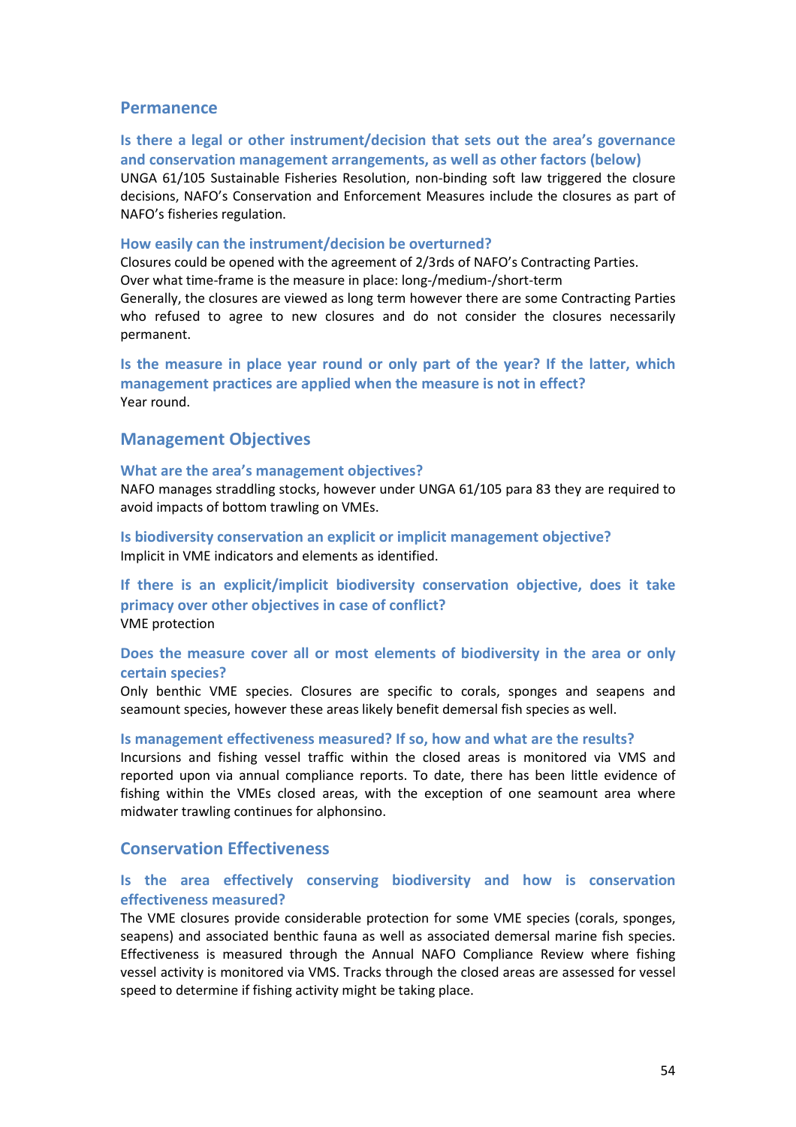### **Permanence**

## **Is there a legal or other instrument/decision that sets out the area's governance and conservation management arrangements, as well as other factors (below)**

UNGA 61/105 Sustainable Fisheries Resolution, non-binding soft law triggered the closure decisions, NAFO's Conservation and Enforcement Measures include the closures as part of NAFO's fisheries regulation.

#### **How easily can the instrument/decision be overturned?**

Closures could be opened with the agreement of 2/3rds of NAFO's Contracting Parties. Over what time-frame is the measure in place: long-/medium-/short-term Generally, the closures are viewed as long term however there are some Contracting Parties who refused to agree to new closures and do not consider the closures necessarily permanent.

**Is the measure in place year round or only part of the year? If the latter, which management practices are applied when the measure is not in effect?** Year round.

## **Management Objectives**

#### **What are the area's management objectives?**

NAFO manages straddling stocks, however under UNGA 61/105 para 83 they are required to avoid impacts of bottom trawling on VMEs.

**Is biodiversity conservation an explicit or implicit management objective?**  Implicit in VME indicators and elements as identified.

**If there is an explicit/implicit biodiversity conservation objective, does it take primacy over other objectives in case of conflict?**  VME protection

# **Does the measure cover all or most elements of biodiversity in the area or only certain species?**

Only benthic VME species. Closures are specific to corals, sponges and seapens and seamount species, however these areas likely benefit demersal fish species as well.

#### **Is management effectiveness measured? If so, how and what are the results?**

Incursions and fishing vessel traffic within the closed areas is monitored via VMS and reported upon via annual compliance reports. To date, there has been little evidence of fishing within the VMEs closed areas, with the exception of one seamount area where midwater trawling continues for alphonsino.

# **Conservation Effectiveness**

# **Is the area effectively conserving biodiversity and how is conservation effectiveness measured?**

The VME closures provide considerable protection for some VME species (corals, sponges, seapens) and associated benthic fauna as well as associated demersal marine fish species. Effectiveness is measured through the Annual NAFO Compliance Review where fishing vessel activity is monitored via VMS. Tracks through the closed areas are assessed for vessel speed to determine if fishing activity might be taking place.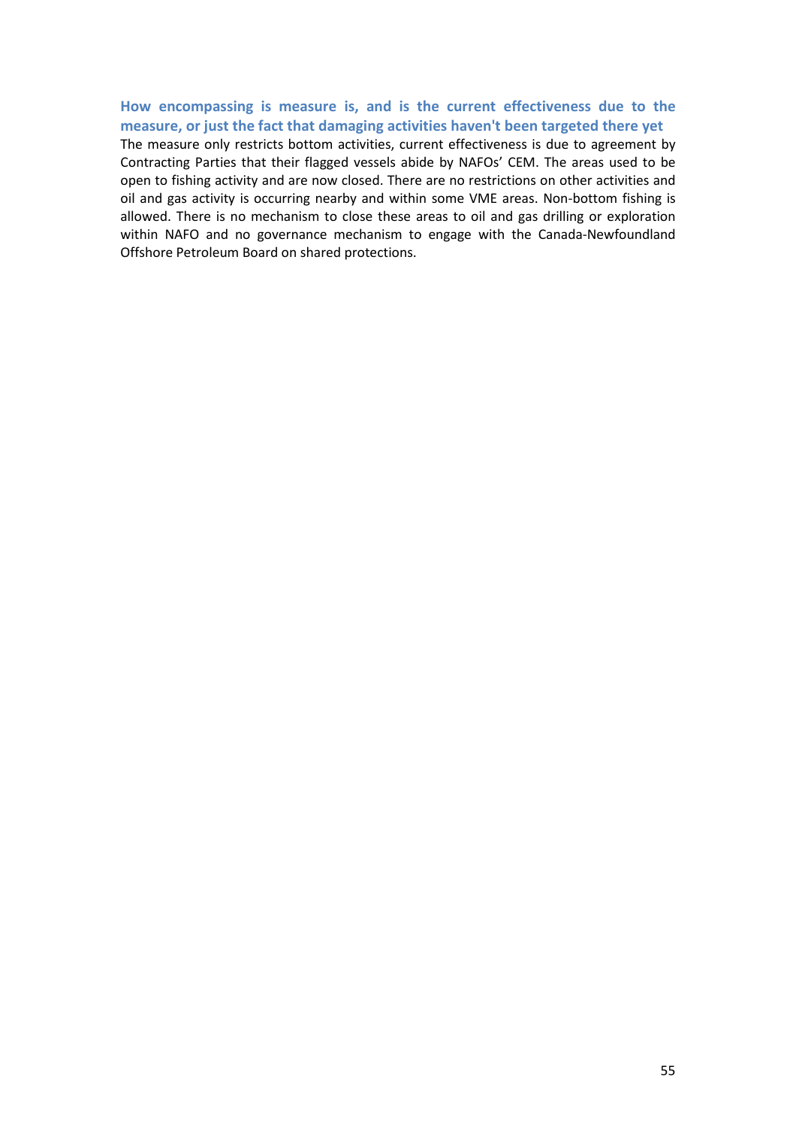# **How encompassing is measure is, and is the current effectiveness due to the measure, or just the fact that damaging activities haven't been targeted there yet**

The measure only restricts bottom activities, current effectiveness is due to agreement by Contracting Parties that their flagged vessels abide by NAFOs' CEM. The areas used to be open to fishing activity and are now closed. There are no restrictions on other activities and oil and gas activity is occurring nearby and within some VME areas. Non-bottom fishing is allowed. There is no mechanism to close these areas to oil and gas drilling or exploration within NAFO and no governance mechanism to engage with the Canada-Newfoundland Offshore Petroleum Board on shared protections.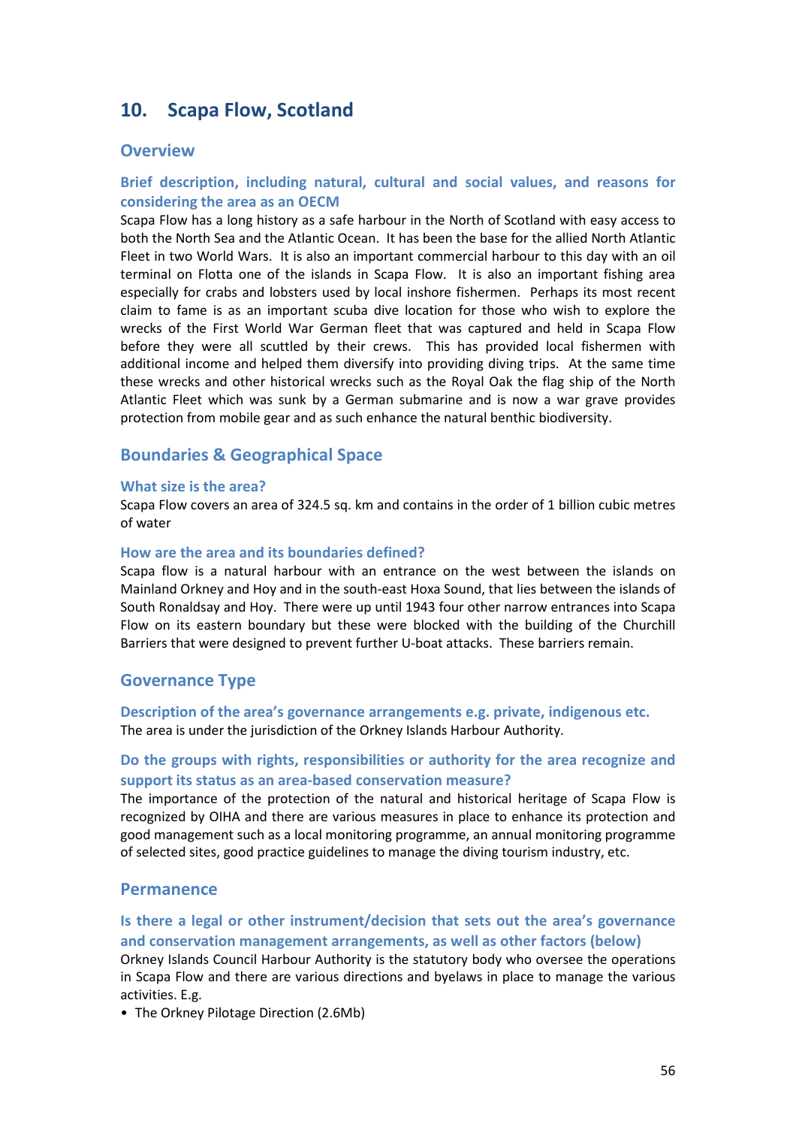# **10. Scapa Flow, Scotland**

### **Overview**

# **Brief description, including natural, cultural and social values, and reasons for considering the area as an OECM**

Scapa Flow has a long history as a safe harbour in the North of Scotland with easy access to both the North Sea and the Atlantic Ocean. It has been the base for the allied North Atlantic Fleet in two World Wars. It is also an important commercial harbour to this day with an oil terminal on Flotta one of the islands in Scapa Flow. It is also an important fishing area especially for crabs and lobsters used by local inshore fishermen. Perhaps its most recent claim to fame is as an important scuba dive location for those who wish to explore the wrecks of the First World War German fleet that was captured and held in Scapa Flow before they were all scuttled by their crews. This has provided local fishermen with additional income and helped them diversify into providing diving trips. At the same time these wrecks and other historical wrecks such as the Royal Oak the flag ship of the North Atlantic Fleet which was sunk by a German submarine and is now a war grave provides protection from mobile gear and as such enhance the natural benthic biodiversity.

# **Boundaries & Geographical Space**

#### **What size is the area?**

Scapa Flow covers an area of 324.5 sq. km and contains in the order of 1 billion cubic metres of water

### **How are the area and its boundaries defined?**

Scapa flow is a natural harbour with an entrance on the west between the islands on Mainland Orkney and Hoy and in the south-east Hoxa Sound, that lies between the islands of South Ronaldsay and Hoy. There were up until 1943 four other narrow entrances into Scapa Flow on its eastern boundary but these were blocked with the building of the Churchill Barriers that were designed to prevent further U-boat attacks. These barriers remain.

# **Governance Type**

**Description of the area's governance arrangements e.g. private, indigenous etc.** The area is under the jurisdiction of the Orkney Islands Harbour Authority.

# **Do the groups with rights, responsibilities or authority for the area recognize and support its status as an area-based conservation measure?**

The importance of the protection of the natural and historical heritage of Scapa Flow is recognized by OIHA and there are various measures in place to enhance its protection and good management such as a local monitoring programme, an annual monitoring programme of selected sites, good practice guidelines to manage the diving tourism industry, etc.

### **Permanence**

# **Is there a legal or other instrument/decision that sets out the area's governance and conservation management arrangements, as well as other factors (below)**

Orkney Islands Council Harbour Authority is the statutory body who oversee the operations in Scapa Flow and there are various directions and byelaws in place to manage the various activities. E.g.

• [The Orkney Pilotage Direction \(](http://www.orkneyharbours.com/pdfs/Orkney%20Pilotage%20Direction%202010.pdf)2.6Mb)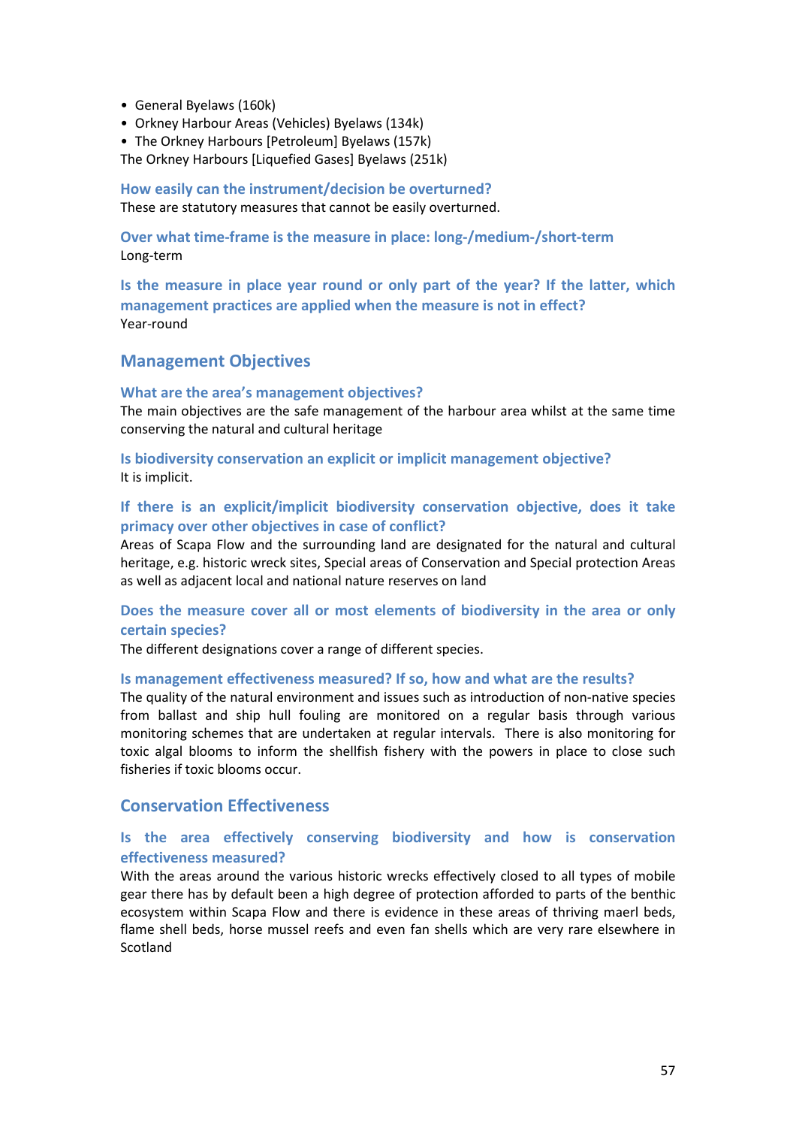- [General Byelaws \(](http://www.orkneyharbours.com/pdfs/General%20ByeLaws%201977.pdf)160k)
- [Orkney Harbour Areas \(Vehicles\) Byelaws](http://www.orkneyharbours.com/pdfs/ByeLaws-VEH.pdf) (134k)
- [The Orkney Harbours \[Petroleum\] Byelaws](http://www.orkneyharbours.com/pdfs/Bye%20Laws%20Petroleum.pdf) (157k)

[The Orkney Harbours \[Liquefied Gases\] Byelaws](http://www.orkneyharbours.com/pdfs/ByeLaws-LPG.pdf) (251k)

**How easily can the instrument/decision be overturned?**  These are statutory measures that cannot be easily overturned.

**Over what time-frame is the measure in place: long-/medium-/short-term** Long-term

**Is the measure in place year round or only part of the year? If the latter, which management practices are applied when the measure is not in effect?** Year-round

# **Management Objectives**

#### **What are the area's management objectives?**

The main objectives are the safe management of the harbour area whilst at the same time conserving the natural and cultural heritage

**Is biodiversity conservation an explicit or implicit management objective?**  It is implicit.

# **If there is an explicit/implicit biodiversity conservation objective, does it take primacy over other objectives in case of conflict?**

Areas of Scapa Flow and the surrounding land are designated for the natural and cultural heritage, e.g. historic wreck sites, Special areas of Conservation and Special protection Areas as well as adjacent local and national nature reserves on land

### **Does the measure cover all or most elements of biodiversity in the area or only certain species?**

The different designations cover a range of different species.

#### **Is management effectiveness measured? If so, how and what are the results?**

The quality of the natural environment and issues such as introduction of non-native species from ballast and ship hull fouling are monitored on a regular basis through various monitoring schemes that are undertaken at regular intervals. There is also monitoring for toxic algal blooms to inform the shellfish fishery with the powers in place to close such fisheries if toxic blooms occur.

# **Conservation Effectiveness**

# **Is the area effectively conserving biodiversity and how is conservation effectiveness measured?**

With the areas around the various historic wrecks effectively closed to all types of mobile gear there has by default been a high degree of protection afforded to parts of the benthic ecosystem within Scapa Flow and there is evidence in these areas of thriving maerl beds, flame shell beds, horse mussel reefs and even fan shells which are very rare elsewhere in Scotland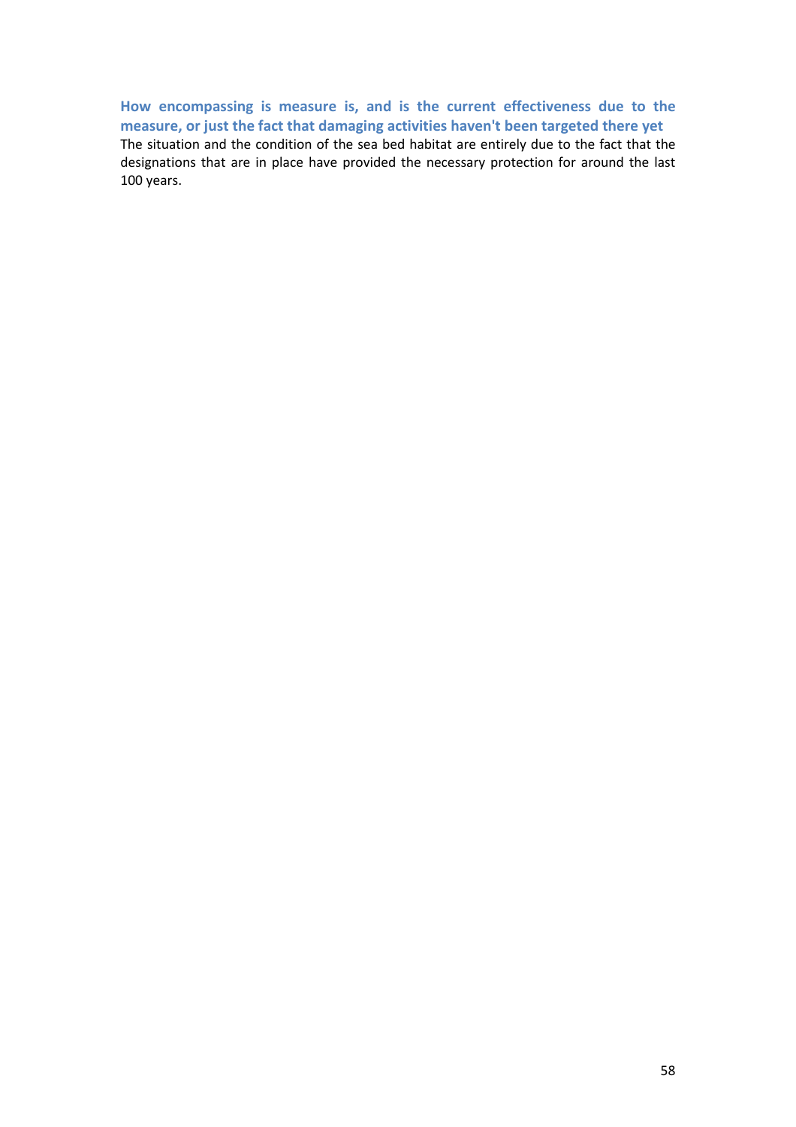**How encompassing is measure is, and is the current effectiveness due to the measure, or just the fact that damaging activities haven't been targeted there yet**  The situation and the condition of the sea bed habitat are entirely due to the fact that the designations that are in place have provided the necessary protection for around the last 100 years.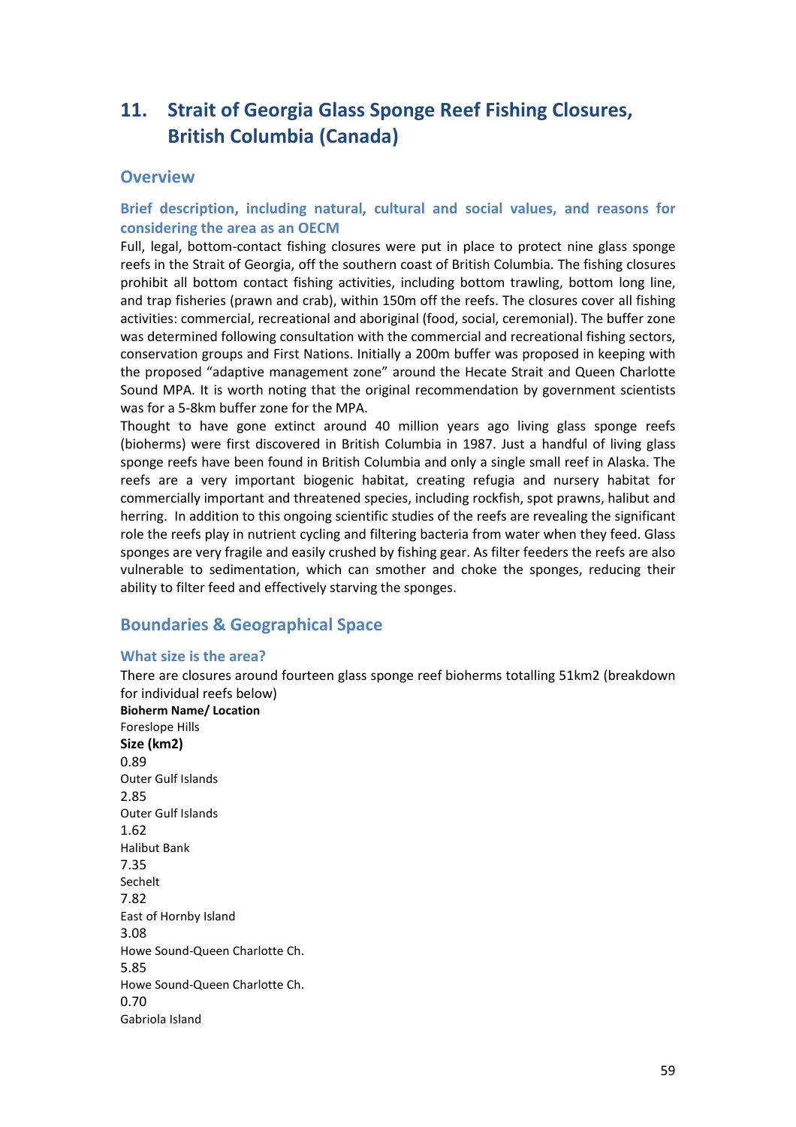# **11. Strait of Georgia Glass Sponge Reef Fishing Closures, British Columbia (Canada)**

# **Overview**

# **Brief description, including natural, cultural and social values, and reasons for considering the area as an OECM**

Full, legal, bottom-contact fishing closures were put in place to protect nine glass sponge reefs in the Strait of Georgia, off the southern coast of British Columbia. The fishing closures prohibit all bottom contact fishing activities, including bottom trawling, bottom long line, and trap fisheries (prawn and crab), within 150m off the reefs. The closures cover all fishing activities: commercial, recreational and aboriginal (food, social, ceremonial). The buffer zone was determined following consultation with the commercial and recreational fishing sectors, conservation groups and First Nations. Initially a 200m buffer was proposed in keeping with the proposed "adaptive management zone" around the Hecate Strait and Queen Charlotte Sound MPA. It is worth noting that the original recommendation by government scientists was for a 5-8km buffer zone for the MPA.

Thought to have gone extinct around 40 million years ago living glass sponge reefs (bioherms) were first discovered in British Columbia in 1987. Just a handful of living glass sponge reefs have been found in British Columbia and only a single small reef in Alaska. The reefs are a very important biogenic habitat, creating refugia and nursery habitat for commercially important and threatened species, including rockfish, spot prawns, halibut and herring. In addition to this ongoing scientific studies of the reefs are revealing the significant role the reefs play in nutrient cycling and filtering bacteria from water when they feed. Glass sponges are very fragile and easily crushed by fishing gear. As filter feeders the reefs are also vulnerable to sedimentation, which can smother and choke the sponges, reducing their ability to filter feed and effectively starving the sponges.

# **Boundaries & Geographical Space**

# **What size is the area?**

Gabriola Island

There are closures around fourteen glass sponge reef bioherms totalling 51km2 (breakdown for individual reefs below) **Bioherm Name/ Location** Foreslope Hills **Size (km2)** 0.89 Outer Gulf Islands 2.85 Outer Gulf Islands 1.62 Halibut Bank 7.35 Sechelt 7.82 East of Hornby Island 3.08 Howe Sound-Queen Charlotte Ch. 5.85 Howe Sound-Queen Charlotte Ch. 0.70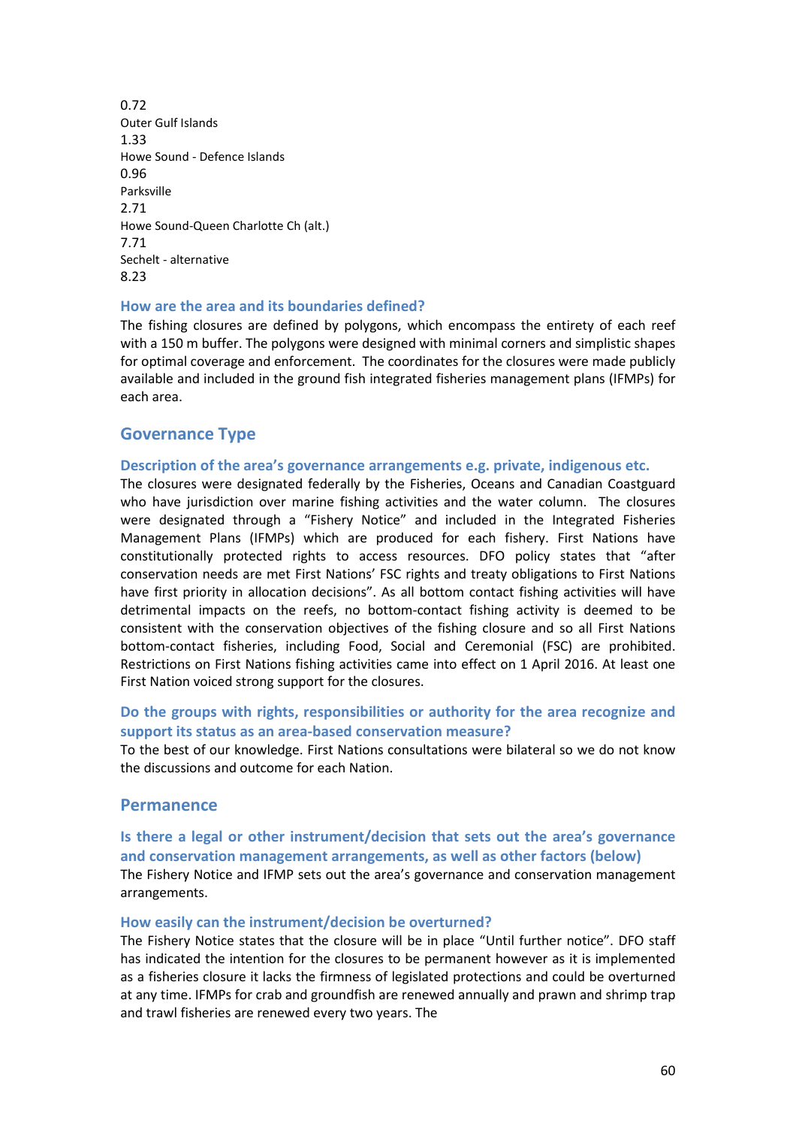0.72 Outer Gulf Islands 1.33 Howe Sound - Defence Islands 0.96 Parksville 2.71 Howe Sound-Queen Charlotte Ch (alt.) 7.71 Sechelt - alternative 8.23

#### **How are the area and its boundaries defined?**

The fishing closures are defined by polygons, which encompass the entirety of each reef with a 150 m buffer. The polygons were designed with minimal corners and simplistic shapes for optimal coverage and enforcement. The coordinates for the closures were made publicly available and included in the ground fish integrated fisheries management plans (IFMPs) for each area.

# **Governance Type**

#### **Description of the area's governance arrangements e.g. private, indigenous etc.**

The closures were designated federally by the Fisheries, Oceans and Canadian Coastguard who have jurisdiction over marine fishing activities and the water column. The closures were designated through a "Fishery Notice" and included in the Integrated Fisheries Management Plans (IFMPs) which are produced for each fishery. First Nations have constitutionally protected rights to access resources. DFO policy states that "after conservation needs are met First Nations' FSC rights and treaty obligations to First Nations have first priority in allocation decisions". As all bottom contact fishing activities will have detrimental impacts on the reefs, no bottom-contact fishing activity is deemed to be consistent with the conservation objectives of the fishing closure and so all First Nations bottom-contact fisheries, including Food, Social and Ceremonial (FSC) are prohibited. Restrictions on First Nations fishing activities came into effect on 1 April 2016. At least one First Nation voiced strong support for the closures.

# **Do the groups with rights, responsibilities or authority for the area recognize and support its status as an area-based conservation measure?**

To the best of our knowledge. First Nations consultations were bilateral so we do not know the discussions and outcome for each Nation.

# **Permanence**

# **Is there a legal or other instrument/decision that sets out the area's governance and conservation management arrangements, as well as other factors (below)**

The Fishery Notice and IFMP sets out the area's governance and conservation management arrangements.

#### **How easily can the instrument/decision be overturned?**

The Fishery Notice states that the closure will be in place "Until further notice". DFO staff has indicated the intention for the closures to be permanent however as it is implemented as a fisheries closure it lacks the firmness of legislated protections and could be overturned at any time. IFMPs for crab and groundfish are renewed annually and prawn and shrimp trap and trawl fisheries are renewed every two years. The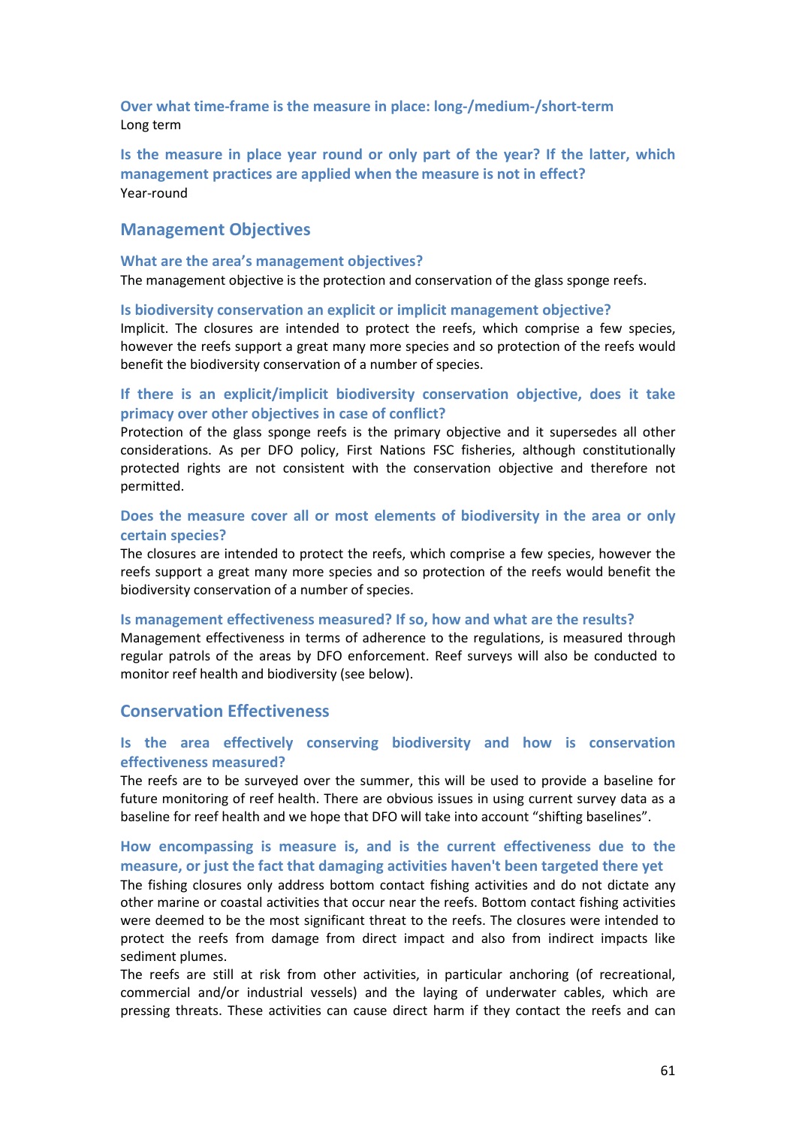**Over what time-frame is the measure in place: long-/medium-/short-term** Long term

**Is the measure in place year round or only part of the year? If the latter, which management practices are applied when the measure is not in effect?** Year-round

# **Management Objectives**

#### **What are the area's management objectives?**

The management objective is the protection and conservation of the glass sponge reefs.

#### **Is biodiversity conservation an explicit or implicit management objective?**

Implicit. The closures are intended to protect the reefs, which comprise a few species, however the reefs support a great many more species and so protection of the reefs would benefit the biodiversity conservation of a number of species.

### **If there is an explicit/implicit biodiversity conservation objective, does it take primacy over other objectives in case of conflict?**

Protection of the glass sponge reefs is the primary objective and it supersedes all other considerations. As per DFO policy, First Nations FSC fisheries, although constitutionally protected rights are not consistent with the conservation objective and therefore not permitted.

### **Does the measure cover all or most elements of biodiversity in the area or only certain species?**

The closures are intended to protect the reefs, which comprise a few species, however the reefs support a great many more species and so protection of the reefs would benefit the biodiversity conservation of a number of species.

#### **Is management effectiveness measured? If so, how and what are the results?**

Management effectiveness in terms of adherence to the regulations, is measured through regular patrols of the areas by DFO enforcement. Reef surveys will also be conducted to monitor reef health and biodiversity (see below).

## **Conservation Effectiveness**

# **Is the area effectively conserving biodiversity and how is conservation effectiveness measured?**

The reefs are to be surveyed over the summer, this will be used to provide a baseline for future monitoring of reef health. There are obvious issues in using current survey data as a baseline for reef health and we hope that DFO will take into account "shifting baselines".

# **How encompassing is measure is, and is the current effectiveness due to the measure, or just the fact that damaging activities haven't been targeted there yet**

The fishing closures only address bottom contact fishing activities and do not dictate any other marine or coastal activities that occur near the reefs. Bottom contact fishing activities were deemed to be the most significant threat to the reefs. The closures were intended to protect the reefs from damage from direct impact and also from indirect impacts like sediment plumes.

The reefs are still at risk from other activities, in particular anchoring (of recreational, commercial and/or industrial vessels) and the laying of underwater cables, which are pressing threats. These activities can cause direct harm if they contact the reefs and can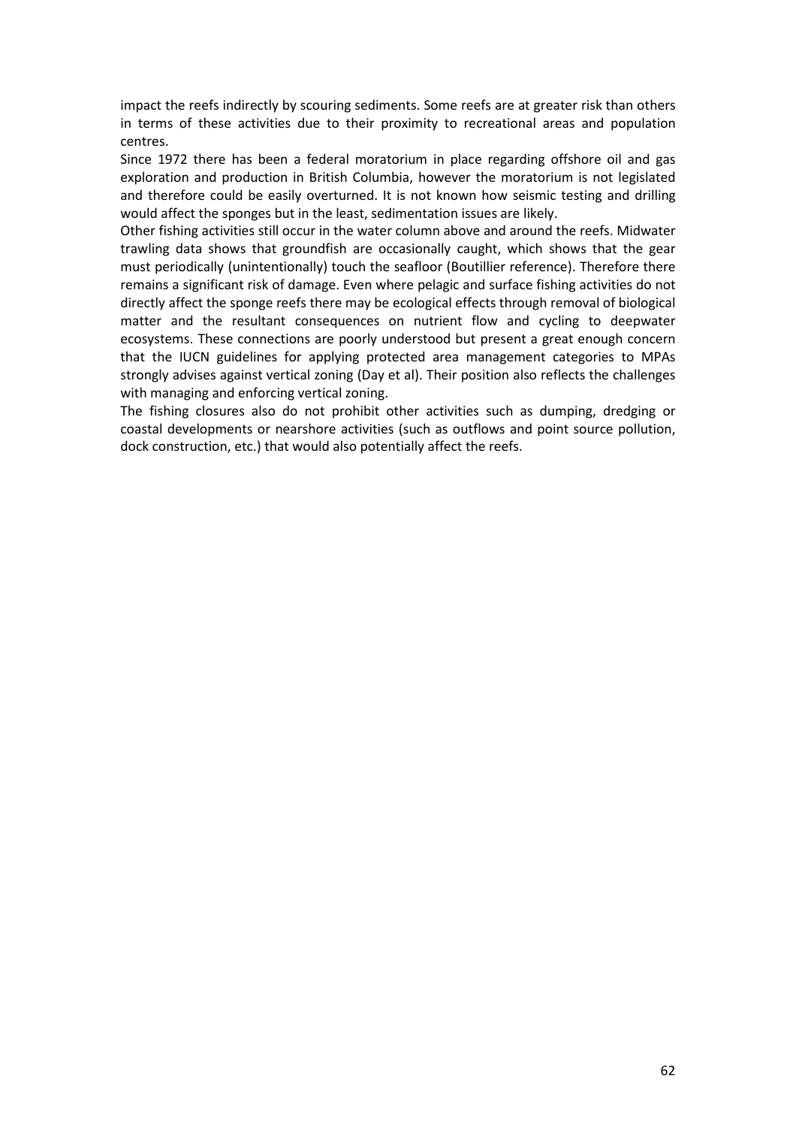impact the reefs indirectly by scouring sediments. Some reefs are at greater risk than others in terms of these activities due to their proximity to recreational areas and population centres.

Since 1972 there has been a federal moratorium in place regarding offshore oil and gas exploration and production in British Columbia, however the moratorium is not legislated and therefore could be easily overturned. It is not known how seismic testing and drilling would affect the sponges but in the least, sedimentation issues are likely.

Other fishing activities still occur in the water column above and around the reefs. Midwater trawling data shows that groundfish are occasionally caught, which shows that the gear must periodically (unintentionally) touch the seafloor (Boutillier reference). Therefore there remains a significant risk of damage. Even where pelagic and surface fishing activities do not directly affect the sponge reefs there may be ecological effects through removal of biological matter and the resultant consequences on nutrient flow and cycling to deepwater ecosystems. These connections are poorly understood but present a great enough concern that the IUCN guidelines for applying protected area management categories to MPAs strongly advises against vertical zoning (Day et al). Their position also reflects the challenges with managing and enforcing vertical zoning.

The fishing closures also do not prohibit other activities such as dumping, dredging or coastal developments or nearshore activities (such as outflows and point source pollution, dock construction, etc.) that would also potentially affect the reefs.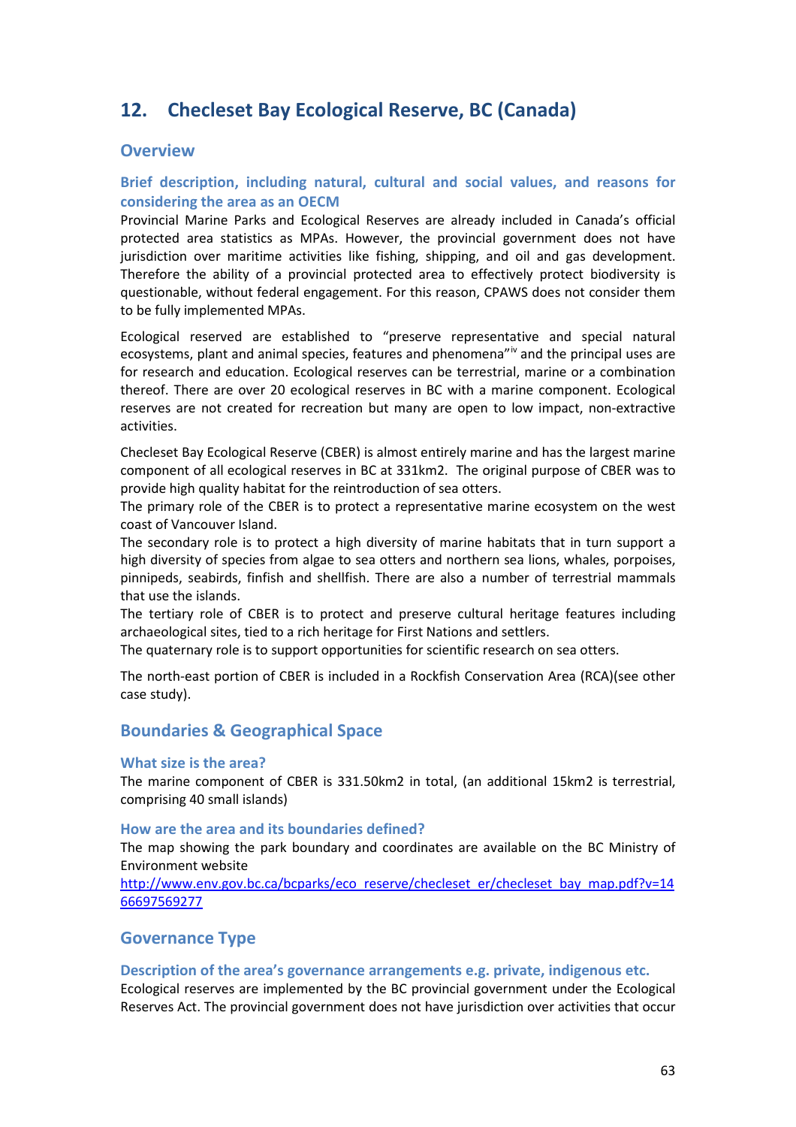# **12. Checleset Bay Ecological Reserve, BC (Canada)**

# **Overview**

# **Brief description, including natural, cultural and social values, and reasons for considering the area as an OECM**

Provincial Marine Parks and Ecological Reserves are already included in Canada's official protected area statistics as MPAs. However, the provincial government does not have jurisdiction over maritime activities like fishing, shipping, and oil and gas development. Therefore the ability of a provincial protected area to effectively protect biodiversity is questionable, without federal engagement. For this reason, CPAWS does not consider them to be fully implemented MPAs.

Ecological reserved are established to "preserve representative and special natural ecosystems, plant and animal species, features and phenomena"<sup>[iv](#page-93-0)</sup> and the principal uses are for research and education. Ecological reserves can be terrestrial, marine or a combination thereof. There are over 20 ecological reserves in BC with a marine component. Ecological reserves are not created for recreation but many are open to low impact, non-extractive activities.

Checleset Bay Ecological Reserve (CBER) is almost entirely marine and has the largest marine component of all ecological reserves in BC at 331km2. The original purpose of CBER was to provide high quality habitat for the reintroduction of sea otters.

The primary role of the CBER is to protect a representative marine ecosystem on the west coast of Vancouver Island.

The secondary role is to protect a high diversity of marine habitats that in turn support a high diversity of species from algae to sea otters and northern sea lions, whales, porpoises, pinnipeds, seabirds, finfish and shellfish. There are also a number of terrestrial mammals that use the islands.

The tertiary role of CBER is to protect and preserve cultural heritage features including archaeological sites, tied to a rich heritage for First Nations and settlers.

The quaternary role is to support opportunities for scientific research on sea otters.

The north-east portion of CBER is included in a Rockfish Conservation Area (RCA)(see other case study).

# **Boundaries & Geographical Space**

### **What size is the area?**

The marine component of CBER is 331.50km2 in total, (an additional 15km2 is terrestrial, comprising 40 small islands)

#### **How are the area and its boundaries defined?**

The map showing the park boundary and coordinates are available on the BC Ministry of Environment website

[http://www.env.gov.bc.ca/bcparks/eco\\_reserve/checleset\\_er/checleset\\_bay\\_map.pdf?v=14](http://www.env.gov.bc.ca/bcparks/eco_reserve/checleset_er/checleset_bay_map.pdf?v=1466697569277) [66697569277](http://www.env.gov.bc.ca/bcparks/eco_reserve/checleset_er/checleset_bay_map.pdf?v=1466697569277) 

# **Governance Type**

### **Description of the area's governance arrangements e.g. private, indigenous etc.**

Ecological reserves are implemented by the BC provincial government under the Ecological Reserves Act. The provincial government does not have jurisdiction over activities that occur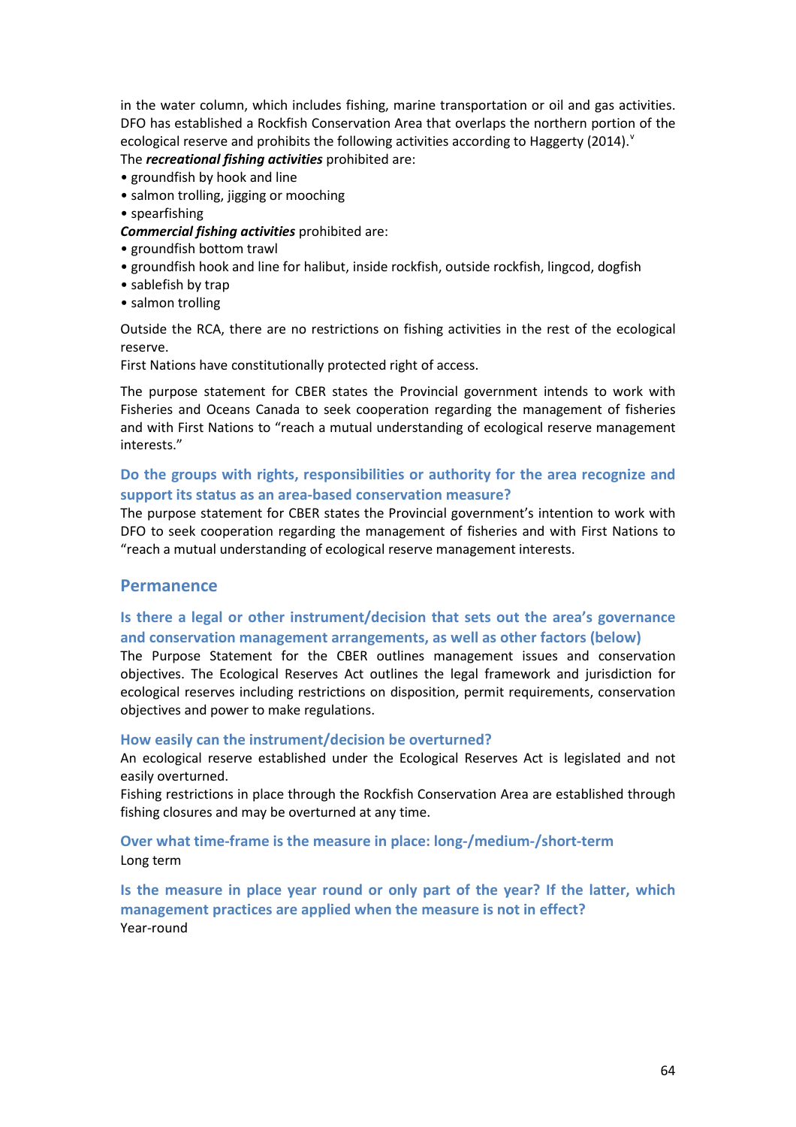in the water column, which includes fishing, marine transportation or oil and gas activities. DFO has established a Rockfish Conservation Area that overlaps the northern portion of the ecological reser[v](#page-93-1)e and prohibits the following activities according to Haggerty (2014).<sup> $v$ </sup> The *recreational fishing activities* prohibited are:

- groundfish by hook and line
- salmon trolling, jigging or mooching
- spearfishing
- *Commercial fishing activities* prohibited are:
- groundfish bottom trawl
- groundfish hook and line for halibut, inside rockfish, outside rockfish, lingcod, dogfish
- sablefish by trap
- salmon trolling

Outside the RCA, there are no restrictions on fishing activities in the rest of the ecological reserve.

First Nations have constitutionally protected right of access.

The purpose statement for CBER states the Provincial government intends to work with Fisheries and Oceans Canada to seek cooperation regarding the management of fisheries and with First Nations to "reach a mutual understanding of ecological reserve management interests."

## **Do the groups with rights, responsibilities or authority for the area recognize and support its status as an area-based conservation measure?**

The purpose statement for CBER states the Provincial government's intention to work with DFO to seek cooperation regarding the management of fisheries and with First Nations to "reach a mutual understanding of ecological reserve management interests.

# **Permanence**

# **Is there a legal or other instrument/decision that sets out the area's governance and conservation management arrangements, as well as other factors (below)**

The Purpose Statement for the CBER outlines management issues and conservation objectives. The Ecological Reserves Act outlines the legal framework and jurisdiction for ecological reserves including restrictions on disposition, permit requirements, conservation objectives and power to make regulations.

#### **How easily can the instrument/decision be overturned?**

An ecological reserve established under the Ecological Reserves Act is legislated and not easily overturned.

Fishing restrictions in place through the Rockfish Conservation Area are established through fishing closures and may be overturned at any time.

# **Over what time-frame is the measure in place: long-/medium-/short-term** Long term

**Is the measure in place year round or only part of the year? If the latter, which management practices are applied when the measure is not in effect?** Year-round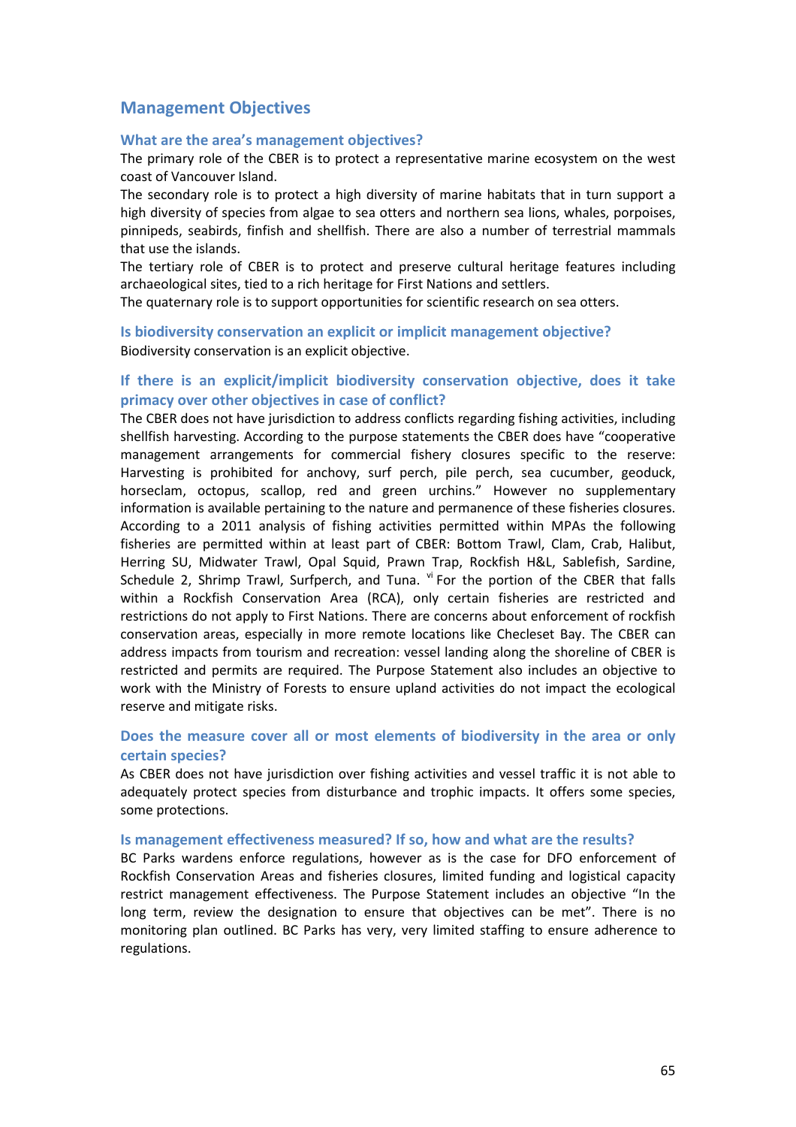# **Management Objectives**

#### **What are the area's management objectives?**

The primary role of the CBER is to protect a representative marine ecosystem on the west coast of Vancouver Island.

The secondary role is to protect a high diversity of marine habitats that in turn support a high diversity of species from algae to sea otters and northern sea lions, whales, porpoises, pinnipeds, seabirds, finfish and shellfish. There are also a number of terrestrial mammals that use the islands.

The tertiary role of CBER is to protect and preserve cultural heritage features including archaeological sites, tied to a rich heritage for First Nations and settlers.

The quaternary role is to support opportunities for scientific research on sea otters.

**Is biodiversity conservation an explicit or implicit management objective?**  Biodiversity conservation is an explicit objective.

# **If there is an explicit/implicit biodiversity conservation objective, does it take primacy over other objectives in case of conflict?**

The CBER does not have jurisdiction to address conflicts regarding fishing activities, including shellfish harvesting. According to the purpose statements the CBER does have "cooperative management arrangements for commercial fishery closures specific to the reserve: Harvesting is prohibited for anchovy, surf perch, pile perch, sea cucumber, geoduck, horseclam, octopus, scallop, red and green urchins." However no supplementary information is available pertaining to the nature and permanence of these fisheries closures. According to a 2011 analysis of fishing activities permitted within MPAs the following fisheries are permitted within at least part of CBER: Bottom Trawl, Clam, Crab, Halibut, Herring SU, Midwater Trawl, Opal Squid, Prawn Trap, Rockfish H&L, Sablefish, Sardine, Schedule 2, Shrimp Trawl, Surfperch, and Tuna. [vi](#page-93-2) For the portion of the CBER that falls within a Rockfish Conservation Area (RCA), only certain fisheries are restricted and restrictions do not apply to First Nations. There are concerns about enforcement of rockfish conservation areas, especially in more remote locations like Checleset Bay. The CBER can address impacts from tourism and recreation: vessel landing along the shoreline of CBER is restricted and permits are required. The Purpose Statement also includes an objective to work with the Ministry of Forests to ensure upland activities do not impact the ecological reserve and mitigate risks.

### **Does the measure cover all or most elements of biodiversity in the area or only certain species?**

As CBER does not have jurisdiction over fishing activities and vessel traffic it is not able to adequately protect species from disturbance and trophic impacts. It offers some species, some protections.

#### **Is management effectiveness measured? If so, how and what are the results?**

BC Parks wardens enforce regulations, however as is the case for DFO enforcement of Rockfish Conservation Areas and fisheries closures, limited funding and logistical capacity restrict management effectiveness. The Purpose Statement includes an objective "In the long term, review the designation to ensure that objectives can be met". There is no monitoring plan outlined. BC Parks has very, very limited staffing to ensure adherence to regulations.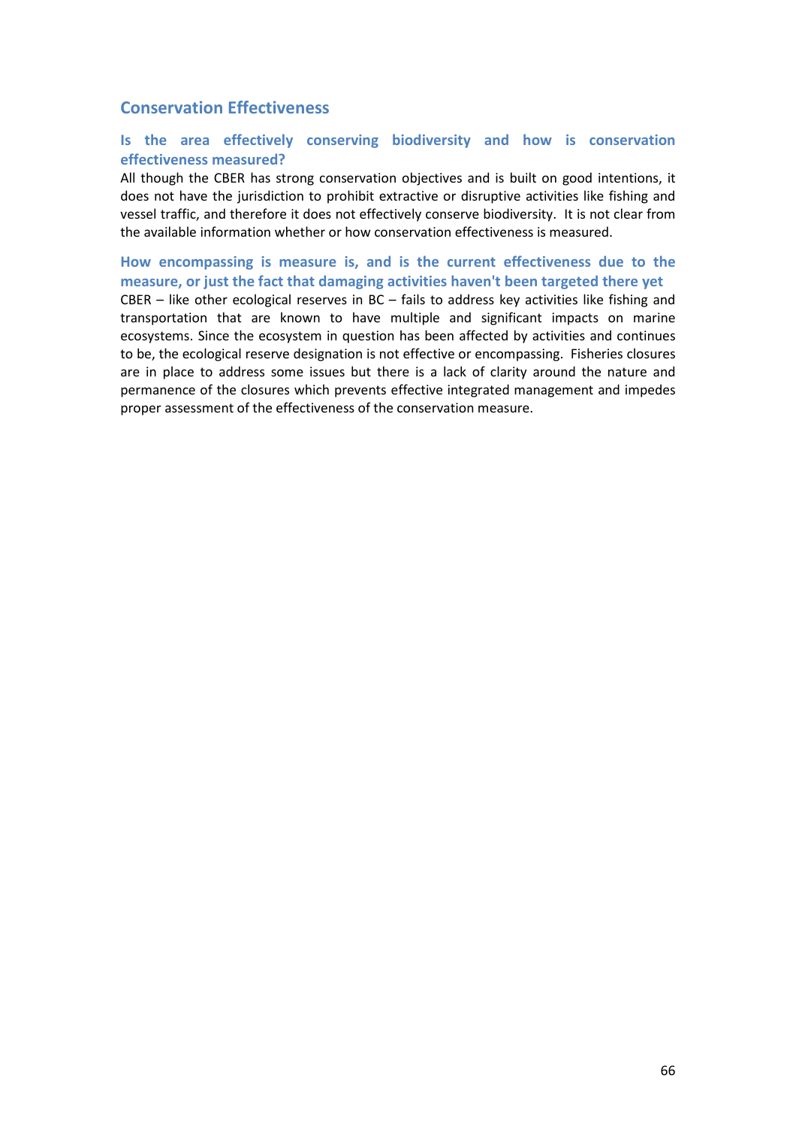# **Conservation Effectiveness**

# **Is the area effectively conserving biodiversity and how is conservation effectiveness measured?**

All though the CBER has strong conservation objectives and is built on good intentions, it does not have the jurisdiction to prohibit extractive or disruptive activities like fishing and vessel traffic, and therefore it does not effectively conserve biodiversity. It is not clear from the available information whether or how conservation effectiveness is measured.

**How encompassing is measure is, and is the current effectiveness due to the measure, or just the fact that damaging activities haven't been targeted there yet**  CBER – like other ecological reserves in BC – fails to address key activities like fishing and transportation that are known to have multiple and significant impacts on marine ecosystems. Since the ecosystem in question has been affected by activities and continues to be, the ecological reserve designation is not effective or encompassing. Fisheries closures are in place to address some issues but there is a lack of clarity around the nature and permanence of the closures which prevents effective integrated management and impedes proper assessment of the effectiveness of the conservation measure.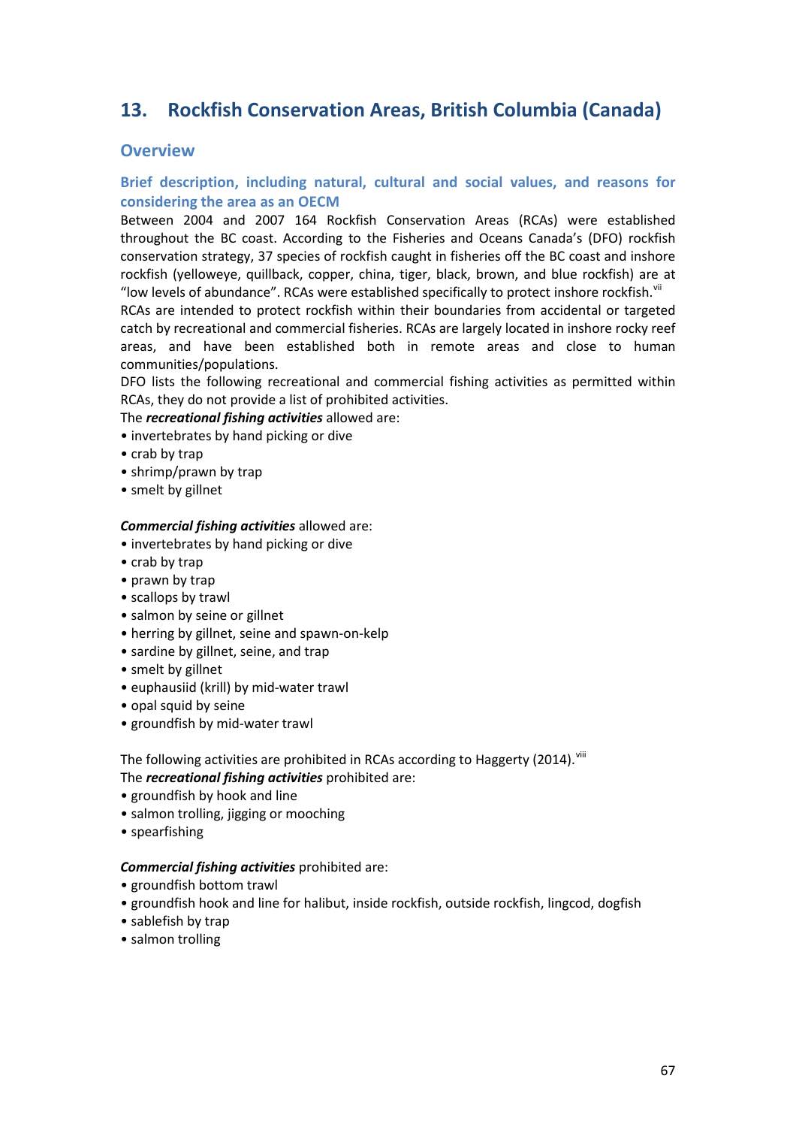# **13. Rockfish Conservation Areas, British Columbia (Canada)**

# **Overview**

# **Brief description, including natural, cultural and social values, and reasons for considering the area as an OECM**

Between 2004 and 2007 164 Rockfish Conservation Areas (RCAs) were established throughout the BC coast. According to the Fisheries and Oceans Canada's (DFO) rockfish conservation strategy, 37 species of rockfish caught in fisheries off the BC coast and inshore rockfish (yelloweye, quillback, copper, china, tiger, black, brown, and blue rockfish) are at "low levels of abundance". RCAs were established specifically to protect inshore rockfish. $\mathrm{v}^{\mathrm{u}}$ 

RCAs are intended to protect rockfish within their boundaries from accidental or targeted catch by recreational and commercial fisheries. RCAs are largely located in inshore rocky reef areas, and have been established both in remote areas and close to human communities/populations.

DFO lists the following recreational and commercial fishing activities as permitted within RCAs, they do not provide a list of prohibited activities.

### The *recreational fishing activities* allowed are:

- invertebrates by hand picking or dive
- crab by trap
- shrimp/prawn by trap
- smelt by gillnet

#### *Commercial fishing activities* allowed are:

- invertebrates by hand picking or dive
- crab by trap
- prawn by trap
- scallops by trawl
- salmon by seine or gillnet
- herring by gillnet, seine and spawn-on-kelp
- sardine by gillnet, seine, and trap
- smelt by gillnet
- euphausiid (krill) by mid-water trawl
- opal squid by seine
- groundfish by mid-water trawl

The following activities are prohibited in RCAs according to Haggerty (2014). Vili The *recreational fishing activities* prohibited are:

- groundfish by hook and line
- salmon trolling, jigging or mooching
- spearfishing

#### *Commercial fishing activities* prohibited are:

- groundfish bottom trawl
- groundfish hook and line for halibut, inside rockfish, outside rockfish, lingcod, dogfish
- sablefish by trap
- salmon trolling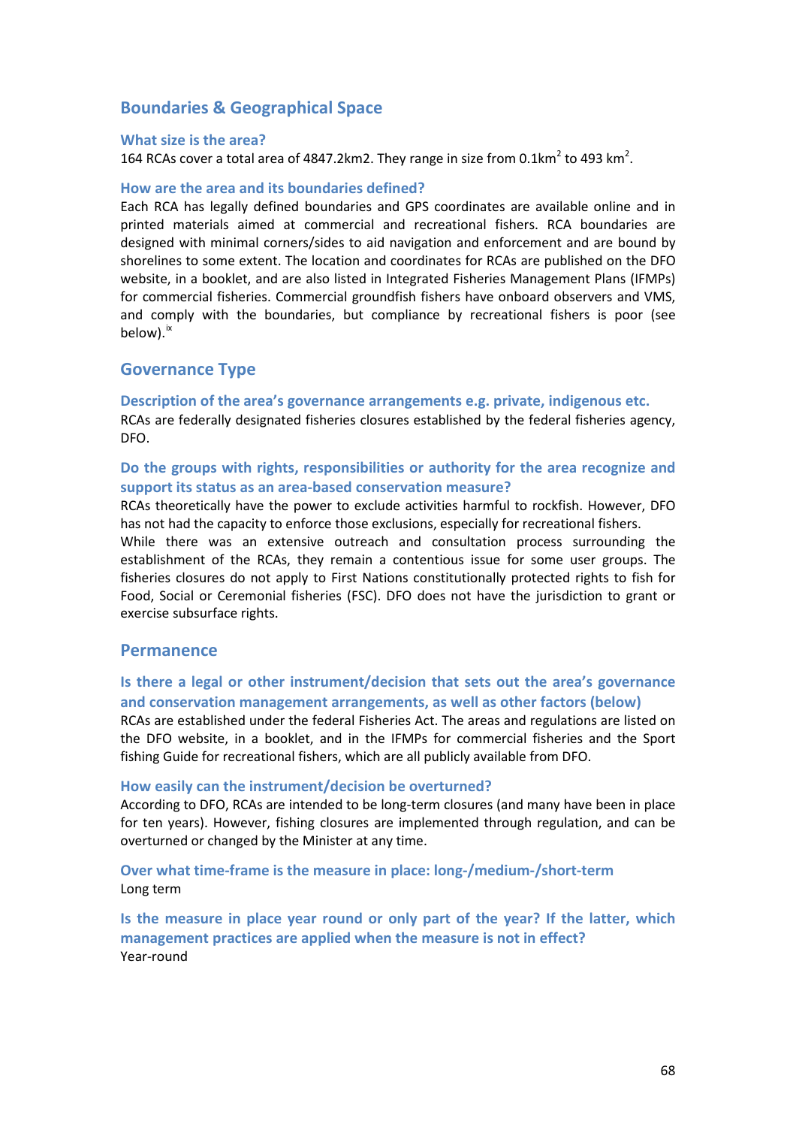# **Boundaries & Geographical Space**

#### **What size is the area?**

164 RCAs cover a total area of 4847.2km2. They range in size from 0.1km<sup>2</sup> to 493 km<sup>2</sup>.

#### **How are the area and its boundaries defined?**

Each RCA has legally defined boundaries and GPS coordinates are available online and in printed materials aimed at commercial and recreational fishers. RCA boundaries are designed with minimal corners/sides to aid navigation and enforcement and are bound by shorelines to some extent. The location and coordinates for RCAs are published on the DFO website, in a booklet, and are also listed in Integrated Fisheries Management Plans (IFMPs) for commercial fisheries. Commercial groundfish fishers have onboard observers and VMS, and comply with the boundaries, but compliance by recreational fishers is poor (see below).<sup>[ix](#page-93-5)</sup>

### **Governance Type**

**Description of the area's governance arrangements e.g. private, indigenous etc.** RCAs are federally designated fisheries closures established by the federal fisheries agency, DFO.

# **Do the groups with rights, responsibilities or authority for the area recognize and support its status as an area-based conservation measure?**

RCAs theoretically have the power to exclude activities harmful to rockfish. However, DFO has not had the capacity to enforce those exclusions, especially for recreational fishers.

While there was an extensive outreach and consultation process surrounding the establishment of the RCAs, they remain a contentious issue for some user groups. The fisheries closures do not apply to First Nations constitutionally protected rights to fish for Food, Social or Ceremonial fisheries (FSC). DFO does not have the jurisdiction to grant or exercise subsurface rights.

# **Permanence**

# **Is there a legal or other instrument/decision that sets out the area's governance and conservation management arrangements, as well as other factors (below)**

RCAs are established under the federal Fisheries Act. The areas and regulations are listed on the DFO website, in a booklet, and in the IFMPs for commercial fisheries and the Sport fishing Guide for recreational fishers, which are all publicly available from DFO.

#### **How easily can the instrument/decision be overturned?**

According to DFO, RCAs are intended to be long-term closures (and many have been in place for ten years). However, fishing closures are implemented through regulation, and can be overturned or changed by the Minister at any time.

### **Over what time-frame is the measure in place: long-/medium-/short-term** Long term

**Is the measure in place year round or only part of the year? If the latter, which management practices are applied when the measure is not in effect?** Year-round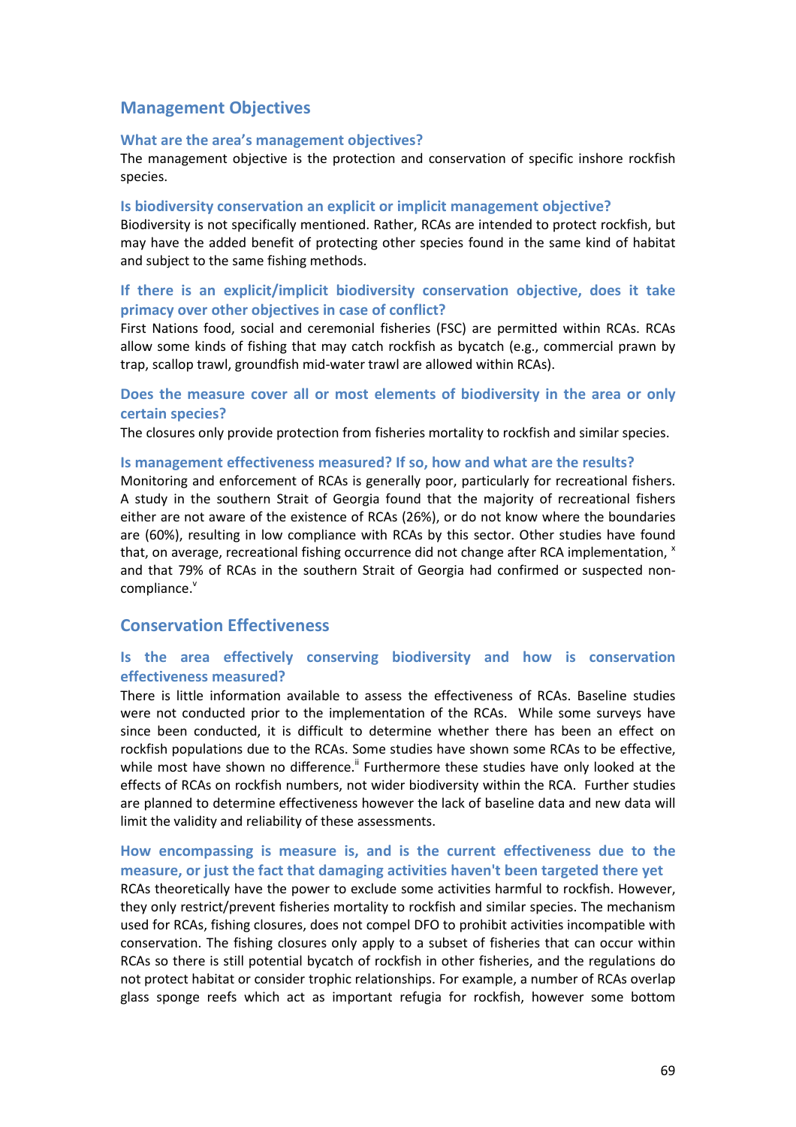# **Management Objectives**

#### **What are the area's management objectives?**

The management objective is the protection and conservation of specific inshore rockfish species.

#### **Is biodiversity conservation an explicit or implicit management objective?**

Biodiversity is not specifically mentioned. Rather, RCAs are intended to protect rockfish, but may have the added benefit of protecting other species found in the same kind of habitat and subject to the same fishing methods.

# **If there is an explicit/implicit biodiversity conservation objective, does it take primacy over other objectives in case of conflict?**

First Nations food, social and ceremonial fisheries (FSC) are permitted within RCAs. RCAs allow some kinds of fishing that may catch rockfish as bycatch (e.g., commercial prawn by trap, scallop trawl, groundfish mid-water trawl are allowed within RCAs).

## **Does the measure cover all or most elements of biodiversity in the area or only certain species?**

The closures only provide protection from fisheries mortality to rockfish and similar species.

### **Is management effectiveness measured? If so, how and what are the results?**

Monitoring and enforcement of RCAs is generally poor, particularly for recreational fishers. A study in the southern Strait of Georgia found that the majority of recreational fishers either are not aware of the existence of RCAs (26%), or do not know where the boundaries are (60%), resulting in low compliance with RCAs by this sector. Other studies have found that, on average, recreational fishing occurrence did not change after RCA implementation,  $x$ and that 79% of RCAs in the southern Strait of Georgia had confirmed or suspected noncompliance.

# **Conservation Effectiveness**

# **Is the area effectively conserving biodiversity and how is conservation effectiveness measured?**

There is little information available to assess the effectiveness of RCAs. Baseline studies were not conducted prior to the implementation of the RCAs. While some surveys have since been conducted, it is difficult to determine whether there has been an effect on rockfish populations due to the RCAs. Some studies have shown some RCAs to be effective, while most have shown no difference." Furthermore these studies have only looked at the effects of RCAs on rockfish numbers, not wider biodiversity within the RCA. Further studies are planned to determine effectiveness however the lack of baseline data and new data will limit the validity and reliability of these assessments.

# **How encompassing is measure is, and is the current effectiveness due to the measure, or just the fact that damaging activities haven't been targeted there yet**

RCAs theoretically have the power to exclude some activities harmful to rockfish. However, they only restrict/prevent fisheries mortality to rockfish and similar species. The mechanism used for RCAs, fishing closures, does not compel DFO to prohibit activities incompatible with conservation. The fishing closures only apply to a subset of fisheries that can occur within RCAs so there is still potential bycatch of rockfish in other fisheries, and the regulations do not protect habitat or consider trophic relationships. For example, a number of RCAs overlap glass sponge reefs which act as important refugia for rockfish, however some bottom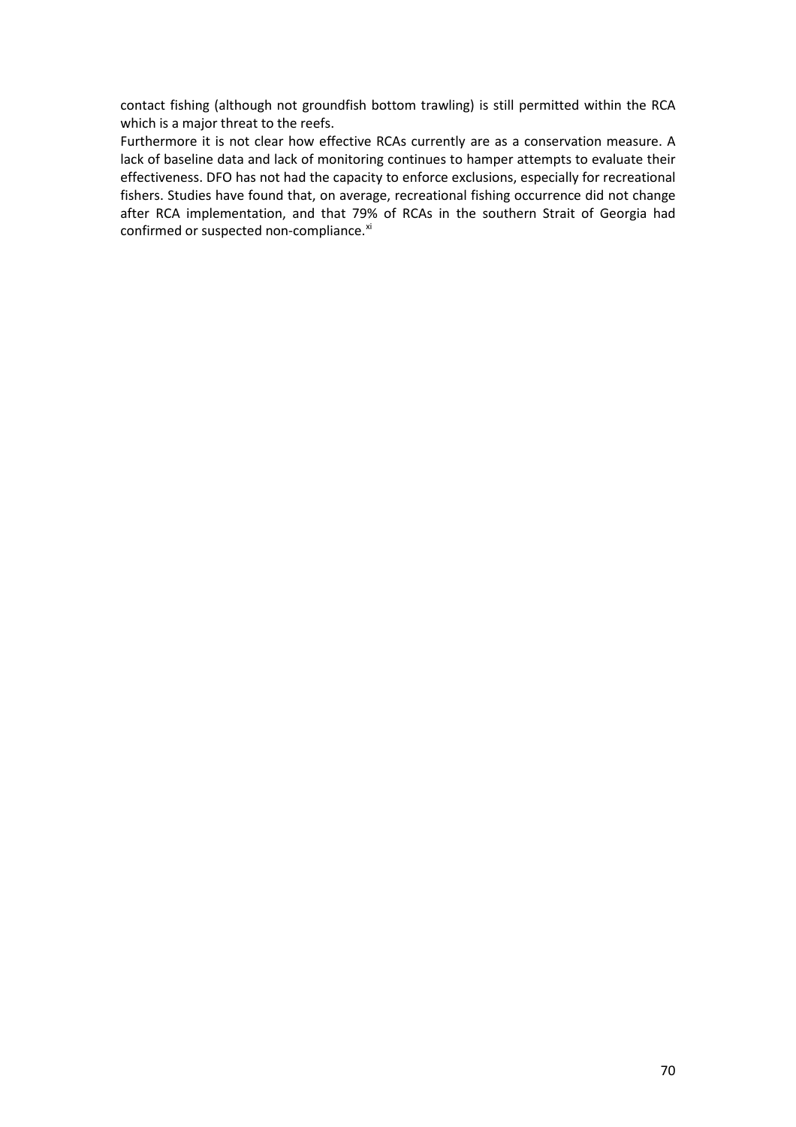contact fishing (although not groundfish bottom trawling) is still permitted within the RCA which is a major threat to the reefs.

Furthermore it is not clear how effective RCAs currently are as a conservation measure. A lack of baseline data and lack of monitoring continues to hamper attempts to evaluate their effectiveness. DFO has not had the capacity to enforce exclusions, especially for recreational fishers. Studies have found that, on average, recreational fishing occurrence did not change after RCA implementation, and that 79% of RCAs in the southern Strait of Georgia had confirmed or suspected non-compliance.<sup>[xi](#page-93-7)</sup>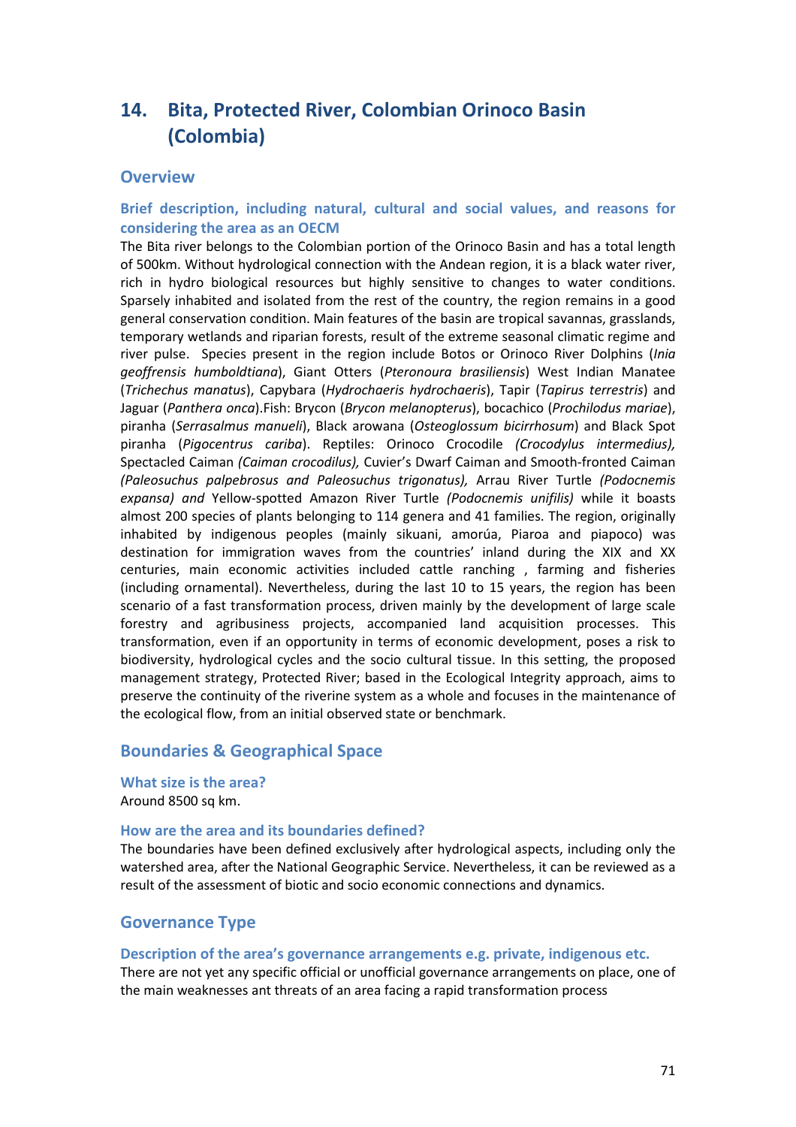# **14. Bita, Protected River, Colombian Orinoco Basin (Colombia)**

# **Overview**

# **Brief description, including natural, cultural and social values, and reasons for considering the area as an OECM**

The Bita river belongs to the Colombian portion of the Orinoco Basin and has a total length of 500km. Without hydrological connection with the Andean region, it is a black water river, rich in hydro biological resources but highly sensitive to changes to water conditions. Sparsely inhabited and isolated from the rest of the country, the region remains in a good general conservation condition. Main features of the basin are tropical savannas, grasslands, temporary wetlands and riparian forests, result of the extreme seasonal climatic regime and river pulse. Species present in the region include Botos or Orinoco River Dolphins (*Inia geoffrensis humboldtiana*), Giant Otters (*Pteronoura brasiliensis*) West Indian Manatee (*Trichechus manatus*), Capybara (*Hydrochaeris hydrochaeris*), Tapir (*Tapirus terrestris*) and Jaguar (*Panthera onca*).Fish: Brycon (*Brycon melanopterus*), bocachico (*Prochilodus mariae*), piranha (*Serrasalmus manueli*), Black arowana (*Osteoglossum bicirrhosum*) and Black Spot piranha (*Pigocentrus cariba*). Reptiles: Orinoco Crocodile *(Crocodylus intermedius),*  Spectacled Caiman *(Caiman crocodilus),* Cuvier's Dwarf Caiman and Smooth-fronted Caiman *(Paleosuchus palpebrosus and Paleosuchus trigonatus),* Arrau River Turtle *(Podocnemis expansa) and* Yellow-spotted Amazon River Turtle *(Podocnemis unifilis)* while it boasts almost 200 species of plants belonging to 114 genera and 41 families. The region, originally inhabited by indigenous peoples (mainly sikuani, amorúa, Piaroa and piapoco) was destination for immigration waves from the countries' inland during the XIX and XX centuries, main economic activities included cattle ranching , farming and fisheries (including ornamental). Nevertheless, during the last 10 to 15 years, the region has been scenario of a fast transformation process, driven mainly by the development of large scale forestry and agribusiness projects, accompanied land acquisition processes. This transformation, even if an opportunity in terms of economic development, poses a risk to biodiversity, hydrological cycles and the socio cultural tissue. In this setting, the proposed management strategy, Protected River; based in the Ecological Integrity approach, aims to preserve the continuity of the riverine system as a whole and focuses in the maintenance of the ecological flow, from an initial observed state or benchmark.

# **Boundaries & Geographical Space**

**What size is the area?** Around 8500 sq km.

#### **How are the area and its boundaries defined?**

The boundaries have been defined exclusively after hydrological aspects, including only the watershed area, after the National Geographic Service. Nevertheless, it can be reviewed as a result of the assessment of biotic and socio economic connections and dynamics.

# **Governance Type**

#### **Description of the area's governance arrangements e.g. private, indigenous etc.**

There are not yet any specific official or unofficial governance arrangements on place, one of the main weaknesses ant threats of an area facing a rapid transformation process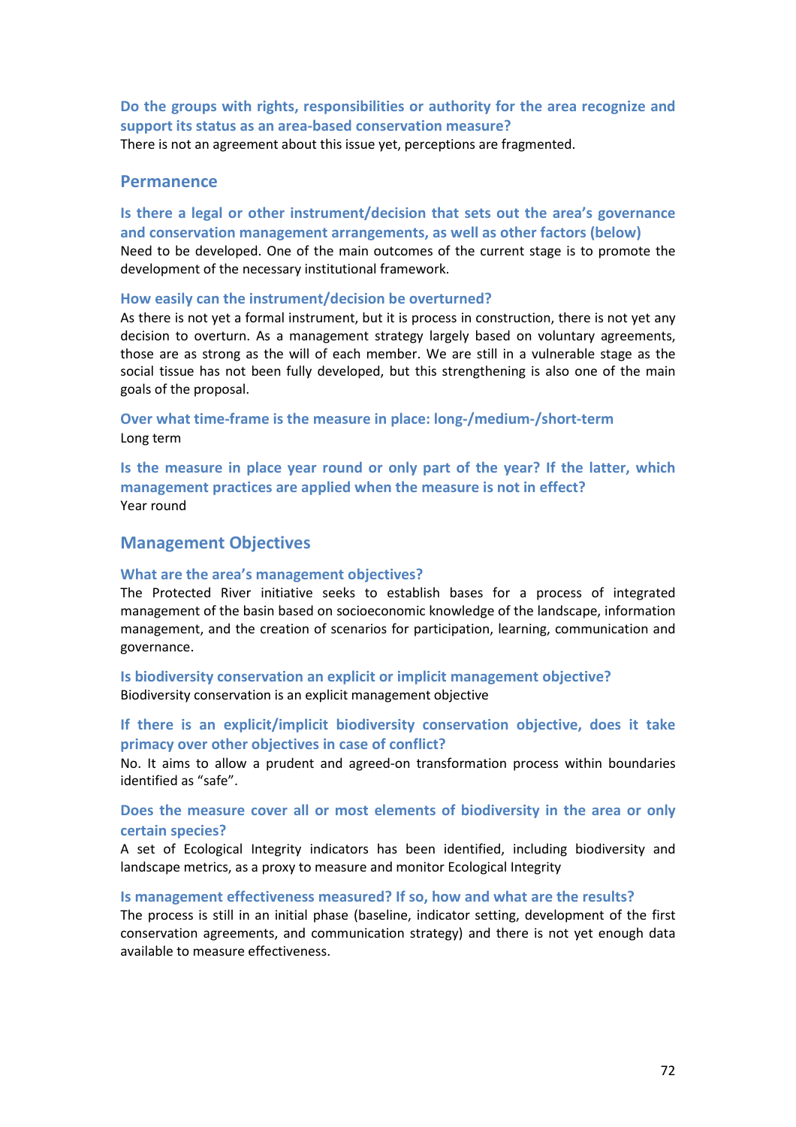**Do the groups with rights, responsibilities or authority for the area recognize and support its status as an area-based conservation measure?** 

There is not an agreement about this issue yet, perceptions are fragmented.

# **Permanence**

**Is there a legal or other instrument/decision that sets out the area's governance and conservation management arrangements, as well as other factors (below)** Need to be developed. One of the main outcomes of the current stage is to promote the development of the necessary institutional framework.

### **How easily can the instrument/decision be overturned?**

As there is not yet a formal instrument, but it is process in construction, there is not yet any decision to overturn. As a management strategy largely based on voluntary agreements, those are as strong as the will of each member. We are still in a vulnerable stage as the social tissue has not been fully developed, but this strengthening is also one of the main goals of the proposal.

**Over what time-frame is the measure in place: long-/medium-/short-term** Long term

**Is the measure in place year round or only part of the year? If the latter, which management practices are applied when the measure is not in effect?** Year round

# **Management Objectives**

### **What are the area's management objectives?**

The Protected River initiative seeks to establish bases for a process of integrated management of the basin based on socioeconomic knowledge of the landscape, information management, and the creation of scenarios for participation, learning, communication and governance.

**Is biodiversity conservation an explicit or implicit management objective?**  Biodiversity conservation is an explicit management objective

**If there is an explicit/implicit biodiversity conservation objective, does it take primacy over other objectives in case of conflict?** 

No. It aims to allow a prudent and agreed-on transformation process within boundaries identified as "safe".

# **Does the measure cover all or most elements of biodiversity in the area or only certain species?**

A set of Ecological Integrity indicators has been identified, including biodiversity and landscape metrics, as a proxy to measure and monitor Ecological Integrity

### **Is management effectiveness measured? If so, how and what are the results?**

The process is still in an initial phase (baseline, indicator setting, development of the first conservation agreements, and communication strategy) and there is not yet enough data available to measure effectiveness.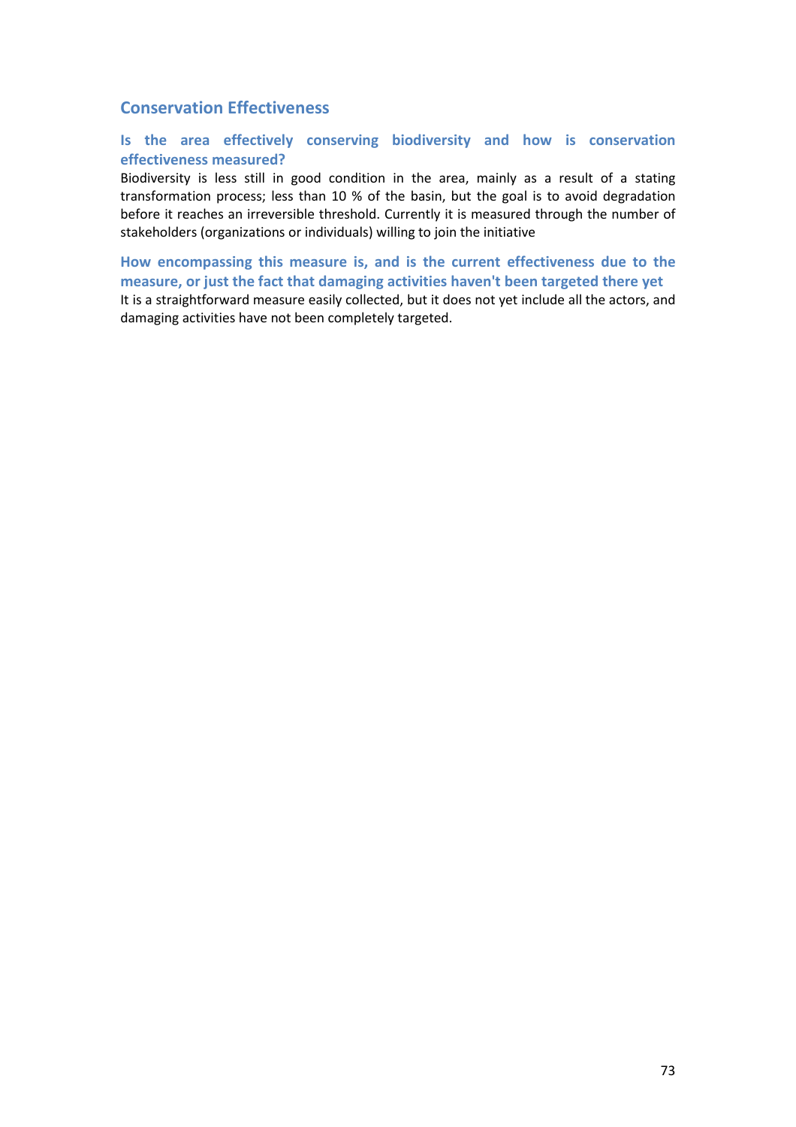# **Conservation Effectiveness**

# **Is the area effectively conserving biodiversity and how is conservation effectiveness measured?**

Biodiversity is less still in good condition in the area, mainly as a result of a stating transformation process; less than 10 % of the basin, but the goal is to avoid degradation before it reaches an irreversible threshold. Currently it is measured through the number of stakeholders (organizations or individuals) willing to join the initiative

**How encompassing this measure is, and is the current effectiveness due to the measure, or just the fact that damaging activities haven't been targeted there yet**  It is a straightforward measure easily collected, but it does not yet include all the actors, and damaging activities have not been completely targeted.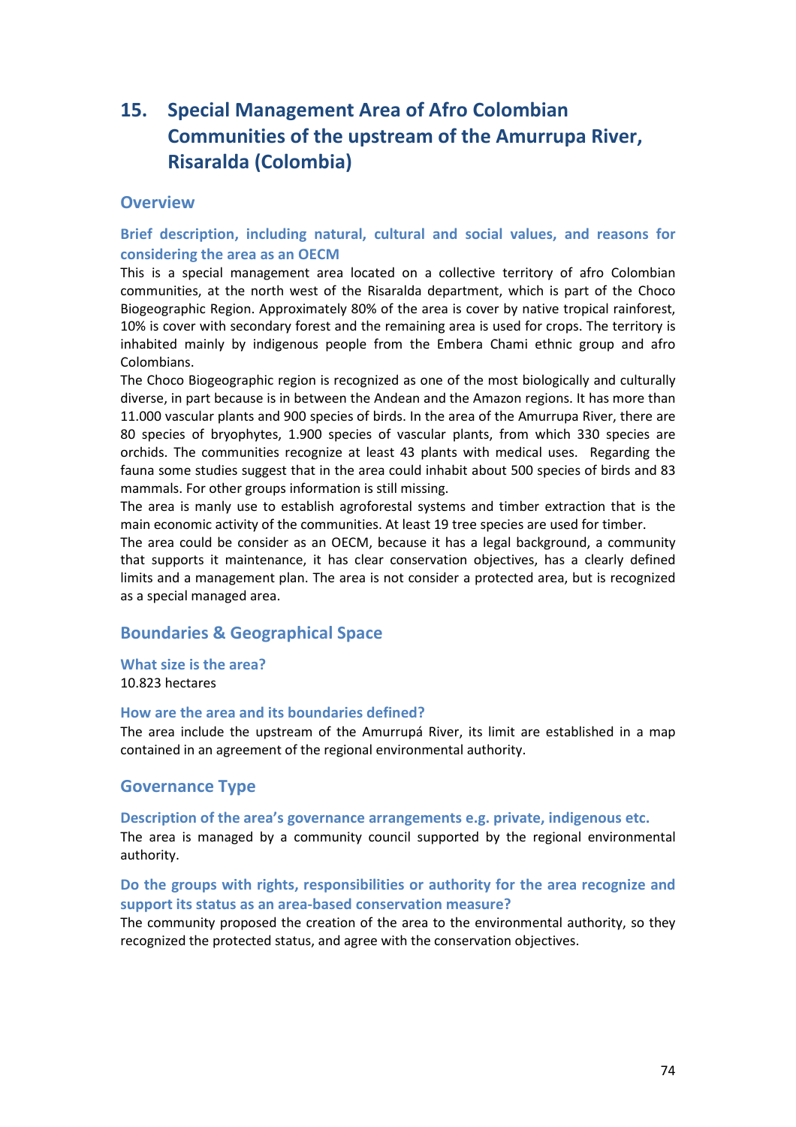# **15. Special Management Area of Afro Colombian Communities of the upstream of the Amurrupa River, Risaralda (Colombia)**

# **Overview**

# **Brief description, including natural, cultural and social values, and reasons for considering the area as an OECM**

This is a special management area located on a collective territory of afro Colombian communities, at the north west of the Risaralda department, which is part of the Choco Biogeographic Region. Approximately 80% of the area is cover by native tropical rainforest, 10% is cover with secondary forest and the remaining area is used for crops. The territory is inhabited mainly by indigenous people from the Embera Chami ethnic group and afro Colombians.

The Choco Biogeographic region is recognized as one of the most biologically and culturally diverse, in part because is in between the Andean and the Amazon regions. It has more than 11.000 vascular plants and 900 species of birds. In the area of the Amurrupa River, there are 80 species of bryophytes, 1.900 species of vascular plants, from which 330 species are orchids. The communities recognize at least 43 plants with medical uses. Regarding the fauna some studies suggest that in the area could inhabit about 500 species of birds and 83 mammals. For other groups information is still missing.

The area is manly use to establish agroforestal systems and timber extraction that is the main economic activity of the communities. At least 19 tree species are used for timber.

The area could be consider as an OECM, because it has a legal background, a community that supports it maintenance, it has clear conservation objectives, has a clearly defined limits and a management plan. The area is not consider a protected area, but is recognized as a special managed area.

# **Boundaries & Geographical Space**

# **What size is the area?**

10.823 hectares

### **How are the area and its boundaries defined?**

The area include the upstream of the Amurrupá River, its limit are established in a map contained in an agreement of the regional environmental authority.

# **Governance Type**

### **Description of the area's governance arrangements e.g. private, indigenous etc.**

The area is managed by a community council supported by the regional environmental authority.

# **Do the groups with rights, responsibilities or authority for the area recognize and support its status as an area-based conservation measure?**

The community proposed the creation of the area to the environmental authority, so they recognized the protected status, and agree with the conservation objectives.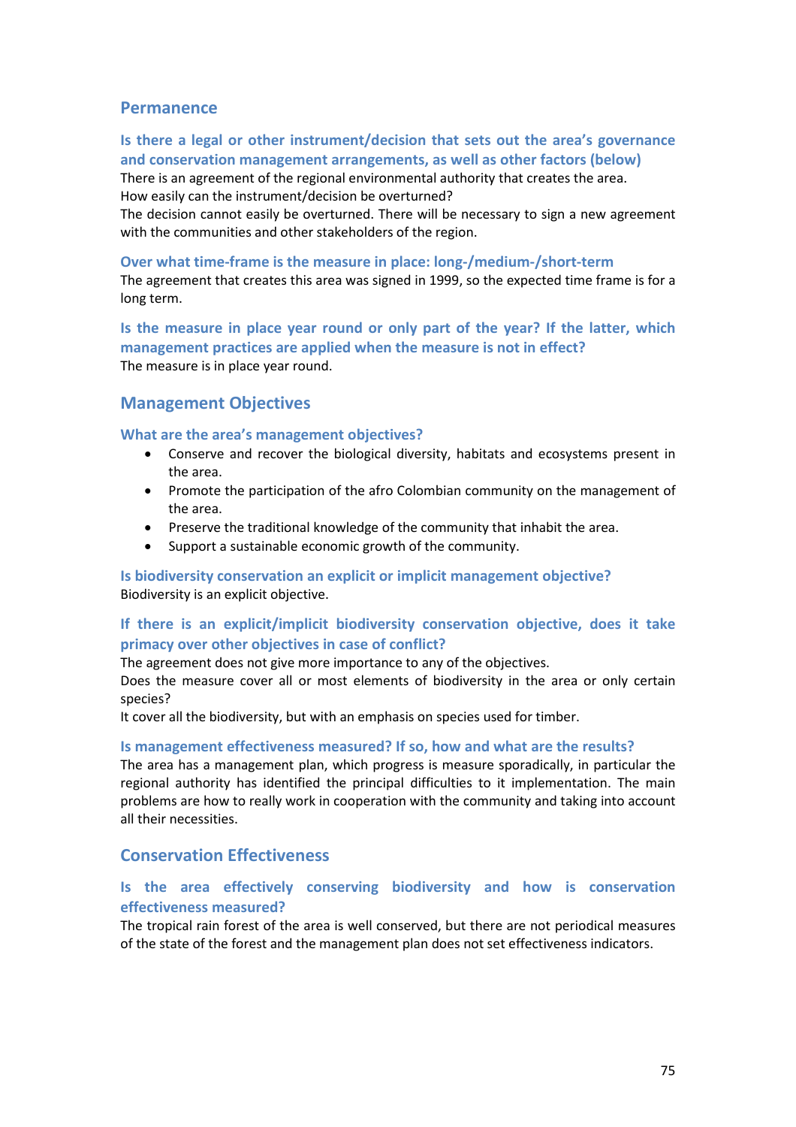# **Permanence**

# **Is there a legal or other instrument/decision that sets out the area's governance and conservation management arrangements, as well as other factors (below)**

There is an agreement of the regional environmental authority that creates the area. How easily can the instrument/decision be overturned?

The decision cannot easily be overturned. There will be necessary to sign a new agreement with the communities and other stakeholders of the region.

#### **Over what time-frame is the measure in place: long-/medium-/short-term**

The agreement that creates this area was signed in 1999, so the expected time frame is for a long term.

**Is the measure in place year round or only part of the year? If the latter, which management practices are applied when the measure is not in effect?** The measure is in place year round.

# **Management Objectives**

### **What are the area's management objectives?**

- Conserve and recover the biological diversity, habitats and ecosystems present in the area.
- Promote the participation of the afro Colombian community on the management of the area.
- Preserve the traditional knowledge of the community that inhabit the area.
- Support a sustainable economic growth of the community.

# **Is biodiversity conservation an explicit or implicit management objective?**  Biodiversity is an explicit objective.

# **If there is an explicit/implicit biodiversity conservation objective, does it take primacy over other objectives in case of conflict?**

The agreement does not give more importance to any of the objectives.

Does the measure cover all or most elements of biodiversity in the area or only certain species?

It cover all the biodiversity, but with an emphasis on species used for timber.

### **Is management effectiveness measured? If so, how and what are the results?**

The area has a management plan, which progress is measure sporadically, in particular the regional authority has identified the principal difficulties to it implementation. The main problems are how to really work in cooperation with the community and taking into account all their necessities.

# **Conservation Effectiveness**

# **Is the area effectively conserving biodiversity and how is conservation effectiveness measured?**

The tropical rain forest of the area is well conserved, but there are not periodical measures of the state of the forest and the management plan does not set effectiveness indicators.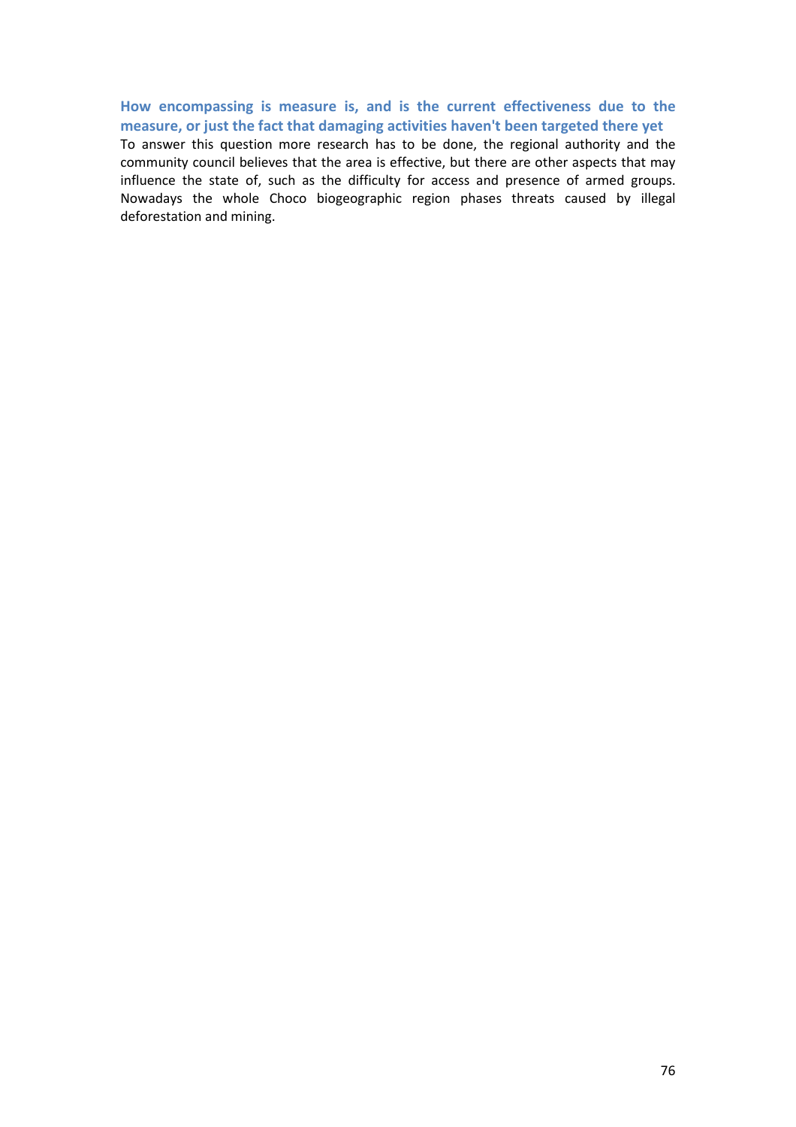# **How encompassing is measure is, and is the current effectiveness due to the measure, or just the fact that damaging activities haven't been targeted there yet**

To answer this question more research has to be done, the regional authority and the community council believes that the area is effective, but there are other aspects that may influence the state of, such as the difficulty for access and presence of armed groups. Nowadays the whole Choco biogeographic region phases threats caused by illegal deforestation and mining.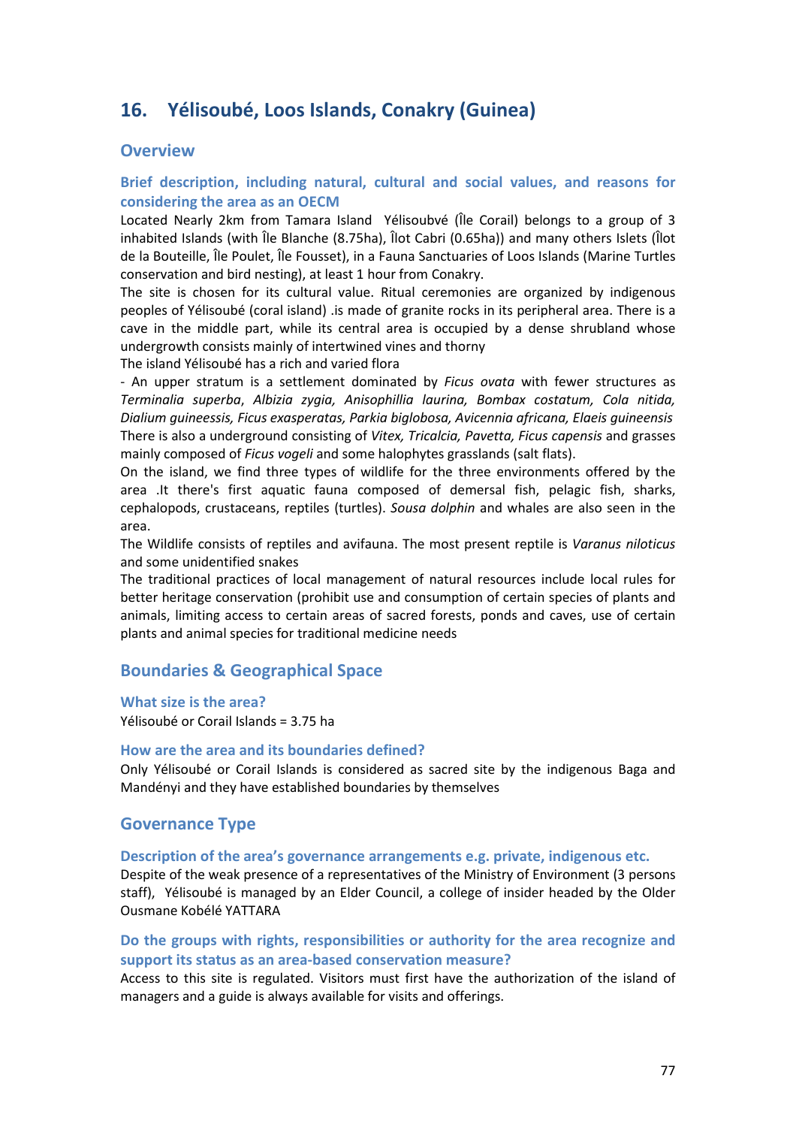# **16. Yélisoubé, Loos Islands, Conakry (Guinea)**

# **Overview**

# **Brief description, including natural, cultural and social values, and reasons for considering the area as an OECM**

Located Nearly 2km from Tamara Island Yélisoubvé (Île Corail) belongs to a group of 3 inhabited Islands (with Île Blanche (8.75ha), Îlot Cabri (0.65ha)) and many others Islets (Îlot de la Bouteille, Île Poulet, Île Fousset), in a Fauna Sanctuaries of Loos Islands (Marine Turtles conservation and bird nesting), at least 1 hour from Conakry.

The site is chosen for its cultural value. Ritual ceremonies are organized by indigenous peoples of Yélisoubé (coral island) .is made of granite rocks in its peripheral area. There is a cave in the middle part, while its central area is occupied by a dense shrubland whose undergrowth consists mainly of intertwined vines and thorny

The island Yélisoubé has a rich and varied flora

- An upper stratum is a settlement dominated by *Ficus ovata* with fewer structures as *Terminalia superba*, *Albizia zygia, Anisophillia laurina, Bombax costatum, Cola nitida, Dialium guineessis, Ficus exasperatas, Parkia biglobosa, Avicennia africana, Elaeis guineensis* There is also a underground consisting of *Vitex, Tricalcia, Pavetta, Ficus capensis* and grasses mainly composed of *Ficus vogeli* and some halophytes grasslands (salt flats).

On the island, we find three types of wildlife for the three environments offered by the area .It there's first aquatic fauna composed of demersal fish, pelagic fish, sharks, cephalopods, crustaceans, reptiles (turtles). *Sousa dolphin* and whales are also seen in the area.

The Wildlife consists of reptiles and avifauna. The most present reptile is *Varanus niloticus* and some unidentified snakes

The traditional practices of local management of natural resources include local rules for better heritage conservation (prohibit use and consumption of certain species of plants and animals, limiting access to certain areas of sacred forests, ponds and caves, use of certain plants and animal species for traditional medicine needs

# **Boundaries & Geographical Space**

**What size is the area?** Yélisoubé or Corail Islands = 3.75 ha

### **How are the area and its boundaries defined?**

Only Yélisoubé or Corail Islands is considered as sacred site by the indigenous Baga and Mandényi and they have established boundaries by themselves

# **Governance Type**

#### **Description of the area's governance arrangements e.g. private, indigenous etc.**

Despite of the weak presence of a representatives of the Ministry of Environment (3 persons staff), Yélisoubé is managed by an Elder Council, a college of insider headed by the Older Ousmane Kobélé YATTARA

# **Do the groups with rights, responsibilities or authority for the area recognize and support its status as an area-based conservation measure?**

Access to this site is regulated. Visitors must first have the authorization of the island of managers and a guide is always available for visits and offerings.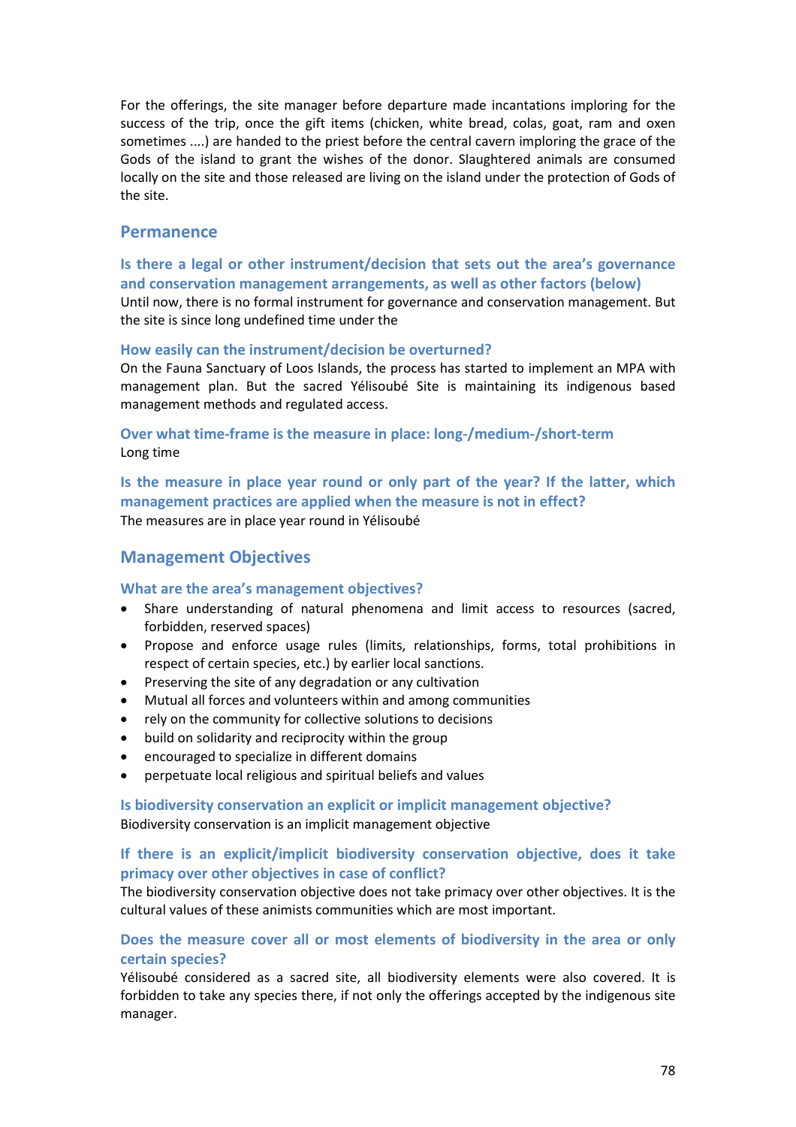For the offerings, the site manager before departure made incantations imploring for the success of the trip, once the gift items (chicken, white bread, colas, goat, ram and oxen sometimes ....) are handed to the priest before the central cavern imploring the grace of the Gods of the island to grant the wishes of the donor. Slaughtered animals are consumed locally on the site and those released are living on the island under the protection of Gods of the site.

### **Permanence**

**Is there a legal or other instrument/decision that sets out the area's governance and conservation management arrangements, as well as other factors (below)** Until now, there is no formal instrument for governance and conservation management. But the site is since long undefined time under the

#### **How easily can the instrument/decision be overturned?**

On the Fauna Sanctuary of Loos Islands, the process has started to implement an MPA with management plan. But the sacred Yélisoubé Site is maintaining its indigenous based management methods and regulated access.

# **Over what time-frame is the measure in place: long-/medium-/short-term** Long time

**Is the measure in place year round or only part of the year? If the latter, which management practices are applied when the measure is not in effect?** The measures are in place year round in Yélisoubé

# **Management Objectives**

### **What are the area's management objectives?**

- Share understanding of natural phenomena and limit access to resources (sacred, forbidden, reserved spaces)
- Propose and enforce usage rules (limits, relationships, forms, total prohibitions in respect of certain species, etc.) by earlier local sanctions.
- Preserving the site of any degradation or any cultivation
- Mutual all forces and volunteers within and among communities
- rely on the community for collective solutions to decisions
- build on solidarity and reciprocity within the group
- encouraged to specialize in different domains
- perpetuate local religious and spiritual beliefs and values

### **Is biodiversity conservation an explicit or implicit management objective?**  Biodiversity conservation is an implicit management objective

### **If there is an explicit/implicit biodiversity conservation objective, does it take primacy over other objectives in case of conflict?**

The biodiversity conservation objective does not take primacy over other objectives. It is the cultural values of these animists communities which are most important.

# **Does the measure cover all or most elements of biodiversity in the area or only certain species?**

Yélisoubé considered as a sacred site, all biodiversity elements were also covered. It is forbidden to take any species there, if not only the offerings accepted by the indigenous site manager.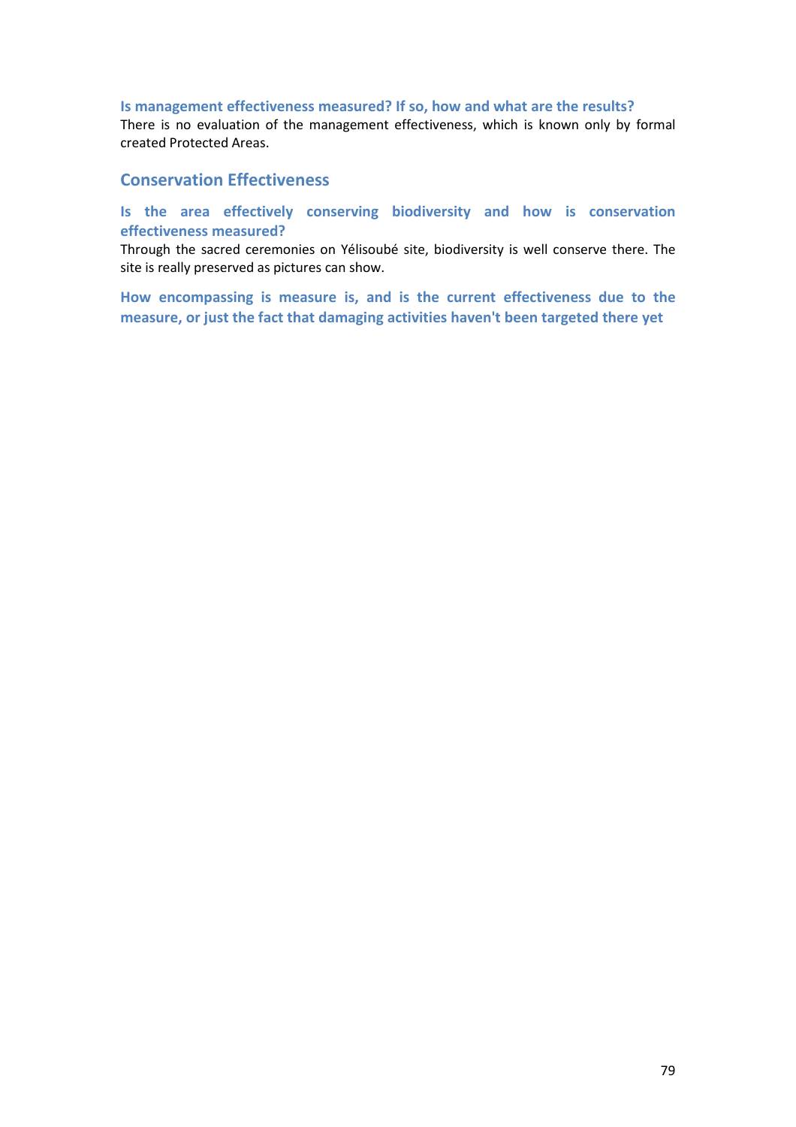### **Is management effectiveness measured? If so, how and what are the results?**

There is no evaluation of the management effectiveness, which is known only by formal created Protected Areas.

# **Conservation Effectiveness**

# **Is the area effectively conserving biodiversity and how is conservation effectiveness measured?**

Through the sacred ceremonies on Yélisoubé site, biodiversity is well conserve there. The site is really preserved as pictures can show.

**How encompassing is measure is, and is the current effectiveness due to the measure, or just the fact that damaging activities haven't been targeted there yet**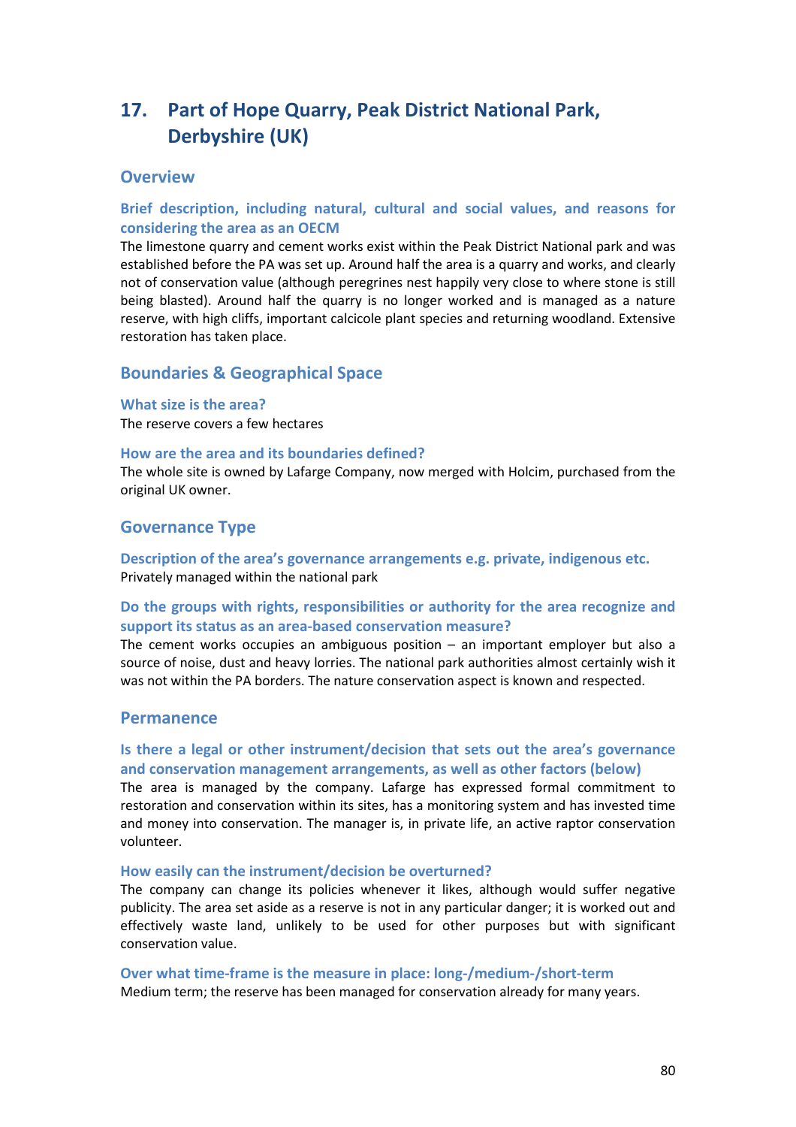# **17. Part of Hope Quarry, Peak District National Park, Derbyshire (UK)**

# **Overview**

# **Brief description, including natural, cultural and social values, and reasons for considering the area as an OECM**

The limestone quarry and cement works exist within the Peak District National park and was established before the PA was set up. Around half the area is a quarry and works, and clearly not of conservation value (although peregrines nest happily very close to where stone is still being blasted). Around half the quarry is no longer worked and is managed as a nature reserve, with high cliffs, important calcicole plant species and returning woodland. Extensive restoration has taken place.

# **Boundaries & Geographical Space**

#### **What size is the area?**

The reserve covers a few hectares

### **How are the area and its boundaries defined?**

The whole site is owned by Lafarge Company, now merged with Holcim, purchased from the original UK owner.

# **Governance Type**

**Description of the area's governance arrangements e.g. private, indigenous etc.** Privately managed within the national park

# **Do the groups with rights, responsibilities or authority for the area recognize and support its status as an area-based conservation measure?**

The cement works occupies an ambiguous position – an important employer but also a source of noise, dust and heavy lorries. The national park authorities almost certainly wish it was not within the PA borders. The nature conservation aspect is known and respected.

### **Permanence**

# **Is there a legal or other instrument/decision that sets out the area's governance and conservation management arrangements, as well as other factors (below)**

The area is managed by the company. Lafarge has expressed formal commitment to restoration and conservation within its sites, has a monitoring system and has invested time and money into conservation. The manager is, in private life, an active raptor conservation volunteer.

#### **How easily can the instrument/decision be overturned?**

The company can change its policies whenever it likes, although would suffer negative publicity. The area set aside as a reserve is not in any particular danger; it is worked out and effectively waste land, unlikely to be used for other purposes but with significant conservation value.

**Over what time-frame is the measure in place: long-/medium-/short-term** Medium term; the reserve has been managed for conservation already for many years.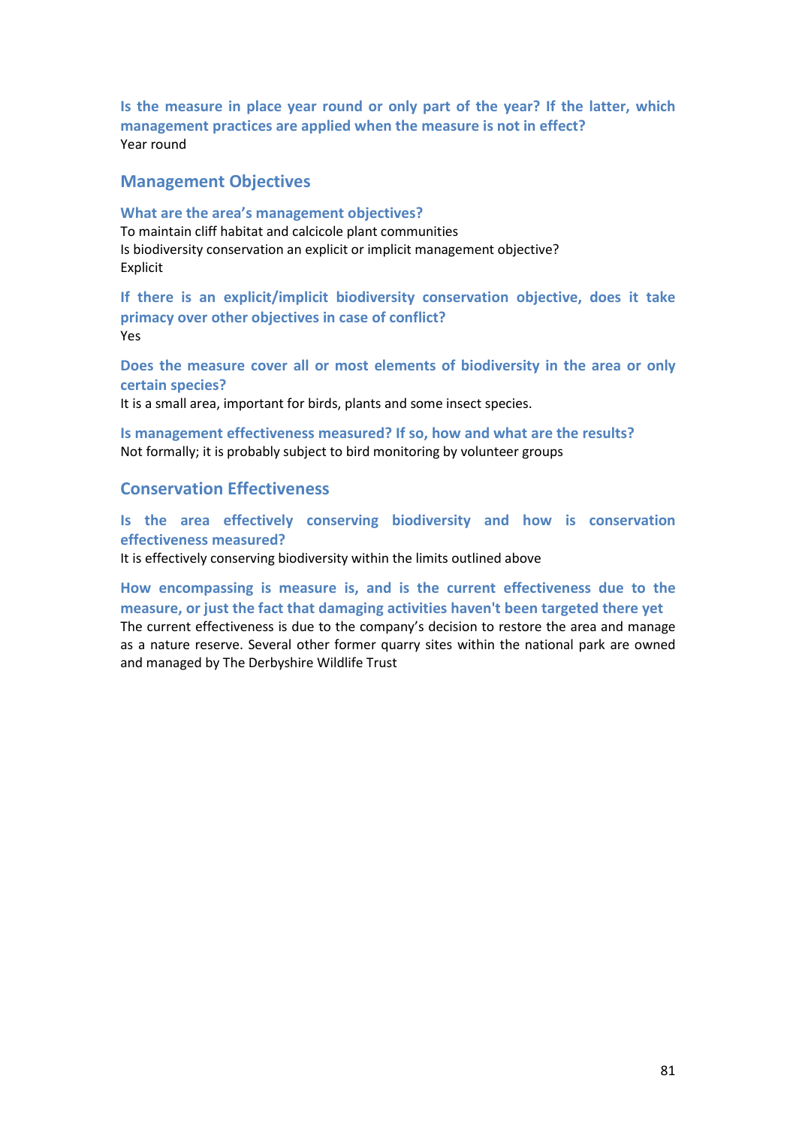**Is the measure in place year round or only part of the year? If the latter, which management practices are applied when the measure is not in effect?** Year round

# **Management Objectives**

### **What are the area's management objectives?**

To maintain cliff habitat and calcicole plant communities Is biodiversity conservation an explicit or implicit management objective? Explicit

**If there is an explicit/implicit biodiversity conservation objective, does it take primacy over other objectives in case of conflict?**  Yes

**Does the measure cover all or most elements of biodiversity in the area or only certain species?**

It is a small area, important for birds, plants and some insect species.

**Is management effectiveness measured? If so, how and what are the results?**  Not formally; it is probably subject to bird monitoring by volunteer groups

# **Conservation Effectiveness**

**Is the area effectively conserving biodiversity and how is conservation effectiveness measured?**

It is effectively conserving biodiversity within the limits outlined above

**How encompassing is measure is, and is the current effectiveness due to the measure, or just the fact that damaging activities haven't been targeted there yet**  The current effectiveness is due to the company's decision to restore the area and manage as a nature reserve. Several other former quarry sites within the national park are owned and managed by The Derbyshire Wildlife Trust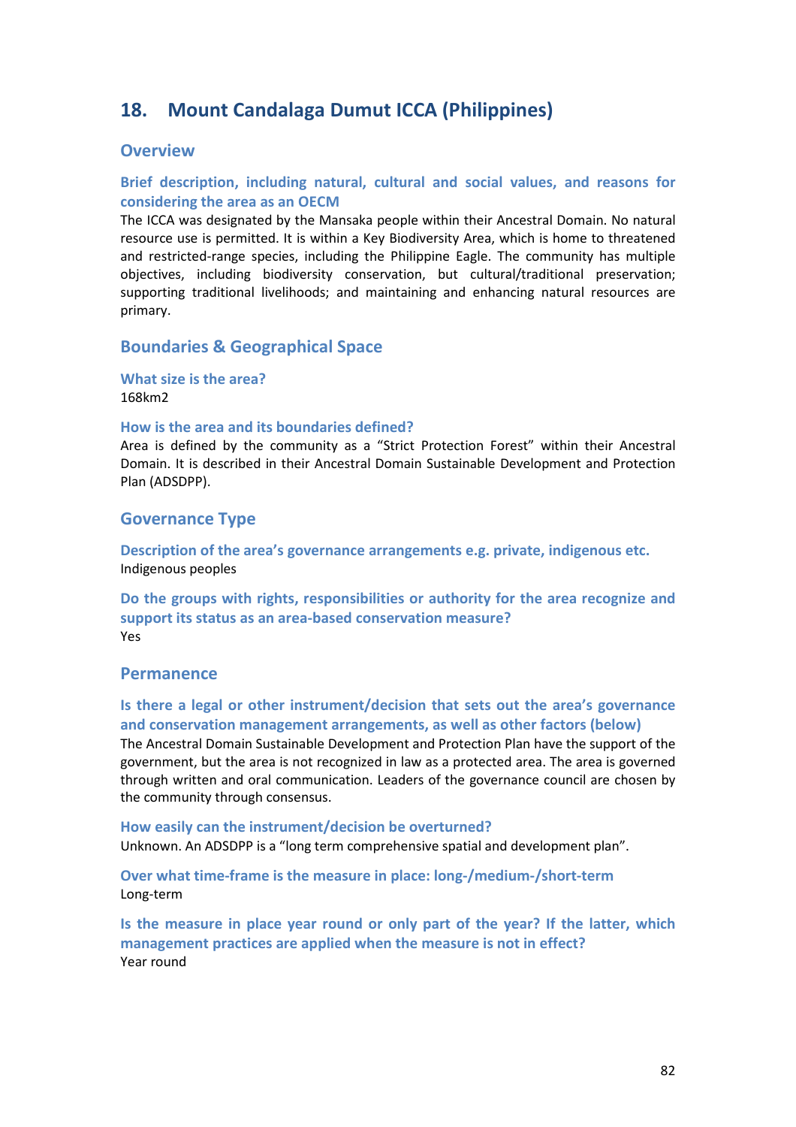# **18. Mount Candalaga Dumut ICCA (Philippines)**

# **Overview**

# **Brief description, including natural, cultural and social values, and reasons for considering the area as an OECM**

The ICCA was designated by the Mansaka people within their Ancestral Domain. No natural resource use is permitted. It is within a Key Biodiversity Area, which is home to threatened and restricted-range species, including the Philippine Eagle. The community has multiple objectives, including biodiversity conservation, but cultural/traditional preservation; supporting traditional livelihoods; and maintaining and enhancing natural resources are primary.

# **Boundaries & Geographical Space**

**What size is the area?** 168km2

#### **How is the area and its boundaries defined?**

Area is defined by the community as a "Strict Protection Forest" within their Ancestral Domain. It is described in their Ancestral Domain Sustainable Development and Protection Plan (ADSDPP).

# **Governance Type**

**Description of the area's governance arrangements e.g. private, indigenous etc.** Indigenous peoples

**Do the groups with rights, responsibilities or authority for the area recognize and support its status as an area-based conservation measure?**  Yes

# **Permanence**

**Is there a legal or other instrument/decision that sets out the area's governance and conservation management arrangements, as well as other factors (below)** The Ancestral Domain Sustainable Development and Protection Plan have the support of the government, but the area is not recognized in law as a protected area. The area is governed through written and oral communication. Leaders of the governance council are chosen by the community through consensus.

# **How easily can the instrument/decision be overturned?**

Unknown. An ADSDPP is a "long term comprehensive spatial and development plan".

**Over what time-frame is the measure in place: long-/medium-/short-term** Long-term

**Is the measure in place year round or only part of the year? If the latter, which management practices are applied when the measure is not in effect?** Year round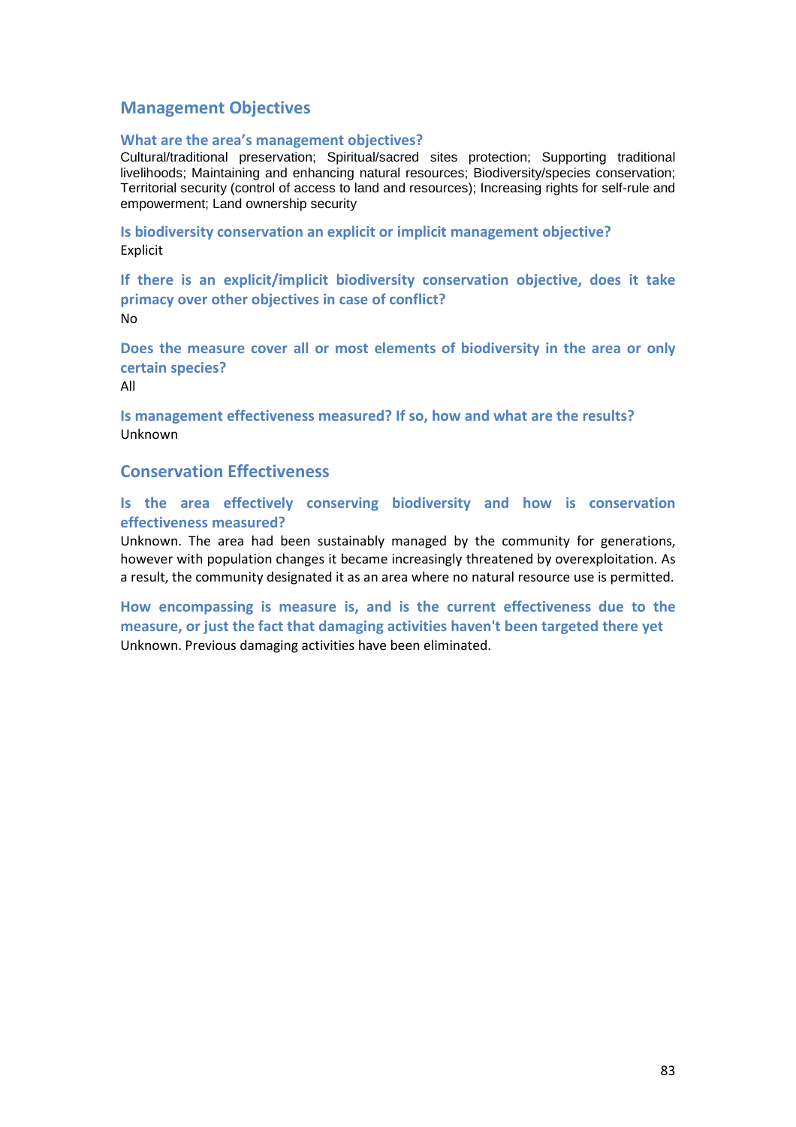# **Management Objectives**

### **What are the area's management objectives?**

Cultural/traditional preservation; Spiritual/sacred sites protection; Supporting traditional livelihoods; Maintaining and enhancing natural resources; Biodiversity/species conservation; Territorial security (control of access to land and resources); Increasing rights for self-rule and empowerment; Land ownership security

**Is biodiversity conservation an explicit or implicit management objective?**  Explicit

**If there is an explicit/implicit biodiversity conservation objective, does it take primacy over other objectives in case of conflict?**  No

**Does the measure cover all or most elements of biodiversity in the area or only certain species?**

All

**Is management effectiveness measured? If so, how and what are the results?**  Unknown

# **Conservation Effectiveness**

**Is the area effectively conserving biodiversity and how is conservation effectiveness measured?**

Unknown. The area had been sustainably managed by the community for generations, however with population changes it became increasingly threatened by overexploitation. As a result, the community designated it as an area where no natural resource use is permitted.

**How encompassing is measure is, and is the current effectiveness due to the measure, or just the fact that damaging activities haven't been targeted there yet**  Unknown. Previous damaging activities have been eliminated.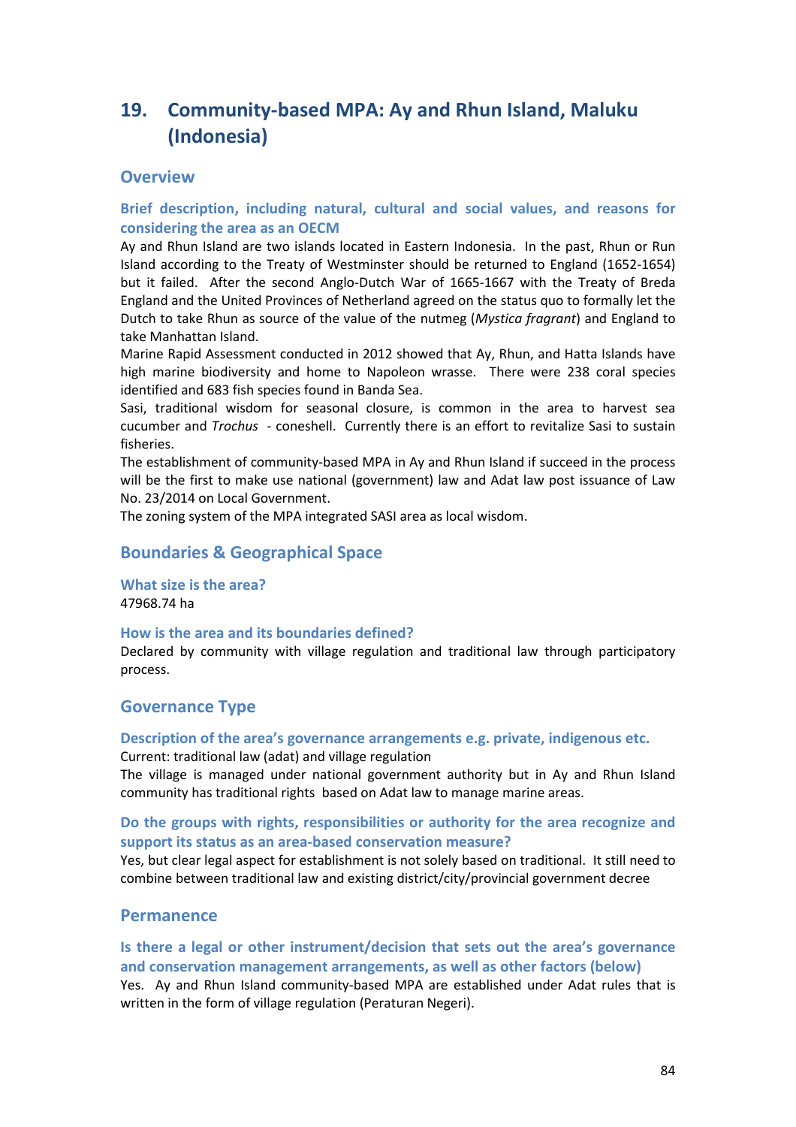# **19. Community-based MPA: Ay and Rhun Island, Maluku (Indonesia)**

# **Overview**

# **Brief description, including natural, cultural and social values, and reasons for considering the area as an OECM**

Ay and Rhun Island are two islands located in Eastern Indonesia. In the past, Rhun or Run Island according to the Treaty of Westminster should be returned to England (1652-1654) but it failed. After the second Anglo-Dutch War of 1665-1667 with the Treaty of Breda England and the United Provinces of Netherland agreed on the status quo to formally let the Dutch to take Rhun as source of the value of the nutmeg (*Mystica fragrant*) and England to take Manhattan Island.

Marine Rapid Assessment conducted in 2012 showed that Ay, Rhun, and Hatta Islands have high marine biodiversity and home to Napoleon wrasse. There were 238 coral species identified and 683 fish species found in Banda Sea.

Sasi, traditional wisdom for seasonal closure, is common in the area to harvest sea cucumber and *Trochus* - coneshell. Currently there is an effort to revitalize Sasi to sustain fisheries.

The establishment of community-based MPA in Ay and Rhun Island if succeed in the process will be the first to make use national (government) law and Adat law post issuance of Law No. 23/2014 on Local Government.

The zoning system of the MPA integrated SASI area as local wisdom.

# **Boundaries & Geographical Space**

**What size is the area?** 47968.74 ha

### **How is the area and its boundaries defined?**

Declared by community with village regulation and traditional law through participatory process.

# **Governance Type**

# **Description of the area's governance arrangements e.g. private, indigenous etc.**

Current: traditional law (adat) and village regulation

The village is managed under national government authority but in Ay and Rhun Island community has traditional rights based on Adat law to manage marine areas.

### **Do the groups with rights, responsibilities or authority for the area recognize and support its status as an area-based conservation measure?**

Yes, but clear legal aspect for establishment is not solely based on traditional. It still need to combine between traditional law and existing district/city/provincial government decree

# **Permanence**

# **Is there a legal or other instrument/decision that sets out the area's governance and conservation management arrangements, as well as other factors (below)**

Yes. Ay and Rhun Island community-based MPA are established under Adat rules that is written in the form of village regulation (Peraturan Negeri).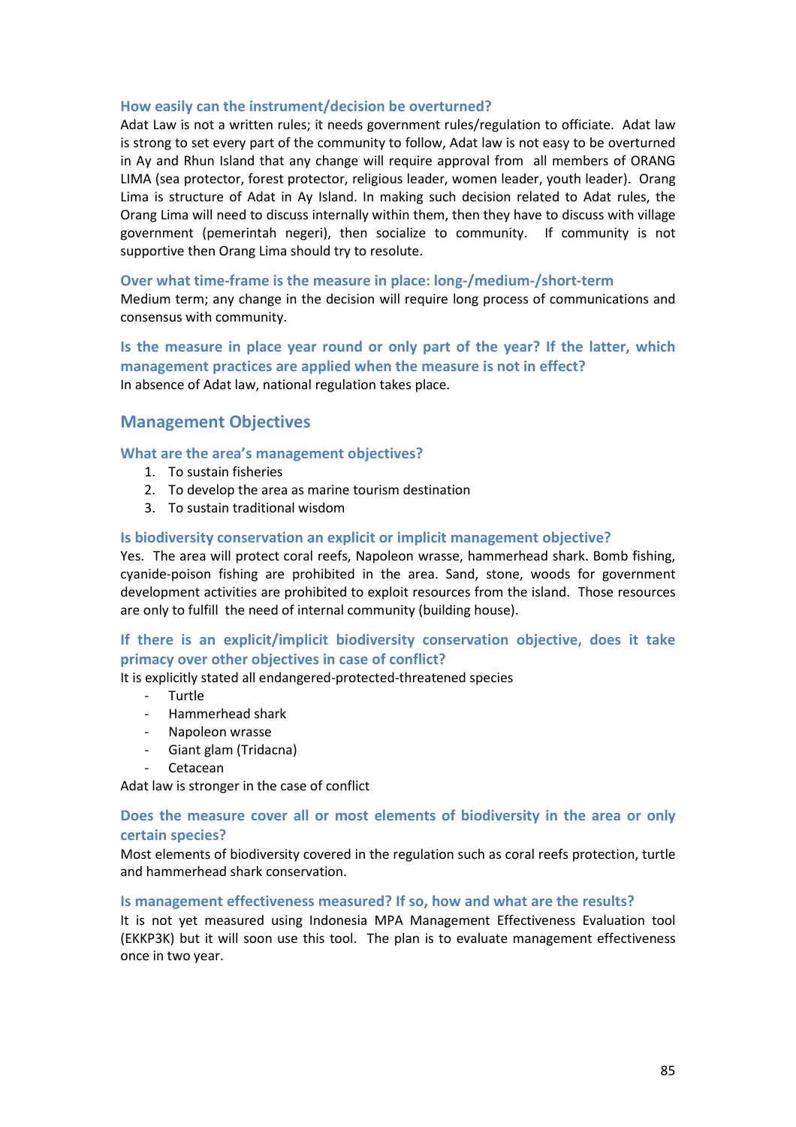### **How easily can the instrument/decision be overturned?**

Adat Law is not a written rules; it needs government rules/regulation to officiate. Adat law is strong to set every part of the community to follow, Adat law is not easy to be overturned in Ay and Rhun Island that any change will require approval from all members of ORANG LIMA (sea protector, forest protector, religious leader, women leader, youth leader). Orang Lima is structure of Adat in Ay Island. In making such decision related to Adat rules, the Orang Lima will need to discuss internally within them, then they have to discuss with village government (pemerintah negeri), then socialize to community. If community is not supportive then Orang Lima should try to resolute.

### **Over what time-frame is the measure in place: long-/medium-/short-term**

Medium term; any change in the decision will require long process of communications and consensus with community.

# **Is the measure in place year round or only part of the year? If the latter, which management practices are applied when the measure is not in effect?** In absence of Adat law, national regulation takes place.

# **Management Objectives**

### **What are the area's management objectives?**

- 1. To sustain fisheries
- 2. To develop the area as marine tourism destination
- 3. To sustain traditional wisdom

### **Is biodiversity conservation an explicit or implicit management objective?**

Yes. The area will protect coral reefs, Napoleon wrasse, hammerhead shark. Bomb fishing, cyanide-poison fishing are prohibited in the area. Sand, stone, woods for government development activities are prohibited to exploit resources from the island. Those resources are only to fulfill the need of internal community (building house).

# **If there is an explicit/implicit biodiversity conservation objective, does it take primacy over other objectives in case of conflict?**

It is explicitly stated all endangered-protected-threatened species

- Turtle
- Hammerhead shark
- Napoleon wrasse
- Giant glam (Tridacna)
- Cetacean

Adat law is stronger in the case of conflict

# **Does the measure cover all or most elements of biodiversity in the area or only certain species?**

Most elements of biodiversity covered in the regulation such as coral reefs protection, turtle and hammerhead shark conservation.

### **Is management effectiveness measured? If so, how and what are the results?**

It is not yet measured using Indonesia MPA Management Effectiveness Evaluation tool (EKKP3K) but it will soon use this tool. The plan is to evaluate management effectiveness once in two year.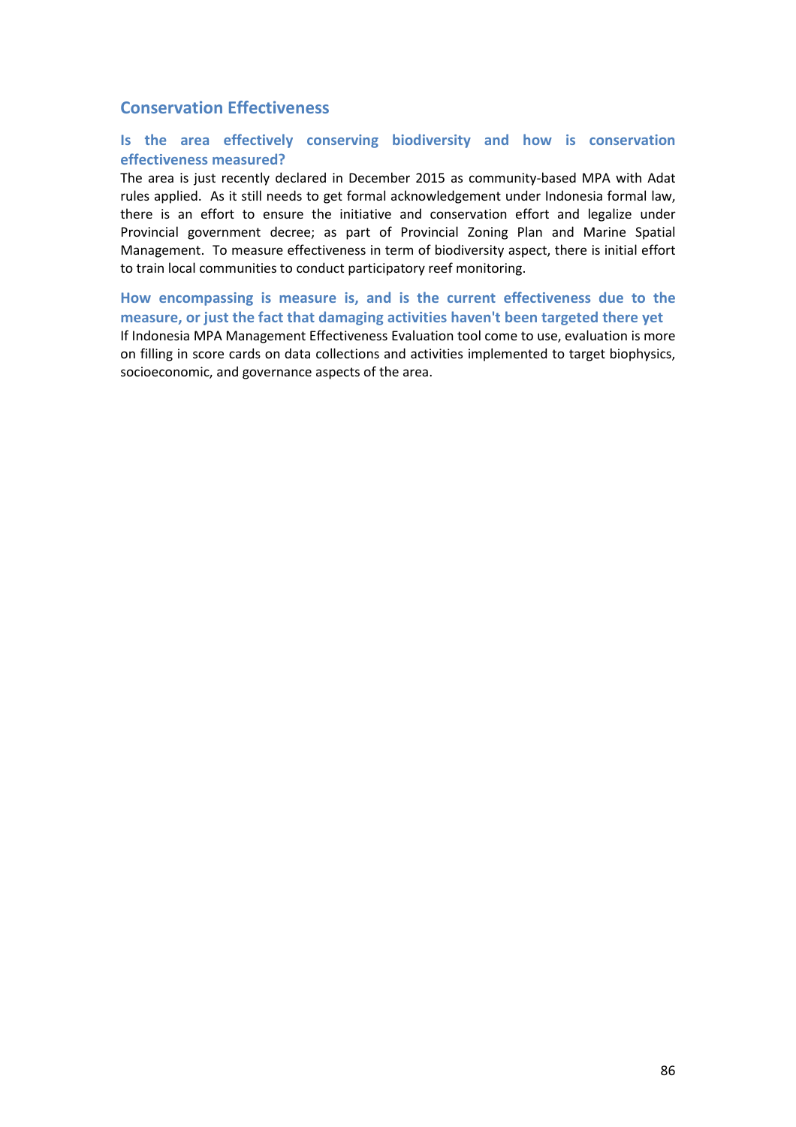# **Conservation Effectiveness**

# **Is the area effectively conserving biodiversity and how is conservation effectiveness measured?**

The area is just recently declared in December 2015 as community-based MPA with Adat rules applied. As it still needs to get formal acknowledgement under Indonesia formal law, there is an effort to ensure the initiative and conservation effort and legalize under Provincial government decree; as part of Provincial Zoning Plan and Marine Spatial Management. To measure effectiveness in term of biodiversity aspect, there is initial effort to train local communities to conduct participatory reef monitoring.

**How encompassing is measure is, and is the current effectiveness due to the measure, or just the fact that damaging activities haven't been targeted there yet**  If Indonesia MPA Management Effectiveness Evaluation tool come to use, evaluation is more on filling in score cards on data collections and activities implemented to target biophysics, socioeconomic, and governance aspects of the area.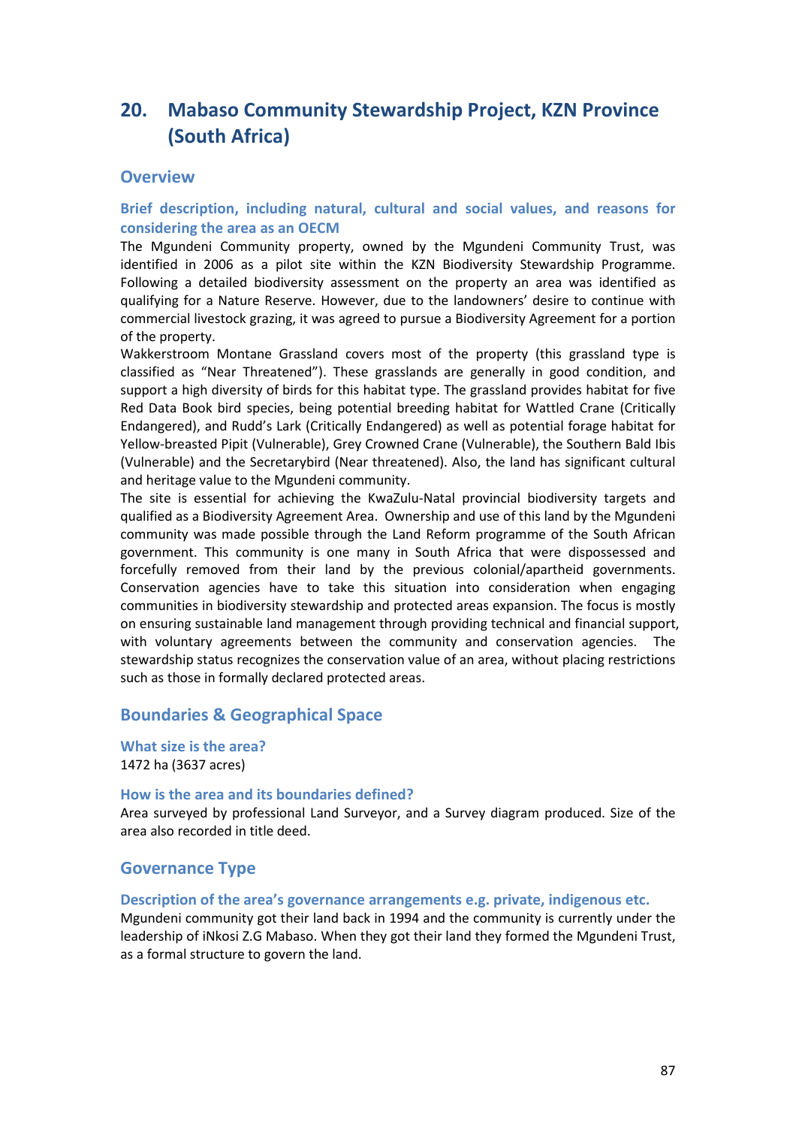# **20. Mabaso Community Stewardship Project, KZN Province (South Africa)**

# **Overview**

# **Brief description, including natural, cultural and social values, and reasons for considering the area as an OECM**

The Mgundeni Community property, owned by the Mgundeni Community Trust, was identified in 2006 as a pilot site within the KZN Biodiversity Stewardship Programme. Following a detailed biodiversity assessment on the property an area was identified as qualifying for a Nature Reserve. However, due to the landowners' desire to continue with commercial livestock grazing, it was agreed to pursue a Biodiversity Agreement for a portion of the property.

Wakkerstroom Montane Grassland covers most of the property (this grassland type is classified as "Near Threatened"). These grasslands are generally in good condition, and support a high diversity of birds for this habitat type. The grassland provides habitat for five Red Data Book bird species, being potential breeding habitat for Wattled Crane (Critically Endangered), and Rudd's Lark (Critically Endangered) as well as potential forage habitat for Yellow-breasted Pipit (Vulnerable), Grey Crowned Crane (Vulnerable), the Southern Bald Ibis (Vulnerable) and the Secretarybird (Near threatened). Also, the land has significant cultural and heritage value to the Mgundeni community.

The site is essential for achieving the KwaZulu-Natal provincial biodiversity targets and qualified as a Biodiversity Agreement Area. Ownership and use of this land by the Mgundeni community was made possible through the Land Reform programme of the South African government. This community is one many in South Africa that were dispossessed and forcefully removed from their land by the previous colonial/apartheid governments. Conservation agencies have to take this situation into consideration when engaging communities in biodiversity stewardship and protected areas expansion. The focus is mostly on ensuring sustainable land management through providing technical and financial support, with voluntary agreements between the community and conservation agencies. The stewardship status recognizes the conservation value of an area, without placing restrictions such as those in formally declared protected areas.

# **Boundaries & Geographical Space**

**What size is the area?** 1472 ha (3637 acres)

### **How is the area and its boundaries defined?**

Area surveyed by professional Land Surveyor, and a Survey diagram produced. Size of the area also recorded in title deed.

# **Governance Type**

**Description of the area's governance arrangements e.g. private, indigenous etc.**

Mgundeni community got their land back in 1994 and the community is currently under the leadership of iNkosi Z.G Mabaso. When they got their land they formed the Mgundeni Trust, as a formal structure to govern the land.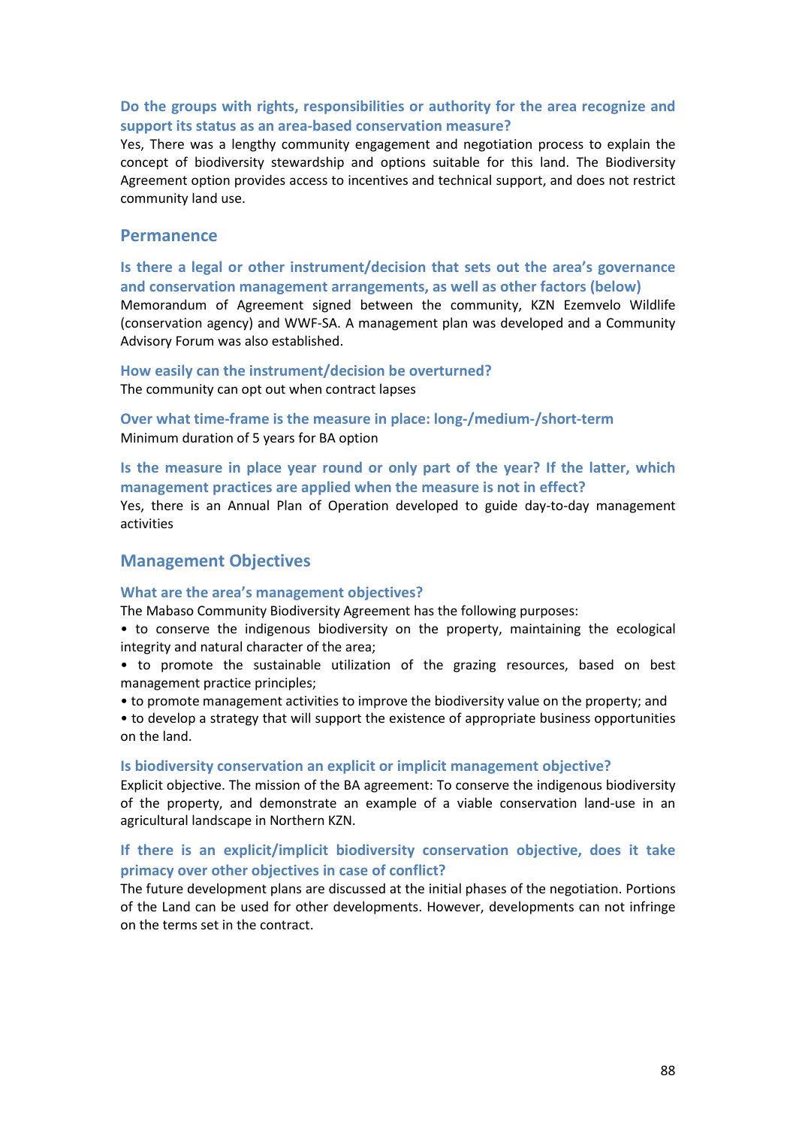# **Do the groups with rights, responsibilities or authority for the area recognize and support its status as an area-based conservation measure?**

Yes, There was a lengthy community engagement and negotiation process to explain the concept of biodiversity stewardship and options suitable for this land. The Biodiversity Agreement option provides access to incentives and technical support, and does not restrict community land use.

### **Permanence**

**Is there a legal or other instrument/decision that sets out the area's governance and conservation management arrangements, as well as other factors (below)**

Memorandum of Agreement signed between the community, KZN Ezemvelo Wildlife (conservation agency) and WWF-SA. A management plan was developed and a Community Advisory Forum was also established.

#### **How easily can the instrument/decision be overturned?**  The community can opt out when contract lapses

**Over what time-frame is the measure in place: long-/medium-/short-term** Minimum duration of 5 years for BA option

# **Is the measure in place year round or only part of the year? If the latter, which management practices are applied when the measure is not in effect?**

Yes, there is an Annual Plan of Operation developed to guide day-to-day management activities

### **Management Objectives**

#### **What are the area's management objectives?**

The Mabaso Community Biodiversity Agreement has the following purposes:

- to conserve the indigenous biodiversity on the property, maintaining the ecological integrity and natural character of the area;
- to promote the sustainable utilization of the grazing resources, based on best management practice principles;
- to promote management activities to improve the biodiversity value on the property; and
- to develop a strategy that will support the existence of appropriate business opportunities on the land.

#### **Is biodiversity conservation an explicit or implicit management objective?**

Explicit objective. The mission of the BA agreement: To conserve the indigenous biodiversity of the property, and demonstrate an example of a viable conservation land-use in an agricultural landscape in Northern KZN.

### **If there is an explicit/implicit biodiversity conservation objective, does it take primacy over other objectives in case of conflict?**

The future development plans are discussed at the initial phases of the negotiation. Portions of the Land can be used for other developments. However, developments can not infringe on the terms set in the contract.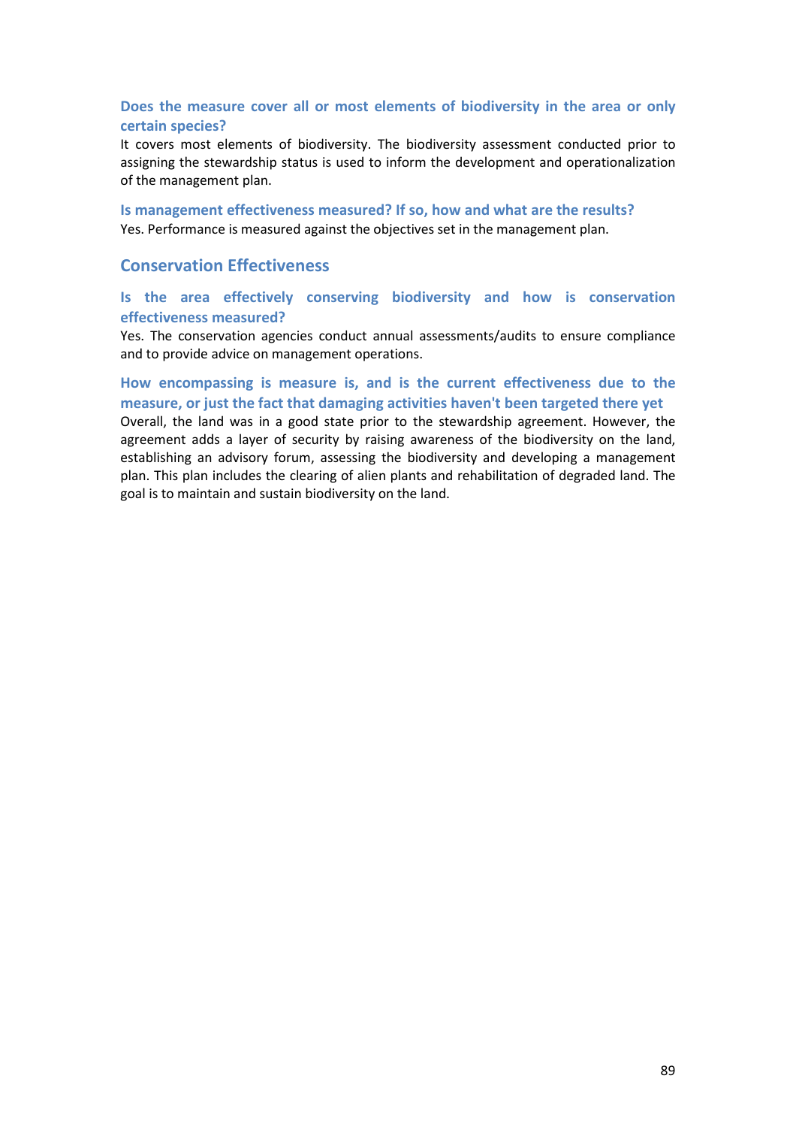# **Does the measure cover all or most elements of biodiversity in the area or only certain species?**

It covers most elements of biodiversity. The biodiversity assessment conducted prior to assigning the stewardship status is used to inform the development and operationalization of the management plan.

**Is management effectiveness measured? If so, how and what are the results?**  Yes. Performance is measured against the objectives set in the management plan.

# **Conservation Effectiveness**

### **Is the area effectively conserving biodiversity and how is conservation effectiveness measured?**

Yes. The conservation agencies conduct annual assessments/audits to ensure compliance and to provide advice on management operations.

# **How encompassing is measure is, and is the current effectiveness due to the measure, or just the fact that damaging activities haven't been targeted there yet**

Overall, the land was in a good state prior to the stewardship agreement. However, the agreement adds a layer of security by raising awareness of the biodiversity on the land, establishing an advisory forum, assessing the biodiversity and developing a management plan. This plan includes the clearing of alien plants and rehabilitation of degraded land. The goal is to maintain and sustain biodiversity on the land.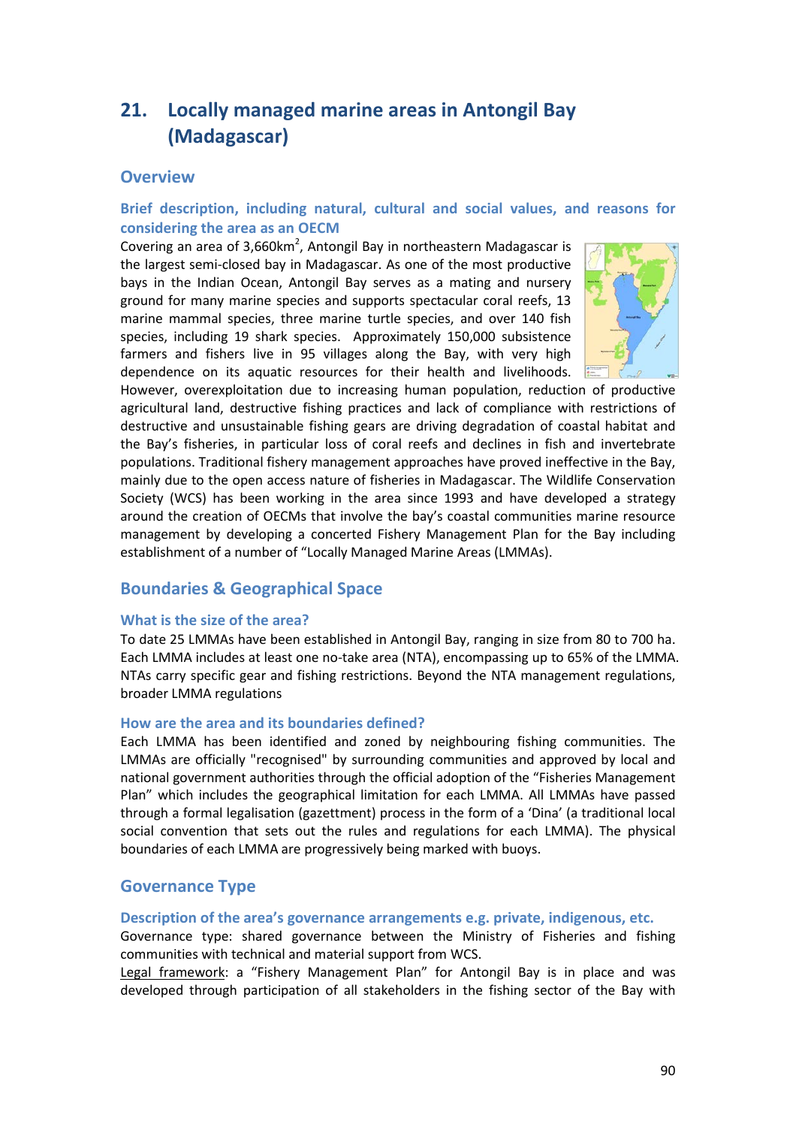# **21. Locally managed marine areas in Antongil Bay (Madagascar)**

# **Overview**

# **Brief description, including natural, cultural and social values, and reasons for considering the area as an OECM**

Covering an area of 3,660km<sup>2</sup>, Antongil Bay in northeastern Madagascar is the largest semi-closed bay in Madagascar. As one of the most productive bays in the Indian Ocean, Antongil Bay serves as a mating and nursery ground for many marine species and supports spectacular coral reefs, 13 marine mammal species, three marine turtle species, and over 140 fish species, including 19 shark species. Approximately 150,000 subsistence farmers and fishers live in 95 villages along the Bay, with very high dependence on its aquatic resources for their health and livelihoods.



However, overexploitation due to increasing human population, reduction of productive agricultural land, destructive fishing practices and lack of compliance with restrictions of destructive and unsustainable fishing gears are driving degradation of coastal habitat and the Bay's fisheries, in particular loss of coral reefs and declines in fish and invertebrate populations. Traditional fishery management approaches have proved ineffective in the Bay, mainly due to the open access nature of fisheries in Madagascar. The Wildlife Conservation Society (WCS) has been working in the area since 1993 and have developed a strategy around the creation of OECMs that involve the bay's coastal communities marine resource management by developing a concerted Fishery Management Plan for the Bay including establishment of a number of "Locally Managed Marine Areas (LMMAs).

# **Boundaries & Geographical Space**

### **What is the size of the area?**

To date 25 LMMAs have been established in Antongil Bay, ranging in size from 80 to 700 ha. Each LMMA includes at least one no-take area (NTA), encompassing up to 65% of the LMMA. NTAs carry specific gear and fishing restrictions. Beyond the NTA management regulations, broader LMMA regulations

### **How are the area and its boundaries defined?**

Each LMMA has been identified and zoned by neighbouring fishing communities. The LMMAs are officially "recognised" by surrounding communities and approved by local and national government authorities through the official adoption of the "Fisheries Management Plan" which includes the geographical limitation for each LMMA. All LMMAs have passed through a formal legalisation (gazettment) process in the form of a 'Dina' (a traditional local social convention that sets out the rules and regulations for each LMMA). The physical boundaries of each LMMA are progressively being marked with buoys.

# **Governance Type**

### **Description of the area's governance arrangements e.g. private, indigenous, etc.**

Governance type: shared governance between the Ministry of Fisheries and fishing communities with technical and material support from WCS.

Legal framework: a "Fishery Management Plan" for Antongil Bay is in place and was developed through participation of all stakeholders in the fishing sector of the Bay with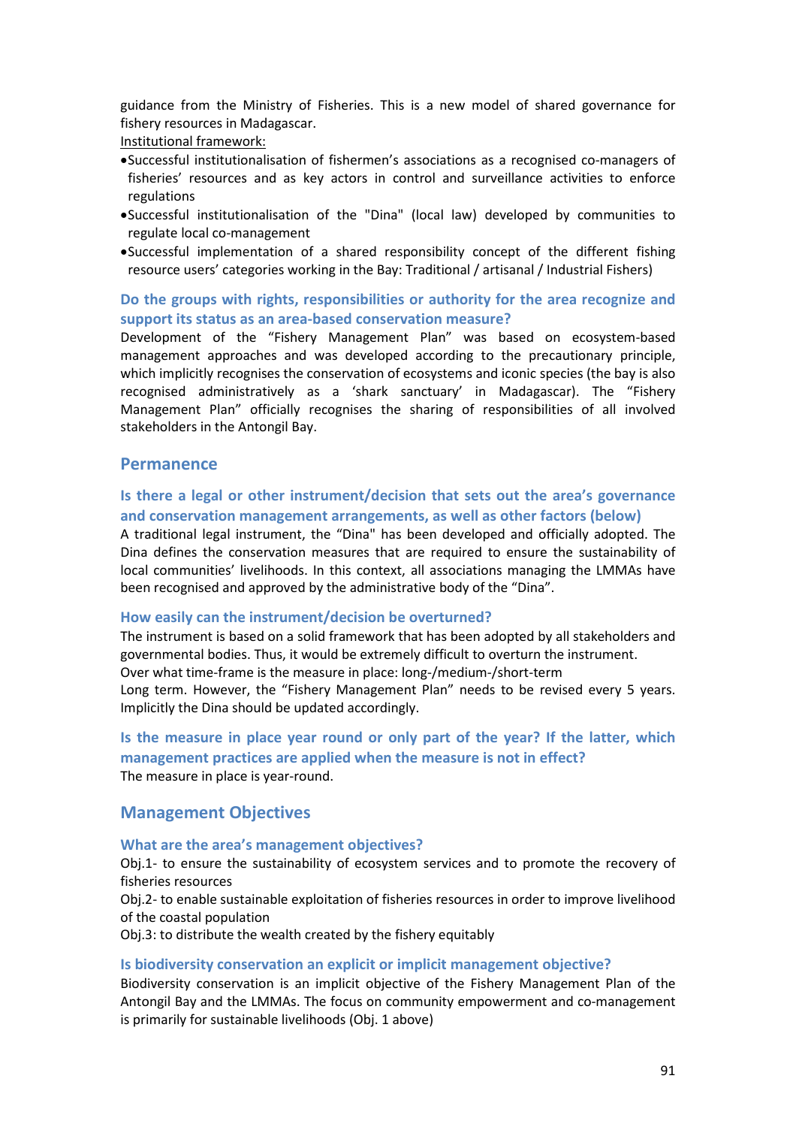guidance from the Ministry of Fisheries. This is a new model of shared governance for fishery resources in Madagascar.

Institutional framework:

- •Successful institutionalisation of fishermen's associations as a recognised co-managers of fisheries' resources and as key actors in control and surveillance activities to enforce regulations
- •Successful institutionalisation of the "Dina" (local law) developed by communities to regulate local co-management
- •Successful implementation of a shared responsibility concept of the different fishing resource users' categories working in the Bay: Traditional / artisanal / Industrial Fishers)

# **Do the groups with rights, responsibilities or authority for the area recognize and support its status as an area-based conservation measure?**

Development of the "Fishery Management Plan" was based on ecosystem-based management approaches and was developed according to the precautionary principle, which implicitly recognises the conservation of ecosystems and iconic species (the bay is also recognised administratively as a 'shark sanctuary' in Madagascar). The "Fishery Management Plan" officially recognises the sharing of responsibilities of all involved stakeholders in the Antongil Bay.

### **Permanence**

# **Is there a legal or other instrument/decision that sets out the area's governance and conservation management arrangements, as well as other factors (below)**

A traditional legal instrument, the "Dina" has been developed and officially adopted. The Dina defines the conservation measures that are required to ensure the sustainability of local communities' livelihoods. In this context, all associations managing the LMMAs have been recognised and approved by the administrative body of the "Dina".

#### **How easily can the instrument/decision be overturned?**

The instrument is based on a solid framework that has been adopted by all stakeholders and governmental bodies. Thus, it would be extremely difficult to overturn the instrument. Over what time-frame is the measure in place: long-/medium-/short-term Long term. However, the "Fishery Management Plan" needs to be revised every 5 years. Implicitly the Dina should be updated accordingly.

# **Is the measure in place year round or only part of the year? If the latter, which management practices are applied when the measure is not in effect?** The measure in place is year-round.

### **Management Objectives**

#### **What are the area's management objectives?**

Obj.1- to ensure the sustainability of ecosystem services and to promote the recovery of fisheries resources

Obj.2- to enable sustainable exploitation of fisheries resources in order to improve livelihood of the coastal population

Obj.3: to distribute the wealth created by the fishery equitably

#### **Is biodiversity conservation an explicit or implicit management objective?**

Biodiversity conservation is an implicit objective of the Fishery Management Plan of the Antongil Bay and the LMMAs. The focus on community empowerment and co-management is primarily for sustainable livelihoods (Obj. 1 above)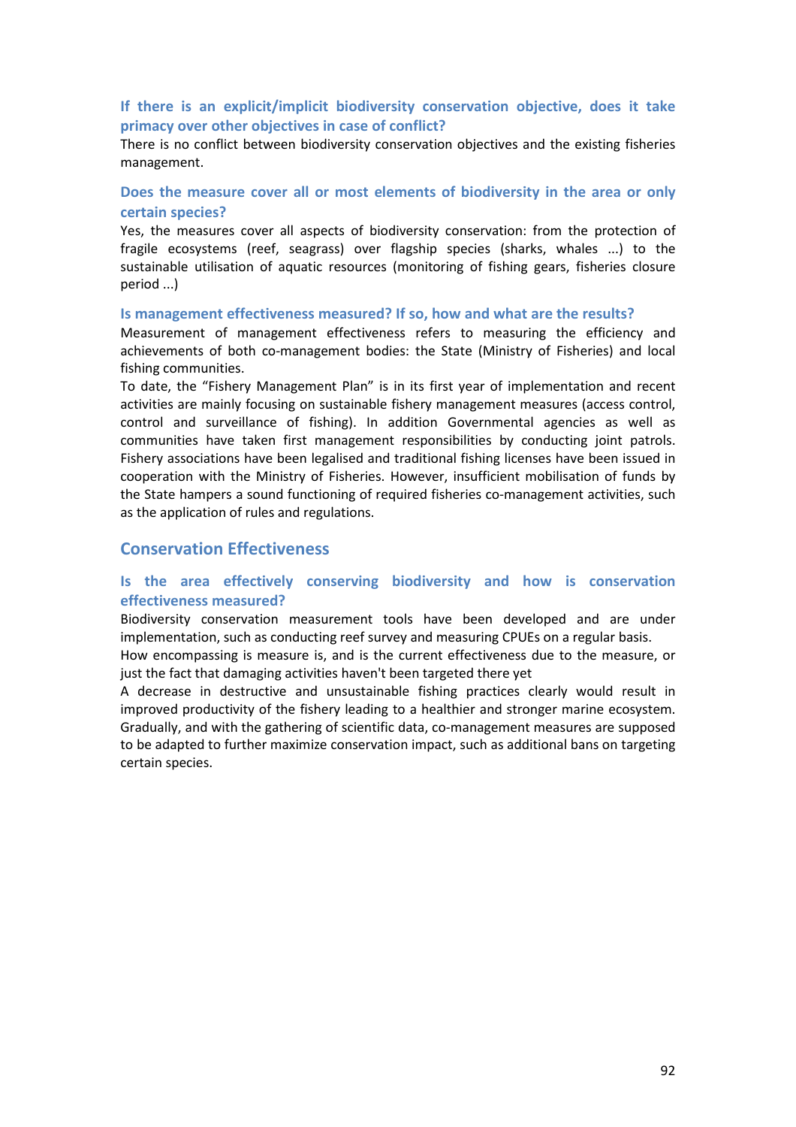# **If there is an explicit/implicit biodiversity conservation objective, does it take primacy over other objectives in case of conflict?**

There is no conflict between biodiversity conservation objectives and the existing fisheries management.

# **Does the measure cover all or most elements of biodiversity in the area or only certain species?**

Yes, the measures cover all aspects of biodiversity conservation: from the protection of fragile ecosystems (reef, seagrass) over flagship species (sharks, whales ...) to the sustainable utilisation of aquatic resources (monitoring of fishing gears, fisheries closure period ...)

#### **Is management effectiveness measured? If so, how and what are the results?**

Measurement of management effectiveness refers to measuring the efficiency and achievements of both co-management bodies: the State (Ministry of Fisheries) and local fishing communities.

To date, the "Fishery Management Plan" is in its first year of implementation and recent activities are mainly focusing on sustainable fishery management measures (access control, control and surveillance of fishing). In addition Governmental agencies as well as communities have taken first management responsibilities by conducting joint patrols. Fishery associations have been legalised and traditional fishing licenses have been issued in cooperation with the Ministry of Fisheries. However, insufficient mobilisation of funds by the State hampers a sound functioning of required fisheries co-management activities, such as the application of rules and regulations.

# **Conservation Effectiveness**

# **Is the area effectively conserving biodiversity and how is conservation effectiveness measured?**

Biodiversity conservation measurement tools have been developed and are under implementation, such as conducting reef survey and measuring CPUEs on a regular basis.

How encompassing is measure is, and is the current effectiveness due to the measure, or just the fact that damaging activities haven't been targeted there yet

A decrease in destructive and unsustainable fishing practices clearly would result in improved productivity of the fishery leading to a healthier and stronger marine ecosystem. Gradually, and with the gathering of scientific data, co-management measures are supposed to be adapted to further maximize conservation impact, such as additional bans on targeting certain species.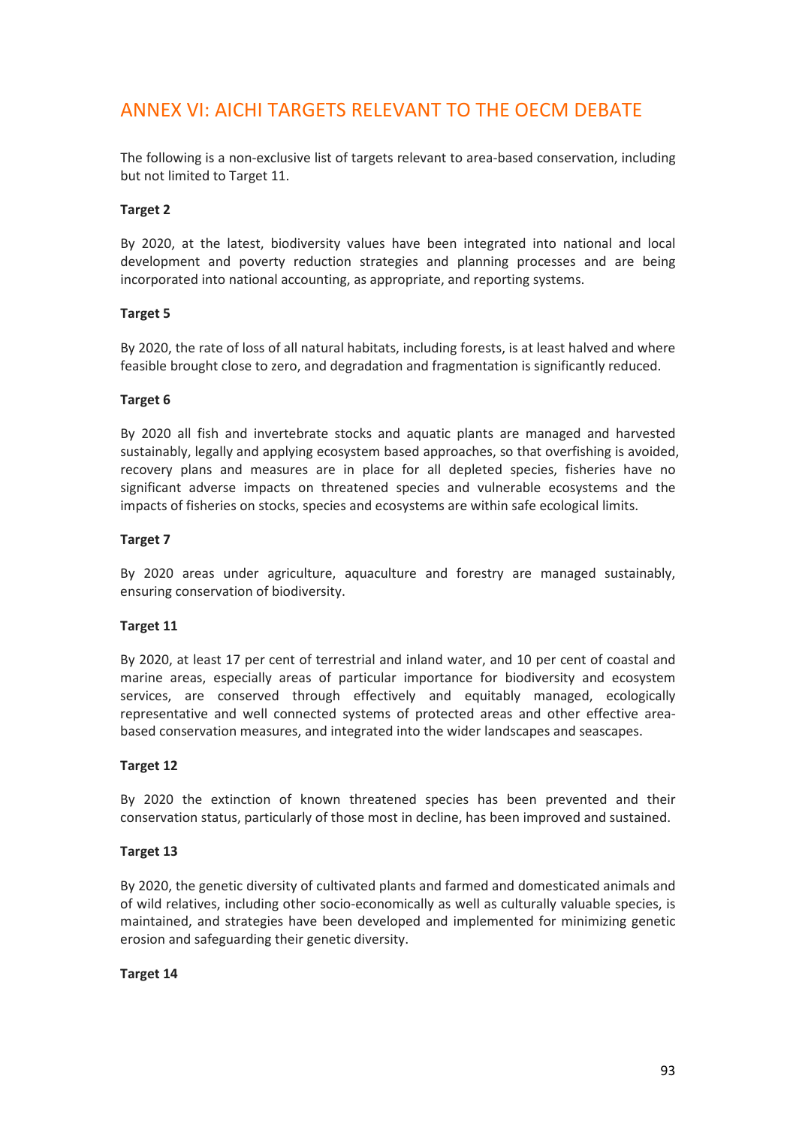# ANNEX VI: AICHI TARGETS RELEVANT TO THE OECM DEBATE

The following is a non-exclusive list of targets relevant to area-based conservation, including but not limited to Target 11.

### **Target 2**

By 2020, at the latest, biodiversity values have been integrated into national and local development and poverty reduction strategies and planning processes and are being incorporated into national accounting, as appropriate, and reporting systems.

### **Target 5**

By 2020, the rate of loss of all natural habitats, including forests, is at least halved and where feasible brought close to zero, and degradation and fragmentation is significantly reduced.

### **Target 6**

By 2020 all fish and invertebrate stocks and aquatic plants are managed and harvested sustainably, legally and applying ecosystem based approaches, so that overfishing is avoided, recovery plans and measures are in place for all depleted species, fisheries have no significant adverse impacts on threatened species and vulnerable ecosystems and the impacts of fisheries on stocks, species and ecosystems are within safe ecological limits.

### **Target 7**

By 2020 areas under agriculture, aquaculture and forestry are managed sustainably, ensuring conservation of biodiversity.

### **Target 11**

By 2020, at least 17 per cent of terrestrial and inland water, and 10 per cent of coastal and marine areas, especially areas of particular importance for biodiversity and ecosystem services, are conserved through effectively and equitably managed, ecologically representative and well connected systems of protected areas and other effective areabased conservation measures, and integrated into the wider landscapes and seascapes.

### **Target 12**

By 2020 the extinction of known threatened species has been prevented and their conservation status, particularly of those most in decline, has been improved and sustained.

### **Target 13**

By 2020, the genetic diversity of cultivated plants and farmed and domesticated animals and of wild relatives, including other socio-economically as well as culturally valuable species, is maintained, and strategies have been developed and implemented for minimizing genetic erosion and safeguarding their genetic diversity.

### **Target 14**